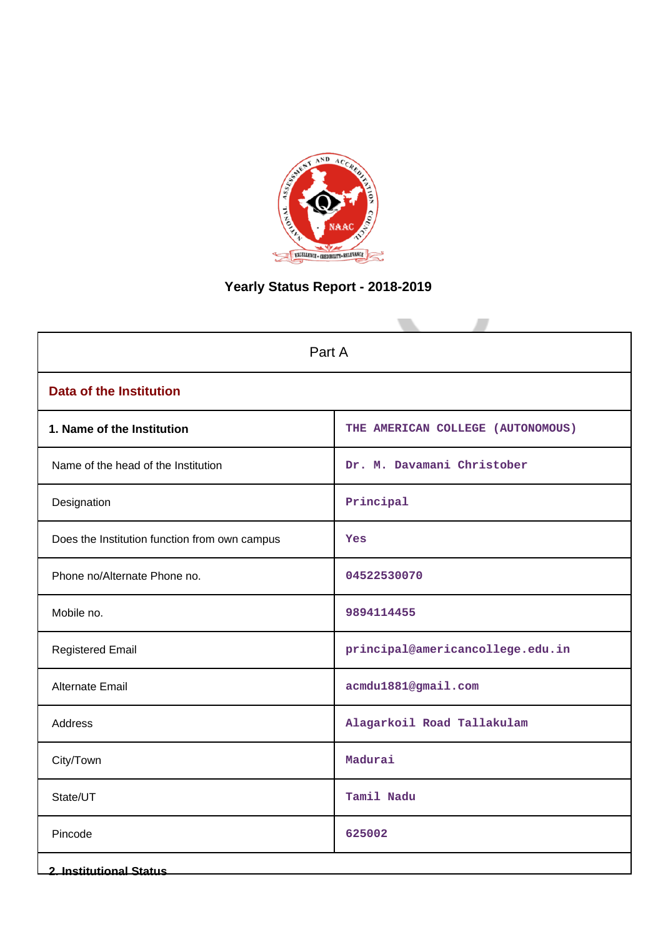

# **Yearly Status Report - 2018-2019**

| Part A                                        |                                   |  |
|-----------------------------------------------|-----------------------------------|--|
| <b>Data of the Institution</b>                |                                   |  |
| 1. Name of the Institution                    | THE AMERICAN COLLEGE (AUTONOMOUS) |  |
| Name of the head of the Institution           | Dr. M. Davamani Christober        |  |
| Designation                                   | Principal                         |  |
| Does the Institution function from own campus | Yes                               |  |
| Phone no/Alternate Phone no.                  | 04522530070                       |  |
| Mobile no.                                    | 9894114455                        |  |
| <b>Registered Email</b>                       | principal@americancollege.edu.in  |  |
| Alternate Email                               | acmdu1881@gmail.com               |  |
| <b>Address</b>                                | Alagarkoil Road Tallakulam        |  |
| City/Town                                     | Madurai                           |  |
| State/UT                                      | Tamil Nadu                        |  |
| Pincode                                       | 625002                            |  |
| <b>2. Institutional Status</b>                |                                   |  |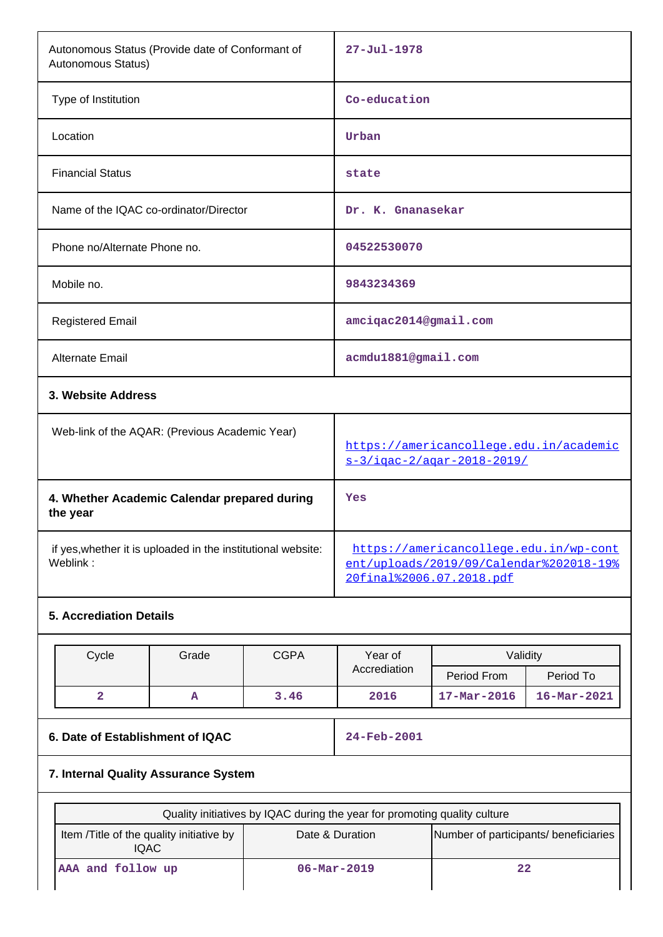| Autonomous Status (Provide date of Conformant of<br>Autonomous Status)    |                                                                                                                                                                               |                          | $27 - Jul - 1978$                                        |                                                                       |                   |  |
|---------------------------------------------------------------------------|-------------------------------------------------------------------------------------------------------------------------------------------------------------------------------|--------------------------|----------------------------------------------------------|-----------------------------------------------------------------------|-------------------|--|
| Type of Institution                                                       |                                                                                                                                                                               | Co-education             |                                                          |                                                                       |                   |  |
| Location                                                                  |                                                                                                                                                                               |                          | Urban                                                    |                                                                       |                   |  |
| <b>Financial Status</b>                                                   |                                                                                                                                                                               |                          | state                                                    |                                                                       |                   |  |
| Name of the IQAC co-ordinator/Director                                    |                                                                                                                                                                               |                          | Dr. K. Gnanasekar                                        |                                                                       |                   |  |
| Phone no/Alternate Phone no.                                              |                                                                                                                                                                               |                          | 04522530070                                              |                                                                       |                   |  |
| Mobile no.                                                                |                                                                                                                                                                               |                          | 9843234369                                               |                                                                       |                   |  |
| <b>Registered Email</b>                                                   |                                                                                                                                                                               |                          | amciqac2014@gmail.com                                    |                                                                       |                   |  |
| Alternate Email                                                           |                                                                                                                                                                               |                          | acmdu1881@gmail.com                                      |                                                                       |                   |  |
|                                                                           | 3. Website Address                                                                                                                                                            |                          |                                                          |                                                                       |                   |  |
|                                                                           | Web-link of the AQAR: (Previous Academic Year)                                                                                                                                |                          |                                                          | https://americancollege.edu.in/academic<br>s-3/igac-2/agar-2018-2019/ |                   |  |
| the year                                                                  | 4. Whether Academic Calendar prepared during                                                                                                                                  |                          |                                                          | Yes                                                                   |                   |  |
| Weblink:                                                                  | https://americancollege.edu.in/wp-cont<br>if yes, whether it is uploaded in the institutional website:<br>ent/uploads/2019/09/Calendar%202018-19%<br>20final%2006.07.2018.pdf |                          |                                                          |                                                                       |                   |  |
|                                                                           | <b>5. Accrediation Details</b>                                                                                                                                                |                          |                                                          |                                                                       |                   |  |
| Cycle                                                                     | Grade<br><b>CGPA</b>                                                                                                                                                          |                          |                                                          | Year of<br>Validity                                                   |                   |  |
|                                                                           |                                                                                                                                                                               |                          | Accrediation                                             | Period From                                                           | Period To         |  |
| 2                                                                         | A                                                                                                                                                                             | 3.46                     | 2016                                                     | $17 - Mar - 2016$                                                     | $16 - Mar - 2021$ |  |
| 6. Date of Establishment of IQAC                                          |                                                                                                                                                                               |                          | 24-Feb-2001                                              |                                                                       |                   |  |
| 7. Internal Quality Assurance System                                      |                                                                                                                                                                               |                          |                                                          |                                                                       |                   |  |
| Quality initiatives by IQAC during the year for promoting quality culture |                                                                                                                                                                               |                          |                                                          |                                                                       |                   |  |
| Item /Title of the quality initiative by<br><b>IQAC</b>                   |                                                                                                                                                                               |                          | Date & Duration<br>Number of participants/ beneficiaries |                                                                       |                   |  |
| AAA and follow up                                                         |                                                                                                                                                                               | $06 - \text{Mar} - 2019$ | 22                                                       |                                                                       |                   |  |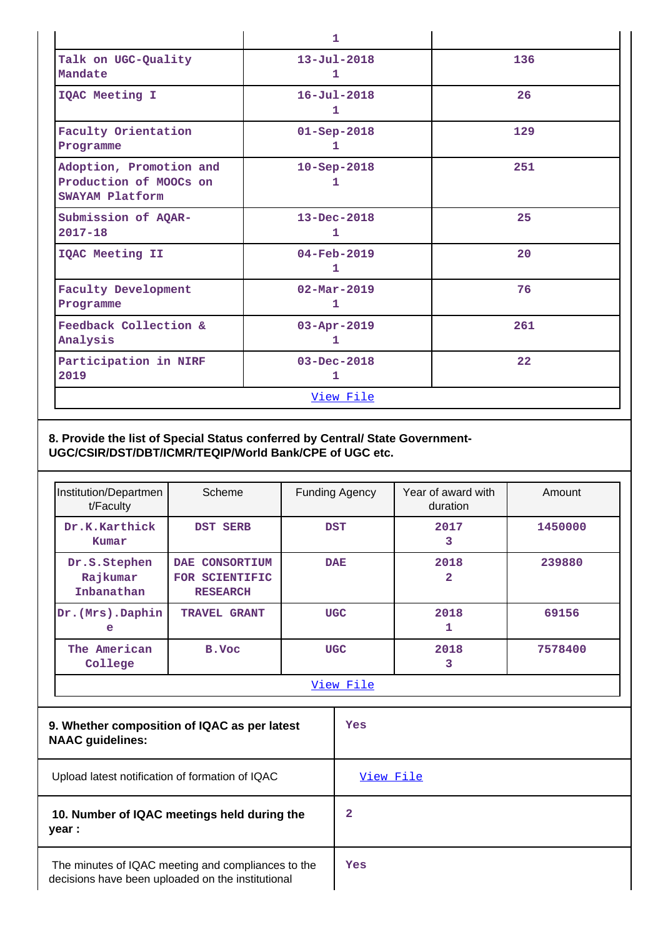|                                                                      | 1                             |     |
|----------------------------------------------------------------------|-------------------------------|-----|
| Talk on UGC-Quality<br>Mandate                                       | $13 - Ju1 - 2018$<br>1        | 136 |
| IQAC Meeting I                                                       | $16 - Jul - 2018$<br>1        | 26  |
| Faculty Orientation<br>Programme                                     | $01 - Sep - 2018$<br>1        | 129 |
| Adoption, Promotion and<br>Production of MOOCs on<br>SWAYAM Platform | $10 - Sep-2018$<br>1          | 251 |
| Submission of AQAR-<br>$2017 - 18$                                   | $13 - Dec - 2018$<br>1        | 25  |
| IQAC Meeting II                                                      | 04-Feb-2019<br>1              | 20  |
| <b>Faculty Development</b><br>Programme                              | $02 - \text{Mar} - 2019$<br>1 | 76  |
| Feedback Collection &<br>Analysis                                    | $03 - Apr - 2019$<br>1        | 261 |
| Participation in NIRF<br>2019                                        | $03 - Dec - 2018$<br>1        | 22  |
|                                                                      | View File                     |     |

### **8. Provide the list of Special Status conferred by Central/ State Government-UGC/CSIR/DST/DBT/ICMR/TEQIP/World Bank/CPE of UGC etc.**

| Institution/Departmen<br>t/Faculty     | Scheme                                              | <b>Funding Agency</b> | Year of award with<br>duration | Amount  |
|----------------------------------------|-----------------------------------------------------|-----------------------|--------------------------------|---------|
| Dr.K.Karthick<br>Kumar                 | <b>DST SERB</b>                                     | <b>DST</b>            | 2017<br>3                      | 1450000 |
| Dr.S.Stephen<br>Rajkumar<br>Inbanathan | DAE CONSORTIUM<br>FOR SCIENTIFIC<br><b>RESEARCH</b> | <b>DAE</b>            | 2018<br>2                      | 239880  |
| Dr. (Mrs). Daphin<br>e                 | TRAVEL GRANT                                        | <b>UGC</b>            | 2018<br>1                      | 69156   |
| The American<br>College                | B.Voc                                               | <b>UGC</b>            | 2018<br>3                      | 7578400 |
| View File                              |                                                     |                       |                                |         |

| 9. Whether composition of IQAC as per latest<br><b>NAAC</b> guidelines:                                 | Yes       |
|---------------------------------------------------------------------------------------------------------|-----------|
| Upload latest notification of formation of IQAC                                                         | View File |
| 10. Number of IQAC meetings held during the<br>year :                                                   | 2         |
| The minutes of IQAC meeting and compliances to the<br>decisions have been uploaded on the institutional | Yes       |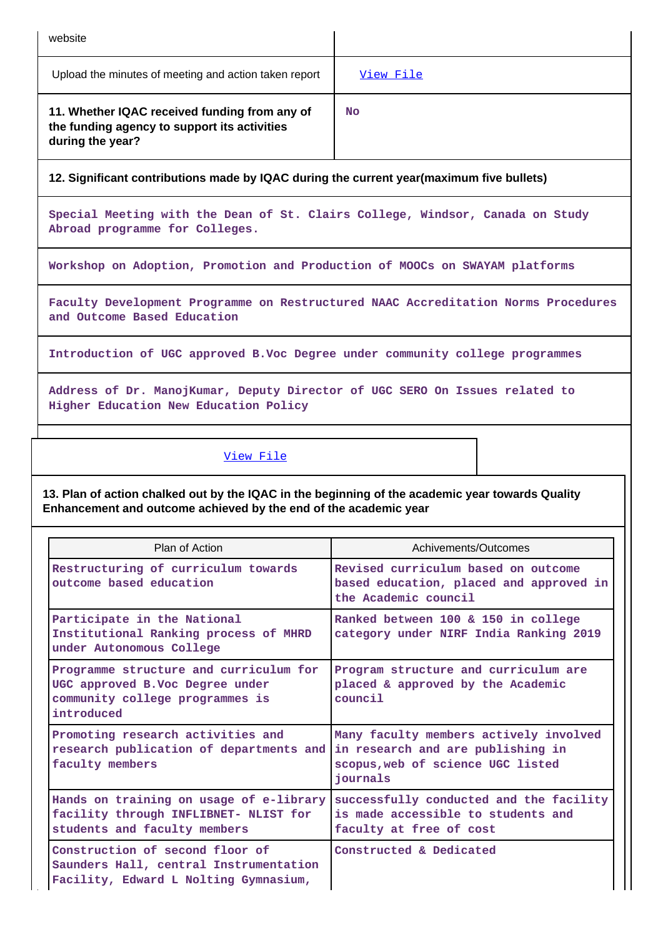| website                                                                                                           |           |
|-------------------------------------------------------------------------------------------------------------------|-----------|
| Upload the minutes of meeting and action taken report                                                             | View File |
| 11. Whether IQAC received funding from any of<br>the funding agency to support its activities<br>during the year? | <b>No</b> |

**12. Significant contributions made by IQAC during the current year(maximum five bullets)**

**Special Meeting with the Dean of St. Clairs College, Windsor, Canada on Study Abroad programme for Colleges.**

**Workshop on Adoption, Promotion and Production of MOOCs on SWAYAM platforms**

**Faculty Development Programme on Restructured NAAC Accreditation Norms Procedures and Outcome Based Education**

**Introduction of UGC approved B.Voc Degree under community college programmes**

**Address of Dr. ManojKumar, Deputy Director of UGC SERO On Issues related to Higher Education New Education Policy**

#### [View File](https://assessmentonline.naac.gov.in/public/Postacc/Contribution/1563_Contribution.xlsx)

**13. Plan of action chalked out by the IQAC in the beginning of the academic year towards Quality Enhancement and outcome achieved by the end of the academic year**

| Plan of Action                                                                                                             | Achivements/Outcomes                                                                                                         |
|----------------------------------------------------------------------------------------------------------------------------|------------------------------------------------------------------------------------------------------------------------------|
| Restructuring of curriculum towards<br>outcome based education                                                             | Revised curriculum based on outcome<br>based education, placed and approved in<br>the Academic council                       |
| Participate in the National<br>Institutional Ranking process of MHRD<br>under Autonomous College                           | Ranked between 100 & 150 in college<br>category under NIRF India Ranking 2019                                                |
| Programme structure and curriculum for<br>UGC approved B.Voc Degree under<br>community college programmes is<br>introduced | Program structure and curriculum are<br>placed & approved by the Academic<br>council                                         |
| Promoting research activities and<br>research publication of departments and<br>faculty members                            | Many faculty members actively involved<br>in research and are publishing in<br>scopus, web of science UGC listed<br>iournals |
| Hands on training on usage of e-library<br>facility through INFLIBNET- NLIST for<br>students and faculty members           | successfully conducted and the facility<br>is made accessible to students and<br>faculty at free of cost                     |
| Construction of second floor of<br>Saunders Hall, central Instrumentation<br>Facility, Edward L Nolting Gymnasium,         | Constructed & Dedicated                                                                                                      |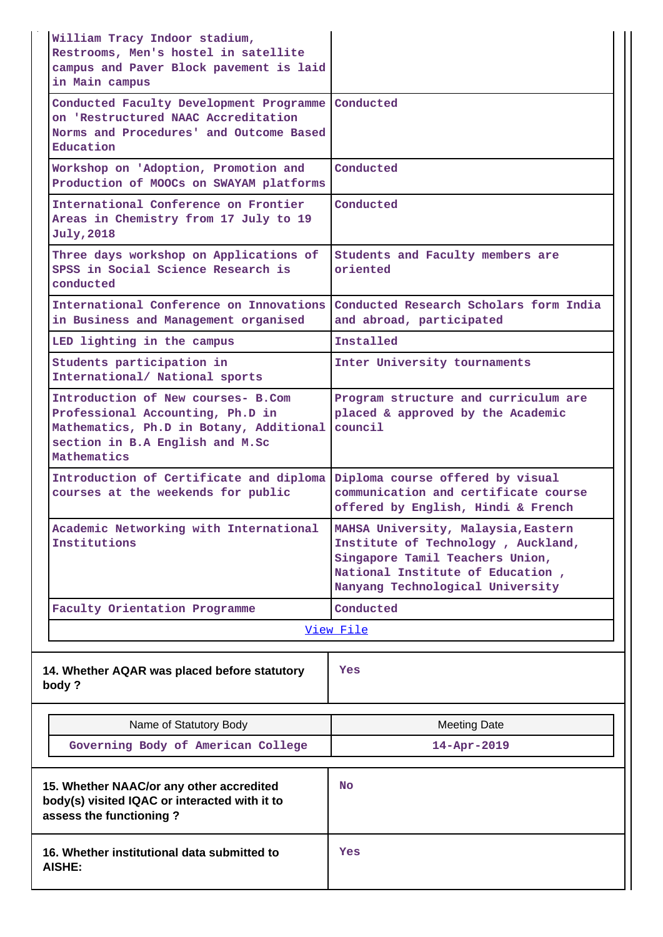| William Tracy Indoor stadium,<br>Restrooms, Men's hostel in satellite                                                                                               |                                                                                                                                                                                      |
|---------------------------------------------------------------------------------------------------------------------------------------------------------------------|--------------------------------------------------------------------------------------------------------------------------------------------------------------------------------------|
| campus and Paver Block pavement is laid<br>in Main campus                                                                                                           |                                                                                                                                                                                      |
| Conducted Faculty Development Programme<br>on 'Restructured NAAC Accreditation<br>Norms and Procedures' and Outcome Based<br>Education                              | Conducted                                                                                                                                                                            |
| Workshop on 'Adoption, Promotion and<br>Production of MOOCs on SWAYAM platforms                                                                                     | Conducted                                                                                                                                                                            |
| International Conference on Frontier<br>Areas in Chemistry from 17 July to 19<br><b>July, 2018</b>                                                                  | Conducted                                                                                                                                                                            |
| Three days workshop on Applications of<br>SPSS in Social Science Research is<br>conducted                                                                           | Students and Faculty members are<br>oriented                                                                                                                                         |
| International Conference on Innovations<br>in Business and Management organised                                                                                     | Conducted Research Scholars form India<br>and abroad, participated                                                                                                                   |
| LED lighting in the campus                                                                                                                                          | Installed                                                                                                                                                                            |
| Students participation in<br>International/ National sports                                                                                                         | Inter University tournaments                                                                                                                                                         |
| Introduction of New courses- B.Com<br>Professional Accounting, Ph.D in<br>Mathematics, Ph.D in Botany, Additional<br>section in B.A English and M.Sc<br>Mathematics | Program structure and curriculum are<br>placed & approved by the Academic<br>council                                                                                                 |
| Introduction of Certificate and diploma<br>courses at the weekends for public                                                                                       | Diploma course offered by visual<br>communication and certificate course<br>offered by English, Hindi & French                                                                       |
| Academic Networking with International<br>Institutions                                                                                                              | MAHSA University, Malaysia, Eastern<br>Institute of Technology, Auckland,<br>Singapore Tamil Teachers Union,<br>National Institute of Education,<br>Nanyang Technological University |
| Faculty Orientation Programme                                                                                                                                       | Conducted                                                                                                                                                                            |
|                                                                                                                                                                     | View File                                                                                                                                                                            |
| 14. Whether AQAR was placed before statutory<br>body?                                                                                                               | Yes                                                                                                                                                                                  |
| Name of Statutory Body                                                                                                                                              | Meeting Date                                                                                                                                                                         |
| Governing Body of American College                                                                                                                                  | 14-Apr-2019                                                                                                                                                                          |
| 15. Whether NAAC/or any other accredited                                                                                                                            | No.                                                                                                                                                                                  |

| 15. Whether NAAC/or any other accredited<br>body(s) visited IQAC or interacted with it to<br>assess the functioning? | No  |
|----------------------------------------------------------------------------------------------------------------------|-----|
| 16. Whether institutional data submitted to<br><b>AISHE:</b>                                                         | Yes |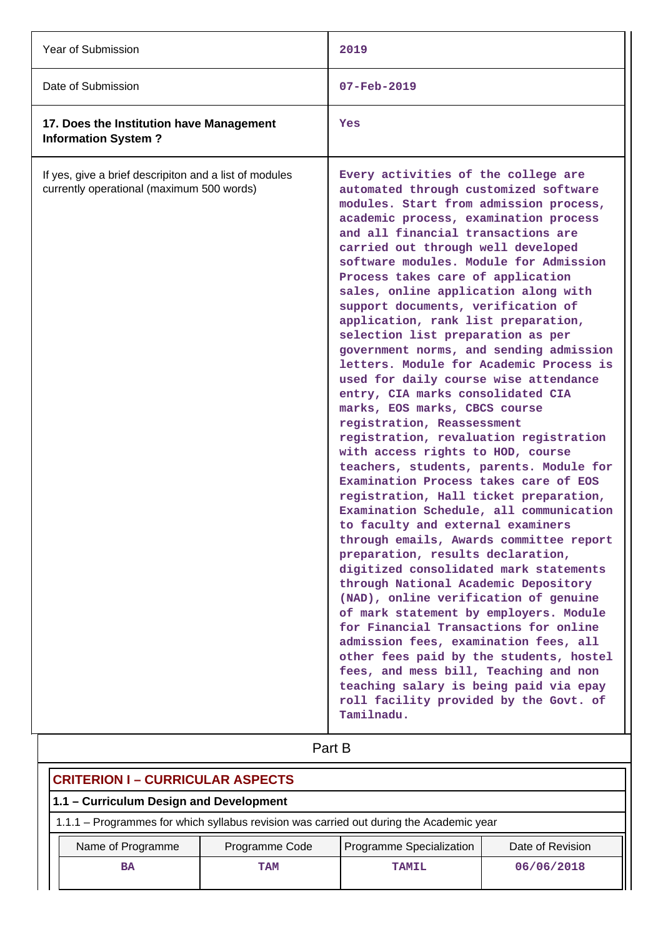| Year of Submission                                                                                  | 2019                                                                                                                                                                                                                                                                                                                                                                                                                                                                                                                                                                                                                                                                                                                                                                                                                                                                                                                                                                                                                                                                                                                                                                                                                                                                                                                                                                                                                                                                                                                                              |
|-----------------------------------------------------------------------------------------------------|---------------------------------------------------------------------------------------------------------------------------------------------------------------------------------------------------------------------------------------------------------------------------------------------------------------------------------------------------------------------------------------------------------------------------------------------------------------------------------------------------------------------------------------------------------------------------------------------------------------------------------------------------------------------------------------------------------------------------------------------------------------------------------------------------------------------------------------------------------------------------------------------------------------------------------------------------------------------------------------------------------------------------------------------------------------------------------------------------------------------------------------------------------------------------------------------------------------------------------------------------------------------------------------------------------------------------------------------------------------------------------------------------------------------------------------------------------------------------------------------------------------------------------------------------|
| Date of Submission                                                                                  | $07 - Feb - 2019$                                                                                                                                                                                                                                                                                                                                                                                                                                                                                                                                                                                                                                                                                                                                                                                                                                                                                                                                                                                                                                                                                                                                                                                                                                                                                                                                                                                                                                                                                                                                 |
| 17. Does the Institution have Management<br><b>Information System?</b>                              | Yes                                                                                                                                                                                                                                                                                                                                                                                                                                                                                                                                                                                                                                                                                                                                                                                                                                                                                                                                                                                                                                                                                                                                                                                                                                                                                                                                                                                                                                                                                                                                               |
| If yes, give a brief descripiton and a list of modules<br>currently operational (maximum 500 words) | Every activities of the college are<br>automated through customized software<br>modules. Start from admission process,<br>academic process, examination process<br>and all financial transactions are<br>carried out through well developed<br>software modules. Module for Admission<br>Process takes care of application<br>sales, online application along with<br>support documents, verification of<br>application, rank list preparation,<br>selection list preparation as per<br>government norms, and sending admission<br>letters. Module for Academic Process is<br>used for daily course wise attendance<br>entry, CIA marks consolidated CIA<br>marks, EOS marks, CBCS course<br>registration, Reassessment<br>registration, revaluation registration<br>with access rights to HOD, course<br>teachers, students, parents. Module for<br>Examination Process takes care of EOS<br>registration, Hall ticket preparation,<br>Examination Schedule, all communication<br>to faculty and external examiners<br>through emails, Awards committee report<br>preparation, results declaration,<br>digitized consolidated mark statements<br>through National Academic Depository<br>(NAD), online verification of genuine<br>of mark statement by employers. Module<br>for Financial Transactions for online<br>admission fees, examination fees, all<br>other fees paid by the students, hostel<br>fees, and mess bill, Teaching and non<br>teaching salary is being paid via epay<br>roll facility provided by the Govt. of<br>Tamilnadu. |

|  | Part B |
|--|--------|
|  |        |

| <b>CRITERION I – CURRICULAR ASPECTS</b>                                                 |                |                          |                  |  |
|-----------------------------------------------------------------------------------------|----------------|--------------------------|------------------|--|
| 1.1 - Curriculum Design and Development                                                 |                |                          |                  |  |
| 1.1.1 – Programmes for which syllabus revision was carried out during the Academic year |                |                          |                  |  |
| Name of Programme                                                                       | Programme Code | Programme Specialization | Date of Revision |  |
| <b>BA</b>                                                                               | <b>TAM</b>     | <b>TAMIL</b>             | 06/06/2018       |  |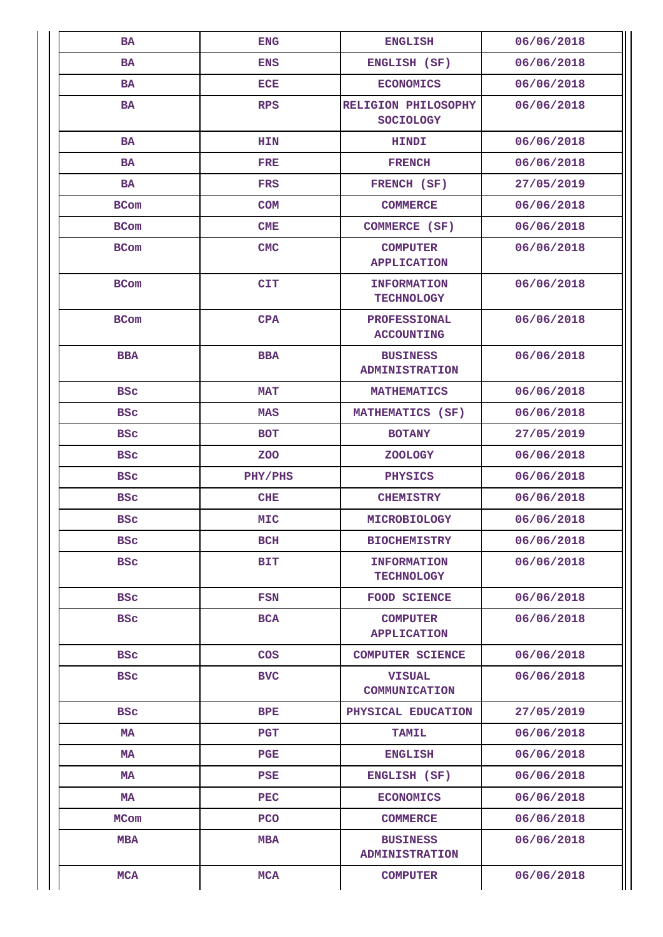| <b>BA</b>   | <b>ENG</b>   | <b>ENGLISH</b>                           | 06/06/2018 |
|-------------|--------------|------------------------------------------|------------|
| <b>BA</b>   | <b>ENS</b>   | ENGLISH (SF)                             | 06/06/2018 |
| BA          | ECE          | <b>ECONOMICS</b>                         | 06/06/2018 |
| <b>BA</b>   | <b>RPS</b>   | RELIGION PHILOSOPHY<br><b>SOCIOLOGY</b>  | 06/06/2018 |
| <b>BA</b>   | <b>HIN</b>   | <b>HINDI</b>                             | 06/06/2018 |
| <b>BA</b>   | <b>FRE</b>   | <b>FRENCH</b>                            | 06/06/2018 |
| BA          | <b>FRS</b>   | FRENCH (SF)                              | 27/05/2019 |
| <b>BCom</b> | <b>COM</b>   | <b>COMMERCE</b>                          | 06/06/2018 |
| <b>BCom</b> | CME          | COMMERCE (SF)                            | 06/06/2018 |
| <b>BCom</b> | <b>CMC</b>   | <b>COMPUTER</b><br><b>APPLICATION</b>    | 06/06/2018 |
| <b>BCom</b> | <b>CIT</b>   | <b>INFORMATION</b><br><b>TECHNOLOGY</b>  | 06/06/2018 |
| <b>BCom</b> | CPA          | <b>PROFESSIONAL</b><br><b>ACCOUNTING</b> | 06/06/2018 |
| <b>BBA</b>  | <b>BBA</b>   | <b>BUSINESS</b><br><b>ADMINISTRATION</b> | 06/06/2018 |
| <b>BSC</b>  | <b>MAT</b>   | <b>MATHEMATICS</b>                       | 06/06/2018 |
| <b>BSC</b>  | <b>MAS</b>   | MATHEMATICS (SF)                         | 06/06/2018 |
| <b>BSC</b>  | <b>BOT</b>   | <b>BOTANY</b>                            | 27/05/2019 |
| <b>BSC</b>  | <b>ZOO</b>   | <b>ZOOLOGY</b>                           | 06/06/2018 |
| <b>BSC</b>  | PHY/PHS      | <b>PHYSICS</b>                           | 06/06/2018 |
| <b>BSC</b>  | <b>CHE</b>   | <b>CHEMISTRY</b>                         | 06/06/2018 |
| <b>BSC</b>  | <b>MIC</b>   | <b>MICROBIOLOGY</b>                      | 06/06/2018 |
| <b>BSC</b>  | BCH          | <b>BIOCHEMISTRY</b>                      | 06/06/2018 |
| <b>BSC</b>  | <b>BIT</b>   | <b>INFORMATION</b><br><b>TECHNOLOGY</b>  | 06/06/2018 |
| <b>BSC</b>  | <b>FSN</b>   | <b>FOOD SCIENCE</b>                      | 06/06/2018 |
| <b>BSC</b>  | <b>BCA</b>   | <b>COMPUTER</b><br><b>APPLICATION</b>    | 06/06/2018 |
| <b>BSC</b>  | COS          | <b>COMPUTER SCIENCE</b>                  | 06/06/2018 |
| <b>BSC</b>  | <b>BVC</b>   | <b>VISUAL</b><br>COMMUNICATION           | 06/06/2018 |
| <b>BSC</b>  | $_{\rm BPE}$ | PHYSICAL EDUCATION                       | 27/05/2019 |
| МA          | <b>PGT</b>   | <b>TAMIL</b>                             | 06/06/2018 |
| МA          | PGE          | <b>ENGLISH</b>                           | 06/06/2018 |
| MA          | PSE          | ENGLISH (SF)                             | 06/06/2018 |
| MA          | <b>PEC</b>   | <b>ECONOMICS</b>                         | 06/06/2018 |
| MCom        | <b>PCO</b>   | <b>COMMERCE</b>                          | 06/06/2018 |
| <b>MBA</b>  | <b>MBA</b>   | <b>BUSINESS</b><br><b>ADMINISTRATION</b> | 06/06/2018 |
| <b>MCA</b>  | <b>MCA</b>   | <b>COMPUTER</b>                          | 06/06/2018 |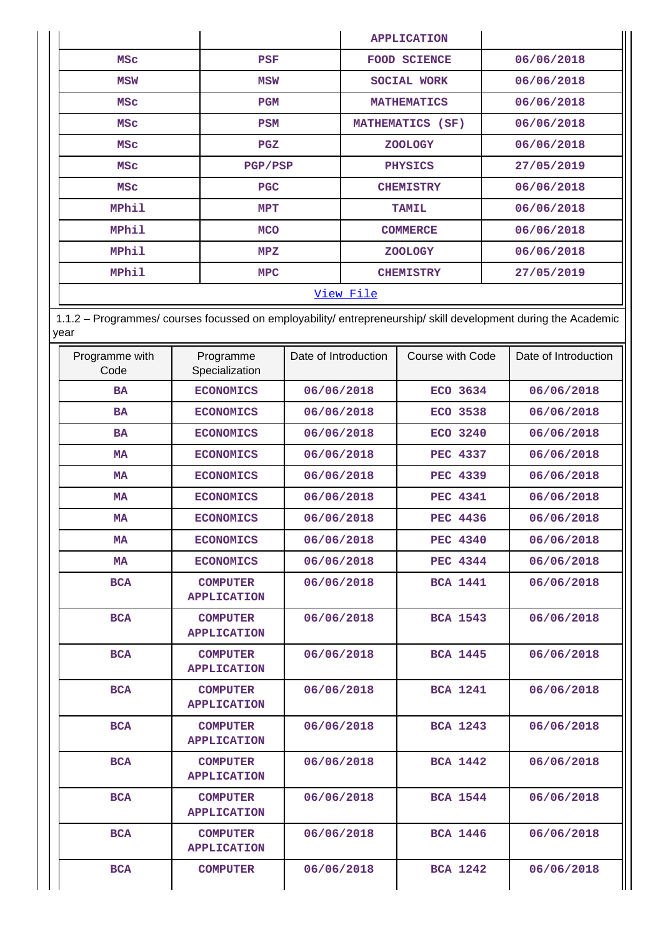|                  |            | <b>APPLICATION</b>  |            |  |  |
|------------------|------------|---------------------|------------|--|--|
| <b>MSC</b>       | <b>PSF</b> | <b>FOOD SCIENCE</b> | 06/06/2018 |  |  |
| <b>MSW</b>       | MSW        | SOCIAL WORK         | 06/06/2018 |  |  |
| <b>MSC</b>       | PGM        | <b>MATHEMATICS</b>  | 06/06/2018 |  |  |
| <b>MSC</b>       | <b>PSM</b> | MATHEMATICS (SF)    | 06/06/2018 |  |  |
| <b>MSC</b>       | PGZ        | <b>ZOOLOGY</b>      | 06/06/2018 |  |  |
| <b>MSC</b>       | PGP/PSP    | <b>PHYSICS</b>      | 27/05/2019 |  |  |
| <b>MSC</b>       | <b>PGC</b> | <b>CHEMISTRY</b>    | 06/06/2018 |  |  |
| MPhil            | MPT        | <b>TAMIL</b>        | 06/06/2018 |  |  |
| MPhil            | <b>MCO</b> | <b>COMMERCE</b>     | 06/06/2018 |  |  |
| <b>MPhil</b>     | MPZ        | <b>ZOOLOGY</b>      | 06/06/2018 |  |  |
| MPhil            | <b>MPC</b> | <b>CHEMISTRY</b>    | 27/05/2019 |  |  |
| <u>View File</u> |            |                     |            |  |  |

 1.1.2 – Programmes/ courses focussed on employability/ entrepreneurship/ skill development during the Academic year

| Programme with<br>Code | Programme<br>Specialization           | Date of Introduction | Course with Code | Date of Introduction |
|------------------------|---------------------------------------|----------------------|------------------|----------------------|
| <b>BA</b>              | <b>ECONOMICS</b>                      | 06/06/2018           | ECO 3634         | 06/06/2018           |
| <b>BA</b>              | <b>ECONOMICS</b>                      | 06/06/2018           | ECO 3538         | 06/06/2018           |
| <b>BA</b>              | <b>ECONOMICS</b>                      | 06/06/2018           | ECO 3240         | 06/06/2018           |
| <b>MA</b>              | <b>ECONOMICS</b>                      | 06/06/2018           | <b>PEC 4337</b>  | 06/06/2018           |
| <b>MA</b>              | <b>ECONOMICS</b>                      | 06/06/2018           | <b>PEC 4339</b>  | 06/06/2018           |
| MA                     | <b>ECONOMICS</b>                      | 06/06/2018           | <b>PEC 4341</b>  | 06/06/2018           |
| <b>MA</b>              | <b>ECONOMICS</b>                      | 06/06/2018           | <b>PEC 4436</b>  | 06/06/2018           |
| <b>MA</b>              | <b>ECONOMICS</b>                      | 06/06/2018           | <b>PEC 4340</b>  | 06/06/2018           |
| <b>MA</b>              | <b>ECONOMICS</b>                      | 06/06/2018           | <b>PEC 4344</b>  | 06/06/2018           |
| <b>BCA</b>             | <b>COMPUTER</b><br><b>APPLICATION</b> | 06/06/2018           | <b>BCA 1441</b>  | 06/06/2018           |
| <b>BCA</b>             | <b>COMPUTER</b><br><b>APPLICATION</b> | 06/06/2018           | <b>BCA 1543</b>  | 06/06/2018           |
| <b>BCA</b>             | <b>COMPUTER</b><br><b>APPLICATION</b> | 06/06/2018           | <b>BCA 1445</b>  | 06/06/2018           |
| <b>BCA</b>             | <b>COMPUTER</b><br><b>APPLICATION</b> | 06/06/2018           | <b>BCA 1241</b>  | 06/06/2018           |
| <b>BCA</b>             | <b>COMPUTER</b><br><b>APPLICATION</b> | 06/06/2018           | <b>BCA 1243</b>  | 06/06/2018           |
| <b>BCA</b>             | <b>COMPUTER</b><br><b>APPLICATION</b> | 06/06/2018           | <b>BCA 1442</b>  | 06/06/2018           |
| <b>BCA</b>             | <b>COMPUTER</b><br><b>APPLICATION</b> | 06/06/2018           | <b>BCA 1544</b>  | 06/06/2018           |
| <b>BCA</b>             | <b>COMPUTER</b><br><b>APPLICATION</b> | 06/06/2018           | <b>BCA 1446</b>  | 06/06/2018           |
| <b>BCA</b>             | <b>COMPUTER</b>                       | 06/06/2018           | <b>BCA 1242</b>  | 06/06/2018           |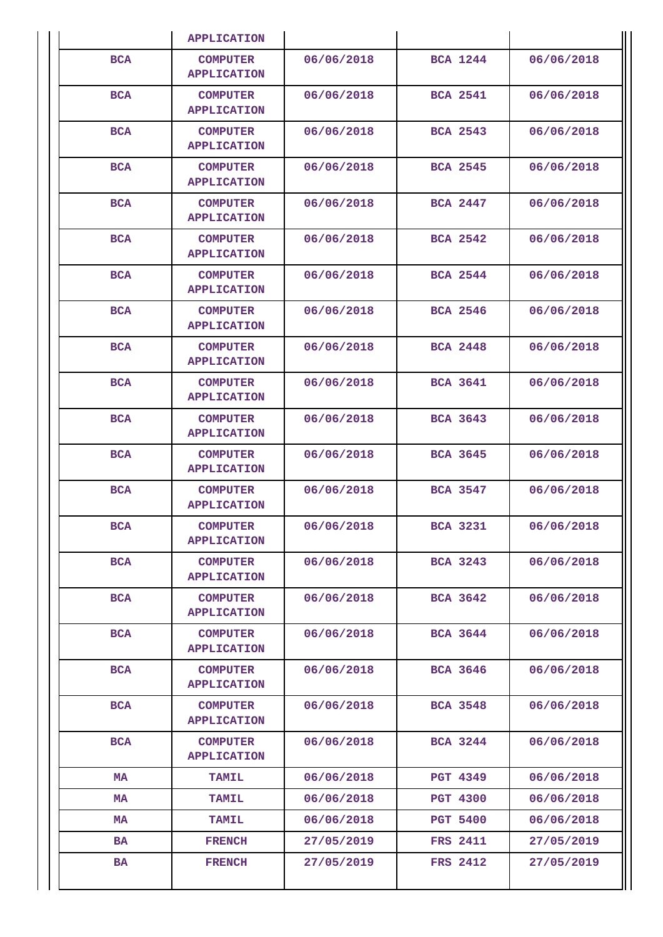|            | <b>APPLICATION</b>                    |            |                 |            |
|------------|---------------------------------------|------------|-----------------|------------|
| <b>BCA</b> | <b>COMPUTER</b><br><b>APPLICATION</b> | 06/06/2018 | <b>BCA 1244</b> | 06/06/2018 |
| <b>BCA</b> | <b>COMPUTER</b><br><b>APPLICATION</b> | 06/06/2018 | <b>BCA 2541</b> | 06/06/2018 |
| <b>BCA</b> | <b>COMPUTER</b><br><b>APPLICATION</b> | 06/06/2018 | <b>BCA 2543</b> | 06/06/2018 |
| <b>BCA</b> | <b>COMPUTER</b><br><b>APPLICATION</b> | 06/06/2018 | <b>BCA 2545</b> | 06/06/2018 |
| <b>BCA</b> | <b>COMPUTER</b><br><b>APPLICATION</b> | 06/06/2018 | <b>BCA 2447</b> | 06/06/2018 |
| <b>BCA</b> | <b>COMPUTER</b><br><b>APPLICATION</b> | 06/06/2018 | <b>BCA 2542</b> | 06/06/2018 |
| <b>BCA</b> | <b>COMPUTER</b><br><b>APPLICATION</b> | 06/06/2018 | <b>BCA 2544</b> | 06/06/2018 |
| <b>BCA</b> | <b>COMPUTER</b><br><b>APPLICATION</b> | 06/06/2018 | <b>BCA 2546</b> | 06/06/2018 |
| <b>BCA</b> | <b>COMPUTER</b><br><b>APPLICATION</b> | 06/06/2018 | <b>BCA 2448</b> | 06/06/2018 |
| <b>BCA</b> | <b>COMPUTER</b><br><b>APPLICATION</b> | 06/06/2018 | <b>BCA 3641</b> | 06/06/2018 |
| <b>BCA</b> | <b>COMPUTER</b><br><b>APPLICATION</b> | 06/06/2018 | <b>BCA 3643</b> | 06/06/2018 |
| <b>BCA</b> | <b>COMPUTER</b><br><b>APPLICATION</b> | 06/06/2018 | <b>BCA 3645</b> | 06/06/2018 |
| <b>BCA</b> | <b>COMPUTER</b><br><b>APPLICATION</b> | 06/06/2018 | <b>BCA 3547</b> | 06/06/2018 |
| <b>BCA</b> | <b>COMPUTER</b><br><b>APPLICATION</b> | 06/06/2018 | <b>BCA 3231</b> | 06/06/2018 |
| <b>BCA</b> | <b>COMPUTER</b><br><b>APPLICATION</b> | 06/06/2018 | <b>BCA 3243</b> | 06/06/2018 |
| <b>BCA</b> | <b>COMPUTER</b><br><b>APPLICATION</b> | 06/06/2018 | <b>BCA 3642</b> | 06/06/2018 |
| <b>BCA</b> | <b>COMPUTER</b><br><b>APPLICATION</b> | 06/06/2018 | <b>BCA 3644</b> | 06/06/2018 |
| <b>BCA</b> | <b>COMPUTER</b><br><b>APPLICATION</b> | 06/06/2018 | <b>BCA 3646</b> | 06/06/2018 |
| <b>BCA</b> | <b>COMPUTER</b><br><b>APPLICATION</b> | 06/06/2018 | <b>BCA 3548</b> | 06/06/2018 |
| <b>BCA</b> | <b>COMPUTER</b><br><b>APPLICATION</b> | 06/06/2018 | <b>BCA 3244</b> | 06/06/2018 |
| MA         | <b>TAMIL</b>                          | 06/06/2018 | <b>PGT 4349</b> | 06/06/2018 |
| MA         | <b>TAMIL</b>                          | 06/06/2018 | <b>PGT 4300</b> | 06/06/2018 |
| MA         | <b>TAMIL</b>                          | 06/06/2018 | <b>PGT 5400</b> | 06/06/2018 |
| BA         | <b>FRENCH</b>                         | 27/05/2019 | <b>FRS 2411</b> | 27/05/2019 |
| BA         | <b>FRENCH</b>                         | 27/05/2019 | <b>FRS 2412</b> | 27/05/2019 |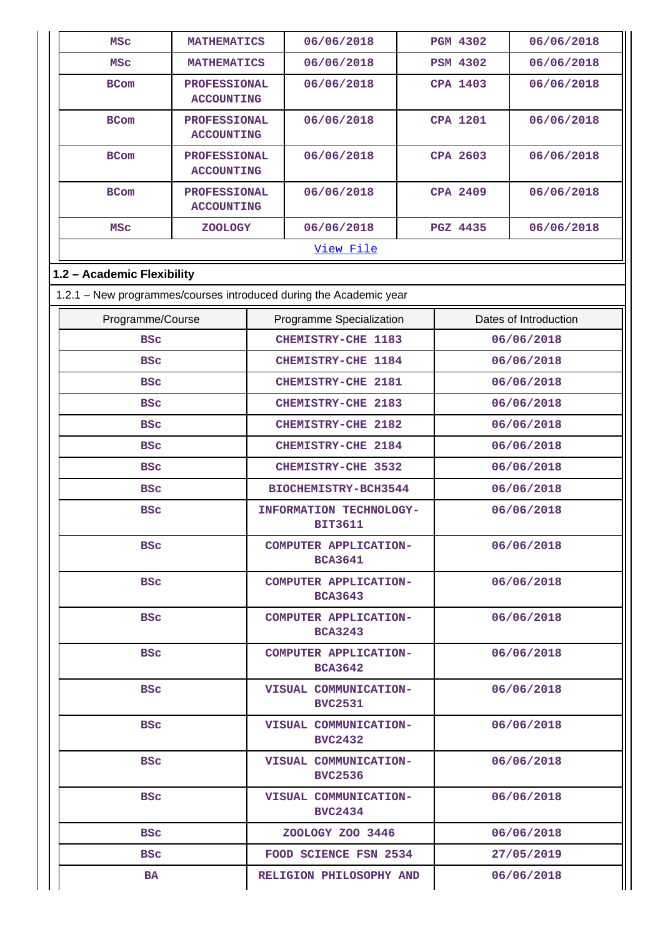| <b>MSC</b>                                                         | <b>MATHEMATICS</b>                       |                                         | 06/06/2018                                       |            | <b>PGM 4302</b> | 06/06/2018            |
|--------------------------------------------------------------------|------------------------------------------|-----------------------------------------|--------------------------------------------------|------------|-----------------|-----------------------|
| <b>MSC</b>                                                         | <b>MATHEMATICS</b>                       |                                         | 06/06/2018                                       |            | <b>PSM 4302</b> | 06/06/2018            |
| <b>BCom</b>                                                        | <b>PROFESSIONAL</b><br><b>ACCOUNTING</b> |                                         | 06/06/2018                                       |            | <b>CPA 1403</b> | 06/06/2018            |
| <b>BCom</b>                                                        | <b>PROFESSIONAL</b><br><b>ACCOUNTING</b> |                                         | 06/06/2018                                       |            | <b>CPA 1201</b> | 06/06/2018            |
| <b>BCom</b>                                                        | <b>PROFESSIONAL</b><br><b>ACCOUNTING</b> |                                         | 06/06/2018                                       |            | CPA 2603        | 06/06/2018            |
| <b>BCom</b>                                                        | <b>PROFESSIONAL</b><br><b>ACCOUNTING</b> |                                         | 06/06/2018                                       |            | <b>CPA 2409</b> | 06/06/2018            |
| <b>MSC</b>                                                         | <b>ZOOLOGY</b>                           |                                         | 06/06/2018                                       |            | <b>PGZ 4435</b> | 06/06/2018            |
|                                                                    |                                          |                                         | View File                                        |            |                 |                       |
| 1.2 - Academic Flexibility                                         |                                          |                                         |                                                  |            |                 |                       |
| 1.2.1 - New programmes/courses introduced during the Academic year |                                          |                                         |                                                  |            |                 |                       |
| Programme/Course                                                   |                                          |                                         | Programme Specialization                         |            |                 | Dates of Introduction |
| <b>BSC</b>                                                         |                                          |                                         | CHEMISTRY-CHE 1183                               |            |                 | 06/06/2018            |
| <b>BSC</b>                                                         |                                          |                                         | CHEMISTRY-CHE 1184                               |            |                 | 06/06/2018            |
| <b>BSC</b>                                                         |                                          |                                         | <b>CHEMISTRY-CHE 2181</b>                        |            | 06/06/2018      |                       |
| <b>BSC</b>                                                         |                                          |                                         | CHEMISTRY-CHE 2183                               |            | 06/06/2018      |                       |
| <b>BSC</b>                                                         |                                          |                                         | CHEMISTRY-CHE 2182                               |            | 06/06/2018      |                       |
| <b>BSC</b>                                                         |                                          |                                         | <b>CHEMISTRY-CHE 2184</b>                        |            | 06/06/2018      |                       |
| <b>BSC</b>                                                         |                                          |                                         | CHEMISTRY-CHE 3532                               |            |                 | 06/06/2018            |
| <b>BSC</b>                                                         |                                          |                                         | BIOCHEMISTRY-BCH3544                             |            |                 | 06/06/2018            |
| <b>BSC</b>                                                         |                                          |                                         | <b>INFORMATION TECHNOLOGY-</b><br><b>BIT3611</b> | 06/06/2018 |                 |                       |
| <b>BSC</b>                                                         |                                          |                                         | COMPUTER APPLICATION-<br><b>BCA3641</b>          |            | 06/06/2018      |                       |
| <b>BSC</b>                                                         |                                          |                                         | <b>COMPUTER APPLICATION-</b><br><b>BCA3643</b>   |            | 06/06/2018      |                       |
| <b>BSC</b>                                                         |                                          |                                         | COMPUTER APPLICATION-<br><b>BCA3243</b>          |            |                 | 06/06/2018            |
| <b>BSC</b>                                                         |                                          |                                         | COMPUTER APPLICATION-<br><b>BCA3642</b>          |            | 06/06/2018      |                       |
| <b>BSC</b>                                                         |                                          |                                         | VISUAL COMMUNICATION-<br><b>BVC2531</b>          |            | 06/06/2018      |                       |
| <b>BSC</b>                                                         |                                          |                                         | VISUAL COMMUNICATION-<br><b>BVC2432</b>          |            | 06/06/2018      |                       |
| <b>BSC</b>                                                         |                                          |                                         | VISUAL COMMUNICATION-<br><b>BVC2536</b>          |            | 06/06/2018      |                       |
| <b>BSC</b>                                                         |                                          | VISUAL COMMUNICATION-<br><b>BVC2434</b> |                                                  | 06/06/2018 |                 |                       |
| <b>BSC</b>                                                         |                                          |                                         | ZOOLOGY ZOO 3446                                 |            | 06/06/2018      |                       |
| BSc                                                                |                                          |                                         | FOOD SCIENCE FSN 2534                            |            | 27/05/2019      |                       |
| BA                                                                 |                                          |                                         | 06/06/2018<br>RELIGION PHILOSOPHY AND            |            |                 |                       |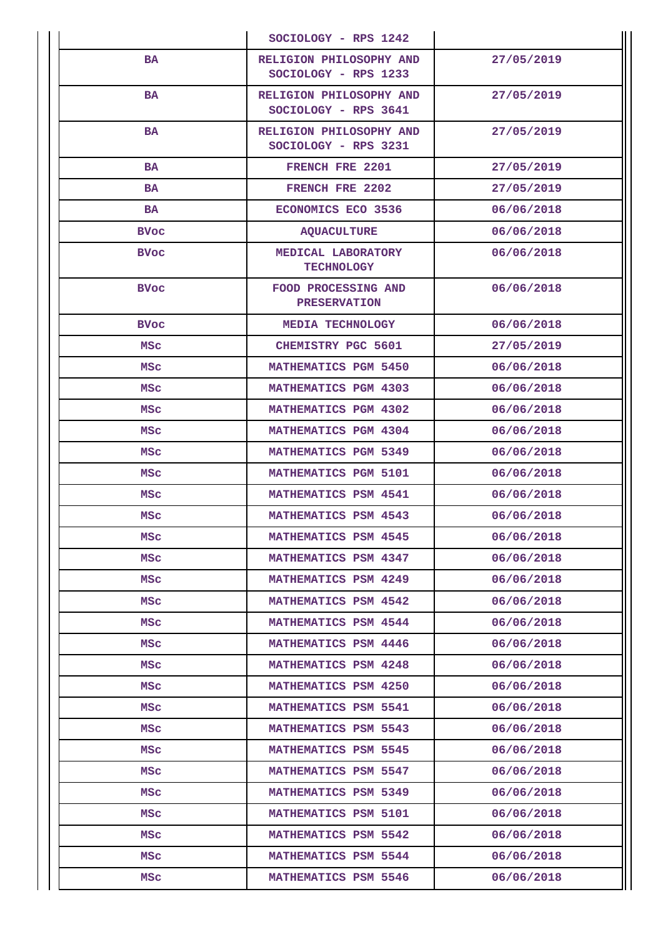|               | SOCIOLOGY - RPS 1242                            |            |
|---------------|-------------------------------------------------|------------|
| <b>BA</b>     | RELIGION PHILOSOPHY AND<br>SOCIOLOGY - RPS 1233 | 27/05/2019 |
| <b>BA</b>     | RELIGION PHILOSOPHY AND<br>SOCIOLOGY - RPS 3641 | 27/05/2019 |
| <b>BA</b>     | RELIGION PHILOSOPHY AND<br>SOCIOLOGY - RPS 3231 | 27/05/2019 |
| <b>BA</b>     | FRENCH FRE 2201                                 | 27/05/2019 |
| <b>BA</b>     | FRENCH FRE 2202                                 | 27/05/2019 |
| <b>BA</b>     | ECONOMICS ECO 3536                              | 06/06/2018 |
| <b>BVoc</b>   | <b>AQUACULTURE</b>                              | 06/06/2018 |
| <b>BVoc</b>   | MEDICAL LABORATORY<br><b>TECHNOLOGY</b>         | 06/06/2018 |
| <b>BVoc</b>   | FOOD PROCESSING AND<br><b>PRESERVATION</b>      | 06/06/2018 |
| <b>BVoc</b>   | MEDIA TECHNOLOGY                                | 06/06/2018 |
| MSc           | <b>CHEMISTRY PGC 5601</b>                       | 27/05/2019 |
| MSC           | <b>MATHEMATICS PGM 5450</b>                     | 06/06/2018 |
| <b>MSC</b>    | <b>MATHEMATICS PGM 4303</b>                     | 06/06/2018 |
| MSC           | <b>MATHEMATICS PGM 4302</b>                     | 06/06/2018 |
| MSC           | MATHEMATICS PGM 4304                            | 06/06/2018 |
| MSc           | <b>MATHEMATICS PGM 5349</b>                     | 06/06/2018 |
| MSC           | <b>MATHEMATICS PGM 5101</b>                     | 06/06/2018 |
| <b>MSC</b>    | <b>MATHEMATICS PSM 4541</b>                     | 06/06/2018 |
| MSc           | <b>MATHEMATICS PSM 4543</b>                     | 06/06/2018 |
| <b>MSC</b>    | <b>MATHEMATICS PSM 4545</b>                     | 06/06/2018 |
| <b>MSC</b>    | MATHEMATICS PSM 4347                            | 06/06/2018 |
| MSc           | <b>MATHEMATICS PSM 4249</b>                     | 06/06/2018 |
| MSC           | MATHEMATICS PSM 4542                            | 06/06/2018 |
| MSC           | MATHEMATICS PSM 4544                            | 06/06/2018 |
| MSc           | MATHEMATICS PSM 4446                            | 06/06/2018 |
| MSC           | <b>MATHEMATICS PSM 4248</b>                     | 06/06/2018 |
| MSc           | <b>MATHEMATICS PSM 4250</b>                     | 06/06/2018 |
| MSc           | <b>MATHEMATICS PSM 5541</b>                     | 06/06/2018 |
| MSC           | <b>MATHEMATICS PSM 5543</b>                     | 06/06/2018 |
| MSc           | <b>MATHEMATICS PSM 5545</b>                     | 06/06/2018 |
| MSC           | <b>MATHEMATICS PSM 5547</b>                     | 06/06/2018 |
| MSc           | <b>MATHEMATICS PSM 5349</b>                     | 06/06/2018 |
| MSC           | <b>MATHEMATICS PSM 5101</b>                     | 06/06/2018 |
| MSC           | MATHEMATICS PSM 5542                            | 06/06/2018 |
| MSc           | MATHEMATICS PSM 5544                            | 06/06/2018 |
| $_{\rm{MSC}}$ | <b>MATHEMATICS PSM 5546</b>                     | 06/06/2018 |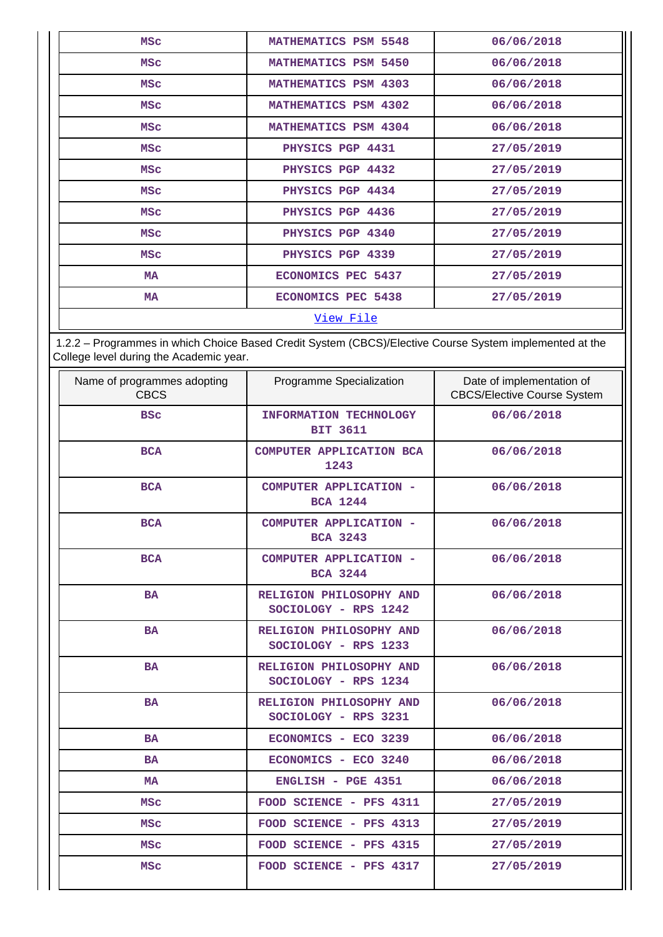| <b>MSC</b>       | <b>MATHEMATICS PSM 5548</b> | 06/06/2018 |  |
|------------------|-----------------------------|------------|--|
| <b>MSC</b>       | <b>MATHEMATICS PSM 5450</b> | 06/06/2018 |  |
| <b>MSC</b>       | <b>MATHEMATICS PSM 4303</b> | 06/06/2018 |  |
| <b>MSC</b>       | MATHEMATICS PSM 4302        | 06/06/2018 |  |
| <b>MSC</b>       | MATHEMATICS PSM 4304        | 06/06/2018 |  |
| <b>MSC</b>       | PHYSICS PGP 4431            | 27/05/2019 |  |
| <b>MSC</b>       | PHYSICS PGP 4432            | 27/05/2019 |  |
| <b>MSC</b>       | PHYSICS PGP 4434            | 27/05/2019 |  |
| <b>MSC</b>       | PHYSICS PGP 4436            | 27/05/2019 |  |
| <b>MSC</b>       | PHYSICS PGP 4340            | 27/05/2019 |  |
| <b>MSC</b>       | PHYSICS PGP 4339            | 27/05/2019 |  |
| <b>MA</b>        | ECONOMICS PEC 5437          | 27/05/2019 |  |
| <b>MA</b>        | <b>ECONOMICS PEC 5438</b>   | 27/05/2019 |  |
| <u>View File</u> |                             |            |  |

 1.2.2 – Programmes in which Choice Based Credit System (CBCS)/Elective Course System implemented at the College level during the Academic year.

| Name of programmes adopting<br><b>CBCS</b> | Programme Specialization                         | Date of implementation of<br><b>CBCS/Elective Course System</b> |
|--------------------------------------------|--------------------------------------------------|-----------------------------------------------------------------|
| <b>BSC</b>                                 | <b>INFORMATION TECHNOLOGY</b><br><b>BIT 3611</b> | 06/06/2018                                                      |
| <b>BCA</b>                                 | COMPUTER APPLICATION BCA<br>1243                 | 06/06/2018                                                      |
| <b>BCA</b>                                 | COMPUTER APPLICATION -<br><b>BCA 1244</b>        | 06/06/2018                                                      |
| <b>BCA</b>                                 | COMPUTER APPLICATION -<br><b>BCA 3243</b>        | 06/06/2018                                                      |
| <b>BCA</b>                                 | COMPUTER APPLICATION -<br><b>BCA 3244</b>        | 06/06/2018                                                      |
| <b>BA</b>                                  | RELIGION PHILOSOPHY AND<br>SOCIOLOGY - RPS 1242  | 06/06/2018                                                      |
| <b>BA</b>                                  | RELIGION PHILOSOPHY AND<br>SOCIOLOGY - RPS 1233  | 06/06/2018                                                      |
| <b>BA</b>                                  | RELIGION PHILOSOPHY AND<br>SOCIOLOGY - RPS 1234  | 06/06/2018                                                      |
| <b>BA</b>                                  | RELIGION PHILOSOPHY AND<br>SOCIOLOGY - RPS 3231  | 06/06/2018                                                      |
| <b>BA</b>                                  | ECONOMICS - ECO 3239                             | 06/06/2018                                                      |
| <b>BA</b>                                  | ECONOMICS - ECO 3240                             | 06/06/2018                                                      |
| <b>MA</b>                                  | ENGLISH - PGE 4351                               | 06/06/2018                                                      |
| <b>MSC</b>                                 | FOOD SCIENCE - PFS 4311                          | 27/05/2019                                                      |
| <b>MSC</b>                                 | FOOD SCIENCE - PFS 4313                          | 27/05/2019                                                      |
| <b>MSC</b>                                 | FOOD SCIENCE - PFS 4315                          | 27/05/2019                                                      |
| <b>MSC</b>                                 | FOOD SCIENCE - PFS 4317                          | 27/05/2019                                                      |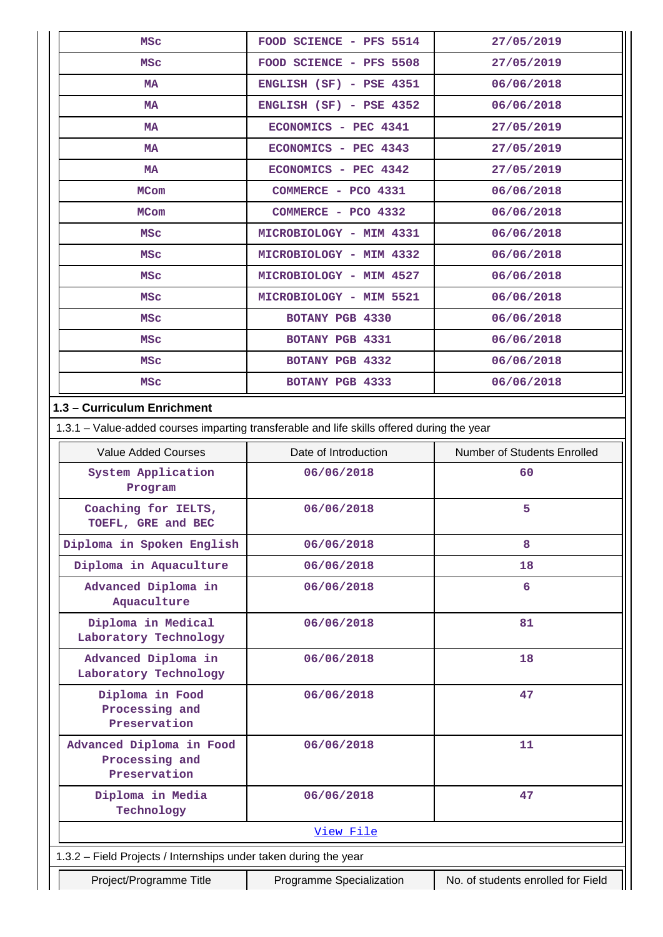| <b>MSC</b>                                                                                 | FOOD SCIENCE - PFS 5514   | 27/05/2019                         |  |  |
|--------------------------------------------------------------------------------------------|---------------------------|------------------------------------|--|--|
| MSC                                                                                        | FOOD SCIENCE - PFS 5508   | 27/05/2019                         |  |  |
| <b>MA</b>                                                                                  | ENGLISH (SF) - PSE 4351   | 06/06/2018                         |  |  |
| <b>MA</b>                                                                                  | $ENGLISH (SF) - PSE 4352$ | 06/06/2018                         |  |  |
| <b>MA</b>                                                                                  | ECONOMICS - PEC 4341      | 27/05/2019                         |  |  |
| <b>MA</b>                                                                                  | ECONOMICS - PEC 4343      | 27/05/2019                         |  |  |
| <b>MA</b>                                                                                  | ECONOMICS - PEC 4342      | 27/05/2019                         |  |  |
| <b>MCom</b>                                                                                | COMMERCE - PCO 4331       | 06/06/2018                         |  |  |
| <b>MCom</b>                                                                                | COMMERCE - PCO 4332       | 06/06/2018                         |  |  |
| MSC                                                                                        | MICROBIOLOGY - MIM 4331   | 06/06/2018                         |  |  |
| <b>MSC</b>                                                                                 | MICROBIOLOGY - MIM 4332   | 06/06/2018                         |  |  |
| MSC                                                                                        | MICROBIOLOGY - MIM 4527   | 06/06/2018                         |  |  |
| <b>MSC</b>                                                                                 | MICROBIOLOGY - MIM 5521   | 06/06/2018                         |  |  |
| MSc                                                                                        | BOTANY PGB 4330           | 06/06/2018                         |  |  |
| MSC                                                                                        | BOTANY PGB 4331           | 06/06/2018                         |  |  |
| <b>MSC</b>                                                                                 | BOTANY PGB 4332           | 06/06/2018                         |  |  |
| MSC                                                                                        | BOTANY PGB 4333           | 06/06/2018                         |  |  |
| 1.3 - Curriculum Enrichment                                                                |                           |                                    |  |  |
| 1.3.1 – Value-added courses imparting transferable and life skills offered during the year |                           |                                    |  |  |
| <b>Value Added Courses</b>                                                                 | Date of Introduction      | Number of Students Enrolled        |  |  |
| System Application<br>Program                                                              | 06/06/2018                | 60                                 |  |  |
| Coaching for IELTS,<br>TOEFL, GRE and BEC                                                  | 06/06/2018                | 5                                  |  |  |
| Diploma in Spoken English                                                                  | 06/06/2018                | 8                                  |  |  |
| Diploma in Aquaculture                                                                     | 06/06/2018                | 18                                 |  |  |
| Advanced Diploma in<br>Aquaculture                                                         | 06/06/2018                | 6                                  |  |  |
| Diploma in Medical<br>Laboratory Technology                                                | 06/06/2018                | 81                                 |  |  |
| Advanced Diploma in<br>Laboratory Technology                                               | 06/06/2018                | 18                                 |  |  |
| Diploma in Food<br>Processing and<br>Preservation                                          | 06/06/2018                | 47                                 |  |  |
| Advanced Diploma in Food<br>Processing and<br>Preservation                                 | 06/06/2018                | 11                                 |  |  |
| Diploma in Media<br>Technology                                                             | 06/06/2018                | 47                                 |  |  |
|                                                                                            | View File                 |                                    |  |  |
| 1.3.2 - Field Projects / Internships under taken during the year                           |                           |                                    |  |  |
| Project/Programme Title                                                                    | Programme Specialization  | No. of students enrolled for Field |  |  |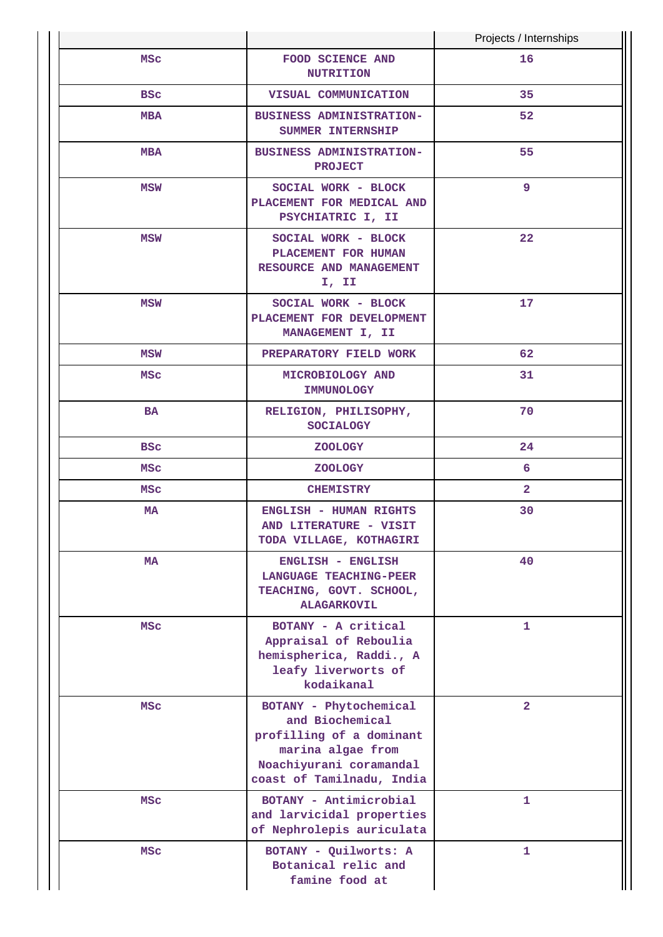|            |                                                                                                                                                    | Projects / Internships |
|------------|----------------------------------------------------------------------------------------------------------------------------------------------------|------------------------|
| <b>MSC</b> | FOOD SCIENCE AND<br><b>NUTRITION</b>                                                                                                               | 16                     |
| <b>BSC</b> | VISUAL COMMUNICATION                                                                                                                               | 35                     |
| <b>MBA</b> | BUSINESS ADMINISTRATION-<br>SUMMER INTERNSHIP                                                                                                      | 52                     |
| <b>MBA</b> | <b>BUSINESS ADMINISTRATION-</b><br><b>PROJECT</b>                                                                                                  | 55                     |
| MSW        | SOCIAL WORK - BLOCK<br>PLACEMENT FOR MEDICAL AND<br>PSYCHIATRIC I, II                                                                              | 9                      |
| <b>MSW</b> | SOCIAL WORK - BLOCK<br>PLACEMENT FOR HUMAN<br>RESOURCE AND MANAGEMENT<br>I, II                                                                     | 22                     |
| MSW        | SOCIAL WORK - BLOCK<br>PLACEMENT FOR DEVELOPMENT<br>MANAGEMENT I, II                                                                               | 17                     |
| MSW        | PREPARATORY FIELD WORK                                                                                                                             | 62                     |
| MSC        | MICROBIOLOGY AND<br>IMMUNOLOGY                                                                                                                     | 31                     |
| <b>BA</b>  | RELIGION, PHILISOPHY,<br><b>SOCIALOGY</b>                                                                                                          | 70                     |
| <b>BSC</b> | <b>ZOOLOGY</b>                                                                                                                                     | 24                     |
| MSc        | <b>ZOOLOGY</b>                                                                                                                                     | 6                      |
| MSc        | <b>CHEMISTRY</b>                                                                                                                                   | $\overline{2}$         |
| <b>MA</b>  | <b>ENGLISH - HUMAN RIGHTS</b><br>AND LITERATURE - VISIT<br>TODA VILLAGE, KOTHAGIRI                                                                 | 30                     |
| MA         | ENGLISH - ENGLISH<br><b>LANGUAGE TEACHING-PEER</b><br>TEACHING, GOVT. SCHOOL,<br><b>ALAGARKOVIL</b>                                                | 40                     |
| MSc        | BOTANY - A critical<br>Appraisal of Reboulia<br>hemispherica, Raddi., A<br>leafy liverworts of<br>kodaikanal                                       | 1                      |
| <b>MSC</b> | BOTANY - Phytochemical<br>and Biochemical<br>profilling of a dominant<br>marina algae from<br>Noachiyurani coramandal<br>coast of Tamilnadu, India | $\overline{a}$         |
| MSc        | BOTANY - Antimicrobial<br>and larvicidal properties<br>of Nephrolepis auriculata                                                                   | 1                      |
| <b>MSC</b> | BOTANY - Quilworts: A<br>Botanical relic and<br>famine food at                                                                                     | 1                      |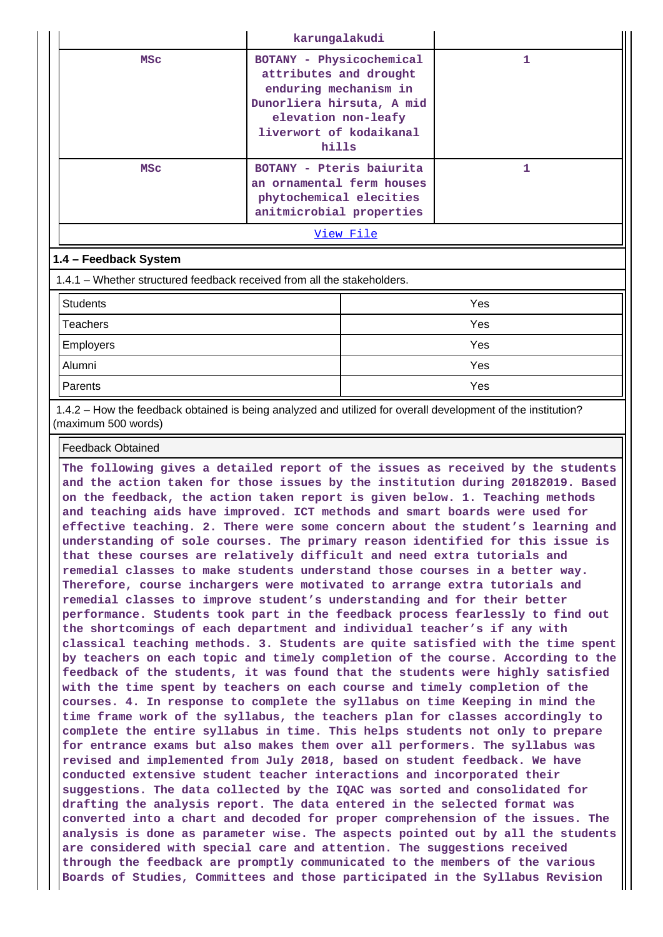|                                                                         | karungalakudi                                                                                                                                                       |     |  |  |  |
|-------------------------------------------------------------------------|---------------------------------------------------------------------------------------------------------------------------------------------------------------------|-----|--|--|--|
| <b>MSC</b>                                                              | BOTANY - Physicochemical<br>attributes and drought<br>enduring mechanism in<br>Dunorliera hirsuta, A mid<br>elevation non-leafy<br>liverwort of kodaikanal<br>hills | 1   |  |  |  |
| <b>MSC</b>                                                              | BOTANY - Pteris baiurita<br>an ornamental ferm houses<br>phytochemical elecities<br>anitmicrobial properties                                                        | 1   |  |  |  |
| View File                                                               |                                                                                                                                                                     |     |  |  |  |
| 1.4 - Feedback System                                                   |                                                                                                                                                                     |     |  |  |  |
| 1.4.1 – Whether structured feedback received from all the stakeholders. |                                                                                                                                                                     |     |  |  |  |
| <b>Students</b>                                                         |                                                                                                                                                                     | Yes |  |  |  |
| Teachers                                                                |                                                                                                                                                                     | Yes |  |  |  |
| <b>Employers</b>                                                        |                                                                                                                                                                     | Yes |  |  |  |
| Alumni                                                                  |                                                                                                                                                                     | Yes |  |  |  |
| Parents                                                                 |                                                                                                                                                                     | Yes |  |  |  |

 1.4.2 – How the feedback obtained is being analyzed and utilized for overall development of the institution? (maximum 500 words)

Feedback Obtained

**The following gives a detailed report of the issues as received by the students and the action taken for those issues by the institution during 20182019. Based on the feedback, the action taken report is given below. 1. Teaching methods and teaching aids have improved. ICT methods and smart boards were used for effective teaching. 2. There were some concern about the student's learning and understanding of sole courses. The primary reason identified for this issue is that these courses are relatively difficult and need extra tutorials and remedial classes to make students understand those courses in a better way. Therefore, course inchargers were motivated to arrange extra tutorials and remedial classes to improve student's understanding and for their better performance. Students took part in the feedback process fearlessly to find out the shortcomings of each department and individual teacher's if any with classical teaching methods. 3. Students are quite satisfied with the time spent by teachers on each topic and timely completion of the course. According to the feedback of the students, it was found that the students were highly satisfied with the time spent by teachers on each course and timely completion of the courses. 4. In response to complete the syllabus on time Keeping in mind the time frame work of the syllabus, the teachers plan for classes accordingly to complete the entire syllabus in time. This helps students not only to prepare for entrance exams but also makes them over all performers. The syllabus was revised and implemented from July 2018, based on student feedback. We have conducted extensive student teacher interactions and incorporated their suggestions. The data collected by the IQAC was sorted and consolidated for drafting the analysis report. The data entered in the selected format was converted into a chart and decoded for proper comprehension of the issues. The analysis is done as parameter wise. The aspects pointed out by all the students are considered with special care and attention. The suggestions received through the feedback are promptly communicated to the members of the various Boards of Studies, Committees and those participated in the Syllabus Revision**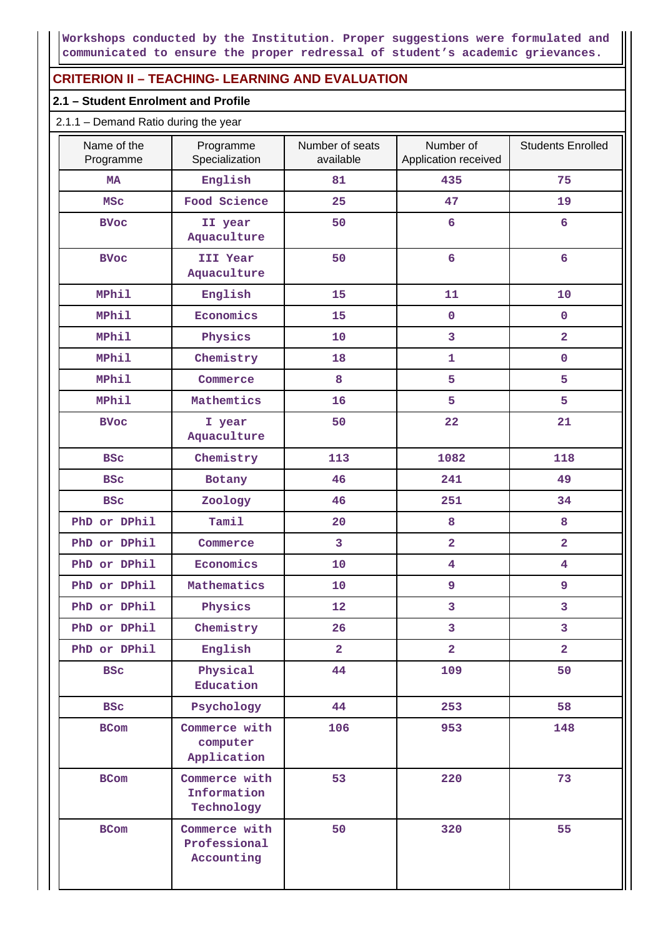**Workshops conducted by the Institution. Proper suggestions were formulated and communicated to ensure the proper redressal of student's academic grievances.**

## **CRITERION II – TEACHING- LEARNING AND EVALUATION**

#### **2.1 – Student Enrolment and Profile**

#### 2.1.1 – Demand Ratio during the year

| Name of the<br>Programme | Programme<br>Specialization                 | Number of seats<br>available | Number of<br>Application received | <b>Students Enrolled</b> |
|--------------------------|---------------------------------------------|------------------------------|-----------------------------------|--------------------------|
| <b>MA</b>                | English                                     | 81                           | 435                               | 75                       |
| <b>MSC</b>               | Food Science                                | 25                           | 47                                | 19                       |
| <b>BVoc</b>              | II year<br>Aquaculture                      | 50                           | $6\overline{6}$                   | 6                        |
| <b>BVoc</b>              | III Year<br>Aquaculture                     | 50                           | $6\overline{6}$                   | $6\overline{6}$          |
| MPhil                    | English                                     | 15                           | 11                                | 10                       |
| <b>MPhil</b>             | Economics                                   | 15                           | $\pmb{0}$                         | $\mathbf 0$              |
| MPhil                    | Physics                                     | 10                           | 3                                 | $\overline{a}$           |
| <b>MPhil</b>             | Chemistry                                   | 18                           | 1                                 | $\mathbf 0$              |
| <b>MPhil</b>             | Commerce                                    | 8                            | 5                                 | 5                        |
| <b>MPhil</b>             | Mathemtics                                  | 16                           | 5                                 | 5                        |
| <b>BVoc</b>              | I year<br>Aquaculture                       | 50                           | 22                                | 21                       |
| <b>BSC</b>               | Chemistry                                   | 113                          | 1082                              | 118                      |
| <b>BSC</b>               | Botany                                      | 46                           | 241                               | 49                       |
| <b>BSC</b>               | Zoology                                     | 46                           | 251                               | 34                       |
| PhD or DPhil             | Tamil                                       | 20                           | 8                                 | 8                        |
| PhD or DPhil             | Commerce                                    | 3                            | $\overline{2}$                    | $\overline{a}$           |
| PhD or DPhil             | Economics                                   | 10                           | $\overline{\mathbf{4}}$           | $\overline{\mathbf{4}}$  |
| PhD or DPhil             | Mathematics                                 | 10                           | 9                                 | 9                        |
| PhD or DPhil             | Physics                                     | 12                           | 3                                 | 3                        |
| PhD or DPhil             | Chemistry                                   | 26                           | 3                                 | 3                        |
| PhD or DPhil             | English                                     | $\overline{2}$               | $\overline{2}$                    | $\overline{2}$           |
| <b>BSC</b>               | Physical<br>Education                       | 44                           | 109                               | 50                       |
| <b>BSC</b>               | Psychology                                  | 44                           | 253                               | 58                       |
| <b>BCom</b>              | Commerce with<br>computer<br>Application    | 106                          | 953                               | 148                      |
| <b>BCom</b>              | Commerce with<br>Information<br>Technology  | 53                           | 220                               | 73                       |
| <b>BCom</b>              | Commerce with<br>Professional<br>Accounting | 50                           | 320                               | 55                       |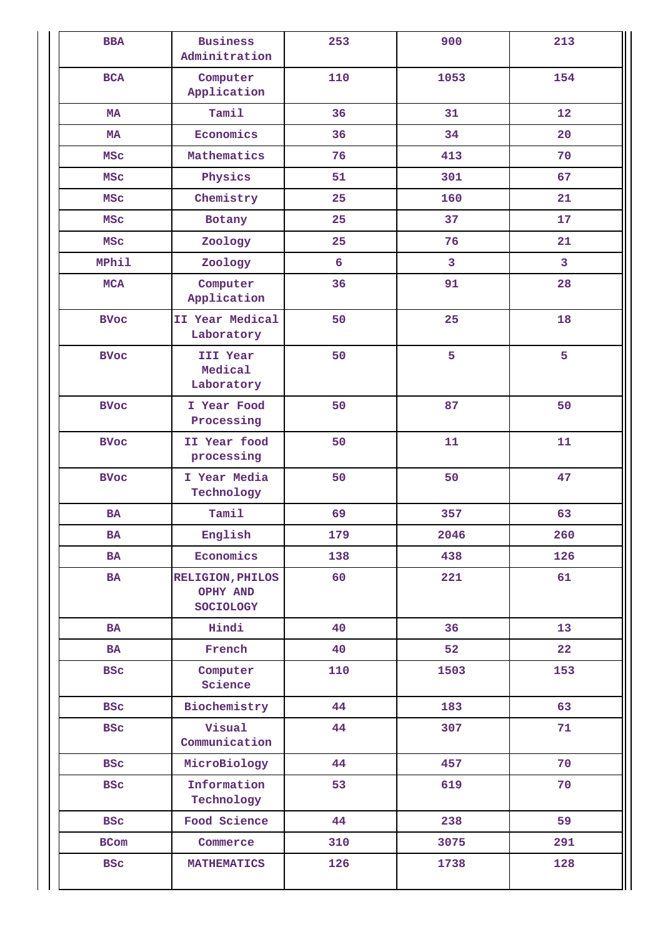| <b>BBA</b>   | <b>Business</b><br>Adminitration                        | 253 | 900  | 213 |
|--------------|---------------------------------------------------------|-----|------|-----|
| <b>BCA</b>   | Computer<br>Application                                 | 110 |      | 154 |
| <b>MA</b>    | Tamil                                                   | 36  | 31   | 12  |
| <b>MA</b>    | Economics                                               | 36  | 34   | 20  |
| <b>MSC</b>   | Mathematics                                             | 76  | 413  | 70  |
| <b>MSC</b>   | Physics                                                 | 51  | 301  | 67  |
| <b>MSC</b>   | Chemistry                                               | 25  | 160  | 21  |
| <b>MSC</b>   | Botany                                                  | 25  | 37   | 17  |
| <b>MSC</b>   | Zoology                                                 | 25  | 76   | 21  |
| <b>MPhil</b> | Zoology                                                 | 6   | 3    | 3   |
| <b>MCA</b>   | Computer<br>Application                                 | 36  | 91   | 28  |
| <b>BVoc</b>  | II Year Medical<br>Laboratory                           | 50  | 25   | 18  |
| <b>BVoc</b>  | III Year<br>50<br>Medical<br>Laboratory                 |     | 5    | 5   |
| <b>BVoc</b>  | I Year Food<br>Processing                               | 50  | 87   | 50  |
| <b>BVoc</b>  | II Year food<br>processing                              | 50  | 11   | 11  |
| <b>BVoc</b>  | I Year Media<br>Technology                              | 50  | 50   | 47  |
| <b>BA</b>    | Tamil                                                   | 69  | 357  | 63  |
| <b>BA</b>    | English                                                 | 179 | 2046 | 260 |
| <b>BA</b>    | Economics                                               | 138 | 438  | 126 |
| BA           | <b>RELIGION, PHILOS</b><br>OPHY AND<br><b>SOCIOLOGY</b> | 60  | 221  | 61  |
| <b>BA</b>    | Hindi                                                   | 40  | 36   | 13  |
| <b>BA</b>    | French                                                  | 40  | 52   | 22  |
| <b>BSC</b>   | Computer<br>Science                                     | 110 | 1503 | 153 |
| <b>BSC</b>   | Biochemistry                                            | 44  | 183  | 63  |
| <b>BSC</b>   | Visual<br>Communication                                 | 44  | 307  | 71  |
| <b>BSC</b>   | MicroBiology                                            | 44  | 457  | 70  |
| <b>BSC</b>   | Information<br>Technology                               | 53  | 619  | 70  |
| <b>BSC</b>   | Food Science                                            | 44  | 238  | 59  |
| <b>BCom</b>  | Commerce                                                | 310 | 3075 | 291 |
| <b>BSC</b>   | <b>MATHEMATICS</b>                                      | 126 | 1738 | 128 |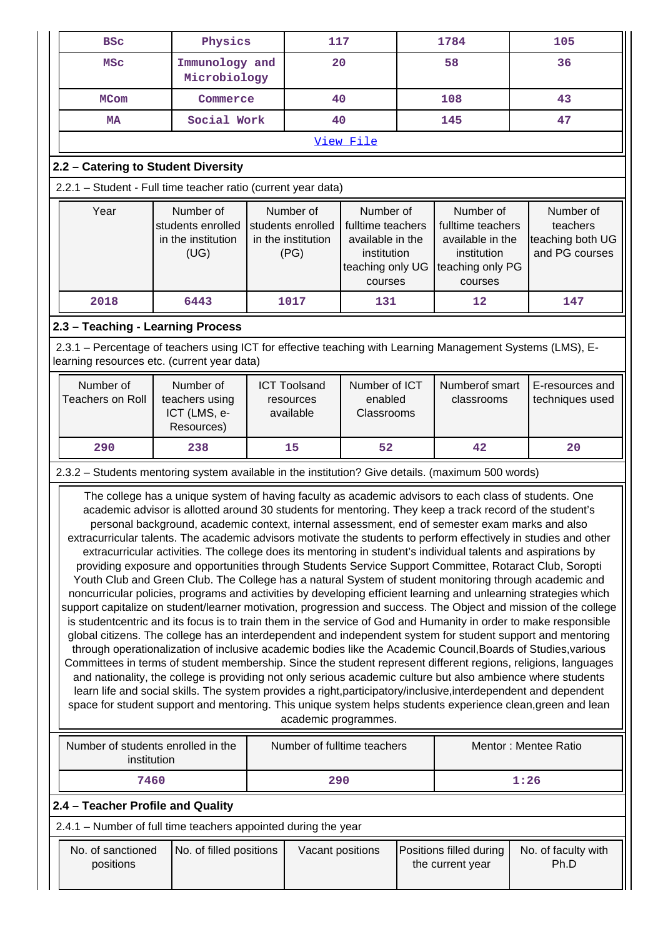| <b>BSC</b>                                                                                                                                                                                                                                                                                                                                                                                                                                                                                                                                                                                                                                                                                                                                                                                                                                                                                                                                                                                                                                                                                                                                                                                                                                                                                                                                                                                                                                                                                                                                                                                                                                                                                                                                                                                                                                                                                                                                                                   | Physics                                                                                                                                                                                                                                                                                                                              |  | 117                                                         |                                        |    | 1784                         | 105                                |
|------------------------------------------------------------------------------------------------------------------------------------------------------------------------------------------------------------------------------------------------------------------------------------------------------------------------------------------------------------------------------------------------------------------------------------------------------------------------------------------------------------------------------------------------------------------------------------------------------------------------------------------------------------------------------------------------------------------------------------------------------------------------------------------------------------------------------------------------------------------------------------------------------------------------------------------------------------------------------------------------------------------------------------------------------------------------------------------------------------------------------------------------------------------------------------------------------------------------------------------------------------------------------------------------------------------------------------------------------------------------------------------------------------------------------------------------------------------------------------------------------------------------------------------------------------------------------------------------------------------------------------------------------------------------------------------------------------------------------------------------------------------------------------------------------------------------------------------------------------------------------------------------------------------------------------------------------------------------------|--------------------------------------------------------------------------------------------------------------------------------------------------------------------------------------------------------------------------------------------------------------------------------------------------------------------------------------|--|-------------------------------------------------------------|----------------------------------------|----|------------------------------|------------------------------------|
| <b>MSC</b>                                                                                                                                                                                                                                                                                                                                                                                                                                                                                                                                                                                                                                                                                                                                                                                                                                                                                                                                                                                                                                                                                                                                                                                                                                                                                                                                                                                                                                                                                                                                                                                                                                                                                                                                                                                                                                                                                                                                                                   | Immunology and<br>Microbiology                                                                                                                                                                                                                                                                                                       |  | 20                                                          |                                        |    | 58                           | 36                                 |
| <b>MCom</b>                                                                                                                                                                                                                                                                                                                                                                                                                                                                                                                                                                                                                                                                                                                                                                                                                                                                                                                                                                                                                                                                                                                                                                                                                                                                                                                                                                                                                                                                                                                                                                                                                                                                                                                                                                                                                                                                                                                                                                  | Commerce                                                                                                                                                                                                                                                                                                                             |  | 40                                                          |                                        |    | 108                          | 43                                 |
| <b>MA</b>                                                                                                                                                                                                                                                                                                                                                                                                                                                                                                                                                                                                                                                                                                                                                                                                                                                                                                                                                                                                                                                                                                                                                                                                                                                                                                                                                                                                                                                                                                                                                                                                                                                                                                                                                                                                                                                                                                                                                                    | Social Work                                                                                                                                                                                                                                                                                                                          |  | 40                                                          |                                        |    | 145                          | 47                                 |
|                                                                                                                                                                                                                                                                                                                                                                                                                                                                                                                                                                                                                                                                                                                                                                                                                                                                                                                                                                                                                                                                                                                                                                                                                                                                                                                                                                                                                                                                                                                                                                                                                                                                                                                                                                                                                                                                                                                                                                              |                                                                                                                                                                                                                                                                                                                                      |  |                                                             | View File                              |    |                              |                                    |
|                                                                                                                                                                                                                                                                                                                                                                                                                                                                                                                                                                                                                                                                                                                                                                                                                                                                                                                                                                                                                                                                                                                                                                                                                                                                                                                                                                                                                                                                                                                                                                                                                                                                                                                                                                                                                                                                                                                                                                              | 2.2 - Catering to Student Diversity                                                                                                                                                                                                                                                                                                  |  |                                                             |                                        |    |                              |                                    |
|                                                                                                                                                                                                                                                                                                                                                                                                                                                                                                                                                                                                                                                                                                                                                                                                                                                                                                                                                                                                                                                                                                                                                                                                                                                                                                                                                                                                                                                                                                                                                                                                                                                                                                                                                                                                                                                                                                                                                                              | 2.2.1 - Student - Full time teacher ratio (current year data)                                                                                                                                                                                                                                                                        |  |                                                             |                                        |    |                              |                                    |
| Year                                                                                                                                                                                                                                                                                                                                                                                                                                                                                                                                                                                                                                                                                                                                                                                                                                                                                                                                                                                                                                                                                                                                                                                                                                                                                                                                                                                                                                                                                                                                                                                                                                                                                                                                                                                                                                                                                                                                                                         | Number of<br>Number of<br>Number of<br>Number of<br>students enrolled<br>students enrolled<br>fulltime teachers<br>fulltime teachers<br>in the institution<br>in the institution<br>available in the<br>available in the<br>(UG)<br>(PG)<br>institution<br>institution<br>teaching only UG<br>teaching only PG<br>courses<br>courses |  | Number of<br>teachers<br>teaching both UG<br>and PG courses |                                        |    |                              |                                    |
| 2018                                                                                                                                                                                                                                                                                                                                                                                                                                                                                                                                                                                                                                                                                                                                                                                                                                                                                                                                                                                                                                                                                                                                                                                                                                                                                                                                                                                                                                                                                                                                                                                                                                                                                                                                                                                                                                                                                                                                                                         | 6443                                                                                                                                                                                                                                                                                                                                 |  | 1017                                                        | 131                                    |    | 12                           | 147                                |
|                                                                                                                                                                                                                                                                                                                                                                                                                                                                                                                                                                                                                                                                                                                                                                                                                                                                                                                                                                                                                                                                                                                                                                                                                                                                                                                                                                                                                                                                                                                                                                                                                                                                                                                                                                                                                                                                                                                                                                              | 2.3 - Teaching - Learning Process                                                                                                                                                                                                                                                                                                    |  |                                                             |                                        |    |                              |                                    |
|                                                                                                                                                                                                                                                                                                                                                                                                                                                                                                                                                                                                                                                                                                                                                                                                                                                                                                                                                                                                                                                                                                                                                                                                                                                                                                                                                                                                                                                                                                                                                                                                                                                                                                                                                                                                                                                                                                                                                                              | 2.3.1 - Percentage of teachers using ICT for effective teaching with Learning Management Systems (LMS), E-<br>learning resources etc. (current year data)                                                                                                                                                                            |  |                                                             |                                        |    |                              |                                    |
| Number of<br><b>Teachers on Roll</b>                                                                                                                                                                                                                                                                                                                                                                                                                                                                                                                                                                                                                                                                                                                                                                                                                                                                                                                                                                                                                                                                                                                                                                                                                                                                                                                                                                                                                                                                                                                                                                                                                                                                                                                                                                                                                                                                                                                                         | Number of<br>teachers using<br>ICT (LMS, e-<br>Resources)                                                                                                                                                                                                                                                                            |  | <b>ICT Toolsand</b><br>resources<br>available               | Number of ICT<br>enabled<br>Classrooms |    | Numberof smart<br>classrooms | E-resources and<br>techniques used |
| 290                                                                                                                                                                                                                                                                                                                                                                                                                                                                                                                                                                                                                                                                                                                                                                                                                                                                                                                                                                                                                                                                                                                                                                                                                                                                                                                                                                                                                                                                                                                                                                                                                                                                                                                                                                                                                                                                                                                                                                          | 238                                                                                                                                                                                                                                                                                                                                  |  | 15                                                          | 52                                     | 42 |                              | 20                                 |
|                                                                                                                                                                                                                                                                                                                                                                                                                                                                                                                                                                                                                                                                                                                                                                                                                                                                                                                                                                                                                                                                                                                                                                                                                                                                                                                                                                                                                                                                                                                                                                                                                                                                                                                                                                                                                                                                                                                                                                              |                                                                                                                                                                                                                                                                                                                                      |  |                                                             |                                        |    |                              |                                    |
| 2.3.2 - Students mentoring system available in the institution? Give details. (maximum 500 words)<br>The college has a unique system of having faculty as academic advisors to each class of students. One<br>academic advisor is allotted around 30 students for mentoring. They keep a track record of the student's<br>personal background, academic context, internal assessment, end of semester exam marks and also<br>extracurricular talents. The academic advisors motivate the students to perform effectively in studies and other<br>extracurricular activities. The college does its mentoring in student's individual talents and aspirations by<br>providing exposure and opportunities through Students Service Support Committee, Rotaract Club, Soropti<br>Youth Club and Green Club. The College has a natural System of student monitoring through academic and<br>noncurricular policies, programs and activities by developing efficient learning and unlearning strategies which<br>support capitalize on student/learner motivation, progression and success. The Object and mission of the college<br>is studentcentric and its focus is to train them in the service of God and Humanity in order to make responsible<br>global citizens. The college has an interdependent and independent system for student support and mentoring<br>through operationalization of inclusive academic bodies like the Academic Council, Boards of Studies, various<br>Committees in terms of student membership. Since the student represent different regions, religions, languages<br>and nationality, the college is providing not only serious academic culture but also ambience where students<br>learn life and social skills. The system provides a right, participatory/inclusive, interdependent and dependent<br>space for student support and mentoring. This unique system helps students experience clean, green and lean<br>academic programmes. |                                                                                                                                                                                                                                                                                                                                      |  |                                                             |                                        |    |                              |                                    |
| institution                                                                                                                                                                                                                                                                                                                                                                                                                                                                                                                                                                                                                                                                                                                                                                                                                                                                                                                                                                                                                                                                                                                                                                                                                                                                                                                                                                                                                                                                                                                                                                                                                                                                                                                                                                                                                                                                                                                                                                  | Number of students enrolled in the                                                                                                                                                                                                                                                                                                   |  | Number of fulltime teachers                                 |                                        |    |                              | Mentor: Mentee Ratio               |
| 7460                                                                                                                                                                                                                                                                                                                                                                                                                                                                                                                                                                                                                                                                                                                                                                                                                                                                                                                                                                                                                                                                                                                                                                                                                                                                                                                                                                                                                                                                                                                                                                                                                                                                                                                                                                                                                                                                                                                                                                         |                                                                                                                                                                                                                                                                                                                                      |  | 290                                                         |                                        |    |                              | 1:26                               |
|                                                                                                                                                                                                                                                                                                                                                                                                                                                                                                                                                                                                                                                                                                                                                                                                                                                                                                                                                                                                                                                                                                                                                                                                                                                                                                                                                                                                                                                                                                                                                                                                                                                                                                                                                                                                                                                                                                                                                                              | 2.4 - Teacher Profile and Quality                                                                                                                                                                                                                                                                                                    |  |                                                             |                                        |    |                              |                                    |
|                                                                                                                                                                                                                                                                                                                                                                                                                                                                                                                                                                                                                                                                                                                                                                                                                                                                                                                                                                                                                                                                                                                                                                                                                                                                                                                                                                                                                                                                                                                                                                                                                                                                                                                                                                                                                                                                                                                                                                              | 2.4.1 - Number of full time teachers appointed during the year                                                                                                                                                                                                                                                                       |  |                                                             |                                        |    |                              |                                    |
| No. of sanctioned                                                                                                                                                                                                                                                                                                                                                                                                                                                                                                                                                                                                                                                                                                                                                                                                                                                                                                                                                                                                                                                                                                                                                                                                                                                                                                                                                                                                                                                                                                                                                                                                                                                                                                                                                                                                                                                                                                                                                            | No. of filled positions                                                                                                                                                                                                                                                                                                              |  |                                                             |                                        |    |                              |                                    |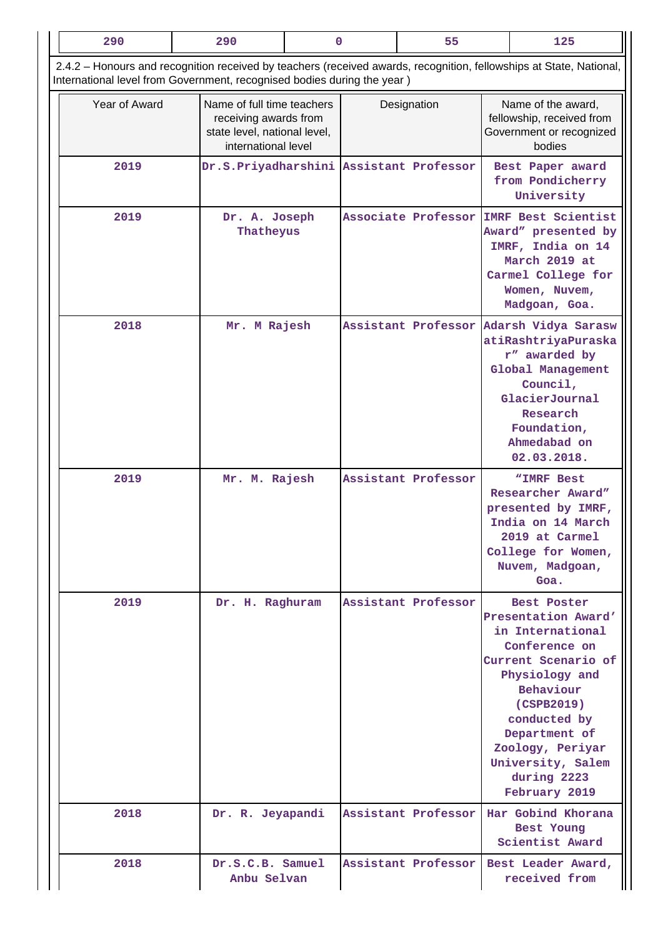| 290                                                                                                                                                                                            | 290                                                                                                        | 0 |             | 55                  |  | 125                                                                                                                                                                                                                                                   |
|------------------------------------------------------------------------------------------------------------------------------------------------------------------------------------------------|------------------------------------------------------------------------------------------------------------|---|-------------|---------------------|--|-------------------------------------------------------------------------------------------------------------------------------------------------------------------------------------------------------------------------------------------------------|
| 2.4.2 - Honours and recognition received by teachers (received awards, recognition, fellowships at State, National,<br>International level from Government, recognised bodies during the year) |                                                                                                            |   |             |                     |  |                                                                                                                                                                                                                                                       |
| Year of Award                                                                                                                                                                                  | Name of full time teachers<br>receiving awards from<br>state level, national level,<br>international level |   | Designation |                     |  | Name of the award,<br>fellowship, received from<br>Government or recognized<br>bodies                                                                                                                                                                 |
| 2019                                                                                                                                                                                           | Dr.S.Priyadharshini Assistant Professor                                                                    |   |             |                     |  | Best Paper award<br>from Pondicherry<br>University                                                                                                                                                                                                    |
| 2019                                                                                                                                                                                           | Dr. A. Joseph<br>Thatheyus                                                                                 |   |             | Associate Professor |  | <b>IMRF Best Scientist</b><br>Award" presented by<br>IMRF, India on 14<br>March 2019 at<br>Carmel College for<br>Women, Nuvem,<br>Madgoan, Goa.                                                                                                       |
| 2018                                                                                                                                                                                           | Mr. M Rajesh                                                                                               |   |             | Assistant Professor |  | Adarsh Vidya Sarasw<br>atiRashtriyaPuraska<br>r" awarded by<br>Global Management<br>Council,<br>GlacierJournal<br>Research<br>Foundation,<br>Ahmedabad on<br>02.03.2018.                                                                              |
| 2019                                                                                                                                                                                           | Mr. M. Rajesh                                                                                              |   |             | Assistant Professor |  | "IMRF Best<br>Researcher Award"<br>presented by IMRF,<br>India on 14 March<br>2019 at Carmel<br>College for Women,<br>Nuvem, Madgoan,<br>Goa.                                                                                                         |
| 2019                                                                                                                                                                                           | Dr. H. Raghuram                                                                                            |   |             | Assistant Professor |  | Best Poster<br>Presentation Award'<br>in International<br>Conference on<br>Current Scenario of<br>Physiology and<br>Behaviour<br>(CSPB2019)<br>conducted by<br>Department of<br>Zoology, Periyar<br>University, Salem<br>during 2223<br>February 2019 |
| 2018                                                                                                                                                                                           | Dr. R. Jeyapandi                                                                                           |   |             | Assistant Professor |  | Har Gobind Khorana<br>Best Young<br>Scientist Award                                                                                                                                                                                                   |
| 2018                                                                                                                                                                                           | Dr.S.C.B. Samuel<br>Anbu Selvan                                                                            |   |             | Assistant Professor |  | Best Leader Award,<br>received from                                                                                                                                                                                                                   |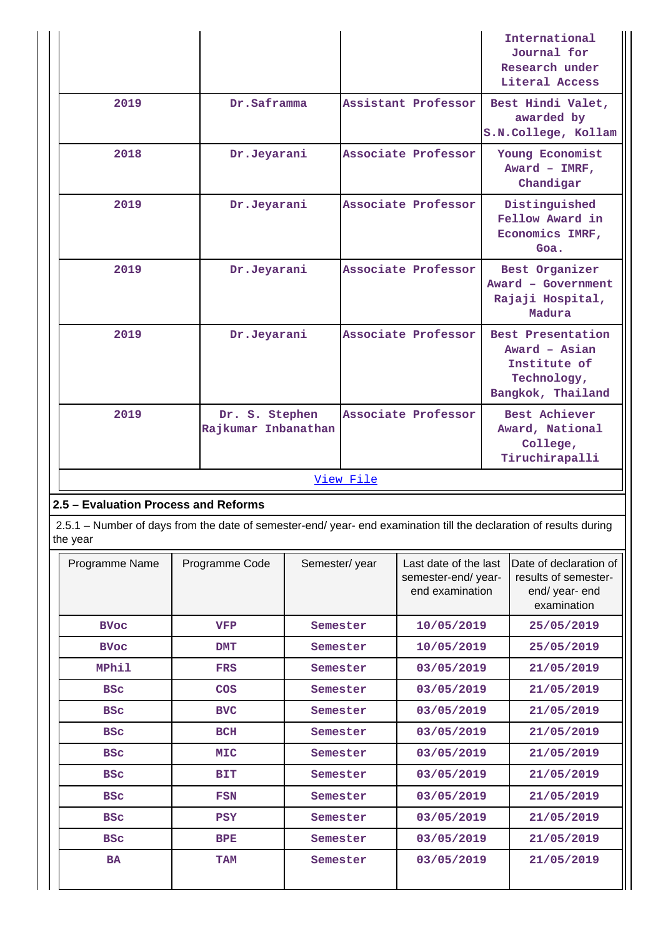|                                      |                                                                                                                    |                     | International<br>Journal for<br>Research under<br>Literal Access                       |
|--------------------------------------|--------------------------------------------------------------------------------------------------------------------|---------------------|----------------------------------------------------------------------------------------|
| 2019                                 | Dr.Saframma                                                                                                        | Assistant Professor | Best Hindi Valet,<br>awarded by<br>S.N.College, Kollam                                 |
| 2018                                 | Dr.Jeyarani                                                                                                        | Associate Professor | Young Economist<br>Award - $IMRF$ ,<br>Chandigar                                       |
| 2019                                 | Dr.Jeyarani                                                                                                        | Associate Professor | Distinguished<br>Fellow Award in<br>Economics IMRF,<br>Goa.                            |
| 2019                                 | Dr.Jeyarani                                                                                                        | Associate Professor | Best Organizer<br>Award - Government<br>Rajaji Hospital,<br>Madura                     |
| 2019                                 | Dr.Jeyarani                                                                                                        | Associate Professor | Best Presentation<br>Award - Asian<br>Institute of<br>Technology,<br>Bangkok, Thailand |
| 2019                                 | Dr. S. Stephen<br>Rajkumar Inbanathan                                                                              | Associate Professor | <b>Best Achiever</b><br>Award, National<br>College,<br>Tiruchirapalli                  |
|                                      |                                                                                                                    | View File           |                                                                                        |
| 2.5 - Evaluation Process and Reforms |                                                                                                                    |                     |                                                                                        |
| the year                             | 2.5.1 - Number of days from the date of semester-end/ year- end examination till the declaration of results during |                     |                                                                                        |

| Programme Name | Programme Code | Semester/year | Last date of the last<br>semester-end/year-<br>end examination | Date of declaration of<br>results of semester-<br>end/ year- end<br>examination |
|----------------|----------------|---------------|----------------------------------------------------------------|---------------------------------------------------------------------------------|
| <b>BVoc</b>    | <b>VFP</b>     | Semester      | 10/05/2019                                                     | 25/05/2019                                                                      |
| <b>BVoc</b>    | <b>DMT</b>     | Semester      | 10/05/2019                                                     | 25/05/2019                                                                      |
| <b>MPhil</b>   | <b>FRS</b>     | Semester      | 03/05/2019                                                     | 21/05/2019                                                                      |
| <b>BSC</b>     | <b>COS</b>     | Semester      | 03/05/2019                                                     | 21/05/2019                                                                      |
| <b>BSC</b>     | <b>BVC</b>     | Semester      | 03/05/2019                                                     | 21/05/2019                                                                      |
| <b>BSC</b>     | <b>BCH</b>     | Semester      | 03/05/2019                                                     | 21/05/2019                                                                      |
| <b>BSC</b>     | <b>MIC</b>     | Semester      | 03/05/2019                                                     | 21/05/2019                                                                      |
| <b>BSC</b>     | <b>BIT</b>     | Semester      | 03/05/2019                                                     | 21/05/2019                                                                      |
| <b>BSC</b>     | <b>FSN</b>     | Semester      | 03/05/2019                                                     | 21/05/2019                                                                      |
| <b>BSC</b>     | <b>PSY</b>     | Semester      | 03/05/2019                                                     | 21/05/2019                                                                      |
| <b>BSC</b>     | <b>BPE</b>     | Semester      | 03/05/2019                                                     | 21/05/2019                                                                      |
| <b>BA</b>      | <b>TAM</b>     | Semester      | 03/05/2019                                                     | 21/05/2019                                                                      |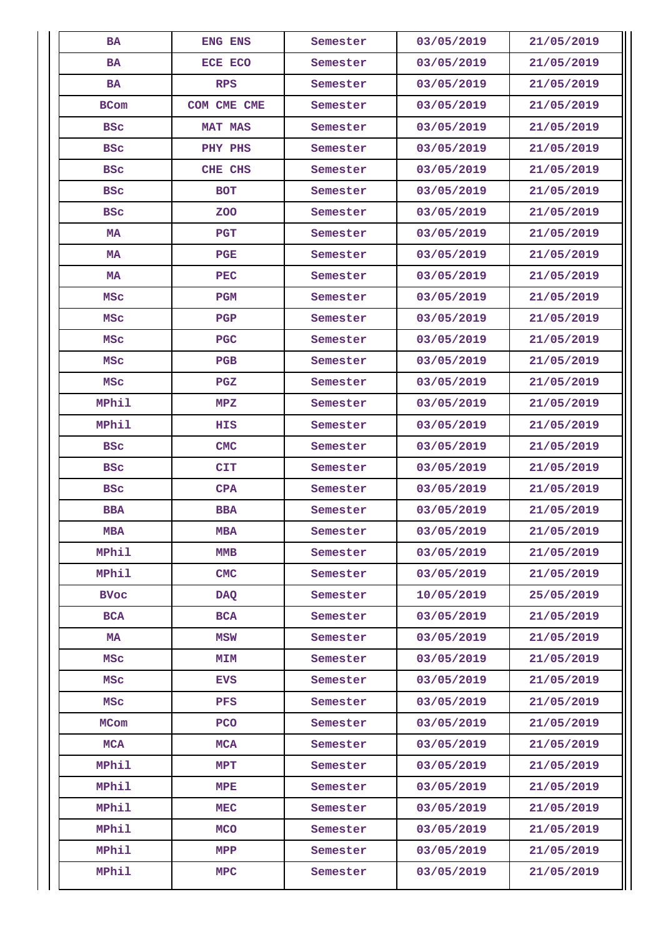| <b>BA</b>    | ENG ENS        | Semester | 03/05/2019 | 21/05/2019 |
|--------------|----------------|----------|------------|------------|
| <b>BA</b>    | ECE ECO        | Semester | 03/05/2019 | 21/05/2019 |
| <b>BA</b>    | <b>RPS</b>     | Semester | 03/05/2019 | 21/05/2019 |
| <b>BCom</b>  | COM CME CME    | Semester | 03/05/2019 | 21/05/2019 |
| <b>BSC</b>   | <b>MAT MAS</b> | Semester | 03/05/2019 | 21/05/2019 |
| <b>BSC</b>   | PHY PHS        | Semester | 03/05/2019 | 21/05/2019 |
| <b>BSC</b>   | CHE CHS        | Semester | 03/05/2019 | 21/05/2019 |
| <b>BSC</b>   | <b>BOT</b>     | Semester | 03/05/2019 | 21/05/2019 |
| <b>BSC</b>   | <b>ZOO</b>     | Semester | 03/05/2019 | 21/05/2019 |
| МA           | <b>PGT</b>     | Semester | 03/05/2019 | 21/05/2019 |
| MA           | <b>PGE</b>     | Semester | 03/05/2019 | 21/05/2019 |
| MA           | <b>PEC</b>     | Semester | 03/05/2019 | 21/05/2019 |
| <b>MSC</b>   | <b>PGM</b>     | Semester | 03/05/2019 | 21/05/2019 |
| <b>MSC</b>   | PGP            | Semester | 03/05/2019 | 21/05/2019 |
| MSc          | <b>PGC</b>     | Semester | 03/05/2019 | 21/05/2019 |
| <b>MSC</b>   | PGB            | Semester | 03/05/2019 | 21/05/2019 |
| <b>MSC</b>   | PGZ            | Semester | 03/05/2019 | 21/05/2019 |
| MPhil        | MPZ            | Semester | 03/05/2019 | 21/05/2019 |
| <b>MPhil</b> | HIS            | Semester | 03/05/2019 | 21/05/2019 |
| <b>BSC</b>   | <b>CMC</b>     | Semester | 03/05/2019 | 21/05/2019 |
| <b>BSC</b>   | <b>CIT</b>     | Semester | 03/05/2019 | 21/05/2019 |
| <b>BSC</b>   | <b>CPA</b>     | Semester | 03/05/2019 | 21/05/2019 |
| <b>BBA</b>   | <b>BBA</b>     | Semester | 03/05/2019 | 21/05/2019 |
| MBA          | MBA            | Semester | 03/05/2019 | 21/05/2019 |
| <b>MPhil</b> | <b>MMB</b>     | Semester | 03/05/2019 | 21/05/2019 |
| <b>MPhil</b> | <b>CMC</b>     | Semester | 03/05/2019 | 21/05/2019 |
| <b>BVoc</b>  | <b>DAQ</b>     | Semester | 10/05/2019 | 25/05/2019 |
| <b>BCA</b>   | <b>BCA</b>     | Semester | 03/05/2019 | 21/05/2019 |
| <b>MA</b>    | MSW            | Semester | 03/05/2019 | 21/05/2019 |
| <b>MSC</b>   | <b>MIM</b>     | Semester | 03/05/2019 | 21/05/2019 |
| <b>MSC</b>   | <b>EVS</b>     | Semester | 03/05/2019 | 21/05/2019 |
| <b>MSC</b>   | <b>PFS</b>     | Semester | 03/05/2019 | 21/05/2019 |
| MCom         | <b>PCO</b>     | Semester | 03/05/2019 | 21/05/2019 |
| <b>MCA</b>   | <b>MCA</b>     | Semester | 03/05/2019 | 21/05/2019 |
| MPhil        | MPT            | Semester | 03/05/2019 | 21/05/2019 |
| MPhil        | ${\tt MPE}$    | Semester | 03/05/2019 | 21/05/2019 |
| <b>MPhil</b> | MEC            | Semester | 03/05/2019 | 21/05/2019 |
| <b>MPhil</b> | <b>MCO</b>     | Semester | 03/05/2019 | 21/05/2019 |
| MPhil        | MPP            | Semester | 03/05/2019 | 21/05/2019 |
| MPhil        | <b>MPC</b>     | Semester | 03/05/2019 | 21/05/2019 |
|              |                |          |            |            |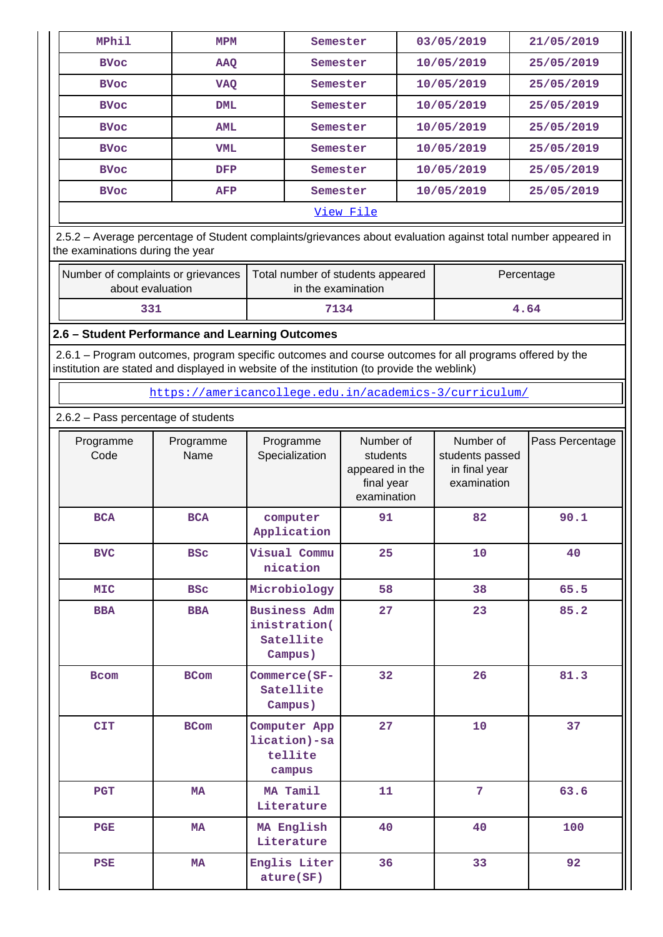| <b>MPhil</b>                                             | <b>MPM</b> | Semester | 03/05/2019 | 21/05/2019 |  |  |  |
|----------------------------------------------------------|------------|----------|------------|------------|--|--|--|
| <b>BVoc</b>                                              | <b>AAQ</b> | Semester | 10/05/2019 | 25/05/2019 |  |  |  |
| <b>BVoc</b>                                              | VAQ        | Semester | 10/05/2019 | 25/05/2019 |  |  |  |
| <b>BVoc</b>                                              | <b>DML</b> | Semester | 10/05/2019 | 25/05/2019 |  |  |  |
| <b>BVoc</b>                                              | <b>AML</b> | Semester | 10/05/2019 | 25/05/2019 |  |  |  |
| <b>BVoc</b>                                              | <b>VML</b> | Semester | 10/05/2019 | 25/05/2019 |  |  |  |
| <b>BVoc</b>                                              | DFP        | Semester | 10/05/2019 | 25/05/2019 |  |  |  |
| <b>BVoc</b>                                              | AFP        | Semester | 10/05/2019 | 25/05/2019 |  |  |  |
|                                                          | View File  |          |            |            |  |  |  |
| .<br>$\sim$ $\sim$ $\sim$ $\sim$<br>$\sim$ $\sim$ $\sim$ |            |          |            |            |  |  |  |

 2.5.2 – Average percentage of Student complaints/grievances about evaluation against total number appeared in the examinations during the year

| Number of complaints or grievances<br>Total number of students appeared<br>about evaluation<br>in the examination |      | Percentage |
|-------------------------------------------------------------------------------------------------------------------|------|------------|
| 331                                                                                                               | 7134 | 4.64       |

#### **2.6 – Student Performance and Learning Outcomes**

 2.6.1 – Program outcomes, program specific outcomes and course outcomes for all programs offered by the institution are stated and displayed in website of the institution (to provide the weblink)

<https://americancollege.edu.in/academics-3/curriculum/>

2.6.2 – Pass percentage of students

| Programme<br>Code | Programme<br>Name | Programme<br>Specialization                                 | Number of<br>students<br>appeared in the<br>final year<br>examination | Number of<br>students passed<br>in final year<br>examination | Pass Percentage |
|-------------------|-------------------|-------------------------------------------------------------|-----------------------------------------------------------------------|--------------------------------------------------------------|-----------------|
| <b>BCA</b>        | <b>BCA</b>        | computer<br>Application                                     | 91                                                                    | 82                                                           | 90.1            |
| <b>BVC</b>        | <b>BSC</b>        | Visual Commu<br>nication                                    | 25                                                                    | 10                                                           | 40              |
| <b>MIC</b>        | <b>BSC</b>        | Microbiology                                                | 58                                                                    | 38                                                           | 65.5            |
| <b>BBA</b>        | <b>BBA</b>        | <b>Business Adm</b><br>inistration(<br>Satellite<br>Campus) | 27                                                                    | 23                                                           | 85.2            |
| <b>Bcom</b>       | <b>BCom</b>       | Commerce (SF-<br>Satellite<br>Campus)                       | 32                                                                    | 26                                                           | 81.3            |
| <b>CIT</b>        | <b>BCom</b>       | Computer App<br>lication)-sa<br>tellite<br>campus           | 27                                                                    | 10                                                           | 37              |
| <b>PGT</b>        | <b>MA</b>         | MA Tamil<br>Literature                                      | 11                                                                    | $\overline{7}$                                               | 63.6            |
| PGE               | <b>MA</b>         | MA English<br>Literature                                    | 40                                                                    | 40                                                           | 100             |
| <b>PSE</b>        | <b>MA</b>         | Englis Liter<br>ature(SF)                                   | 36                                                                    | 33                                                           | 92              |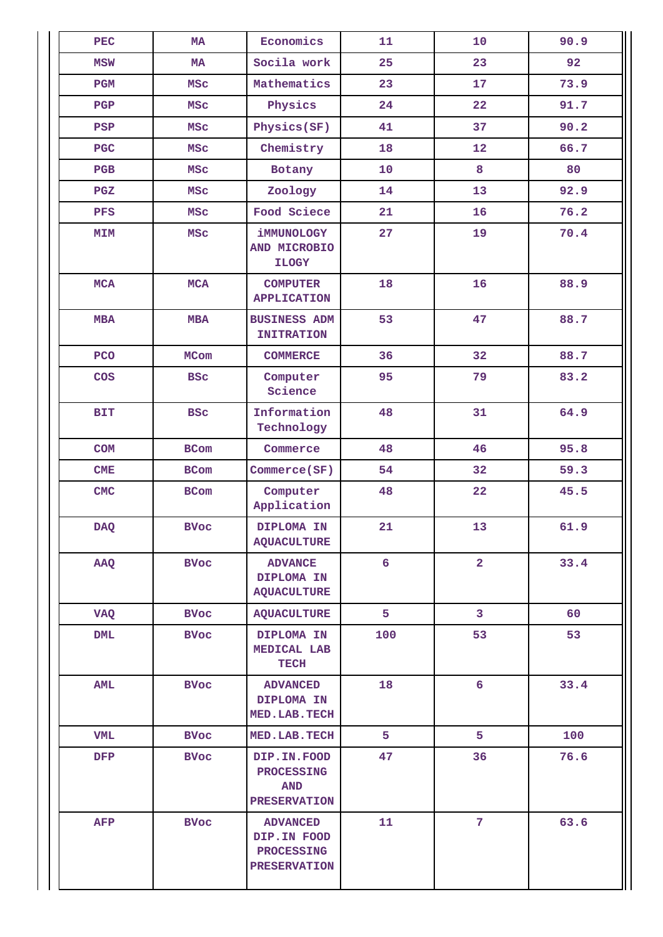| <b>PEC</b> | <b>MA</b>                                       | Economics                                                                  | 11               | 10             | 90.9 |
|------------|-------------------------------------------------|----------------------------------------------------------------------------|------------------|----------------|------|
| <b>MSW</b> | MA                                              | Socila work                                                                | 25               | 23             | 92   |
| <b>PGM</b> | <b>MSC</b>                                      | Mathematics                                                                | 23               | 17             | 73.9 |
| PGP        | <b>MSC</b>                                      | Physics                                                                    | 24               | 22             | 91.7 |
| PSP        | <b>MSC</b>                                      | Physics(SF)                                                                | 41               | 37             | 90.2 |
| <b>PGC</b> | <b>MSC</b>                                      | Chemistry                                                                  | 18               | 12             | 66.7 |
| PGB        | <b>MSC</b>                                      | Botany                                                                     | 10               | 8              | 80   |
| PGZ        | <b>MSC</b>                                      | Zoology                                                                    | 14               | 13             | 92.9 |
| PFS        | <b>MSC</b>                                      | Food Sciece                                                                | 21               | 16             | 76.2 |
| MIM        | <b>MSC</b>                                      | iMMUNOLOGY<br>AND MICROBIO<br><b>ILOGY</b>                                 | 27               | 19             | 70.4 |
| <b>MCA</b> | <b>MCA</b>                                      | <b>COMPUTER</b><br><b>APPLICATION</b>                                      | 18               | 16             | 88.9 |
| <b>MBA</b> | <b>MBA</b>                                      | <b>BUSINESS ADM</b><br><b>INITRATION</b>                                   | 53               | 47             | 88.7 |
| PCO        | <b>MCom</b>                                     | <b>COMMERCE</b>                                                            | 36               | 32             | 88.7 |
| COS        | <b>BSC</b>                                      | Computer<br>Science                                                        | 95               | 79             | 83.2 |
| <b>BIT</b> | <b>BSC</b>                                      | Information<br>Technology                                                  | 48               | 31             | 64.9 |
| <b>COM</b> | BCom                                            | Commerce                                                                   | 48               | 46             | 95.8 |
| CME        | <b>BCom</b>                                     | Commerce(SF)                                                               | 54               | 32             | 59.3 |
| CMC        | BCom                                            | Computer<br>Application                                                    | 48               | 22             | 45.5 |
| <b>DAQ</b> | <b>BVoc</b>                                     | DIPLOMA IN<br><b>AQUACULTURE</b>                                           | 21               | 13             | 61.9 |
| AAQ        | <b>BVoc</b><br>DIPLOMA IN<br><b>AQUACULTURE</b> |                                                                            | $6 \overline{6}$ | $\overline{2}$ | 33.4 |
| <b>VAQ</b> | <b>BVoc</b>                                     | <b>AQUACULTURE</b>                                                         | 5                | 3 <sup>7</sup> | 60   |
| <b>DML</b> | <b>BVoc</b>                                     | DIPLOMA IN<br>MEDICAL LAB<br><b>TECH</b>                                   | 100              | 53             | 53   |
| <b>AML</b> | <b>BVoc</b>                                     | <b>ADVANCED</b><br>DIPLOMA IN<br>MED.LAB.TECH                              | 18               | 6              | 33.4 |
| <b>VML</b> | <b>BVoc</b>                                     | MED. LAB. TECH                                                             | 5                | 5              | 100  |
| <b>DFP</b> | <b>BVoc</b>                                     | DIP.IN.FOOD<br><b>PROCESSING</b><br><b>AND</b><br><b>PRESERVATION</b>      | 47               | 36             | 76.6 |
| <b>AFP</b> | <b>BVoc</b>                                     | <b>ADVANCED</b><br>DIP.IN FOOD<br><b>PROCESSING</b><br><b>PRESERVATION</b> | 11               | $\overline{7}$ | 63.6 |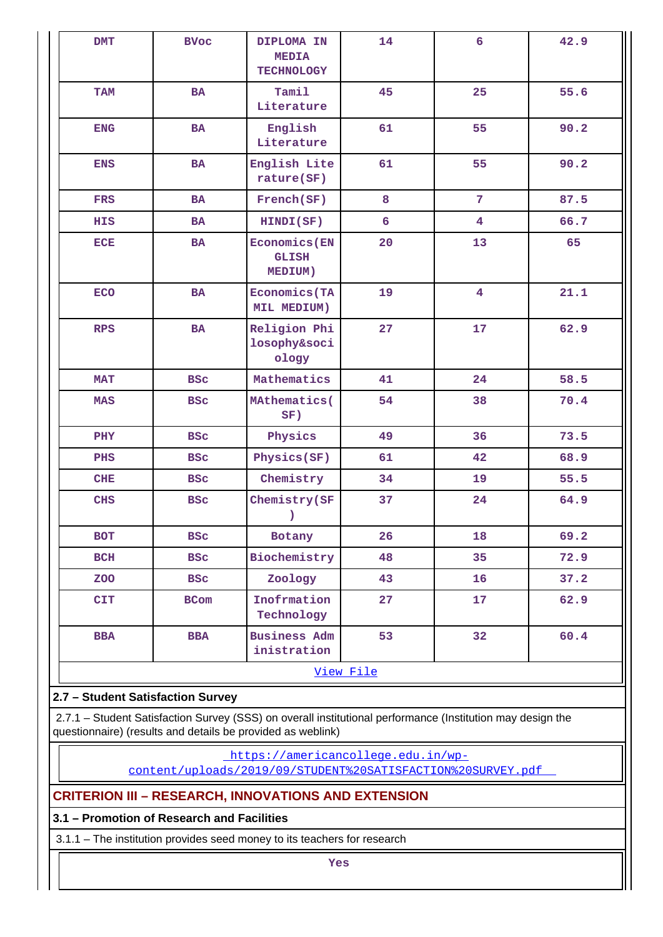| <b>DMT</b> | <b>BVoc</b>                       | DIPLOMA IN<br><b>MEDIA</b><br><b>TECHNOLOGY</b> | 14 | $6\overline{6}$         | 42.9 |  |  |  |
|------------|-----------------------------------|-------------------------------------------------|----|-------------------------|------|--|--|--|
| <b>TAM</b> | <b>BA</b>                         | Tamil<br>Literature                             | 45 | 25                      | 55.6 |  |  |  |
| <b>ENG</b> | BA                                | English<br>Literature                           | 61 | 55                      | 90.2 |  |  |  |
| <b>ENS</b> | <b>BA</b>                         | English Lite<br>rature(SF)                      | 61 | 55                      | 90.2 |  |  |  |
| <b>FRS</b> | <b>BA</b>                         | French(SF)                                      | 8  | $\overline{7}$          | 87.5 |  |  |  |
| HIS        | <b>BA</b>                         | HINDI(SF)                                       | 6  | $\overline{4}$          | 66.7 |  |  |  |
| <b>ECE</b> | <b>BA</b>                         | <b>Economics</b> (EN<br><b>GLISH</b><br>MEDIUM) | 20 | 13                      | 65   |  |  |  |
| <b>ECO</b> | <b>BA</b>                         | <b>Economics</b> (TA<br>MIL MEDIUM)             | 19 | $\overline{\mathbf{4}}$ | 21.1 |  |  |  |
| <b>RPS</b> | <b>BA</b>                         | Religion Phi<br>losophy&soci<br>ology           | 27 | 17                      | 62.9 |  |  |  |
| <b>MAT</b> | <b>BSC</b>                        | Mathematics                                     | 41 | 24                      | 58.5 |  |  |  |
| <b>MAS</b> | <b>BSC</b>                        | MAthematics(<br>SF)                             | 54 | 38                      | 70.4 |  |  |  |
| PHY        | <b>BSC</b>                        | Physics                                         | 49 | 36                      | 73.5 |  |  |  |
| PHS        | <b>BSC</b>                        | Physics(SF)                                     | 61 | 42                      | 68.9 |  |  |  |
| CHE        | <b>BSC</b>                        | Chemistry                                       | 34 | 19                      | 55.5 |  |  |  |
| CHS        | <b>BSC</b>                        | Chemistry (SF<br>$\mathcal{L}$                  | 37 | 24                      | 64.9 |  |  |  |
| <b>BOT</b> | <b>BSC</b>                        | Botany                                          | 26 | 18                      | 69.2 |  |  |  |
| BCH        | <b>BSC</b>                        | Biochemistry                                    | 48 | 35                      | 72.9 |  |  |  |
| <b>ZOO</b> | <b>BSC</b>                        | Zoology                                         | 43 | 16                      | 37.2 |  |  |  |
| <b>CIT</b> | <b>BCom</b>                       | Inofrmation<br>Technology                       | 27 | 17                      | 62.9 |  |  |  |
| <b>BBA</b> | <b>BBA</b>                        | <b>Business Adm</b><br>inistration              | 53 | 32                      | 60.4 |  |  |  |
| View File  |                                   |                                                 |    |                         |      |  |  |  |
|            | 2.7 - Student Satisfaction Survey |                                                 |    |                         |      |  |  |  |

 2.7.1 – Student Satisfaction Survey (SSS) on overall institutional performance (Institution may design the questionnaire) (results and details be provided as weblink)

[https://americancollege.edu.in/wp-](https://americancollege.edu.in/wp-content/uploads/2019/09/STUDENT%20SATISFACTION%20SURVEY.pdf)

[content/uploads/2019/09/STUDENT%20SATISFACTION%20SURVEY.pdf](https://americancollege.edu.in/wp-content/uploads/2019/09/STUDENT%20SATISFACTION%20SURVEY.pdf) 

# **CRITERION III – RESEARCH, INNOVATIONS AND EXTENSION**

# **3.1 – Promotion of Research and Facilities**

3.1.1 – The institution provides seed money to its teachers for research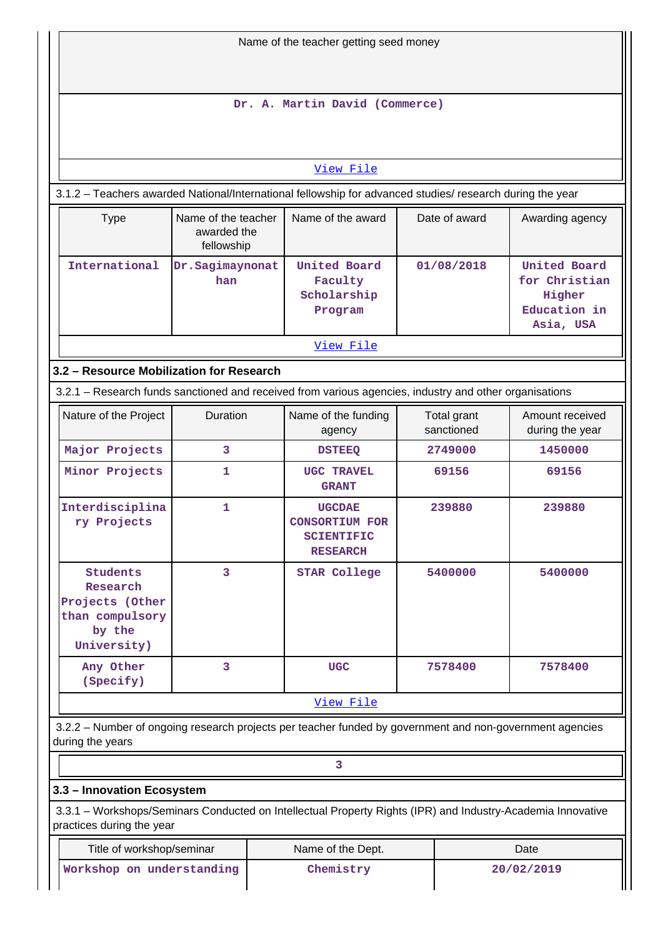| Name of the teacher getting seed money                                                                                   |                        |                                                                                                             |         |                           |                                                                      |  |
|--------------------------------------------------------------------------------------------------------------------------|------------------------|-------------------------------------------------------------------------------------------------------------|---------|---------------------------|----------------------------------------------------------------------|--|
|                                                                                                                          |                        | Dr. A. Martin David (Commerce)                                                                              |         |                           |                                                                      |  |
|                                                                                                                          |                        | View File                                                                                                   |         |                           |                                                                      |  |
|                                                                                                                          |                        | 3.1.2 - Teachers awarded National/International fellowship for advanced studies/ research during the year   |         |                           |                                                                      |  |
| Name of the award<br>Date of award<br>Name of the teacher<br>Awarding agency<br><b>Type</b><br>awarded the<br>fellowship |                        |                                                                                                             |         |                           |                                                                      |  |
| International                                                                                                            | Dr.Sagimaynonat<br>han | United Board<br>Faculty<br>Scholarship<br>Program                                                           |         | 01/08/2018                | United Board<br>for Christian<br>Higher<br>Education in<br>Asia, USA |  |
|                                                                                                                          |                        | View File                                                                                                   |         |                           |                                                                      |  |
| 3.2 - Resource Mobilization for Research                                                                                 |                        |                                                                                                             |         |                           |                                                                      |  |
|                                                                                                                          |                        | 3.2.1 - Research funds sanctioned and received from various agencies, industry and other organisations      |         |                           |                                                                      |  |
| Nature of the Project                                                                                                    | Duration               | Name of the funding<br>agency                                                                               |         | Total grant<br>sanctioned | Amount received<br>during the year                                   |  |
| Major Projects                                                                                                           | 3<br><b>DSTEEQ</b>     |                                                                                                             | 2749000 |                           | 1450000                                                              |  |
| Minor Projects                                                                                                           | $\mathbf{1}$           | <b>UGC TRAVEL</b><br><b>GRANT</b>                                                                           |         | 69156                     | 69156                                                                |  |
| Interdisciplina<br>ry Projects                                                                                           | $\mathbf{1}$           | <b>UGCDAE</b><br><b>CONSORTIUM FOR</b><br><b>SCIENTIFIC</b><br><b>RESEARCH</b>                              |         | 239880                    | 239880                                                               |  |
| <b>Students</b><br>Research<br>Projects (Other<br>than compulsory<br>by the<br>University)                               | 3                      | <b>STAR College</b>                                                                                         |         | 5400000                   | 5400000                                                              |  |
| Any Other<br>(Specify)                                                                                                   | 3                      | <b>UGC</b>                                                                                                  |         | 7578400                   | 7578400                                                              |  |
|                                                                                                                          |                        | View File                                                                                                   |         |                           |                                                                      |  |
| during the years                                                                                                         |                        | 3.2.2 - Number of ongoing research projects per teacher funded by government and non-government agencies    |         |                           |                                                                      |  |
|                                                                                                                          |                        | 3                                                                                                           |         |                           |                                                                      |  |
| 3.3 - Innovation Ecosystem                                                                                               |                        |                                                                                                             |         |                           |                                                                      |  |
| practices during the year                                                                                                |                        | 3.3.1 - Workshops/Seminars Conducted on Intellectual Property Rights (IPR) and Industry-Academia Innovative |         |                           |                                                                      |  |
| Title of workshop/seminar                                                                                                |                        | Name of the Dept.                                                                                           |         |                           | Date                                                                 |  |
| Workshop on understanding                                                                                                |                        | Chemistry                                                                                                   |         |                           | 20/02/2019                                                           |  |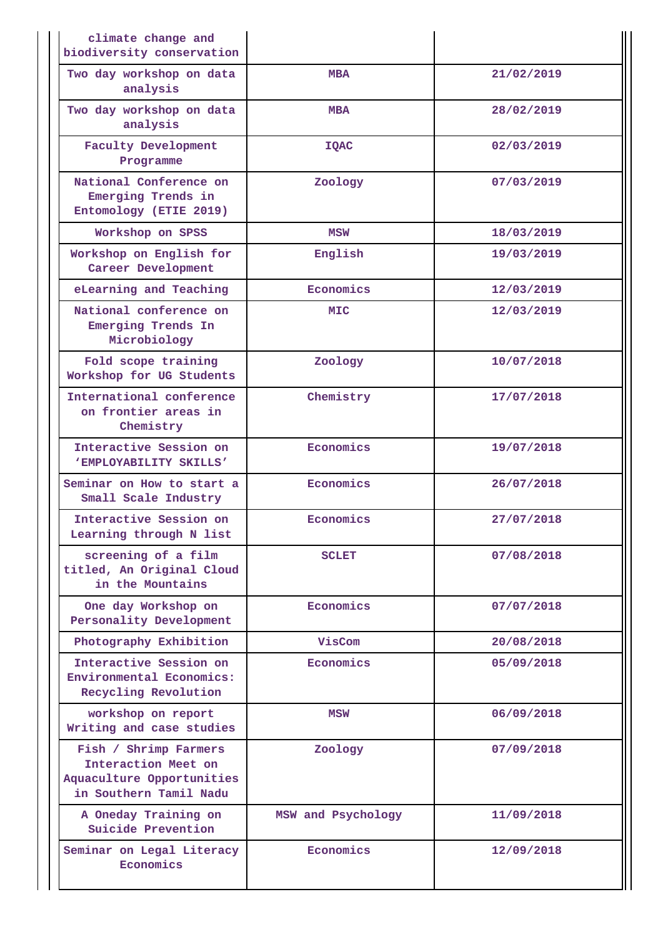| climate change and<br>biodiversity conservation                                                     |                    |            |
|-----------------------------------------------------------------------------------------------------|--------------------|------------|
| Two day workshop on data<br>analysis                                                                | <b>MBA</b>         | 21/02/2019 |
| Two day workshop on data<br>analysis                                                                | <b>MBA</b>         | 28/02/2019 |
| <b>Faculty Development</b><br>Programme                                                             | <b>IQAC</b>        | 02/03/2019 |
| National Conference on<br>Emerging Trends in<br>Entomology (ETIE 2019)                              | Zoology            | 07/03/2019 |
| Workshop on SPSS                                                                                    | <b>MSW</b>         | 18/03/2019 |
| Workshop on English for<br>Career Development                                                       | English            | 19/03/2019 |
| eLearning and Teaching                                                                              | Economics          | 12/03/2019 |
| National conference on<br>Emerging Trends In<br>Microbiology                                        | <b>MIC</b>         | 12/03/2019 |
| Fold scope training<br>Workshop for UG Students                                                     | Zoology            | 10/07/2018 |
| International conference<br>on frontier areas in<br>Chemistry                                       | Chemistry          | 17/07/2018 |
| Interactive Session on<br>'EMPLOYABILITY SKILLS'                                                    | Economics          | 19/07/2018 |
| Seminar on How to start a<br>Small Scale Industry                                                   | Economics          | 26/07/2018 |
| Interactive Session on<br>Learning through N list                                                   | Economics          | 27/07/2018 |
| screening of a film<br>titled, An Original Cloud<br>in the Mountains                                | <b>SCLET</b>       | 07/08/2018 |
| One day Workshop on<br>Personality Development                                                      | Economics          | 07/07/2018 |
| Photography Exhibition                                                                              | VisCom             | 20/08/2018 |
| Interactive Session on<br>Environmental Economics:<br>Recycling Revolution                          | Economics          | 05/09/2018 |
| workshop on report<br>Writing and case studies                                                      | <b>MSW</b>         | 06/09/2018 |
| Fish / Shrimp Farmers<br>Interaction Meet on<br>Aquaculture Opportunities<br>in Southern Tamil Nadu | Zoology            | 07/09/2018 |
| A Oneday Training on<br>Suicide Prevention                                                          | MSW and Psychology | 11/09/2018 |
| Seminar on Legal Literacy<br>Economics                                                              | Economics          | 12/09/2018 |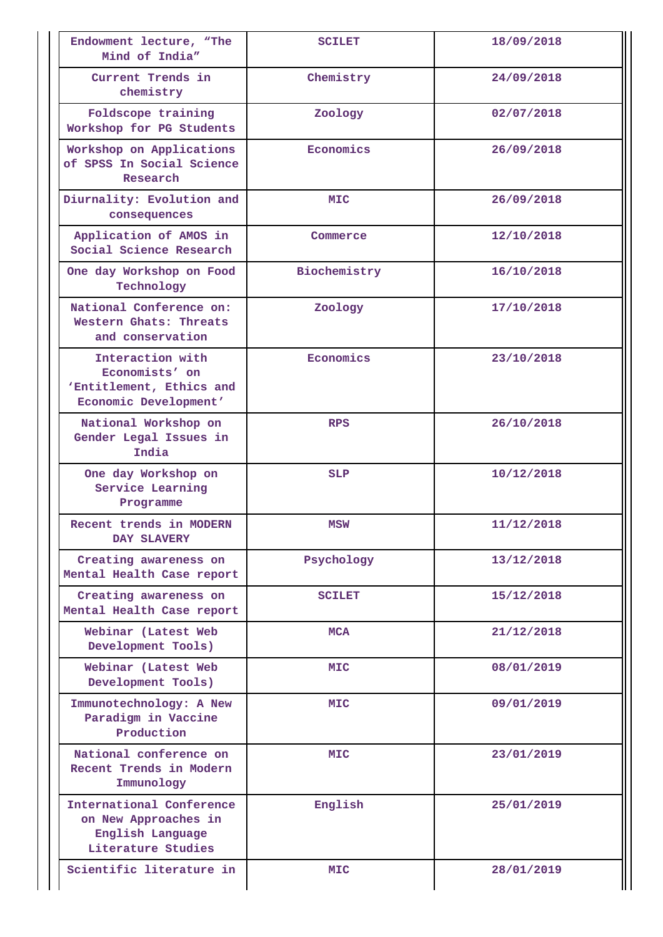| Endowment lecture, "The<br>Mind of India"                                                  | <b>SCILET</b> | 18/09/2018 |
|--------------------------------------------------------------------------------------------|---------------|------------|
| Current Trends in<br>chemistry                                                             | Chemistry     | 24/09/2018 |
| Foldscope training<br>Workshop for PG Students                                             | Zoology       | 02/07/2018 |
| Workshop on Applications<br>of SPSS In Social Science<br>Research                          | Economics     | 26/09/2018 |
| Diurnality: Evolution and<br>consequences                                                  | MIC           | 26/09/2018 |
| Application of AMOS in<br>Social Science Research                                          | Commerce      | 12/10/2018 |
| One day Workshop on Food<br>Technology                                                     | Biochemistry  | 16/10/2018 |
| National Conference on:<br>Western Ghats: Threats<br>and conservation                      | Zoology       | 17/10/2018 |
| Interaction with<br>Economists' on<br>'Entitlement, Ethics and<br>Economic Development'    | Economics     | 23/10/2018 |
| National Workshop on<br>Gender Legal Issues in<br>India                                    | <b>RPS</b>    | 26/10/2018 |
| One day Workshop on<br>Service Learning<br>Programme                                       | <b>SLP</b>    | 10/12/2018 |
| Recent trends in MODERN<br>DAY SLAVERY                                                     | MSW           | 11/12/2018 |
| Creating awareness on<br>Mental Health Case report                                         | Psychology    | 13/12/2018 |
| Creating awareness on<br>Mental Health Case report                                         | <b>SCILET</b> | 15/12/2018 |
| Webinar (Latest Web<br>Development Tools)                                                  | <b>MCA</b>    | 21/12/2018 |
| Webinar (Latest Web<br>Development Tools)                                                  | MIC           | 08/01/2019 |
| Immunotechnology: A New<br>Paradigm in Vaccine<br>Production                               | MIC           | 09/01/2019 |
| National conference on<br>Recent Trends in Modern<br>Immunology                            | MIC           | 23/01/2019 |
| International Conference<br>on New Approaches in<br>English Language<br>Literature Studies | English       | 25/01/2019 |
| Scientific literature in                                                                   | <b>MIC</b>    | 28/01/2019 |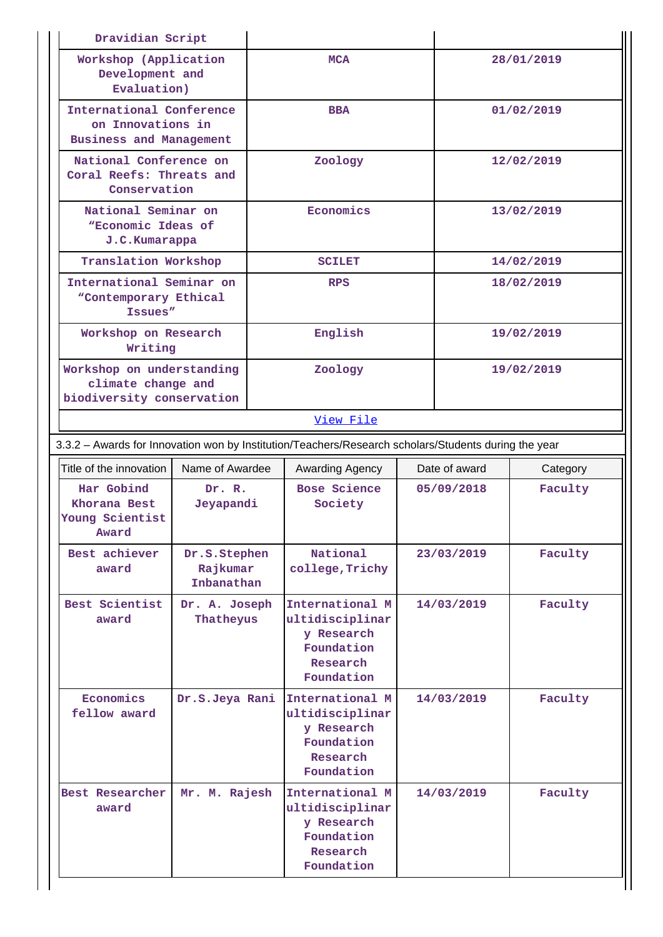| Dravidian Script                                                                |                                        |  |                                                                                                      |            |                           |            |  |
|---------------------------------------------------------------------------------|----------------------------------------|--|------------------------------------------------------------------------------------------------------|------------|---------------------------|------------|--|
| Workshop (Application<br>Development and<br>Evaluation)                         |                                        |  | <b>MCA</b>                                                                                           |            |                           | 28/01/2019 |  |
| International Conference<br>on Innovations in<br><b>Business and Management</b> |                                        |  | <b>BBA</b>                                                                                           |            |                           | 01/02/2019 |  |
| National Conference on<br>Coral Reefs: Threats and<br>Conservation              |                                        |  | Zoology                                                                                              |            |                           | 12/02/2019 |  |
| National Seminar on<br>"Economic Ideas of<br>J.C. Kumarappa                     |                                        |  | Economics                                                                                            |            |                           | 13/02/2019 |  |
| Translation Workshop                                                            |                                        |  | <b>SCILET</b>                                                                                        |            |                           | 14/02/2019 |  |
| International Seminar on<br>"Contemporary Ethical<br>Issues"                    |                                        |  | <b>RPS</b>                                                                                           |            |                           | 18/02/2019 |  |
| Workshop on Research<br>Writing                                                 |                                        |  | English                                                                                              |            |                           | 19/02/2019 |  |
| Workshop on understanding<br>climate change and<br>biodiversity conservation    |                                        |  | Zoology                                                                                              |            | 19/02/2019                |            |  |
|                                                                                 |                                        |  | View File                                                                                            |            |                           |            |  |
|                                                                                 |                                        |  | 3.3.2 - Awards for Innovation won by Institution/Teachers/Research scholars/Students during the year |            |                           |            |  |
| Title of the innovation                                                         | Name of Awardee                        |  | Awarding Agency                                                                                      |            | Date of award<br>Category |            |  |
| Har Gobind<br>Khorana Best<br>Young Scientist<br>Award                          | Dr. R.<br>Jeyapandi                    |  | Bose Science<br>Society                                                                              | 05/09/2018 |                           | Faculty    |  |
| Best achiever<br>award                                                          | Dr.S.Stephen<br>Rajkumar<br>Inbanathan |  | National<br>college, Trichy                                                                          | 23/03/2019 |                           | Faculty    |  |
| Best Scientist<br>award                                                         | Dr. A. Joseph<br>Thatheyus             |  | International M<br>ultidisciplinar                                                                   | 14/03/2019 |                           | Faculty    |  |
|                                                                                 |                                        |  | y Research<br>Foundation<br>Research<br>Foundation                                                   |            |                           |            |  |
| Economics<br>fellow award                                                       | Dr.S.Jeya Rani                         |  | International M<br>ultidisciplinar<br>y Research<br>Foundation<br>Research<br>Foundation             |            | 14/03/2019                | Faculty    |  |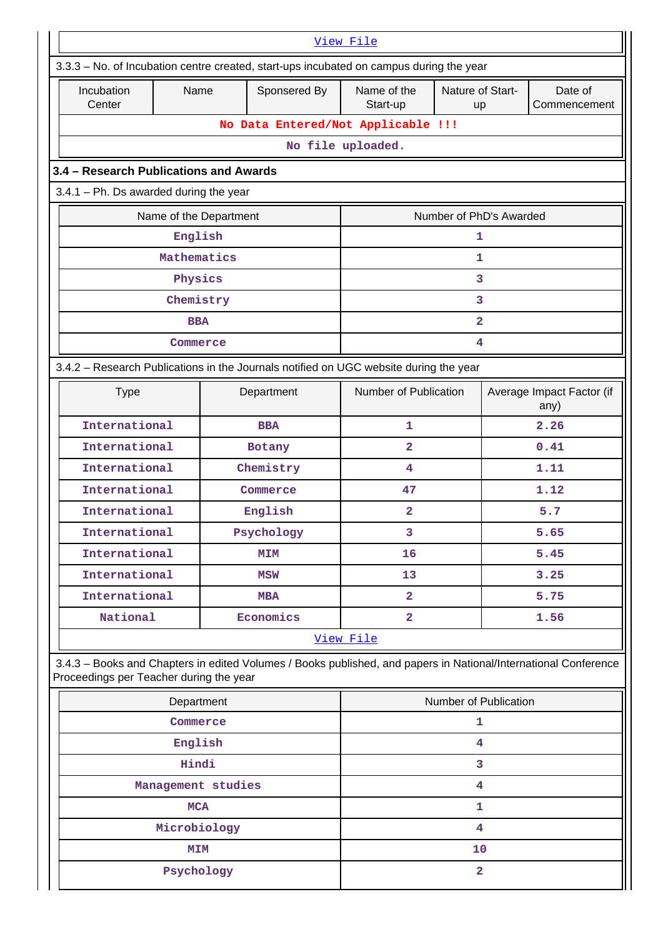| View File                                                                                                                                                  |                                          |                        |              |                                    |                         |                                   |                         |  |  |  |
|------------------------------------------------------------------------------------------------------------------------------------------------------------|------------------------------------------|------------------------|--------------|------------------------------------|-------------------------|-----------------------------------|-------------------------|--|--|--|
| 3.3.3 - No. of Incubation centre created, start-ups incubated on campus during the year                                                                    |                                          |                        |              |                                    |                         |                                   |                         |  |  |  |
| Incubation<br>Center                                                                                                                                       | Name                                     |                        | Sponsered By | Name of the<br>Start-up            | Nature of Start-<br>up  |                                   | Date of<br>Commencement |  |  |  |
|                                                                                                                                                            |                                          |                        |              | No Data Entered/Not Applicable !!! |                         |                                   |                         |  |  |  |
|                                                                                                                                                            |                                          |                        |              | No file uploaded.                  |                         |                                   |                         |  |  |  |
| 3.4 - Research Publications and Awards                                                                                                                     |                                          |                        |              |                                    |                         |                                   |                         |  |  |  |
|                                                                                                                                                            | $3.4.1$ – Ph. Ds awarded during the year |                        |              |                                    |                         |                                   |                         |  |  |  |
|                                                                                                                                                            |                                          | Name of the Department |              |                                    | Number of PhD's Awarded |                                   |                         |  |  |  |
|                                                                                                                                                            | English                                  |                        |              |                                    | 1                       |                                   |                         |  |  |  |
|                                                                                                                                                            | Mathematics                              |                        |              |                                    | 1                       |                                   |                         |  |  |  |
|                                                                                                                                                            | Physics                                  |                        |              |                                    | 3                       |                                   |                         |  |  |  |
|                                                                                                                                                            | Chemistry                                |                        |              |                                    | 3                       |                                   |                         |  |  |  |
|                                                                                                                                                            | <b>BBA</b>                               |                        |              |                                    | $\overline{\mathbf{2}}$ |                                   |                         |  |  |  |
|                                                                                                                                                            | Commerce                                 |                        |              |                                    | 4                       |                                   |                         |  |  |  |
| 3.4.2 - Research Publications in the Journals notified on UGC website during the year                                                                      |                                          |                        |              |                                    |                         |                                   |                         |  |  |  |
| <b>Type</b>                                                                                                                                                |                                          |                        | Department   | Number of Publication              |                         | Average Impact Factor (if<br>any) |                         |  |  |  |
| International                                                                                                                                              |                                          |                        | <b>BBA</b>   | 1                                  |                         | 2.26                              |                         |  |  |  |
| International                                                                                                                                              |                                          |                        | Botany       | $\overline{a}$                     |                         |                                   | 0.41                    |  |  |  |
| International                                                                                                                                              |                                          |                        | Chemistry    | 4                                  |                         |                                   | 1.11                    |  |  |  |
| International                                                                                                                                              |                                          |                        | Commerce     | 47                                 |                         | 1.12                              |                         |  |  |  |
| International                                                                                                                                              |                                          |                        | English      | 2                                  |                         | 5.7                               |                         |  |  |  |
| International                                                                                                                                              |                                          |                        | Psychology   | 3                                  |                         |                                   | 5.65                    |  |  |  |
| International                                                                                                                                              |                                          |                        | MIM          | 16                                 |                         |                                   | 5.45                    |  |  |  |
| International                                                                                                                                              |                                          |                        | MSW          | 13                                 |                         |                                   | 3.25                    |  |  |  |
| International                                                                                                                                              |                                          |                        | <b>MBA</b>   | $\overline{2}$                     |                         |                                   | 5.75                    |  |  |  |
| National                                                                                                                                                   |                                          |                        | Economics    | $\overline{2}$                     |                         |                                   | 1.56                    |  |  |  |
|                                                                                                                                                            |                                          |                        |              | View File                          |                         |                                   |                         |  |  |  |
| 3.4.3 - Books and Chapters in edited Volumes / Books published, and papers in National/International Conference<br>Proceedings per Teacher during the year |                                          |                        |              |                                    |                         |                                   |                         |  |  |  |
|                                                                                                                                                            | Department                               |                        |              |                                    | Number of Publication   |                                   |                         |  |  |  |
|                                                                                                                                                            | Commerce                                 |                        |              |                                    | 1                       |                                   |                         |  |  |  |
|                                                                                                                                                            | English                                  |                        |              |                                    | 4                       |                                   |                         |  |  |  |
|                                                                                                                                                            | Hindi                                    |                        |              |                                    | 3                       |                                   |                         |  |  |  |
|                                                                                                                                                            |                                          | Management studies     |              |                                    | $\overline{\mathbf{4}}$ |                                   |                         |  |  |  |
|                                                                                                                                                            | <b>MCA</b>                               |                        |              |                                    | 1                       |                                   |                         |  |  |  |
|                                                                                                                                                            | Microbiology                             |                        |              |                                    | 4                       |                                   |                         |  |  |  |
|                                                                                                                                                            | <b>MIM</b>                               |                        |              |                                    | 10                      |                                   |                         |  |  |  |
|                                                                                                                                                            | Psychology                               |                        |              |                                    | $\overline{\mathbf{2}}$ |                                   |                         |  |  |  |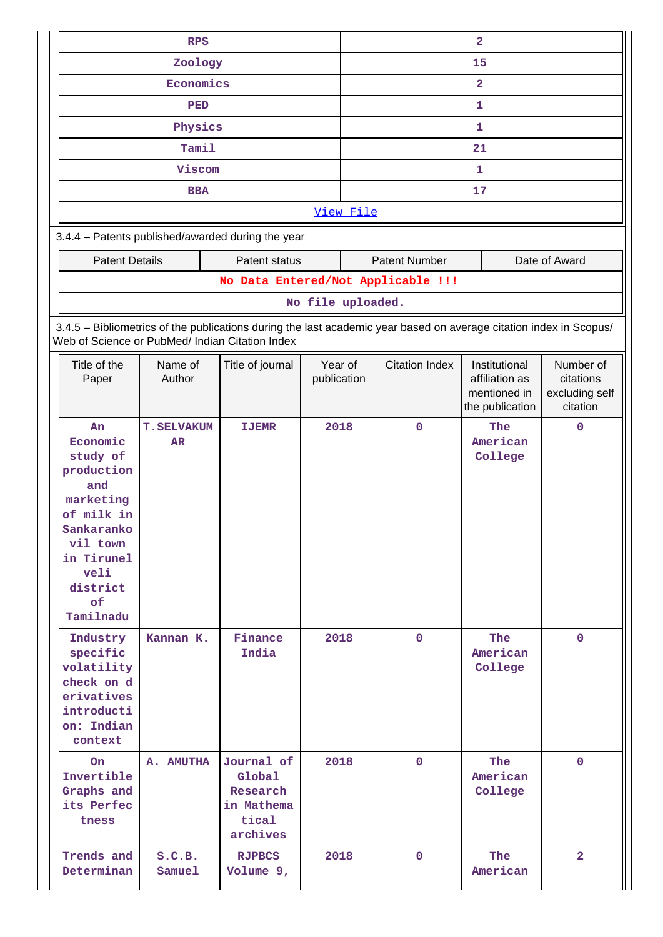|                                                                                                                                                                  | <b>RPS</b>              |                                                                                                                    |                        | $\overline{\mathbf{2}}$ |                       |                                                                    |                                                      |
|------------------------------------------------------------------------------------------------------------------------------------------------------------------|-------------------------|--------------------------------------------------------------------------------------------------------------------|------------------------|-------------------------|-----------------------|--------------------------------------------------------------------|------------------------------------------------------|
| Zoology                                                                                                                                                          |                         |                                                                                                                    |                        |                         |                       | 15                                                                 |                                                      |
|                                                                                                                                                                  | Economics               |                                                                                                                    |                        | $\overline{\mathbf{2}}$ |                       |                                                                    |                                                      |
|                                                                                                                                                                  | <b>PED</b>              |                                                                                                                    |                        |                         |                       | 1                                                                  |                                                      |
|                                                                                                                                                                  | Physics                 |                                                                                                                    |                        |                         |                       | 1                                                                  |                                                      |
|                                                                                                                                                                  | Tamil                   |                                                                                                                    |                        |                         |                       | 21                                                                 |                                                      |
|                                                                                                                                                                  | Viscom                  |                                                                                                                    |                        |                         |                       | 1                                                                  |                                                      |
|                                                                                                                                                                  | <b>BBA</b>              |                                                                                                                    |                        |                         |                       | 17                                                                 |                                                      |
|                                                                                                                                                                  |                         |                                                                                                                    |                        | View File               |                       |                                                                    |                                                      |
|                                                                                                                                                                  |                         | 3.4.4 - Patents published/awarded during the year                                                                  |                        |                         |                       |                                                                    |                                                      |
| <b>Patent Details</b>                                                                                                                                            |                         | Patent status                                                                                                      |                        |                         | <b>Patent Number</b>  |                                                                    | Date of Award                                        |
|                                                                                                                                                                  |                         | No Data Entered/Not Applicable !!!                                                                                 |                        |                         |                       |                                                                    |                                                      |
|                                                                                                                                                                  |                         |                                                                                                                    | No file uploaded.      |                         |                       |                                                                    |                                                      |
|                                                                                                                                                                  |                         | 3.4.5 - Bibliometrics of the publications during the last academic year based on average citation index in Scopus/ |                        |                         |                       |                                                                    |                                                      |
|                                                                                                                                                                  |                         | Web of Science or PubMed/ Indian Citation Index                                                                    |                        |                         |                       |                                                                    |                                                      |
| Title of the<br>Paper                                                                                                                                            | Name of<br>Author       | Title of journal                                                                                                   | Year of<br>publication |                         | <b>Citation Index</b> | Institutional<br>affiliation as<br>mentioned in<br>the publication | Number of<br>citations<br>excluding self<br>citation |
| An<br>Economic<br>study of<br>production<br>and<br>marketing<br>of milk in<br>Sankaranko<br>vil town<br>in Tirunel<br>veli<br>district<br>$\circ$ f<br>Tamilnadu | <b>T.SELVAKUM</b><br>AR | <b>IJEMR</b>                                                                                                       | 2018                   |                         | $\mathbf 0$           | The<br>American<br>College                                         | $\mathbf 0$                                          |
| Industry<br>specific<br>volatility<br>check on d<br>erivatives<br>introducti<br>on: Indian<br>context                                                            | Kannan K.               | Finance<br>India                                                                                                   | 2018                   |                         | $\mathbf{0}$          | <b>The</b><br>American<br>College                                  | $\mathbf{0}$                                         |
| On<br>Invertible<br>Graphs and<br>its Perfec<br>tness                                                                                                            | A. AMUTHA               | Journal of<br>Global<br>Research<br>in Mathema<br>tical<br>archives                                                | 2018                   |                         | $\overline{0}$        | The<br>American<br>College                                         | $\mathbf{0}$                                         |
| Trends and<br>Determinan                                                                                                                                         | S.C.B.<br>Samuel        | <b>RJPBCS</b><br>Volume 9,                                                                                         | 2018                   |                         | $\mathbf{0}$          | The<br>American                                                    | $\overline{2}$                                       |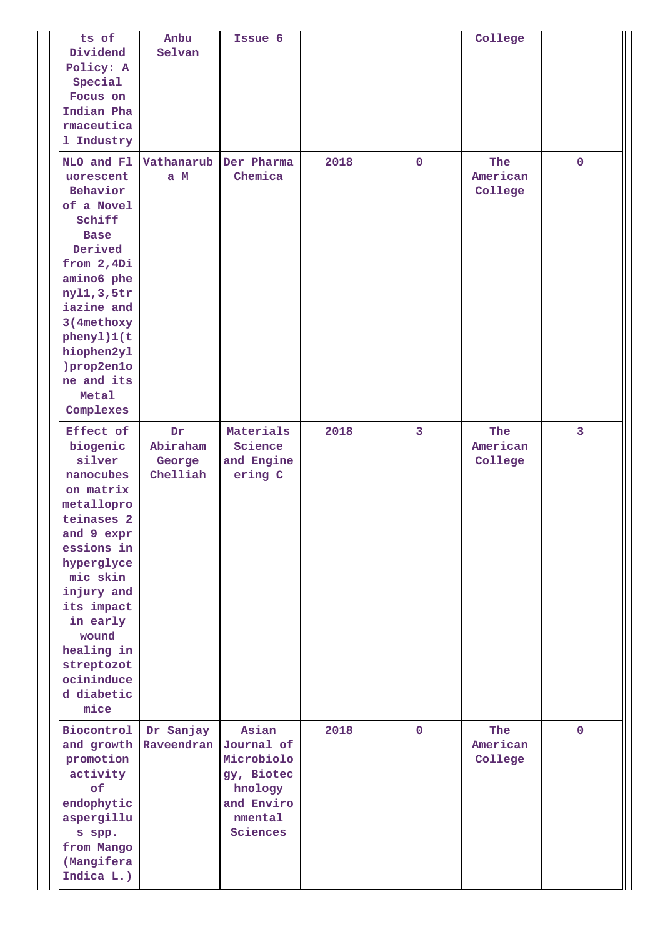| ts of<br>Dividend<br>Policy: A<br>Special<br>Focus on<br>Indian Pha<br>rmaceutica<br>1 Industry                                                                                                                                                              | Anbu<br>Selvan                       | Issue 6                                                                                         |      |                         | College                    |                |
|--------------------------------------------------------------------------------------------------------------------------------------------------------------------------------------------------------------------------------------------------------------|--------------------------------------|-------------------------------------------------------------------------------------------------|------|-------------------------|----------------------------|----------------|
| NLO and Fl<br>uorescent<br>Behavior<br>of a Novel<br>Schiff<br><b>Base</b><br>Derived<br>from 2,4Di<br>amino6 phe<br>ny11,3,5tr<br>iazine and<br>3(4methoxy<br>phenyl)1(t<br>hiophen2y1<br>)prop2en1o<br>ne and its<br>Metal<br>Complexes                    | Vathanarub<br>a M                    | Der Pharma<br>Chemica                                                                           | 2018 | $\mathbf 0$             | The<br>American<br>College | $\mathbf 0$    |
| Effect of<br>biogenic<br>silver<br>nanocubes<br>on matrix<br>metallopro<br>teinases 2<br>and 9 expr<br>essions in<br>hyperglyce<br>mic skin<br>injury and<br>its impact<br>in early<br>wound<br>healing in<br>streptozot<br>ocininduce<br>d diabetic<br>mice | Dr<br>Abiraham<br>George<br>Chelliah | Materials<br>Science<br>and Engine<br>ering C                                                   | 2018 | $\overline{\mathbf{3}}$ | The<br>American<br>College | $\overline{3}$ |
| Biocontrol<br>and growth<br>promotion<br>activity<br>of<br>endophytic<br>aspergillu<br>s spp.<br>from Mango<br>(Mangifera<br>Indica L.)                                                                                                                      | Dr Sanjay<br>Raveendran              | Asian<br>Journal of<br>Microbiolo<br>gy, Biotec<br>hnology<br>and Enviro<br>nmental<br>Sciences | 2018 | $\mathbf 0$             | The<br>American<br>College | $\mathbf 0$    |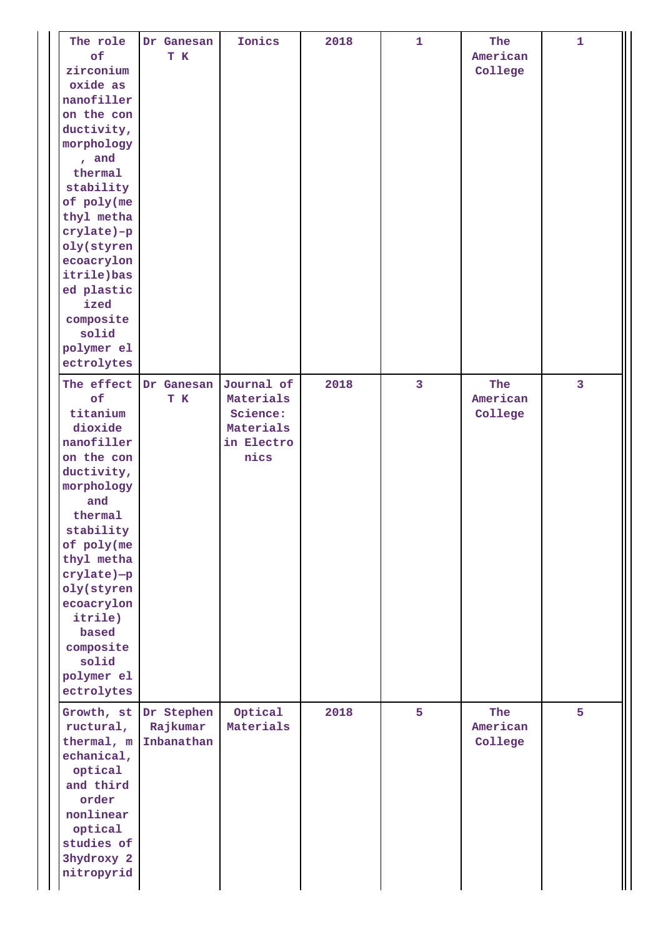| The role<br>of<br>zirconium<br>oxide as<br>nanofiller<br>on the con<br>ductivity,<br>morphology<br>, and<br>thermal<br>stability<br>of poly(me<br>thyl metha<br>crylate)-p<br>oly(styren<br>ecoacrylon<br>itrile)bas<br>ed plastic<br>ized<br>composite<br>solid<br>polymer el<br>ectrolytes | Dr Ganesan<br>T K                    | Ionics                                                                 | 2018 | $\mathbf{1}$   | The<br>American<br>College | $\mathbf{1}$            |
|----------------------------------------------------------------------------------------------------------------------------------------------------------------------------------------------------------------------------------------------------------------------------------------------|--------------------------------------|------------------------------------------------------------------------|------|----------------|----------------------------|-------------------------|
| The effect<br>of<br>titanium<br>dioxide<br>nanofiller<br>on the con<br>ductivity,<br>morphology<br>and<br>thermal<br>stability<br>of poly(me<br>thyl metha<br>crylate)-p<br>oly(styren<br>ecoacrylon<br>itrile)<br>based<br>composite<br>solid<br>polymer el<br>ectrolytes                   | Dr Ganesan<br>T K                    | Journal of<br>Materials<br>Science:<br>Materials<br>in Electro<br>nics | 2018 | $\overline{3}$ | The<br>American<br>College | $\overline{\mathbf{3}}$ |
| Growth, st<br>ructural,<br>thermal, m<br>echanical,<br>optical<br>and third<br>order<br>nonlinear<br>optical<br>studies of<br>3hydroxy 2<br>nitropyrid                                                                                                                                       | Dr Stephen<br>Rajkumar<br>Inbanathan | Optical<br>Materials                                                   | 2018 | 5              | The<br>American<br>College | 5                       |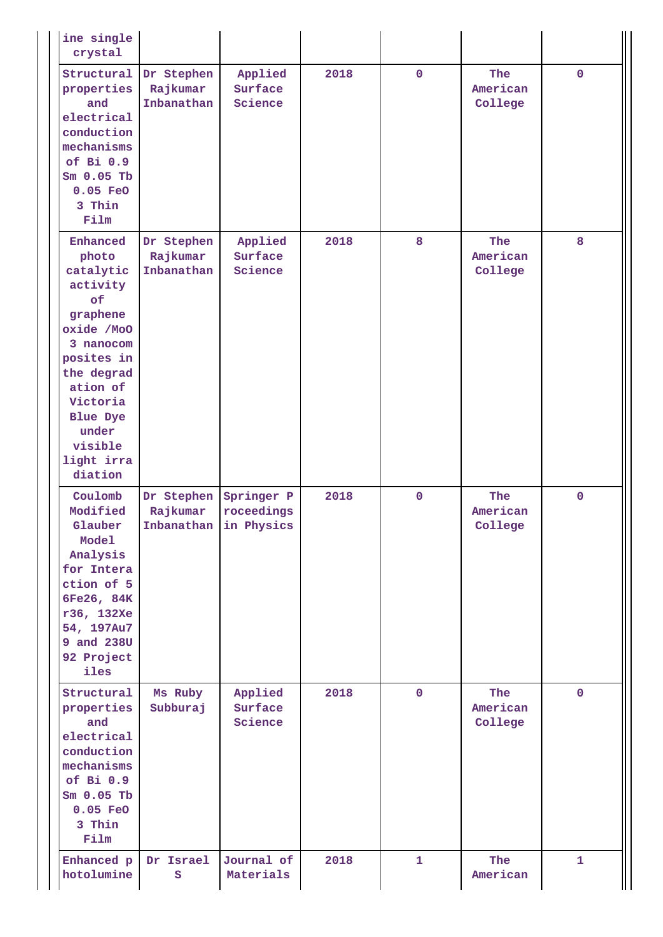| ine single<br>crystal                                                                                                                                                                                       |                                      |                                     |      |                |                            |              |
|-------------------------------------------------------------------------------------------------------------------------------------------------------------------------------------------------------------|--------------------------------------|-------------------------------------|------|----------------|----------------------------|--------------|
| Structural<br>properties<br>and<br>electrical<br>conduction<br>mechanisms<br>of Bi 0.9<br>$Sm$ 0.05 Tb<br>$0.05$ FeO<br>3 Thin<br>Film                                                                      | Dr Stephen<br>Rajkumar<br>Inbanathan | Applied<br>Surface<br>Science       | 2018 | $\overline{0}$ | The<br>American<br>College | $\mathbf 0$  |
| Enhanced<br>photo<br>catalytic<br>activity<br>of<br>graphene<br>oxide /MoO<br>3 nanocom<br>posites in<br>the degrad<br>ation of<br>Victoria<br><b>Blue Dye</b><br>under<br>visible<br>light irra<br>diation | Dr Stephen<br>Rajkumar<br>Inbanathan | Applied<br>Surface<br>Science       | 2018 | 8              | The<br>American<br>College | 8            |
| Coulomb<br>Modified<br>Glauber<br>Model<br>Analysis<br>for Intera<br>ction of 5<br>6Fe26, 84K<br>r36, 132Xe<br>54, 197Au7<br>9 and 238U<br>92 Project<br>iles                                               | Dr Stephen Springer P<br>Rajkumar    | roceedings<br>Inbanathan in Physics | 2018 | $\mathbf 0$    | The<br>American<br>College | 0            |
| Structural<br>properties<br>and<br>electrical<br>conduction<br>mechanisms<br>of Bi 0.9<br>$Sm$ 0.05 Tb<br>$0.05$ FeO<br>3 Thin<br>Film                                                                      | Ms Ruby<br>Subburaj                  | Applied<br>Surface<br>Science       | 2018 | $\mathbf 0$    | The<br>American<br>College | $\mathbf 0$  |
| Enhanced p<br>hotolumine                                                                                                                                                                                    | Dr Israel<br>s                       | Journal of<br>Materials             | 2018 | $\mathbf{1}$   | The<br>American            | $\mathbf{1}$ |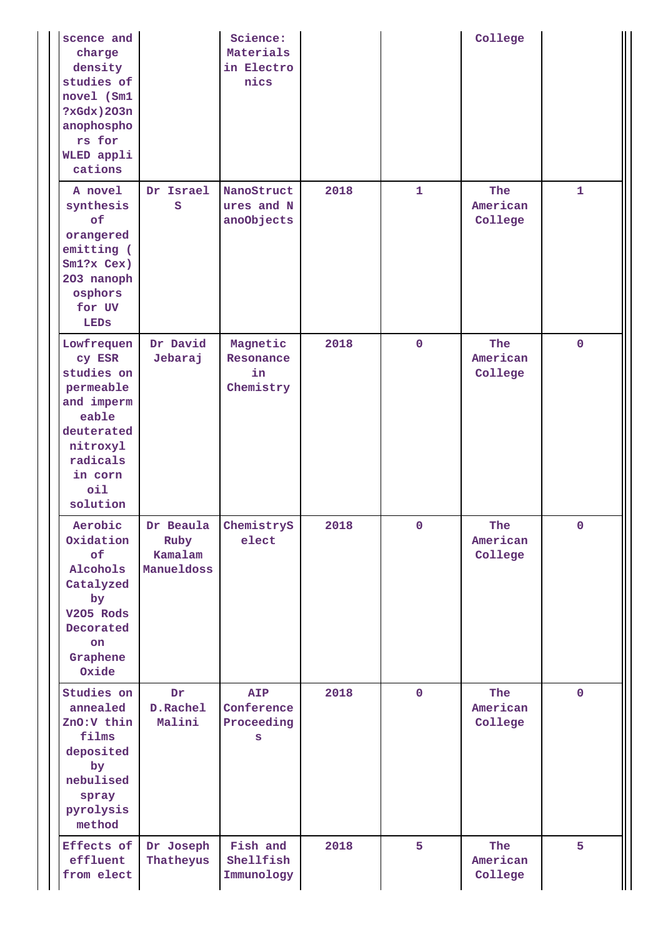| scence and<br>charge<br>density<br>studies of<br>novel (Sm1<br>$?xGdx)$ 203n<br>anophospho<br>rs for<br>WLED appli<br>cations              |                                            | Science:<br>Materials<br>in Electro<br>nics |      |                | College                    |              |
|--------------------------------------------------------------------------------------------------------------------------------------------|--------------------------------------------|---------------------------------------------|------|----------------|----------------------------|--------------|
| A novel<br>synthesis<br>of<br>orangered<br>emitting (<br>$Sm1?x$ Cex)<br>203 nanoph<br>osphors<br>for UV<br>LEDS                           | Dr Israel<br>S                             | NanoStruct<br>ures and N<br>anoObjects      | 2018 | 1              | The<br>American<br>College | $\mathbf{1}$ |
| Lowfrequen<br>cy ESR<br>studies on<br>permeable<br>and imperm<br>eable<br>deuterated<br>nitroxyl<br>radicals<br>in corn<br>oil<br>solution | Dr David<br>Jebaraj                        | Magnetic<br>Resonance<br>in<br>Chemistry    | 2018 | $\overline{0}$ | The<br>American<br>College | $\mathbf 0$  |
| Aerobic<br>Oxidation<br>of<br>Alcohols<br>Catalyzed<br>by<br>V205 Rods<br>Decorated<br>on.<br>Graphene<br>Oxide                            | Dr Beaula<br>Ruby<br>Kamalam<br>Manueldoss | ChemistryS<br>elect                         | 2018 | 0              | The<br>American<br>College | 0            |
| Studies on<br>annealed<br>ZnO:V thin<br>films<br>deposited<br>by<br>nebulised<br>spray<br>pyrolysis<br>method                              | Dr<br>D.Rachel<br>Malini                   | <b>AIP</b><br>Conference<br>Proceeding<br>s | 2018 | $\mathbf 0$    | The<br>American<br>College | $\mathbf{0}$ |
| Effects of<br>effluent<br>from elect                                                                                                       | Dr Joseph<br>Thatheyus                     | Fish and<br>Shellfish<br>Immunology         | 2018 | 5              | The<br>American<br>College | 5            |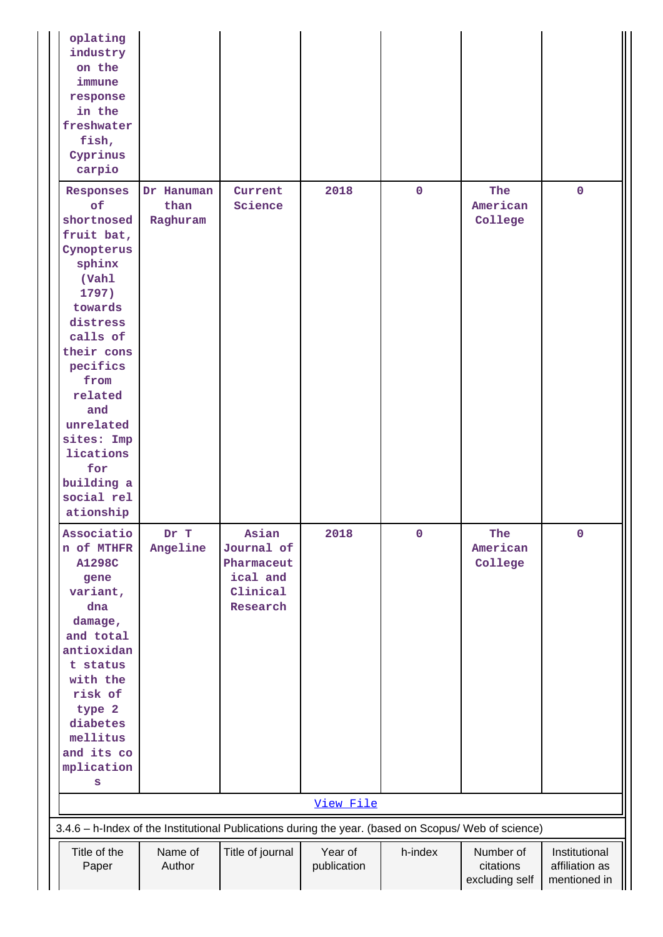| oplating<br>industry<br>on the<br>immune<br>response<br>in the<br>freshwater<br>fish,<br>Cyprinus<br>carpio                                                                                                                                                          |                                |                                                                       |                        |             |                                          |                                                 |
|----------------------------------------------------------------------------------------------------------------------------------------------------------------------------------------------------------------------------------------------------------------------|--------------------------------|-----------------------------------------------------------------------|------------------------|-------------|------------------------------------------|-------------------------------------------------|
| Responses<br>of<br>shortnosed<br>fruit bat,<br>Cynopterus<br>sphinx<br>(Vahl<br>1797)<br>towards<br>distress<br>calls of<br>their cons<br>pecifics<br>from<br>related<br>and<br>unrelated<br>sites: Imp<br>lications<br>for<br>building a<br>social rel<br>ationship | Dr Hanuman<br>than<br>Raghuram | Current<br>Science                                                    | 2018                   | $\mathbf 0$ | The<br>American<br>College               | $\mathbf{0}$                                    |
| Associatio<br>n of MTHFR<br><b>A1298C</b><br>gene<br>variant,<br>dna<br>damage,<br>and total<br>antioxidan<br>t status<br>with the<br>risk of<br>type 2<br>diabetes<br>mellitus<br>and its co<br>mplication<br>S                                                     | Dr T<br>Angeline               | Asian<br>Journal of<br>Pharmaceut<br>ical and<br>Clinical<br>Research | 2018                   | $\mathbf 0$ | The<br>American<br>College               | $\mathbf 0$                                     |
|                                                                                                                                                                                                                                                                      |                                |                                                                       | View File              |             |                                          |                                                 |
| 3.4.6 - h-Index of the Institutional Publications during the year. (based on Scopus/ Web of science)                                                                                                                                                                 |                                |                                                                       |                        |             |                                          |                                                 |
| Title of the<br>Paper                                                                                                                                                                                                                                                | Name of<br>Author              | Title of journal                                                      | Year of<br>publication | h-index     | Number of<br>citations<br>excluding self | Institutional<br>affiliation as<br>mentioned in |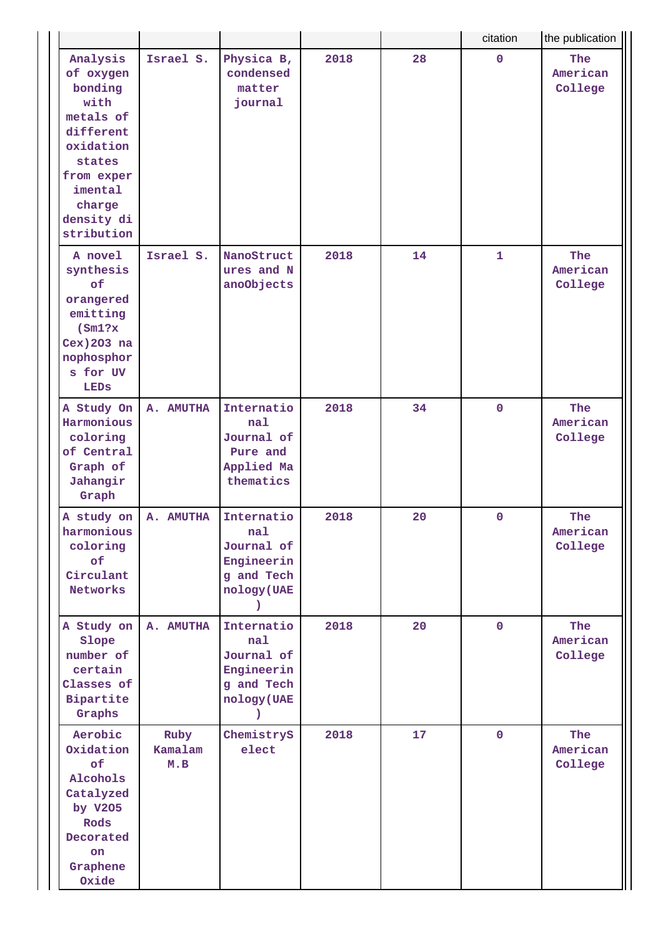|                                                                                                                                                          |                        |                                                                                            |      |    | citation     | the publication                   |
|----------------------------------------------------------------------------------------------------------------------------------------------------------|------------------------|--------------------------------------------------------------------------------------------|------|----|--------------|-----------------------------------|
| Analysis<br>of oxygen<br>bonding<br>with<br>metals of<br>different<br>oxidation<br>states<br>from exper<br>imental<br>charge<br>density di<br>stribution | Israel S.              | Physica B,<br>condensed<br>matter<br>journal                                               | 2018 | 28 | $\mathbf 0$  | <b>The</b><br>American<br>College |
| A novel<br>synthesis<br>of<br>orangered<br>emitting<br>(Sm1?x)<br>Cex) 203 na<br>nophosphor<br>s for UV<br>LEDS                                          | Israel S.              | NanoStruct<br>ures and N<br>anoObjects                                                     | 2018 | 14 | $\mathbf{1}$ | The<br>American<br>College        |
| A Study On<br>Harmonious<br>coloring<br>of Central<br>Graph of<br>Jahangir<br>Graph                                                                      | A. AMUTHA              | Internatio<br>nal<br>Journal of<br>Pure and<br>Applied Ma<br>thematics                     | 2018 | 34 | $\mathbf 0$  | The<br>American<br>College        |
| A study on<br>harmonious<br>coloring<br>of<br>Circulant<br>Networks                                                                                      | A. AMUTHA              | Internatio<br>nal<br>Journal of<br>Engineerin<br>g and Tech<br>nology (UAE<br><sup>)</sup> | 2018 | 20 | $\mathbf 0$  | The<br>American<br>College        |
| A Study on<br>Slope<br>number of<br>certain<br>Classes of<br>Bipartite<br>Graphs                                                                         | A. AMUTHA              | Internatio<br>nal<br>Journal of<br>Engineerin<br>g and Tech<br>nology (UAE<br>$\lambda$    | 2018 | 20 | $\mathbf 0$  | The<br>American<br>College        |
| Aerobic<br>Oxidation<br>of<br>Alcohols<br>Catalyzed<br>by V205<br>Rods<br>Decorated<br>on<br>Graphene<br>Oxide                                           | Ruby<br>Kamalam<br>M.B | ChemistryS<br>elect                                                                        | 2018 | 17 | $\mathbf 0$  | The<br>American<br>College        |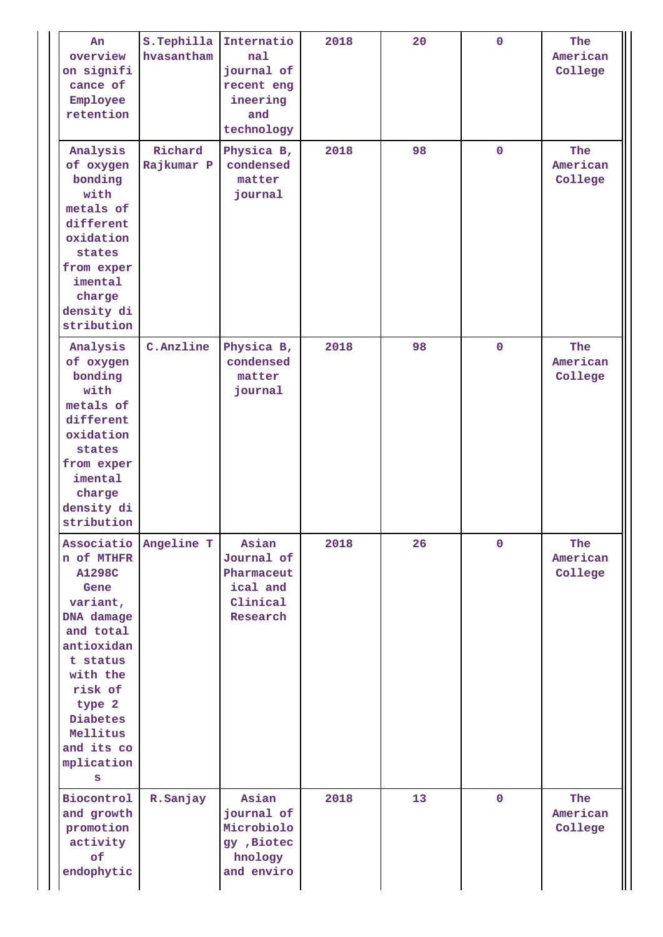| An<br>overview<br>on signifi<br>cance of<br>Employee<br>retention                                                                                                                              | S.Tephilla<br>hvasantham | Internatio<br>nal<br>journal of<br>recent eng<br>ineering<br>and<br>technology | 2018 | 20 | $\mathbf 0$ | The<br>American<br>College |
|------------------------------------------------------------------------------------------------------------------------------------------------------------------------------------------------|--------------------------|--------------------------------------------------------------------------------|------|----|-------------|----------------------------|
| Analysis<br>of oxygen<br>bonding<br>with<br>metals of<br>different<br>oxidation<br>states<br>from exper<br>imental<br>charge<br>density di<br>stribution                                       | Richard<br>Rajkumar P    | Physica B,<br>condensed<br>matter<br>journal                                   | 2018 | 98 | $\mathbf 0$ | The<br>American<br>College |
| Analysis<br>of oxygen<br>bonding<br>with<br>metals of<br>different<br>oxidation<br>states<br>from exper<br>imental<br>charge<br>density di<br>stribution                                       | C.Anzline                | Physica B,<br>condensed<br>matter<br>journal                                   | 2018 | 98 | $\mathbf 0$ | The<br>American<br>College |
| n of MTHFR<br><b>A1298C</b><br>Gene<br>variant,<br>DNA damage<br>and total<br>antioxidan<br>t status<br>with the<br>risk of<br>type 2<br>Diabetes<br>Mellitus<br>and its co<br>mplication<br>S | Associatio Angeline T    | Asian<br>Journal of<br>Pharmaceut<br>ical and<br>Clinical<br>Research          | 2018 | 26 | $\mathbf 0$ | The<br>American<br>College |
| Biocontrol<br>and growth<br>promotion<br>activity<br>of<br>endophytic                                                                                                                          | R.Sanjay                 | Asian<br>journal of<br>Microbiolo<br>gy , Biotec<br>hnology<br>and enviro      | 2018 | 13 | $\mathbf 0$ | The<br>American<br>College |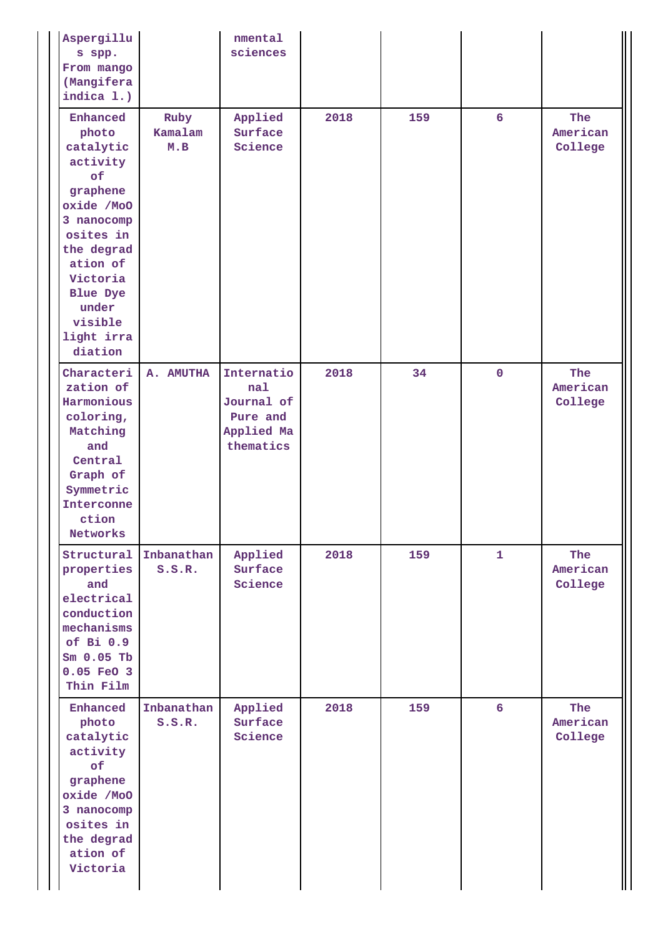| Aspergillu<br>s spp.<br>From mango<br>(Mangifera<br>indica 1.)                                                                                                                                              |                        | nmental<br>sciences                                                    |      |     |                  |                            |
|-------------------------------------------------------------------------------------------------------------------------------------------------------------------------------------------------------------|------------------------|------------------------------------------------------------------------|------|-----|------------------|----------------------------|
| Enhanced<br>photo<br>catalytic<br>activity<br>of<br>graphene<br>oxide /MoO<br>3 nanocomp<br>osites in<br>the degrad<br>ation of<br>Victoria<br><b>Blue Dye</b><br>under<br>visible<br>light irra<br>diation | Ruby<br>Kamalam<br>M.B | Applied<br>Surface<br>Science                                          | 2018 | 159 | $6 \overline{6}$ | The<br>American<br>College |
| Characteri<br>zation of<br>Harmonious<br>coloring,<br>Matching<br>and<br>Central<br>Graph of<br>Symmetric<br>Interconne<br>ction<br>Networks                                                                | A. AMUTHA              | Internatio<br>nal<br>Journal of<br>Pure and<br>Applied Ma<br>thematics | 2018 | 34  | $\mathbf 0$      | The<br>American<br>College |
| Structural<br>properties<br>and<br>electrical<br>conduction<br>mechanisms<br>of Bi 0.9<br>$Sm$ 0.05 Tb<br>0.05 FeO 3<br>Thin Film                                                                           | Inbanathan<br>S.S.R.   | Applied<br>Surface<br>Science                                          | 2018 | 159 | $\mathbf{1}$     | The<br>American<br>College |
| Enhanced<br>photo<br>catalytic<br>activity<br>of<br>graphene<br>oxide /MoO<br>3 nanocomp<br>osites in<br>the degrad<br>ation of<br>Victoria                                                                 | Inbanathan<br>S.S.R.   | Applied<br>Surface<br>Science                                          | 2018 | 159 | $6\overline{6}$  | The<br>American<br>College |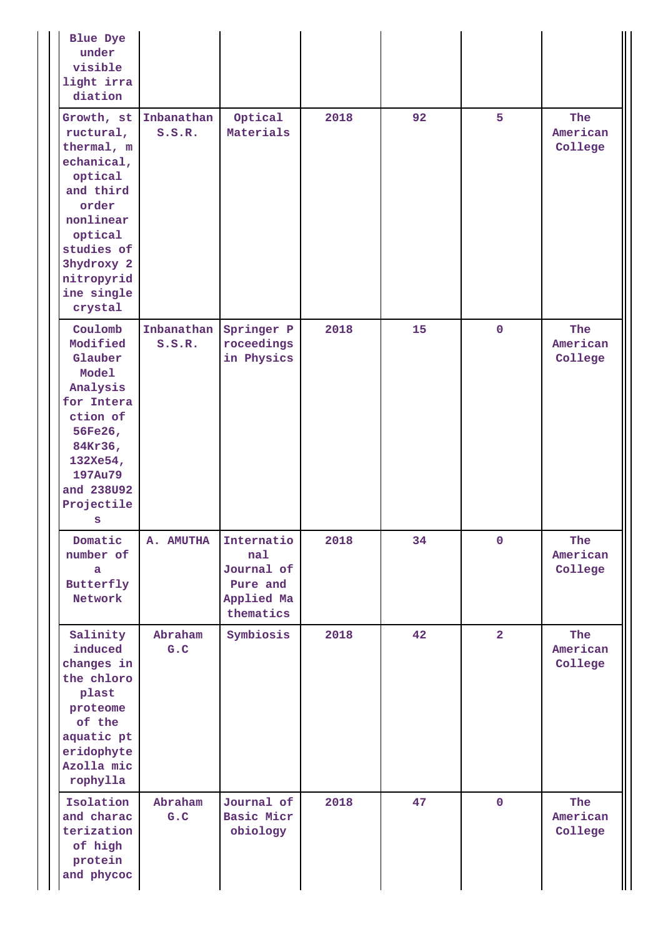| <b>Blue Dye</b><br>under<br>visible<br>light irra<br>diation                                                                                                                    |                      |                                                                        |      |    |                |                            |
|---------------------------------------------------------------------------------------------------------------------------------------------------------------------------------|----------------------|------------------------------------------------------------------------|------|----|----------------|----------------------------|
| Growth, st<br>ructural,<br>thermal, m<br>echanical,<br>optical<br>and third<br>order<br>nonlinear<br>optical<br>studies of<br>3hydroxy 2<br>nitropyrid<br>ine single<br>crystal | Inbanathan<br>S.S.R. | Optical<br>Materials                                                   | 2018 | 92 | 5              | The<br>American<br>College |
| Coulomb<br>Modified<br>Glauber<br>Model<br>Analysis<br>for Intera<br>ction of<br>56Fe26,<br>84Kr36,<br>132Xe54,<br>197Au79<br>and 238U92<br>Projectile<br>S                     | Inbanathan<br>S.S.R. | Springer P<br>roceedings<br>in Physics                                 | 2018 | 15 | $\mathbf 0$    | The<br>American<br>College |
| Domatic<br>number of<br>a<br>Butterfly<br>Network                                                                                                                               | A. AMUTHA            | Internatio<br>nal<br>Journal of<br>Pure and<br>Applied Ma<br>thematics | 2018 | 34 | $\mathbf 0$    | The<br>American<br>College |
| Salinity<br>induced<br>changes in<br>the chloro<br>plast<br>proteome<br>of the<br>aquatic pt<br>eridophyte<br>Azolla mic<br>rophylla                                            | Abraham<br>G.C       | Symbiosis                                                              | 2018 | 42 | $\overline{2}$ | The<br>American<br>College |
| Isolation<br>and charac<br>terization<br>of high<br>protein<br>and phycoc                                                                                                       | Abraham<br>G.C       | Journal of<br>Basic Micr<br>obiology                                   | 2018 | 47 | $\mathbf 0$    | The<br>American<br>College |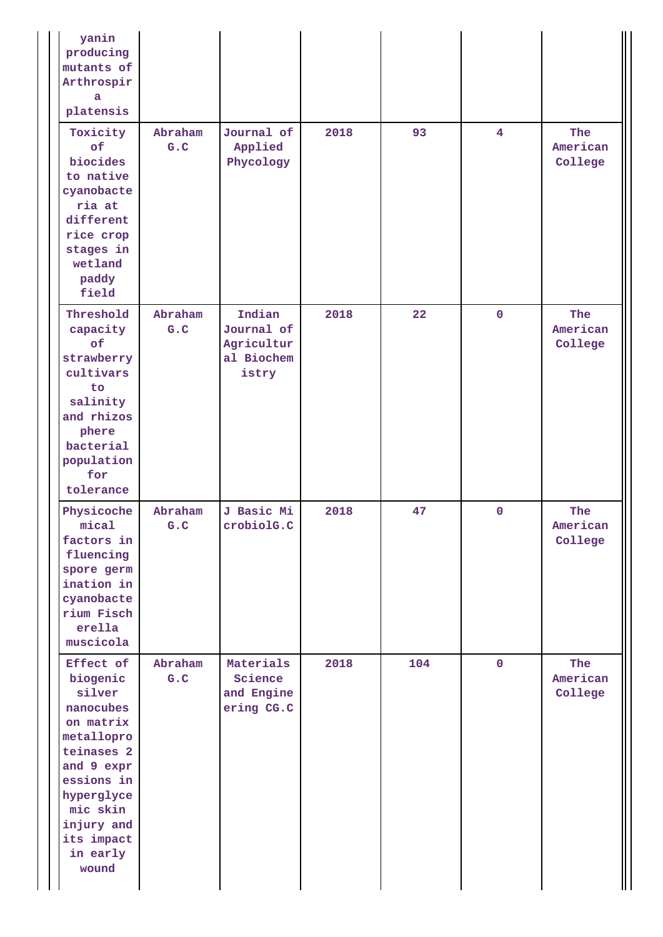| yanin<br>producing<br>mutants of<br>Arthrospir<br>a<br>platensis                                                                                                                             |                 |                                                           |      |     |                |                            |
|----------------------------------------------------------------------------------------------------------------------------------------------------------------------------------------------|-----------------|-----------------------------------------------------------|------|-----|----------------|----------------------------|
| Toxicity<br>of<br>biocides<br>to native<br>cyanobacte<br>ria at<br>different<br>rice crop<br>stages in<br>wetland<br>paddy<br>field                                                          | Abraham<br>G.C  | Journal of<br>Applied<br>Phycology                        | 2018 | 93  | $\overline{4}$ | The<br>American<br>College |
| Threshold<br>capacity<br>of<br>strawberry<br>cultivars<br>to<br>salinity<br>and rhizos<br>phere<br>bacterial<br>population<br>for<br>tolerance                                               | Abraham<br>G.C  | Indian<br>Journal of<br>Agricultur<br>al Biochem<br>istry | 2018 | 22  | $\mathbf 0$    | The<br>American<br>College |
| Physicoche<br>mical<br>factors in<br>fluencing<br>spore germ<br>ination in<br>cyanobacte<br>rium Fisch<br>erella<br>muscicola                                                                | Abraham<br>G.C. | J Basic Mi<br>crobiolG.C                                  | 2018 | 47  | $\mathbf{0}$   | The<br>American<br>College |
| Effect of<br>biogenic<br>silver<br>nanocubes<br>on matrix<br>metallopro<br>teinases 2<br>and 9 expr<br>essions in<br>hyperglyce<br>mic skin<br>injury and<br>its impact<br>in early<br>wound | Abraham<br>G.C  | Materials<br>Science<br>and Engine<br>ering CG.C          | 2018 | 104 | $\mathbf{0}$   | The<br>American<br>College |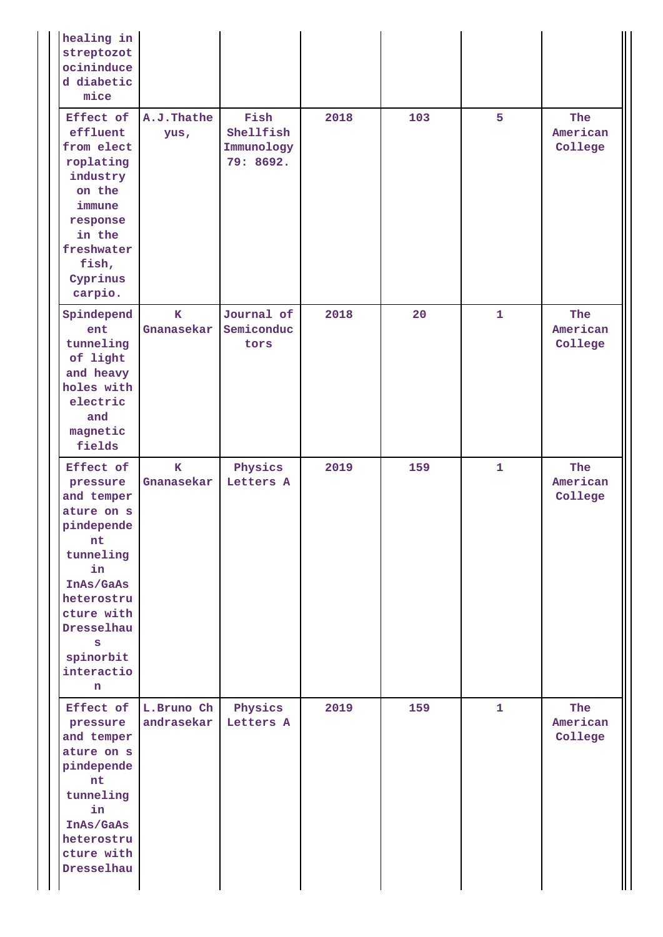| healing in<br>streptozot<br>ocininduce<br>d diabetic<br>mice                                                                                                                         |                            |                                              |      |     |              |                            |
|--------------------------------------------------------------------------------------------------------------------------------------------------------------------------------------|----------------------------|----------------------------------------------|------|-----|--------------|----------------------------|
| Effect of<br>effluent<br>from elect<br>roplating<br>industry<br>on the<br>immune<br>response<br>in the<br>freshwater<br>fish,<br>Cyprinus<br>carpio.                                 | A.J.Thathe<br>yus,         | Fish<br>Shellfish<br>Immunology<br>79: 8692. | 2018 | 103 | 5            | The<br>American<br>College |
| Spindepend<br>ent<br>tunneling<br>of light<br>and heavy<br>holes with<br>electric<br>and<br>magnetic<br>fields                                                                       | $\mathbf{K}$<br>Gnanasekar | Journal of<br>Semiconduc<br>tors             | 2018 | 20  | $\mathbf{1}$ | The<br>American<br>College |
| Effect of<br>pressure<br>and temper<br>ature on s<br>pindepende<br>nt<br>tunneling<br>in<br>InAs/GaAs<br>heterostru<br>cture with<br>Dresselhau<br>s<br>spinorbit<br>interactio<br>n | $\mathbf K$<br>Gnanasekar  | Physics<br>Letters A                         | 2019 | 159 | $\mathbf{1}$ | The<br>American<br>College |
| Effect of<br>pressure<br>and temper<br>ature on s<br>pindepende<br>nt<br>tunneling<br>in<br>InAs/GaAs<br>heterostru<br>cture with<br>Dresselhau                                      | L.Bruno Ch<br>andrasekar   | Physics<br>Letters A                         | 2019 | 159 | $\mathbf{1}$ | The<br>American<br>College |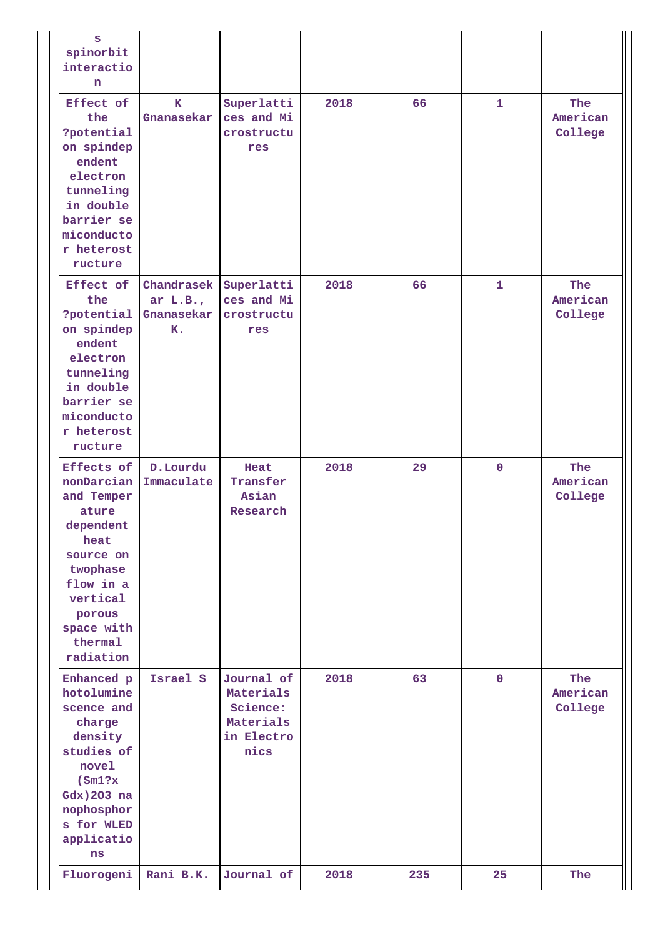| S<br>spinorbit<br>interactio<br>n                                                                                                                                      |                                              |                                                                        |      |     |              |                                   |
|------------------------------------------------------------------------------------------------------------------------------------------------------------------------|----------------------------------------------|------------------------------------------------------------------------|------|-----|--------------|-----------------------------------|
| Effect of<br>the<br>?potential<br>on spindep<br>endent<br>electron<br>tunneling<br>in double<br>barrier se<br>miconducto<br>r heterost<br>ructure                      | к<br>Gnanasekar                              | Superlatti<br>ces and Mi<br>crostructu<br>res                          | 2018 | 66  | $\mathbf{1}$ | The<br>American<br>College        |
| Effect of<br>the<br>?potential<br>on spindep<br>endent<br>electron<br>tunneling<br>in double<br>barrier se<br>miconducto<br>r heterost<br>ructure                      | Chandrasek<br>ar $L.B.,$<br>Gnanasekar<br>к. | Superlatti<br>ces and Mi<br>crostructu<br>res                          | 2018 | 66  | $\mathbf{1}$ | <b>The</b><br>American<br>College |
| Effects of<br>nonDarcian<br>and Temper<br>ature<br>dependent<br>heat<br>source on<br>twophase<br>flow in a<br>vertical<br>porous<br>space with<br>thermal<br>radiation | D.Lourdu<br>Immaculate                       | Heat<br>Transfer<br>Asian<br>Research                                  | 2018 | 29  | $\mathbf 0$  | The<br>American<br>College        |
| Enhanced p<br>hotolumine<br>scence and<br>charge<br>density<br>studies of<br>novel<br>(Sm1?x<br>Gdx) 203 na<br>nophosphor<br>s for WLED<br>applicatio<br>ns            | Israel S                                     | Journal of<br>Materials<br>Science:<br>Materials<br>in Electro<br>nics | 2018 | 63  | $\mathbf 0$  | The<br>American<br>College        |
| Fluorogeni                                                                                                                                                             | Rani B.K.                                    | Journal of                                                             | 2018 | 235 | 25           | The                               |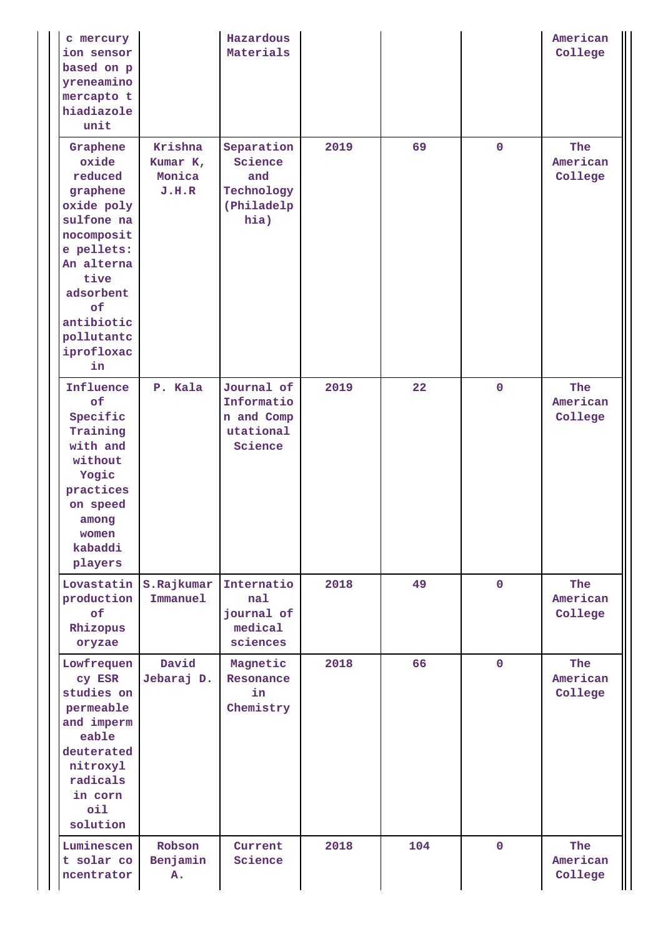| c mercury<br>ion sensor<br>based on p<br>yreneamino<br>mercapto t<br>hiadiazole<br>unit                                                                                                   |                                        | Hazardous<br>Materials                                           |      |     |              | American<br>College        |
|-------------------------------------------------------------------------------------------------------------------------------------------------------------------------------------------|----------------------------------------|------------------------------------------------------------------|------|-----|--------------|----------------------------|
| Graphene<br>oxide<br>reduced<br>graphene<br>oxide poly<br>sulfone na<br>nocomposit<br>e pellets:<br>An alterna<br>tive<br>adsorbent<br>of<br>antibiotic<br>pollutantc<br>iprofloxac<br>in | Krishna<br>Kumar K,<br>Monica<br>J.H.R | Separation<br>Science<br>and<br>Technology<br>(Philadelp<br>hia) | 2019 | 69  | $\mathbf 0$  | The<br>American<br>College |
| Influence<br>of<br>Specific<br>Training<br>with and<br>without<br>Yogic<br>practices<br>on speed<br>among<br>women<br>kabaddi<br>players                                                  | P. Kala                                | Journal of<br>Informatio<br>n and Comp<br>utational<br>Science   | 2019 | 22  | $\mathbf 0$  | The<br>American<br>College |
| Lovastatin<br>production<br>of<br>Rhizopus<br>oryzae                                                                                                                                      | S.Rajkumar<br>Immanuel                 | Internatio<br>nal<br>journal of<br>medical<br>sciences           | 2018 | 49  | $\mathbf 0$  | The<br>American<br>College |
| Lowfrequen<br>cy ESR<br>studies on<br>permeable<br>and imperm<br>eable<br>deuterated<br>nitroxyl<br>radicals<br>in corn<br>oil<br>solution                                                | David<br>Jebaraj D.                    | Magnetic<br>Resonance<br>in<br>Chemistry                         | 2018 | 66  | $\mathbf 0$  | The<br>American<br>College |
| Luminescen<br>t solar co<br>ncentrator                                                                                                                                                    | Robson<br>Benjamin<br>Α.               | Current<br>Science                                               | 2018 | 104 | $\mathbf{0}$ | The<br>American<br>College |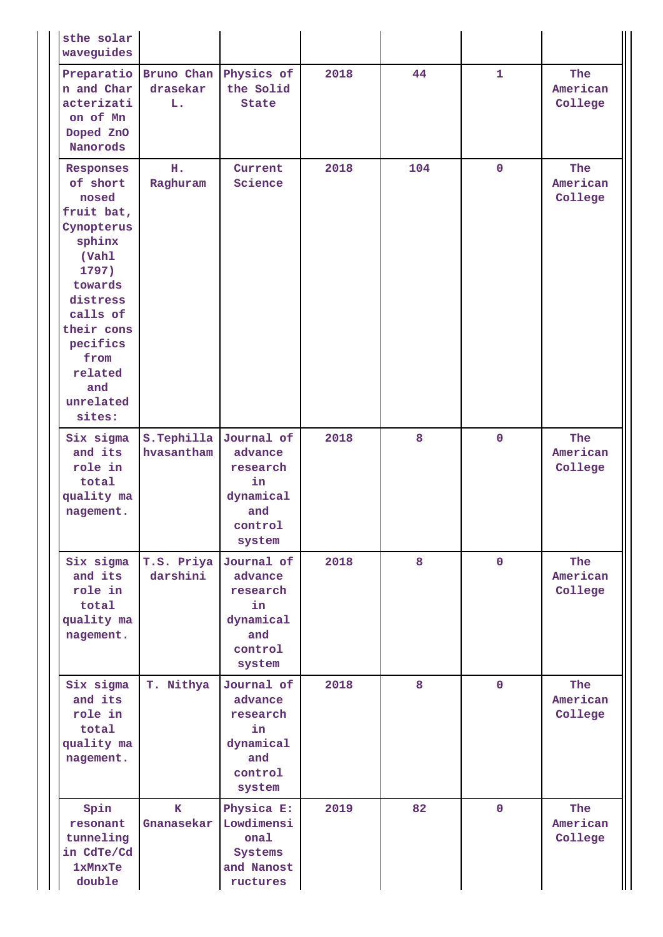| sthe solar<br>waveguides                                                                                                                                                                             |                                   |                                                                                  |      |     |              |                            |
|------------------------------------------------------------------------------------------------------------------------------------------------------------------------------------------------------|-----------------------------------|----------------------------------------------------------------------------------|------|-----|--------------|----------------------------|
| Preparatio<br>n and Char<br>acterizati<br>on of Mn<br>Doped ZnO<br>Nanorods                                                                                                                          | Bruno Chan<br>drasekar<br>L.      | Physics of<br>the Solid<br><b>State</b>                                          | 2018 | 44  | $\mathbf{1}$ | The<br>American<br>College |
| Responses<br>of short<br>nosed<br>fruit bat,<br>Cynopterus<br>sphinx<br>(Vahl<br>1797)<br>towards<br>distress<br>calls of<br>their cons<br>pecifics<br>from<br>related<br>and<br>unrelated<br>sites: | н.<br>Raghuram                    | Current<br>Science                                                               | 2018 | 104 | $\mathbf 0$  | The<br>American<br>College |
| Six sigma<br>and its<br>role in<br>total<br>quality ma<br>nagement.                                                                                                                                  | $s.\text{Tephilla}$<br>hvasantham | Journal of<br>advance<br>research<br>in<br>dynamical<br>and<br>control<br>system | 2018 | 8   | $\mathbf 0$  | The<br>American<br>College |
| Six sigma<br>and its<br>role in<br>total<br>quality ma<br>nagement.                                                                                                                                  | T.S. Priya<br>darshini            | Journal of<br>advance<br>research<br>in<br>dynamical<br>and<br>control<br>system | 2018 | 8   | $\mathbf 0$  | The<br>American<br>College |
| Six sigma<br>and its<br>role in<br>total<br>quality ma<br>nagement.                                                                                                                                  | T. Nithya                         | Journal of<br>advance<br>research<br>in<br>dynamical<br>and<br>control<br>system | 2018 | 8   | $\mathbf 0$  | The<br>American<br>College |
| Spin<br>resonant<br>tunneling<br>in CdTe/Cd<br><b>1xMnxTe</b><br>double                                                                                                                              | $\mathbf{K}$<br>Gnanasekar        | Physica E:<br>Lowdimensi<br>onal<br>Systems<br>and Nanost<br>ructures            | 2019 | 82  | $\mathbf 0$  | The<br>American<br>College |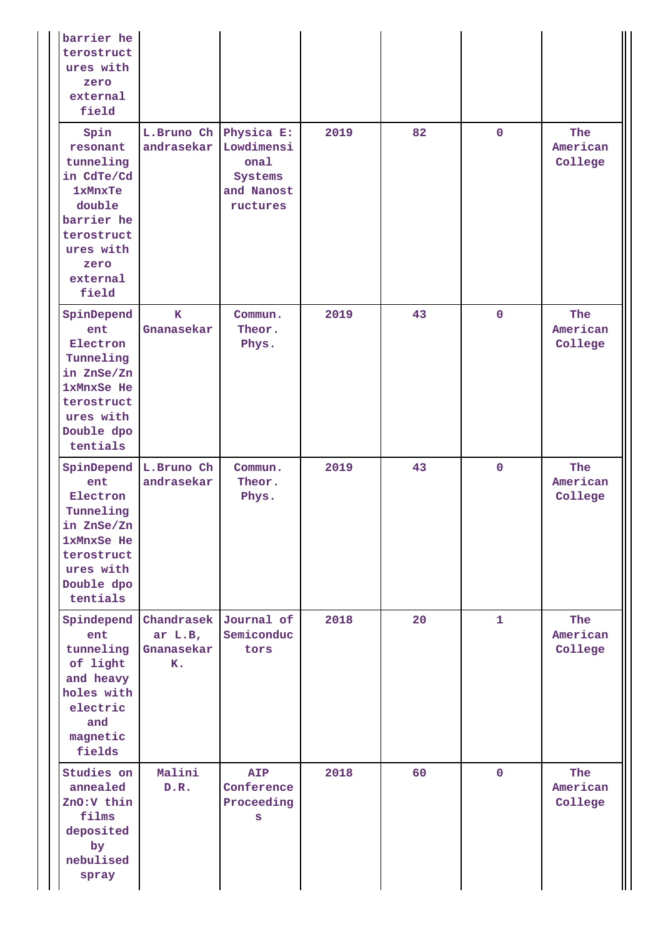| barrier he<br>terostruct<br>ures with<br>zero<br>external<br>field                                                                            |                                                         |                                                                       |      |    |             |                            |
|-----------------------------------------------------------------------------------------------------------------------------------------------|---------------------------------------------------------|-----------------------------------------------------------------------|------|----|-------------|----------------------------|
| Spin<br>resonant<br>tunneling<br>in CdTe/Cd<br><b>1xMnxTe</b><br>double<br>barrier he<br>terostruct<br>ures with<br>zero<br>external<br>field | L.Bruno Ch<br>andrasekar                                | Physica E:<br>Lowdimensi<br>onal<br>Systems<br>and Nanost<br>ructures | 2019 | 82 | $\mathbf 0$ | The<br>American<br>College |
| SpinDepend<br>ent<br>Electron<br>Tunneling<br>in ZnSe/Zn<br>1xMnxSe He<br>terostruct<br>ures with<br>Double dpo<br>tentials                   | $\mathbf{K}$<br>Gnanasekar                              | Commun.<br>Theor.<br>Phys.                                            | 2019 | 43 | $\mathbf 0$ | The<br>American<br>College |
| SpinDepend<br>ent<br>Electron<br>Tunneling<br>in ZnSe/Zn<br>1xMnxSe He<br>terostruct<br>ures with<br>Double dpo<br>tentials                   | L.Bruno Ch<br>andrasekar                                | Commun.<br>Theor.<br>Phys.                                            | 2019 | 43 | $\mathbf 0$ | The<br>American<br>College |
| Spindepend<br>ent<br>tunneling<br>of light<br>and heavy<br>holes with<br>electric<br>and<br>magnetic<br>fields                                | Chandrasek Journal of<br>ar $L.B$ ,<br>Gnanasekar<br>K. | Semiconduc<br>tors                                                    | 2018 | 20 | 1           | The<br>American<br>College |
| Studies on<br>annealed<br>ZnO:V thin<br>films<br>deposited<br>by<br>nebulised<br>spray                                                        | Malini<br>D.R.                                          | <b>AIP</b><br>Conference<br>Proceeding<br>S                           | 2018 | 60 | $\mathbf 0$ | The<br>American<br>College |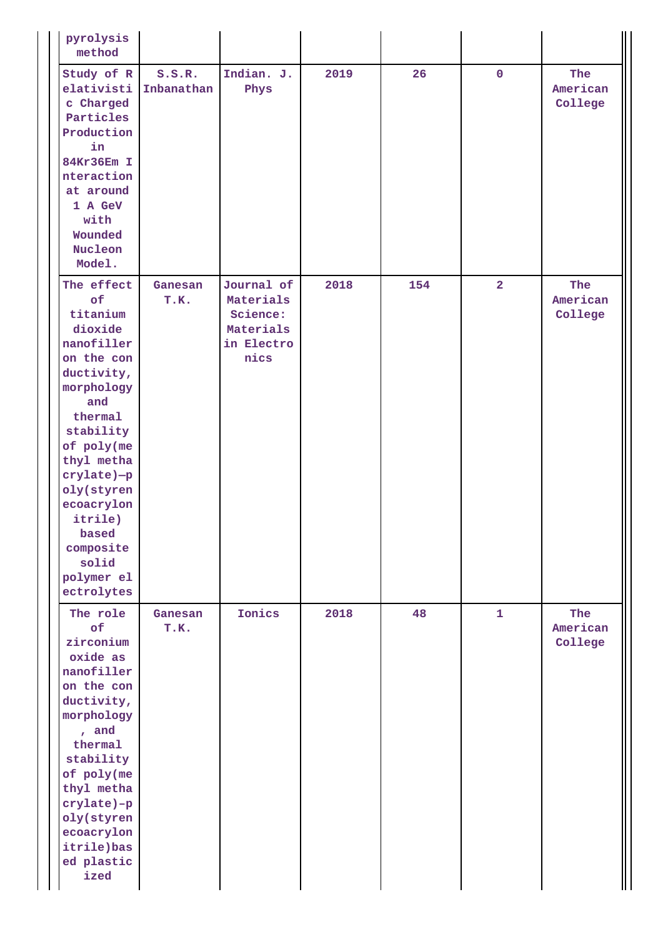| pyrolysis<br>method                                                                                                                                                                                                                                                        |                      |                                                                        |      |     |                |                            |
|----------------------------------------------------------------------------------------------------------------------------------------------------------------------------------------------------------------------------------------------------------------------------|----------------------|------------------------------------------------------------------------|------|-----|----------------|----------------------------|
| Study of R<br>elativisti<br>c Charged<br>Particles<br>Production<br>in<br>84Kr36Em I<br>nteraction<br>at around<br>1 A GeV<br>with<br>Wounded<br>Nucleon<br>Model.                                                                                                         | S.S.R.<br>Inbanathan | Indian. J.<br>Phys                                                     | 2019 | 26  | $\mathbf 0$    | The<br>American<br>College |
| The effect<br>of<br>titanium<br>dioxide<br>nanofiller<br>on the con<br>ductivity,<br>morphology<br>and<br>thermal<br>stability<br>of poly(me<br>thyl metha<br>crylate)-p<br>oly(styren<br>ecoacrylon<br>itrile)<br>based<br>composite<br>solid<br>polymer el<br>ectrolytes | Ganesan<br>T.K.      | Journal of<br>Materials<br>Science:<br>Materials<br>in Electro<br>nics | 2018 | 154 | $\overline{2}$ | The<br>American<br>College |
| The role<br>of<br>zirconium<br>oxide as<br>nanofiller<br>on the con<br>ductivity,<br>morphology<br>, and<br>thermal<br>stability<br>of poly(me<br>thyl metha<br>crylate)-p<br>oly(styren<br>ecoacrylon<br>itrile)bas<br>ed plastic<br>ized                                 | Ganesan<br>T.K.      | Ionics                                                                 | 2018 | 48  | $\mathbf{1}$   | The<br>American<br>College |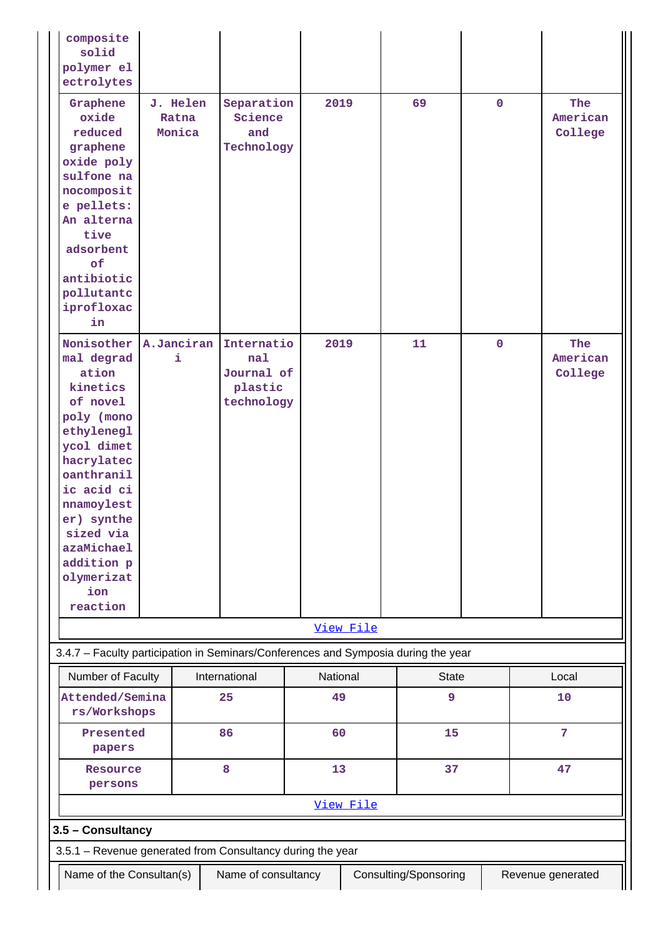| composite<br>solid<br>polymer el<br>ectrolytes                                                                                                                                                                                                      |                             |                                                          |          |           |                       |             |                            |  |
|-----------------------------------------------------------------------------------------------------------------------------------------------------------------------------------------------------------------------------------------------------|-----------------------------|----------------------------------------------------------|----------|-----------|-----------------------|-------------|----------------------------|--|
| Graphene<br>oxide<br>reduced<br>graphene<br>oxide poly<br>sulfone na<br>nocomposit<br>e pellets:<br>An alterna<br>tive<br>adsorbent<br>of<br>antibiotic<br>pollutantc<br>iprofloxac<br>in                                                           | J. Helen<br>Ratna<br>Monica | Separation<br>Science<br>and<br>Technology               |          | 2019      | 69                    | $\mathbf 0$ | The<br>American<br>College |  |
| Nonisother<br>mal degrad<br>ation<br>kinetics<br>of novel<br>poly (mono<br>ethylenegl<br>ycol dimet<br>hacrylatec<br>oanthranil<br>ic acid ci<br>nnamoylest<br>er) synthe<br>sized via<br>azaMichael<br>addition p<br>olymerizat<br>ion<br>reaction | A.Janciran<br>i             | Internatio<br>nal<br>Journal of<br>plastic<br>technology |          | 2019      | 11                    | $\mathbf 0$ | The<br>American<br>College |  |
|                                                                                                                                                                                                                                                     |                             |                                                          |          | View File |                       |             |                            |  |
| 3.4.7 - Faculty participation in Seminars/Conferences and Symposia during the year                                                                                                                                                                  |                             |                                                          |          |           |                       |             |                            |  |
| Number of Faculty                                                                                                                                                                                                                                   |                             | International                                            | National |           | <b>State</b>          |             | Local                      |  |
| Attended/Semina<br>rs/Workshops                                                                                                                                                                                                                     |                             | 25                                                       | 49       |           | 9                     |             | 10                         |  |
| Presented<br>papers                                                                                                                                                                                                                                 |                             | 86                                                       | 60       |           | 15                    |             | $\overline{7}$             |  |
| Resource<br>persons                                                                                                                                                                                                                                 |                             | 8                                                        | 13       |           | 37                    |             | 47                         |  |
| View File                                                                                                                                                                                                                                           |                             |                                                          |          |           |                       |             |                            |  |
| 3.5 - Consultancy                                                                                                                                                                                                                                   |                             |                                                          |          |           |                       |             |                            |  |
| 3.5.1 - Revenue generated from Consultancy during the year                                                                                                                                                                                          |                             |                                                          |          |           |                       |             |                            |  |
| Name of the Consultan(s)                                                                                                                                                                                                                            |                             | Name of consultancy                                      |          |           | Consulting/Sponsoring |             | Revenue generated          |  |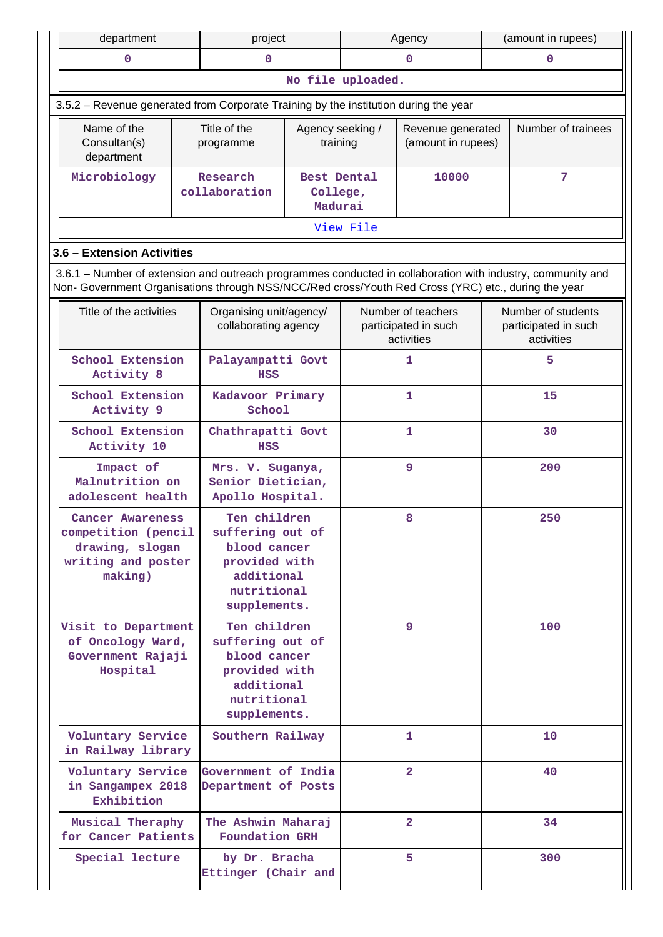| department                                                                                                                                                                                                         |  | project                                                                                                        |                                                           |                   | Agency                                                   |    | (amount in rupees)                                       |
|--------------------------------------------------------------------------------------------------------------------------------------------------------------------------------------------------------------------|--|----------------------------------------------------------------------------------------------------------------|-----------------------------------------------------------|-------------------|----------------------------------------------------------|----|----------------------------------------------------------|
| $\mathbf 0$                                                                                                                                                                                                        |  | 0                                                                                                              |                                                           |                   | $\mathbf 0$                                              |    | $\mathbf 0$                                              |
|                                                                                                                                                                                                                    |  |                                                                                                                |                                                           | No file uploaded. |                                                          |    |                                                          |
| 3.5.2 - Revenue generated from Corporate Training by the institution during the year                                                                                                                               |  |                                                                                                                |                                                           |                   |                                                          |    |                                                          |
| Name of the<br>Consultan(s)<br>department                                                                                                                                                                          |  | Title of the<br>programme                                                                                      | Agency seeking /<br>training                              |                   | Revenue generated<br>(amount in rupees)                  |    | Number of trainees                                       |
| Microbiology                                                                                                                                                                                                       |  | Research<br>collaboration                                                                                      | Best Dental<br>College,<br>Madurai                        |                   | 10000                                                    |    | 7                                                        |
|                                                                                                                                                                                                                    |  |                                                                                                                |                                                           | View File         |                                                          |    |                                                          |
| 3.6 - Extension Activities                                                                                                                                                                                         |  |                                                                                                                |                                                           |                   |                                                          |    |                                                          |
| 3.6.1 – Number of extension and outreach programmes conducted in collaboration with industry, community and<br>Non- Government Organisations through NSS/NCC/Red cross/Youth Red Cross (YRC) etc., during the year |  |                                                                                                                |                                                           |                   |                                                          |    |                                                          |
| Title of the activities                                                                                                                                                                                            |  | Organising unit/agency/<br>collaborating agency                                                                |                                                           |                   | Number of teachers<br>participated in such<br>activities |    | Number of students<br>participated in such<br>activities |
| <b>School Extension</b><br>Activity 8                                                                                                                                                                              |  | Palayampatti Govt<br><b>HSS</b>                                                                                |                                                           |                   | 1                                                        | 5  |                                                          |
| School Extension<br>Activity 9                                                                                                                                                                                     |  | Kadavoor Primary<br>School                                                                                     |                                                           |                   | $\mathbf{1}$                                             |    | 15                                                       |
| School Extension<br>Activity 10                                                                                                                                                                                    |  | Chathrapatti Govt<br><b>HSS</b>                                                                                |                                                           |                   | 1                                                        |    | 30                                                       |
| Impact of<br>Malnutrition on<br>adolescent health                                                                                                                                                                  |  |                                                                                                                | Mrs. V. Suganya,<br>Senior Dietician,<br>Apollo Hospital. |                   | 9                                                        |    | 200                                                      |
| Cancer Awareness<br>competition (pencil<br>drawing, slogan<br>writing and poster<br>making)                                                                                                                        |  | Ten children<br>suffering out of<br>blood cancer<br>provided with<br>additional<br>nutritional<br>supplements. |                                                           |                   | 8                                                        |    | 250                                                      |
| Visit to Department<br>of Oncology Ward,<br>Government Rajaji<br>Hospital                                                                                                                                          |  | Ten children<br>suffering out of<br>blood cancer<br>provided with<br>additional<br>nutritional<br>supplements. |                                                           |                   | 9                                                        |    | 100                                                      |
| Voluntary Service<br>in Railway library                                                                                                                                                                            |  | Southern Railway                                                                                               |                                                           |                   | 1                                                        |    | 10                                                       |
| Voluntary Service<br>Government of India<br>in Sangampex 2018<br>Department of Posts<br>Exhibition                                                                                                                 |  |                                                                                                                |                                                           | $\overline{2}$    |                                                          | 40 |                                                          |
| Musical Theraphy<br>for Cancer Patients                                                                                                                                                                            |  | The Ashwin Maharaj<br><b>Foundation GRH</b>                                                                    |                                                           |                   | $\overline{2}$                                           |    | 34                                                       |
| Special lecture                                                                                                                                                                                                    |  | by Dr. Bracha<br>Ettinger (Chair and                                                                           |                                                           |                   | 5                                                        |    | 300                                                      |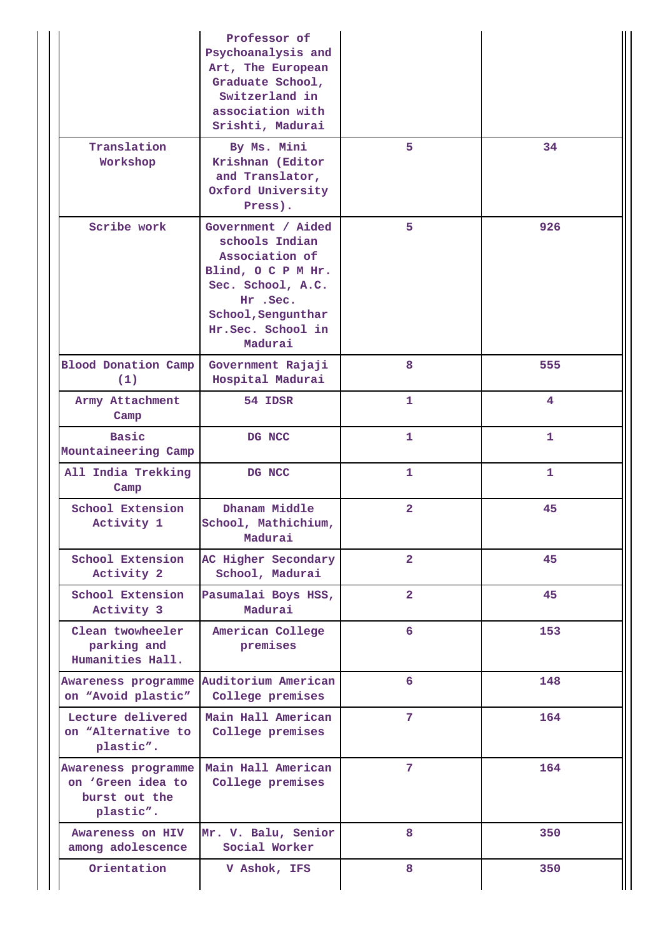|                                                                        | Professor of<br>Psychoanalysis and<br>Art, The European<br>Graduate School,<br>Switzerland in<br>association with<br>Srishti, Madurai                          |                |              |
|------------------------------------------------------------------------|----------------------------------------------------------------------------------------------------------------------------------------------------------------|----------------|--------------|
| Translation<br>Workshop                                                | By Ms. Mini<br>Krishnan (Editor<br>and Translator,<br>Oxford University<br>Press).                                                                             | 5              | 34           |
| Scribe work                                                            | Government / Aided<br>schools Indian<br>Association of<br>Blind, OCPMHr.<br>Sec. School, A.C.<br>Hr.Sec.<br>School, Sengunthar<br>Hr.Sec. School in<br>Madurai | 5              | 926          |
| <b>Blood Donation Camp</b><br>(1)                                      | Government Rajaji<br>Hospital Madurai                                                                                                                          | 8              | 555          |
| Army Attachment<br>Camp                                                | 54 IDSR                                                                                                                                                        | 1              | 4            |
| <b>Basic</b><br>Mountaineering Camp                                    | DG NCC                                                                                                                                                         | 1              | 1            |
| All India Trekking<br>Camp                                             | DG NCC                                                                                                                                                         | 1              | $\mathbf{1}$ |
| School Extension<br>Activity 1                                         | Dhanam Middle<br>School, Mathichium,<br>Madurai                                                                                                                | $\overline{2}$ | 45           |
| School Extension<br>Activity 2                                         | AC Higher Secondary<br>School, Madurai                                                                                                                         | $\overline{2}$ | 45           |
| School Extension<br>Activity 3                                         | Pasumalai Boys HSS,<br>Madurai                                                                                                                                 | $\overline{2}$ | 45           |
| Clean twowheeler<br>parking and<br>Humanities Hall.                    | American College<br>premises                                                                                                                                   | 6              | 153          |
| on "Avoid plastic"                                                     | Awareness programme Auditorium American<br>College premises                                                                                                    | 6              | 148          |
| Lecture delivered<br>on "Alternative to<br>plastic".                   | Main Hall American<br>College premises                                                                                                                         | $7\phantom{.}$ | 164          |
| Awareness programme<br>on 'Green idea to<br>burst out the<br>plastic". | Main Hall American<br>College premises                                                                                                                         | 7              | 164          |
| Awareness on HIV<br>among adolescence                                  | Mr. V. Balu, Senior<br>Social Worker                                                                                                                           | 8              | 350          |
| Orientation                                                            | V Ashok, IFS                                                                                                                                                   | 8              | 350          |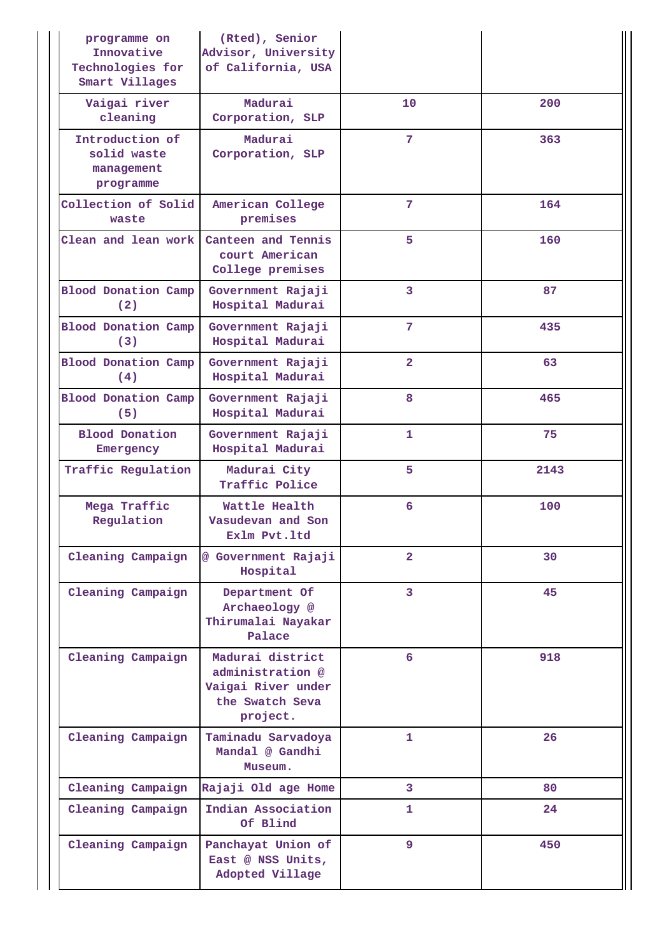| programme on<br>Innovative<br>Technologies for<br>Smart Villages | (Rted), Senior<br>Advisor, University<br>of California, USA                               |                |      |
|------------------------------------------------------------------|-------------------------------------------------------------------------------------------|----------------|------|
| Vaigai river<br>cleaning                                         | Madurai<br>Corporation, SLP                                                               | 10             | 200  |
| Introduction of<br>solid waste<br>management<br>programme        | Madurai<br>Corporation, SLP                                                               | 7              | 363  |
| Collection of Solid<br>waste                                     | American College<br>premises                                                              | 7              | 164  |
| Clean and lean work                                              | Canteen and Tennis<br>court American<br>College premises                                  | 5              | 160  |
| <b>Blood Donation Camp</b><br>(2)                                | Government Rajaji<br>Hospital Madurai                                                     | 3              | 87   |
| <b>Blood Donation Camp</b><br>(3)                                | Government Rajaji<br>Hospital Madurai                                                     | 7              | 435  |
| <b>Blood Donation Camp</b><br>(4)                                | Government Rajaji<br>Hospital Madurai                                                     | $\overline{2}$ | 63   |
| <b>Blood Donation Camp</b><br>(5)                                | Government Rajaji<br>Hospital Madurai                                                     | 8              | 465  |
| <b>Blood Donation</b><br>Emergency                               | Government Rajaji<br>Hospital Madurai                                                     | 1              | 75   |
| Traffic Regulation                                               | Madurai City<br>Traffic Police                                                            | 5              | 2143 |
| Mega Traffic<br>Regulation                                       | Wattle Health<br>Vasudevan and Son<br>Exlm Pvt.1td                                        | 6              | 100  |
| Cleaning Campaign                                                | @ Government Rajaji<br>Hospital                                                           | $\overline{2}$ | 30   |
| Cleaning Campaign                                                | Department Of<br>Archaeology @<br>Thirumalai Nayakar<br>Palace                            | 3              | 45   |
| Cleaning Campaign                                                | Madurai district<br>administration @<br>Vaigai River under<br>the Swatch Seva<br>project. |                | 918  |
| Cleaning Campaign                                                | Taminadu Sarvadoya<br>Mandal @ Gandhi<br>Museum.                                          | 1              | 26   |
| Cleaning Campaign                                                | Rajaji Old age Home                                                                       | 3              | 80   |
| Cleaning Campaign                                                | Indian Association<br>Of Blind                                                            | 1              | 24   |
| Cleaning Campaign                                                | Panchayat Union of<br>East @ NSS Units,<br>Adopted Village                                | 9              | 450  |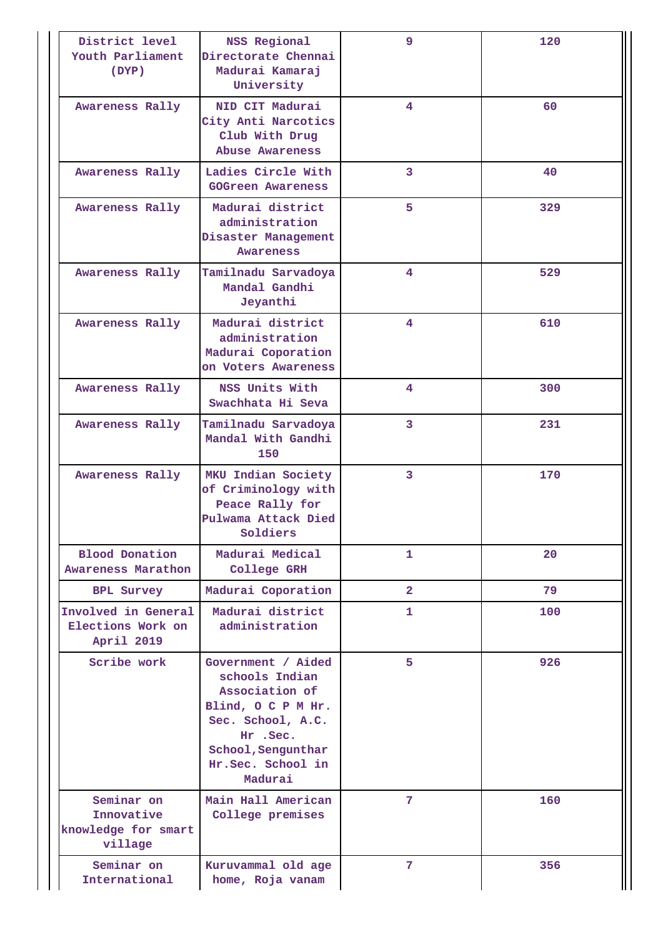| District level<br>Youth Parliament<br>(DYP)                | NSS Regional<br>Directorate Chennai<br>Madurai Kamaraj<br>University                                                                                            | 9              | 120 |
|------------------------------------------------------------|-----------------------------------------------------------------------------------------------------------------------------------------------------------------|----------------|-----|
| Awareness Rally                                            | NID CIT Madurai<br>City Anti Narcotics<br>Club With Drug<br>Abuse Awareness                                                                                     | 4              | 60  |
| Awareness Rally                                            | Ladies Circle With<br><b>GOGreen Awareness</b>                                                                                                                  | 3              | 40  |
| Awareness Rally                                            | Madurai district<br>administration<br>Disaster Management<br><b>Awareness</b>                                                                                   | 5              | 329 |
| Awareness Rally                                            | Tamilnadu Sarvadoya<br>Mandal Gandhi<br>Jeyanthi                                                                                                                | 4              | 529 |
| Awareness Rally                                            | Madurai district<br>administration<br>Madurai Coporation<br>on Voters Awareness                                                                                 | 4              | 610 |
| Awareness Rally                                            | NSS Units With<br>Swachhata Hi Seva                                                                                                                             | 4              | 300 |
| Awareness Rally                                            | Tamilnadu Sarvadoya<br>Mandal With Gandhi<br>150                                                                                                                | $\overline{3}$ | 231 |
| Awareness Rally                                            | MKU Indian Society<br>of Criminology with<br>Peace Rally for<br>Pulwama Attack Died<br>Soldiers                                                                 | 3              | 170 |
| <b>Blood Donation</b><br>Awareness Marathon                | Madurai Medical<br>College GRH                                                                                                                                  | 1              | 20  |
| <b>BPL Survey</b>                                          | Madurai Coporation                                                                                                                                              | $\overline{2}$ | 79  |
| Involved in General<br>Elections Work on<br>April 2019     | Madurai district<br>administration                                                                                                                              | 1              | 100 |
| Scribe work                                                | Government / Aided<br>schools Indian<br>Association of<br>Blind, OCPMHr.<br>Sec. School, A.C.<br>Hr .Sec.<br>School, Sengunthar<br>Hr.Sec. School in<br>Madurai | 5              | 926 |
| Seminar on<br>Innovative<br>knowledge for smart<br>village | Main Hall American<br>College premises                                                                                                                          | 7              | 160 |
| Seminar on<br>International                                | Kuruvammal old age<br>home, Roja vanam                                                                                                                          | 7              | 356 |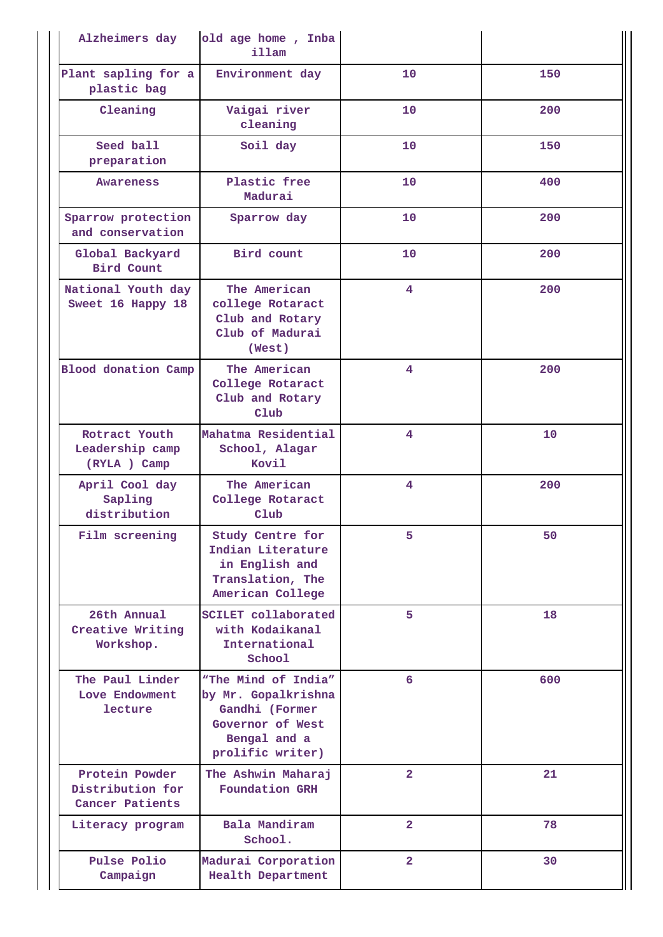| Alzheimers day                                        | old age home, Inba<br>illam                                                                                          |                         |     |
|-------------------------------------------------------|----------------------------------------------------------------------------------------------------------------------|-------------------------|-----|
| Plant sapling for a<br>plastic bag                    | Environment day                                                                                                      | 10                      | 150 |
| Cleaning                                              | Vaigai river<br>cleaning                                                                                             | 10                      | 200 |
| Seed ball<br>preparation                              | Soil day                                                                                                             | 10                      | 150 |
| Awareness                                             | Plastic free<br>Madurai                                                                                              | 10                      | 400 |
| Sparrow protection<br>and conservation                | Sparrow day                                                                                                          | 10                      | 200 |
| Global Backyard<br><b>Bird Count</b>                  | Bird count                                                                                                           | 10                      | 200 |
| National Youth day<br>Sweet 16 Happy 18               | The American<br>college Rotaract<br>Club and Rotary<br>Club of Madurai<br>(West)                                     | 4                       | 200 |
| <b>Blood donation Camp</b>                            | The American<br>College Rotaract<br>Club and Rotary<br>Club                                                          | 4                       | 200 |
| Rotract Youth<br>Leadership camp<br>(RYLA) Camp       | Mahatma Residential<br>School, Alagar<br>Kovil                                                                       | 4                       | 10  |
| April Cool day<br>Sapling<br>distribution             | The American<br>College Rotaract<br>Club                                                                             | 4                       | 200 |
| Film screening                                        | Study Centre for<br>Indian Literature<br>in English and<br>Translation, The<br>American College                      | 5                       | 50  |
| 26th Annual<br>Creative Writing<br>Workshop.          | <b>SCILET</b> collaborated<br>with Kodaikanal<br>International<br>School                                             | 5.                      | 18  |
| The Paul Linder<br>Love Endowment<br>lecture          | "The Mind of India"<br>by Mr. Gopalkrishna<br>Gandhi (Former<br>Governor of West<br>Bengal and a<br>prolific writer) | 6                       | 600 |
| Protein Powder<br>Distribution for<br>Cancer Patients | The Ashwin Maharaj<br><b>Foundation GRH</b>                                                                          | $\overline{2}$          | 21  |
| Literacy program                                      | Bala Mandiram<br>School.                                                                                             | $\overline{2}$          | 78  |
| Pulse Polio<br>Campaign                               | Madurai Corporation<br><b>Health Department</b>                                                                      | $\overline{\mathbf{2}}$ | 30  |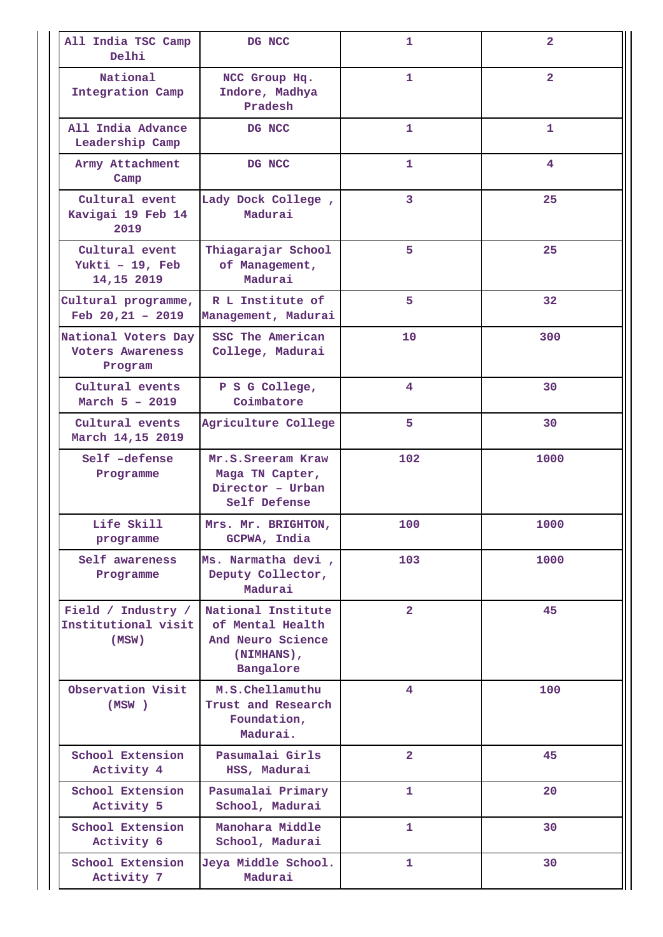| All India TSC Camp<br>Delhi                               | DG NCC                                                                                 | 1              | $\overline{a}$     |
|-----------------------------------------------------------|----------------------------------------------------------------------------------------|----------------|--------------------|
| National<br>Integration Camp                              | NCC Group Hq.<br>Indore, Madhya<br>Pradesh                                             | 1              | $\overline{2}$     |
| All India Advance<br>Leadership Camp                      | DG NCC                                                                                 | 1              | $\mathbf{1}$       |
| Army Attachment<br>Camp                                   | DG NCC                                                                                 | 1              | $\overline{\bf 4}$ |
| Cultural event<br>Kavigai 19 Feb 14<br>2019               | Lady Dock College,<br>Madurai                                                          | 3              | 25                 |
| Cultural event<br>Yukti - 19, Feb<br>14,15 2019           | Thiagarajar School<br>of Management,<br>Madurai                                        | 5              | 25                 |
| Cultural programme,<br>Feb $20,21 - 2019$                 | R L Institute of<br>Management, Madurai                                                | 5              | 32                 |
| National Voters Day<br><b>Voters Awareness</b><br>Program | SSC The American<br>College, Madurai                                                   | 10             | 300                |
| Cultural events<br>March $5 - 2019$                       | P S G College,<br>Coimbatore                                                           | 4              | 30                 |
| Cultural events<br>March 14,15 2019                       | Agriculture College                                                                    | 5              | 30                 |
| Self -defense<br>Programme                                | Mr.S.Sreeram Kraw<br>Maga TN Capter,<br>Director - Urban<br>Self Defense               | 102            | 1000               |
| Life Skill<br>programme                                   | Mrs. Mr. BRIGHTON,<br>GCPWA, India                                                     | 100            | 1000               |
| Self awareness<br>Programme                               | Ms. Narmatha devi,<br>Deputy Collector,<br>Madurai                                     | 103            | 1000               |
| Field / Industry /<br>Institutional visit<br>(MSW)        | National Institute<br>of Mental Health<br>And Neuro Science<br>(NIMHANS),<br>Bangalore | $\overline{2}$ | 45                 |
| Observation Visit<br>(MSW)                                | M.S.Chellamuthu<br>Trust and Research<br>Foundation,<br>Madurai.                       | 4              | 100                |
| School Extension<br>Activity 4                            | Pasumalai Girls<br>HSS, Madurai                                                        | $\overline{2}$ | 45                 |
| School Extension<br>Activity 5                            | Pasumalai Primary<br>School, Madurai                                                   | 1              | 20                 |
| School Extension<br>Activity 6                            | Manohara Middle<br>School, Madurai                                                     | 1              | 30                 |
| School Extension<br>Activity 7                            | Jeya Middle School.<br>Madurai                                                         | 1              | 30                 |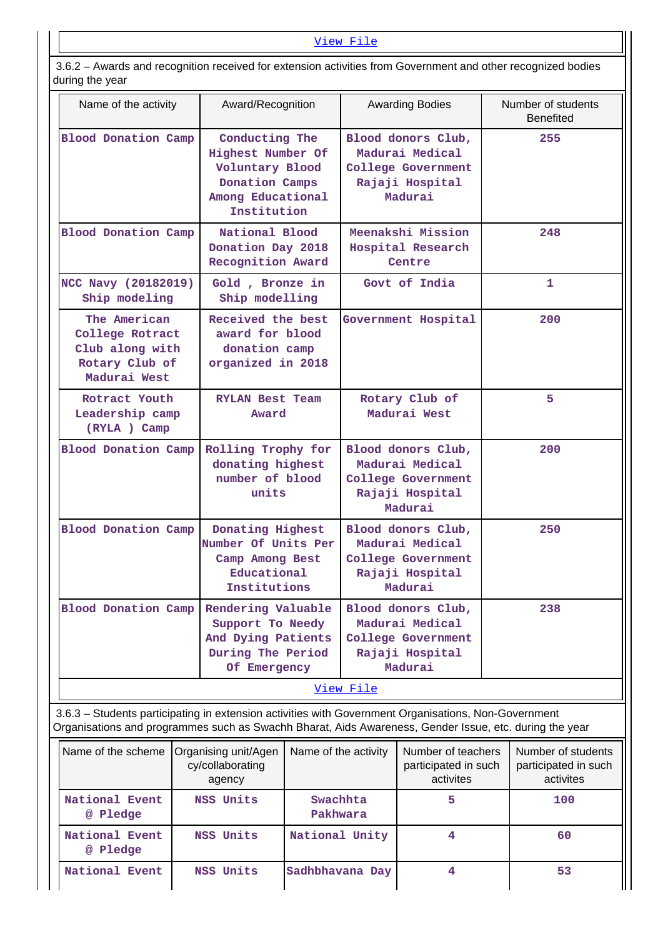## [View File](https://assessmentonline.naac.gov.in/public/Postacc/Extension/1563_Extension_1576568949.xlsx)

 3.6.2 – Awards and recognition received for extension activities from Government and other recognized bodies during the year

| Name of the activity                                                                 | Award/Recognition                                                                                            | <b>Awarding Bodies</b>                                                                    | Number of students<br><b>Benefited</b> |
|--------------------------------------------------------------------------------------|--------------------------------------------------------------------------------------------------------------|-------------------------------------------------------------------------------------------|----------------------------------------|
| <b>Blood Donation Camp</b>                                                           | Conducting The<br>Highest Number Of<br>Voluntary Blood<br>Donation Camps<br>Among Educational<br>Institution | Blood donors Club,<br>Madurai Medical<br>College Government<br>Rajaji Hospital<br>Madurai | 255                                    |
| <b>Blood Donation Camp</b>                                                           | National Blood<br>Donation Day 2018<br>Recognition Award                                                     | Meenakshi Mission<br>Hospital Research<br>Centre                                          | 248                                    |
| NCC Navy (20182019)<br>Ship modeling                                                 | Gold, Bronze in<br>Ship modelling                                                                            | Govt of India                                                                             | $\mathbf{1}$                           |
| The American<br>College Rotract<br>Club along with<br>Rotary Club of<br>Madurai West | Received the best<br>award for blood<br>donation camp<br>organized in 2018                                   | Government Hospital                                                                       | 200                                    |
| Rotract Youth<br>Leadership camp<br>(RYLA) Camp                                      | <b>RYLAN Best Team</b><br>Award                                                                              | Rotary Club of<br>Madurai West                                                            | 5                                      |
| <b>Blood Donation Camp</b>                                                           | Rolling Trophy for<br>donating highest<br>number of blood<br>units                                           | Blood donors Club,<br>Madurai Medical<br>College Government<br>Rajaji Hospital<br>Madurai | 200                                    |
| <b>Blood Donation Camp</b>                                                           | Donating Highest<br>Number Of Units Per<br>Camp Among Best<br>Educational<br>Institutions                    | Blood donors Club,<br>Madurai Medical<br>College Government<br>Rajaji Hospital<br>Madurai | 250                                    |
| Blood Donation Camp                                                                  | Rendering Valuable<br>Support To Needy<br>And Dying Patients<br>During The Period<br>Of Emergency            | Blood donors Club,<br>Madurai Medical<br>College Government<br>Rajaji Hospital<br>Madurai | 238                                    |
|                                                                                      |                                                                                                              | View File                                                                                 |                                        |

 3.6.3 – Students participating in extension activities with Government Organisations, Non-Government Organisations and programmes such as Swachh Bharat, Aids Awareness, Gender Issue, etc. during the year

| Name of the scheme         | Organising unit/Agen<br>cy/collaborating<br>agency | Name of the activity | Number of teachers<br>participated in such<br>activites | Number of students<br>participated in such<br>activites |
|----------------------------|----------------------------------------------------|----------------------|---------------------------------------------------------|---------------------------------------------------------|
| National Event<br>@ Pledge | NSS Units                                          | Swachhta<br>Pakhwara |                                                         | 100                                                     |
| National Event<br>@ Pledge | NSS Units                                          | National Unity       |                                                         | 60                                                      |
| National Event             | NSS Units                                          | Sadhbhavana Day      |                                                         | 53                                                      |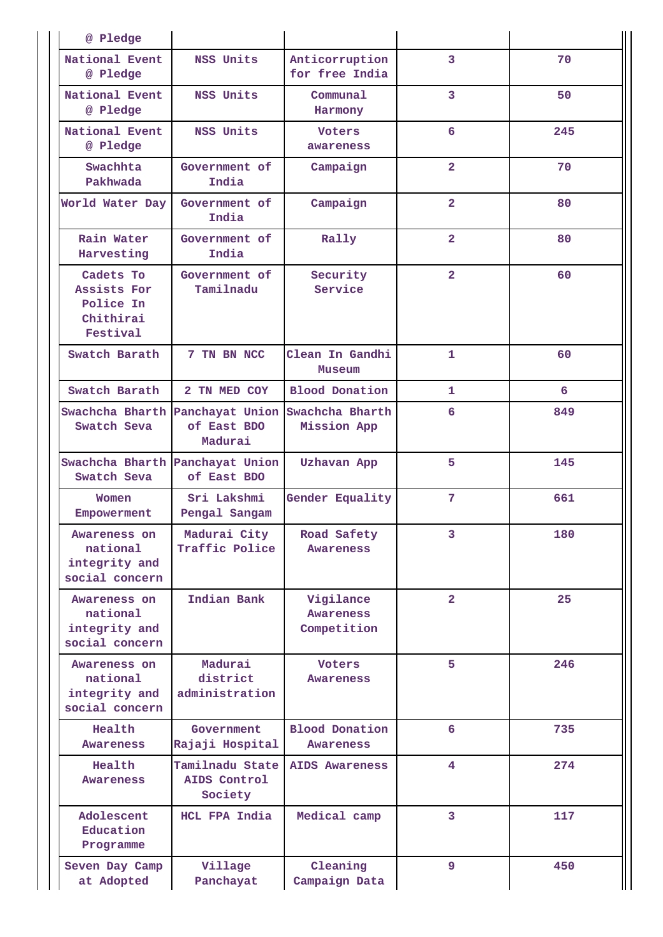| @ Pledge                                                       |                                            |                                              |                         |     |
|----------------------------------------------------------------|--------------------------------------------|----------------------------------------------|-------------------------|-----|
| National Event<br>@ Pledge                                     | NSS Units                                  | Anticorruption<br>for free India             | 3                       | 70  |
| National Event<br>@ Pledge                                     | NSS Units                                  | Communal<br>Harmony                          | 3                       | 50  |
| National Event<br>@ Pledge                                     | NSS Units                                  | <b>Voters</b><br>awareness                   | 6                       | 245 |
| Swachhta<br>Pakhwada                                           | Government of<br>India                     | Campaign                                     | $\overline{2}$          | 70  |
| World Water Day                                                | Government of<br>India                     | Campaign                                     | $\overline{2}$          | 80  |
| Rain Water<br>Harvesting                                       | Government of<br>India                     | Rally                                        | $\overline{2}$          | 80  |
| Cadets To<br>Assists For<br>Police In<br>Chithirai<br>Festival | Government of<br>Tamilnadu                 | Security<br>Service                          | $\overline{\mathbf{2}}$ | 60  |
| Swatch Barath                                                  | 7 TN BN NCC                                | Clean In Gandhi<br>Museum                    | $\mathbf{1}$            | 60  |
| Swatch Barath                                                  | 2 TN MED COY                               | <b>Blood Donation</b>                        | 1                       | 6   |
| Swachcha Bharth<br>Swatch Seva                                 | Panchayat Union<br>of East BDO<br>Madurai  | Swachcha Bharth<br>Mission App               | 6                       | 849 |
| Swachcha Bharth<br>Swatch Seva                                 | Panchayat Union<br>of East BDO             | Uzhavan App                                  | 5                       | 145 |
| Women<br>Empowerment                                           | Sri Lakshmi<br>Pengal Sangam               | Gender Equality                              | 7                       | 661 |
| Awareness on<br>national<br>integrity and<br>social concern    | Madurai City<br>Traffic Police             | Road Safety<br>Awareness                     | 3                       | 180 |
| Awareness on<br>national<br>integrity and<br>social concern    | Indian Bank                                | Vigilance<br><b>Awareness</b><br>Competition | $\overline{\mathbf{2}}$ | 25  |
| Awareness on<br>national<br>integrity and<br>social concern    | Madurai<br>district<br>administration      | <b>Voters</b><br>Awareness                   | 5                       | 246 |
| Health<br>Awareness                                            | Government<br>Rajaji Hospital              | <b>Blood Donation</b><br>Awareness           | 6                       | 735 |
| Health<br>Awareness                                            | Tamilnadu State<br>AIDS Control<br>Society | AIDS Awareness                               | 4                       | 274 |
| Adolescent<br>Education<br>Programme                           | HCL FPA India                              | Medical camp                                 | 3                       | 117 |
| Seven Day Camp<br>at Adopted                                   | Village<br>Panchayat                       | Cleaning<br>Campaign Data                    | 9                       | 450 |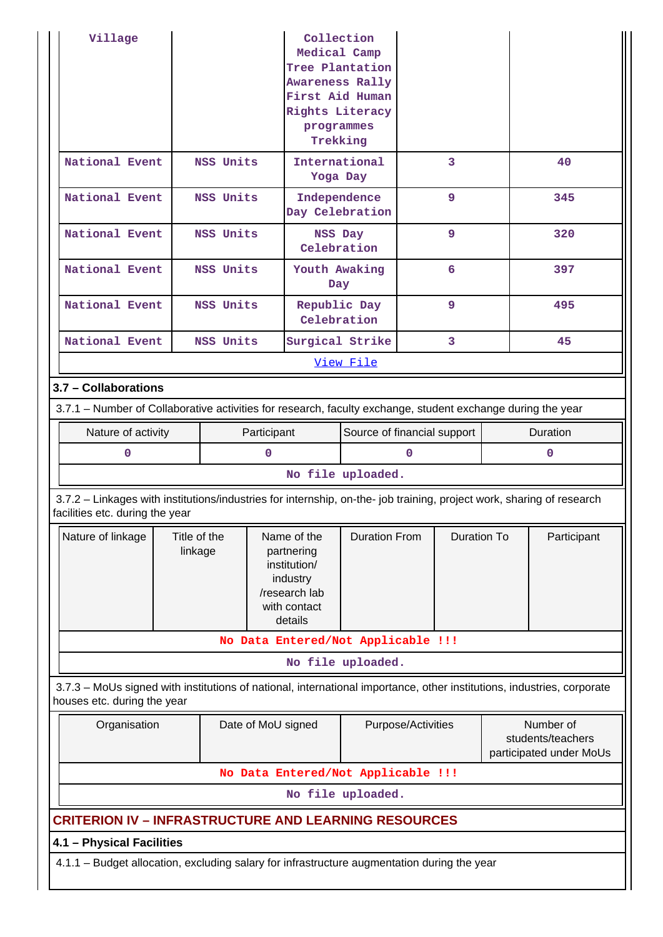| Village                                                                                                                                                  |                         | Collection<br>Medical Camp<br>Tree Plantation<br>Awareness Rally<br>First Aid Human<br>Rights Literacy<br>programmes<br>Trekking |                    |                                                                                                                           |                                    |                                                           |                    |                 |             |
|----------------------------------------------------------------------------------------------------------------------------------------------------------|-------------------------|----------------------------------------------------------------------------------------------------------------------------------|--------------------|---------------------------------------------------------------------------------------------------------------------------|------------------------------------|-----------------------------------------------------------|--------------------|-----------------|-------------|
| National Event                                                                                                                                           |                         | NSS Units                                                                                                                        |                    | Yoga Day                                                                                                                  | International                      |                                                           | 3                  |                 | 40          |
| National Event                                                                                                                                           |                         | NSS Units                                                                                                                        |                    |                                                                                                                           | Independence<br>Day Celebration    |                                                           | 9                  |                 | 345         |
| National Event                                                                                                                                           |                         | NSS Units                                                                                                                        |                    | NSS Day                                                                                                                   | Celebration                        |                                                           | 9                  |                 | 320         |
| National Event                                                                                                                                           |                         | NSS Units                                                                                                                        |                    | Day                                                                                                                       | Youth Awaking                      |                                                           | 6                  |                 | 397         |
| National Event                                                                                                                                           |                         | NSS Units                                                                                                                        |                    |                                                                                                                           | Republic Day<br>Celebration        |                                                           | 9                  |                 | 495         |
| National Event                                                                                                                                           |                         | NSS Units                                                                                                                        |                    |                                                                                                                           | Surgical Strike                    |                                                           | 3                  |                 | 45          |
|                                                                                                                                                          |                         |                                                                                                                                  |                    |                                                                                                                           | View File                          |                                                           |                    |                 |             |
| 3.7 - Collaborations                                                                                                                                     |                         |                                                                                                                                  |                    |                                                                                                                           |                                    |                                                           |                    |                 |             |
| 3.7.1 – Number of Collaborative activities for research, faculty exchange, student exchange during the year                                              |                         |                                                                                                                                  |                    |                                                                                                                           |                                    |                                                           |                    |                 |             |
| Nature of activity                                                                                                                                       |                         |                                                                                                                                  | Participant        |                                                                                                                           |                                    | Source of financial support                               |                    | <b>Duration</b> |             |
| 0                                                                                                                                                        |                         |                                                                                                                                  | $\mathbf 0$        | $\Omega$                                                                                                                  |                                    |                                                           |                    | $\mathbf 0$     |             |
|                                                                                                                                                          |                         |                                                                                                                                  |                    |                                                                                                                           | No file uploaded.                  |                                                           |                    |                 |             |
| 3.7.2 - Linkages with institutions/industries for internship, on-the- job training, project work, sharing of research<br>facilities etc. during the year |                         |                                                                                                                                  |                    |                                                                                                                           |                                    |                                                           |                    |                 |             |
| Nature of linkage                                                                                                                                        | Title of the<br>linkage |                                                                                                                                  |                    | <b>Duration From</b><br>Name of the<br>partnering<br>institution/<br>industry<br>/research lab<br>with contact<br>details |                                    |                                                           | <b>Duration To</b> |                 | Participant |
|                                                                                                                                                          |                         |                                                                                                                                  |                    |                                                                                                                           | No Data Entered/Not Applicable !!! |                                                           |                    |                 |             |
|                                                                                                                                                          |                         |                                                                                                                                  |                    |                                                                                                                           | No file uploaded.                  |                                                           |                    |                 |             |
| 3.7.3 - MoUs signed with institutions of national, international importance, other institutions, industries, corporate<br>houses etc. during the year    |                         |                                                                                                                                  |                    |                                                                                                                           |                                    |                                                           |                    |                 |             |
| Organisation                                                                                                                                             | Date of MoU signed      |                                                                                                                                  | Purpose/Activities |                                                                                                                           |                                    | Number of<br>students/teachers<br>participated under MoUs |                    |                 |             |
|                                                                                                                                                          |                         |                                                                                                                                  |                    |                                                                                                                           | No Data Entered/Not Applicable !!! |                                                           |                    |                 |             |
|                                                                                                                                                          |                         |                                                                                                                                  |                    |                                                                                                                           | No file uploaded.                  |                                                           |                    |                 |             |
| <b>CRITERION IV - INFRASTRUCTURE AND LEARNING RESOURCES</b>                                                                                              |                         |                                                                                                                                  |                    |                                                                                                                           |                                    |                                                           |                    |                 |             |
| 4.1 - Physical Facilities                                                                                                                                |                         |                                                                                                                                  |                    |                                                                                                                           |                                    |                                                           |                    |                 |             |
| 4.1.1 - Budget allocation, excluding salary for infrastructure augmentation during the year                                                              |                         |                                                                                                                                  |                    |                                                                                                                           |                                    |                                                           |                    |                 |             |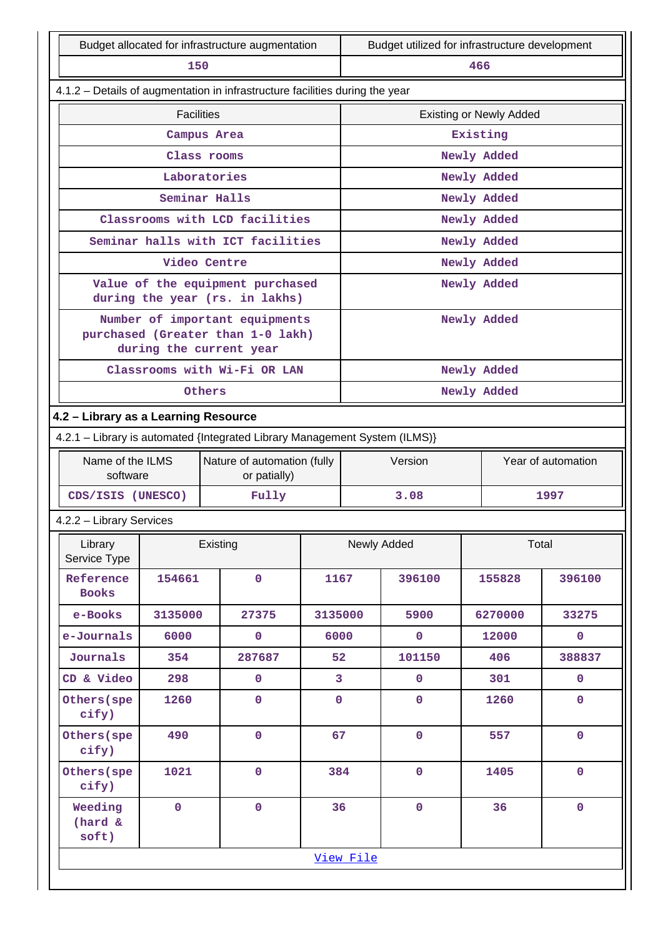| Budget allocated for infrastructure augmentation                             |                                                                            |              |                                                                     |                | Budget utilized for infrastructure development |             |                                |             |  |
|------------------------------------------------------------------------------|----------------------------------------------------------------------------|--------------|---------------------------------------------------------------------|----------------|------------------------------------------------|-------------|--------------------------------|-------------|--|
| 150                                                                          |                                                                            |              |                                                                     |                |                                                |             | 466                            |             |  |
| 4.1.2 - Details of augmentation in infrastructure facilities during the year |                                                                            |              |                                                                     |                |                                                |             |                                |             |  |
|                                                                              | <b>Facilities</b>                                                          |              |                                                                     |                |                                                |             | <b>Existing or Newly Added</b> |             |  |
|                                                                              |                                                                            | Campus Area  |                                                                     |                |                                                |             | Existing                       |             |  |
|                                                                              |                                                                            | Class rooms  |                                                                     |                |                                                |             | Newly Added                    |             |  |
|                                                                              |                                                                            | Laboratories |                                                                     |                |                                                |             | Newly Added                    |             |  |
|                                                                              | Seminar Halls                                                              |              |                                                                     |                |                                                |             | Newly Added                    |             |  |
|                                                                              |                                                                            |              | Classrooms with LCD facilities                                      |                |                                                |             | Newly Added                    |             |  |
|                                                                              |                                                                            |              | Seminar halls with ICT facilities                                   |                |                                                |             | Newly Added                    |             |  |
|                                                                              | Video Centre                                                               |              |                                                                     |                |                                                |             | Newly Added                    |             |  |
|                                                                              |                                                                            |              | Value of the equipment purchased<br>during the year (rs. in lakhs)  |                |                                                |             | Newly Added                    |             |  |
|                                                                              |                                                                            |              | Number of important equipments<br>purchased (Greater than 1-0 lakh) |                |                                                |             | Newly Added                    |             |  |
|                                                                              | during the current year                                                    |              |                                                                     |                |                                                |             |                                |             |  |
|                                                                              |                                                                            |              | Classrooms with Wi-Fi OR LAN                                        |                |                                                |             | Newly Added                    |             |  |
|                                                                              |                                                                            | Others       |                                                                     |                |                                                |             | Newly Added                    |             |  |
| 4.2 - Library as a Learning Resource                                         |                                                                            |              |                                                                     |                |                                                |             |                                |             |  |
|                                                                              | 4.2.1 - Library is automated {Integrated Library Management System (ILMS)} |              |                                                                     |                |                                                |             |                                |             |  |
| Name of the ILMS<br>software                                                 |                                                                            |              | Nature of automation (fully<br>or patially)                         |                | Version<br>Year of automation                  |             |                                |             |  |
| CDS/ISIS (UNESCO)                                                            |                                                                            |              | Fully                                                               |                | 3.08<br>1997                                   |             |                                |             |  |
| 4.2.2 - Library Services                                                     |                                                                            |              |                                                                     |                |                                                |             |                                |             |  |
| Library<br>Service Type                                                      |                                                                            | Existing     |                                                                     |                |                                                | Newly Added |                                | Total       |  |
| Reference<br><b>Books</b>                                                    | 154661                                                                     |              | $\mathbf 0$                                                         | 1167           |                                                | 396100      | 155828                         | 396100      |  |
| e-Books                                                                      | 3135000                                                                    |              | 27375                                                               | 3135000        |                                                | 5900        | 6270000                        | 33275       |  |
| e-Journals                                                                   | 6000                                                                       |              | $\mathbf 0$                                                         | 6000           |                                                | $\pmb{0}$   | 12000                          | $\mathbf 0$ |  |
| Journals                                                                     | 354                                                                        |              | 287687                                                              | 52             |                                                | 101150      | 406                            | 388837      |  |
| CD & Video                                                                   | 298                                                                        |              | $\mathbf 0$                                                         | $\overline{3}$ |                                                | $\mathbf 0$ | 301                            | $\mathbf 0$ |  |
| Others (spe<br>cify)                                                         | 1260                                                                       |              | $\mathbf 0$                                                         | $\mathbf 0$    |                                                | $\mathbf 0$ | 1260                           | $\mathbf 0$ |  |
| Others (spe<br>cify)                                                         | 490                                                                        |              | $\mathbf 0$                                                         |                | 67                                             | $\mathbf 0$ | 557                            | $\mathbf 0$ |  |
| Others (spe<br>cify)                                                         | 1021                                                                       | $\mathbf 0$  |                                                                     | 384            |                                                | $\mathbf 0$ | 1405                           | $\mathbf 0$ |  |
| Weeding<br>(hard &<br>soft)                                                  | $\mathbf 0$                                                                |              | $\mathbf 0$                                                         | 36             |                                                | $\pmb{0}$   | 36                             | $\mathbf 0$ |  |
|                                                                              |                                                                            |              |                                                                     |                | View File                                      |             |                                |             |  |
|                                                                              |                                                                            |              |                                                                     |                |                                                |             |                                |             |  |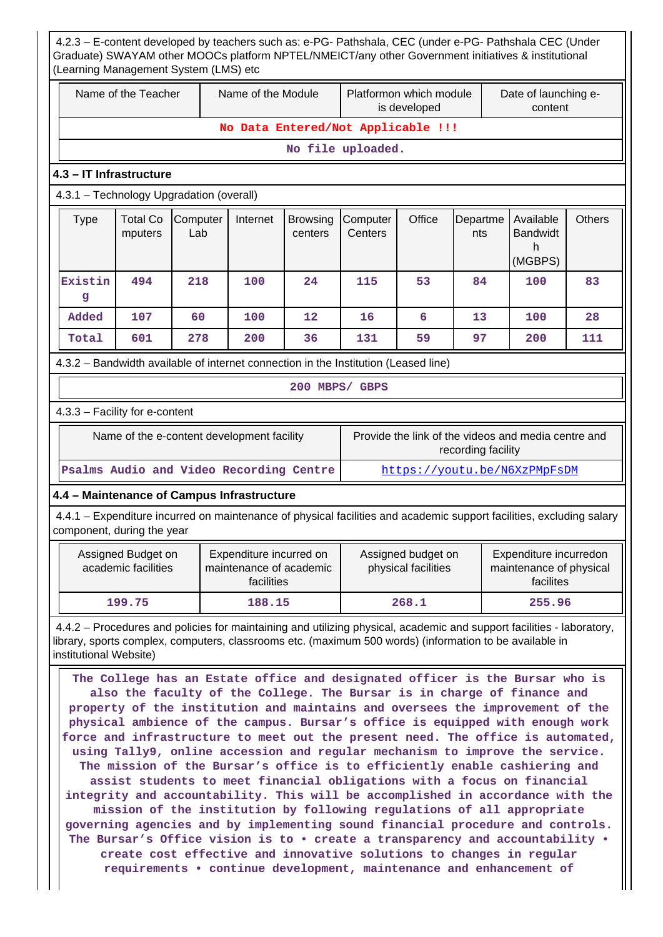| Name of the Teacher    |                                                                      |                                            | Name of the Module                    |                            | Platformon which module                                                                                                                                                                                                                                                                                                                                                                                                                                                                                                                                                                                                                                                                                                                                                                                                                                                                                                                                                                              | is developed |                                                                           | Date of launching e-<br>content                                |               |
|------------------------|----------------------------------------------------------------------|--------------------------------------------|---------------------------------------|----------------------------|------------------------------------------------------------------------------------------------------------------------------------------------------------------------------------------------------------------------------------------------------------------------------------------------------------------------------------------------------------------------------------------------------------------------------------------------------------------------------------------------------------------------------------------------------------------------------------------------------------------------------------------------------------------------------------------------------------------------------------------------------------------------------------------------------------------------------------------------------------------------------------------------------------------------------------------------------------------------------------------------------|--------------|---------------------------------------------------------------------------|----------------------------------------------------------------|---------------|
|                        |                                                                      |                                            |                                       |                            | No Data Entered/Not Applicable !!!                                                                                                                                                                                                                                                                                                                                                                                                                                                                                                                                                                                                                                                                                                                                                                                                                                                                                                                                                                   |              |                                                                           |                                                                |               |
|                        |                                                                      |                                            |                                       |                            | No file uploaded.                                                                                                                                                                                                                                                                                                                                                                                                                                                                                                                                                                                                                                                                                                                                                                                                                                                                                                                                                                                    |              |                                                                           |                                                                |               |
|                        | 4.3 - IT Infrastructure                                              |                                            |                                       |                            |                                                                                                                                                                                                                                                                                                                                                                                                                                                                                                                                                                                                                                                                                                                                                                                                                                                                                                                                                                                                      |              |                                                                           |                                                                |               |
|                        |                                                                      | 4.3.1 - Technology Upgradation (overall)   |                                       |                            |                                                                                                                                                                                                                                                                                                                                                                                                                                                                                                                                                                                                                                                                                                                                                                                                                                                                                                                                                                                                      |              |                                                                           |                                                                |               |
| <b>Type</b>            | <b>Total Co</b><br>mputers                                           | Computer<br>Lab                            | Internet                              | <b>Browsing</b><br>centers | Computer<br>Centers                                                                                                                                                                                                                                                                                                                                                                                                                                                                                                                                                                                                                                                                                                                                                                                                                                                                                                                                                                                  | Office       | Departme<br>nts                                                           | Available<br><b>Bandwidt</b><br>h<br>(MGBPS)                   | <b>Others</b> |
| Existin<br>g           | 494                                                                  | 218                                        | 100                                   | 24                         | 115                                                                                                                                                                                                                                                                                                                                                                                                                                                                                                                                                                                                                                                                                                                                                                                                                                                                                                                                                                                                  | 53           | 84                                                                        | 100                                                            | 83            |
| Added                  | 107                                                                  | 60                                         | 100                                   | 12                         | 16                                                                                                                                                                                                                                                                                                                                                                                                                                                                                                                                                                                                                                                                                                                                                                                                                                                                                                                                                                                                   | 6            | 13                                                                        | 100                                                            | 28            |
| Total                  | 601                                                                  | 278                                        | 200                                   | 36                         | 131                                                                                                                                                                                                                                                                                                                                                                                                                                                                                                                                                                                                                                                                                                                                                                                                                                                                                                                                                                                                  | 59           | 97                                                                        | 200                                                            | 111           |
|                        |                                                                      |                                            |                                       |                            | 4.3.2 – Bandwidth available of internet connection in the Institution (Leased line)                                                                                                                                                                                                                                                                                                                                                                                                                                                                                                                                                                                                                                                                                                                                                                                                                                                                                                                  |              |                                                                           |                                                                |               |
|                        |                                                                      |                                            |                                       | 200 MBPS/ GBPS             |                                                                                                                                                                                                                                                                                                                                                                                                                                                                                                                                                                                                                                                                                                                                                                                                                                                                                                                                                                                                      |              |                                                                           |                                                                |               |
|                        | 4.3.3 - Facility for e-content                                       |                                            |                                       |                            |                                                                                                                                                                                                                                                                                                                                                                                                                                                                                                                                                                                                                                                                                                                                                                                                                                                                                                                                                                                                      |              |                                                                           |                                                                |               |
|                        |                                                                      | Name of the e-content development facility |                                       |                            |                                                                                                                                                                                                                                                                                                                                                                                                                                                                                                                                                                                                                                                                                                                                                                                                                                                                                                                                                                                                      |              | Provide the link of the videos and media centre and<br>recording facility |                                                                |               |
|                        |                                                                      | Psalms Audio and Video Recording Centre    |                                       |                            |                                                                                                                                                                                                                                                                                                                                                                                                                                                                                                                                                                                                                                                                                                                                                                                                                                                                                                                                                                                                      |              | https://youtu.be/N6XzPMpFsDM                                              |                                                                |               |
|                        |                                                                      | 4.4 - Maintenance of Campus Infrastructure |                                       |                            |                                                                                                                                                                                                                                                                                                                                                                                                                                                                                                                                                                                                                                                                                                                                                                                                                                                                                                                                                                                                      |              |                                                                           |                                                                |               |
|                        | component, during the year                                           |                                            |                                       |                            | 4.4.1 – Expenditure incurred on maintenance of physical facilities and academic support facilities, excluding salary                                                                                                                                                                                                                                                                                                                                                                                                                                                                                                                                                                                                                                                                                                                                                                                                                                                                                 |              |                                                                           |                                                                |               |
|                        | Assigned Budget on<br>academic facilities                            |                                            | Expenditure incurred on<br>facilities | maintenance of academic    | Assigned budget on<br>physical facilities                                                                                                                                                                                                                                                                                                                                                                                                                                                                                                                                                                                                                                                                                                                                                                                                                                                                                                                                                            |              |                                                                           | Expenditure incurredon<br>maintenance of physical<br>facilites |               |
|                        | 199.75                                                               |                                            | 188.15                                |                            |                                                                                                                                                                                                                                                                                                                                                                                                                                                                                                                                                                                                                                                                                                                                                                                                                                                                                                                                                                                                      | 268.1        |                                                                           | 255.96                                                         |               |
| institutional Website) |                                                                      |                                            |                                       |                            | 4.4.2 – Procedures and policies for maintaining and utilizing physical, academic and support facilities - laboratory,<br>library, sports complex, computers, classrooms etc. (maximum 500 words) (information to be available in                                                                                                                                                                                                                                                                                                                                                                                                                                                                                                                                                                                                                                                                                                                                                                     |              |                                                                           |                                                                |               |
|                        | create cost effective and innovative solutions to changes in regular |                                            |                                       |                            | The College has an Estate office and designated officer is the Bursar who is<br>also the faculty of the College. The Bursar is in charge of finance and<br>property of the institution and maintains and oversees the improvement of the<br>physical ambience of the campus. Bursar's office is equipped with enough work<br>force and infrastructure to meet out the present need. The office is automated,<br>using Tally9, online accession and regular mechanism to improve the service.<br>The mission of the Bursar's office is to efficiently enable cashiering and<br>assist students to meet financial obligations with a focus on financial<br>integrity and accountability. This will be accomplished in accordance with the<br>mission of the institution by following regulations of all appropriate<br>governing agencies and by implementing sound financial procedure and controls.<br>The Bursar's Office vision is to $\bullet$ create a transparency and accountability $\bullet$ |              |                                                                           |                                                                |               |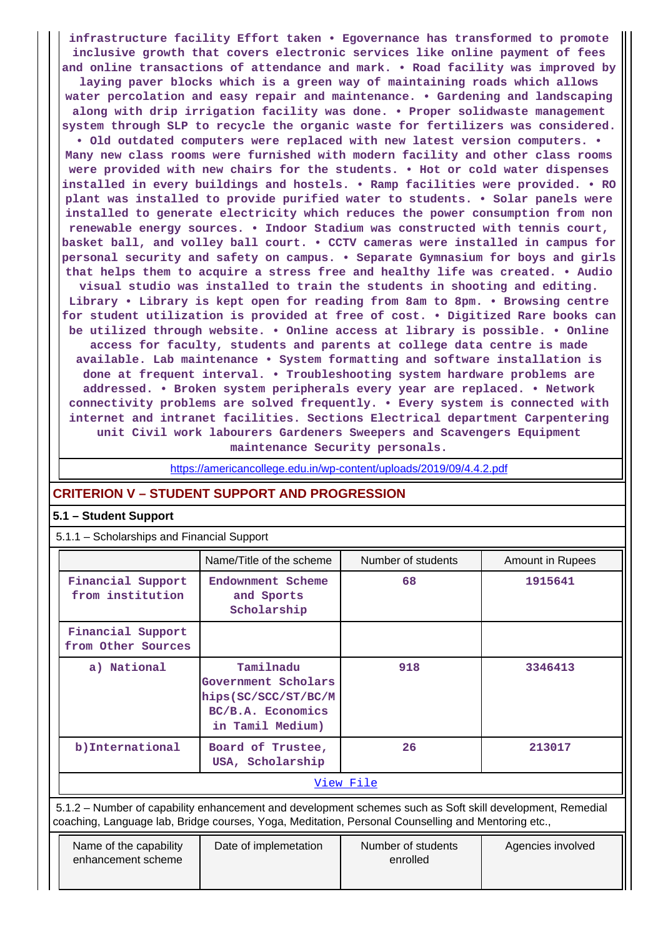**infrastructure facility Effort taken • Egovernance has transformed to promote inclusive growth that covers electronic services like online payment of fees and online transactions of attendance and mark. • Road facility was improved by laying paver blocks which is a green way of maintaining roads which allows water percolation and easy repair and maintenance. • Gardening and landscaping along with drip irrigation facility was done. • Proper solidwaste management system through SLP to recycle the organic waste for fertilizers was considered. • Old outdated computers were replaced with new latest version computers. • Many new class rooms were furnished with modern facility and other class rooms were provided with new chairs for the students. • Hot or cold water dispenses installed in every buildings and hostels. • Ramp facilities were provided. • RO plant was installed to provide purified water to students. • Solar panels were installed to generate electricity which reduces the power consumption from non renewable energy sources. • Indoor Stadium was constructed with tennis court, basket ball, and volley ball court. • CCTV cameras were installed in campus for personal security and safety on campus. • Separate Gymnasium for boys and girls that helps them to acquire a stress free and healthy life was created. • Audio visual studio was installed to train the students in shooting and editing.**

**Library • Library is kept open for reading from 8am to 8pm. • Browsing centre for student utilization is provided at free of cost. • Digitized Rare books can be utilized through website. • Online access at library is possible. • Online access for faculty, students and parents at college data centre is made available. Lab maintenance • System formatting and software installation is done at frequent interval. • Troubleshooting system hardware problems are addressed. • Broken system peripherals every year are replaced. • Network connectivity problems are solved frequently. • Every system is connected with internet and intranet facilities. Sections Electrical department Carpentering unit Civil work labourers Gardeners Sweepers and Scavengers Equipment maintenance Security personals.**

<https://americancollege.edu.in/wp-content/uploads/2019/09/4.4.2.pdf>

## **CRITERION V – STUDENT SUPPORT AND PROGRESSION**

## **5.1 – Student Support**

5.1.1 – Scholarships and Financial Support

|                                         | Name/Title of the scheme                                                                          | Number of students | Amount in Rupees |  |  |  |  |
|-----------------------------------------|---------------------------------------------------------------------------------------------------|--------------------|------------------|--|--|--|--|
| Financial Support<br>from institution   | Endownment Scheme<br>and Sports<br>Scholarship                                                    | 68                 | 1915641          |  |  |  |  |
| Financial Support<br>from Other Sources |                                                                                                   |                    |                  |  |  |  |  |
| a) National                             | Tamilnadu<br>Government Scholars<br>hips (SC/SCC/ST/BC/M<br>BC/B.A. Economics<br>in Tamil Medium) | 918                | 3346413          |  |  |  |  |
| b) International                        | Board of Trustee,<br>USA, Scholarship                                                             | 26                 | 213017           |  |  |  |  |
| View File                               |                                                                                                   |                    |                  |  |  |  |  |

 5.1.2 – Number of capability enhancement and development schemes such as Soft skill development, Remedial coaching, Language lab, Bridge courses, Yoga, Meditation, Personal Counselling and Mentoring etc.,

| Name of the capability<br>enhancement scheme | Date of implemetation | Number of students<br>enrolled | Agencies involved |
|----------------------------------------------|-----------------------|--------------------------------|-------------------|
|                                              |                       |                                |                   |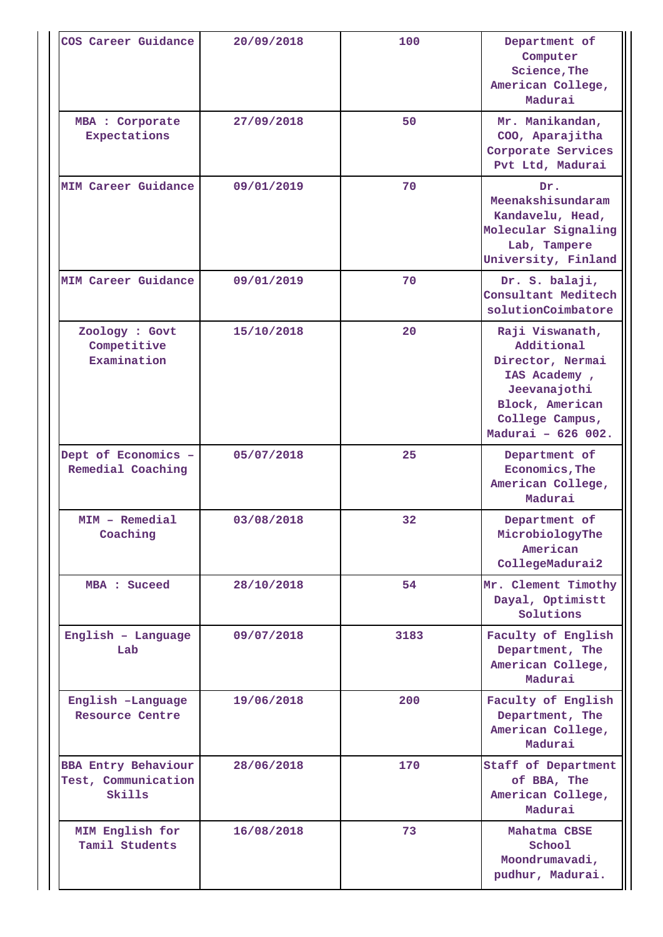| COS Career Guidance                                         | 20/09/2018 | 100  | Department of<br>Computer<br>Science, The<br>American College,<br>Madurai                                                                     |
|-------------------------------------------------------------|------------|------|-----------------------------------------------------------------------------------------------------------------------------------------------|
| MBA : Corporate<br>Expectations                             | 27/09/2018 | 50   | Mr. Manikandan,<br>COO, Aparajitha<br>Corporate Services<br>Pvt Ltd, Madurai                                                                  |
| <b>MIM Career Guidance</b>                                  | 09/01/2019 | 70   | Dr.<br>Meenakshisundaram<br>Kandavelu, Head,<br>Molecular Signaling<br>Lab, Tampere<br>University, Finland                                    |
| <b>MIM Career Guidance</b>                                  | 09/01/2019 | 70   | Dr. S. balaji,<br>Consultant Meditech<br>solutionCoimbatore                                                                                   |
| Zoology : Govt<br>Competitive<br>Examination                | 15/10/2018 | 20   | Raji Viswanath,<br>Additional<br>Director, Nermai<br>IAS Academy,<br>Jeevanajothi<br>Block, American<br>College Campus,<br>Madurai - 626 002. |
| Dept of Economics -<br>Remedial Coaching                    | 05/07/2018 | 25   | Department of<br>Economics, The<br>American College,<br>Madurai                                                                               |
| MIM - Remedial<br>Coaching                                  | 03/08/2018 | 32   | Department of<br>MicrobiologyThe<br>American<br>CollegeMadurai2                                                                               |
| MBA : Suceed                                                | 28/10/2018 | 54   | Mr. Clement Timothy<br>Dayal, Optimistt<br>Solutions                                                                                          |
| English - Language<br>Lab                                   | 09/07/2018 | 3183 | Faculty of English<br>Department, The<br>American College,<br>Madurai                                                                         |
| English -Language<br><b>Resource Centre</b>                 | 19/06/2018 | 200  | Faculty of English<br>Department, The<br>American College,<br>Madurai                                                                         |
| <b>BBA Entry Behaviour</b><br>Test, Communication<br>Skills | 28/06/2018 | 170  | Staff of Department<br>of BBA, The<br>American College,<br>Madurai                                                                            |
| MIM English for<br>Tamil Students                           | 16/08/2018 | 73   | Mahatma CBSE<br>School<br>Moondrumavadi,<br>pudhur, Madurai.                                                                                  |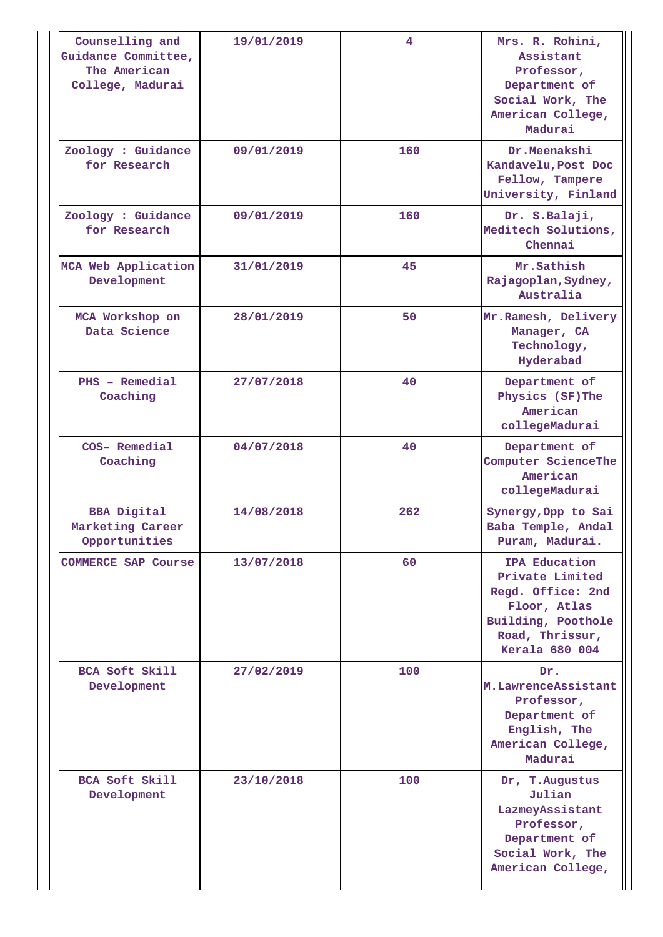| Counselling and<br>Guidance Committee,<br>The American<br>College, Madurai | 19/01/2019 | 4   | Mrs. R. Rohini,<br>Assistant<br>Professor,<br>Department of<br>Social Work, The<br>American College,<br>Madurai                  |
|----------------------------------------------------------------------------|------------|-----|----------------------------------------------------------------------------------------------------------------------------------|
| Zoology : Guidance<br>for Research                                         | 09/01/2019 | 160 | Dr.Meenakshi<br>Kandavelu, Post Doc<br>Fellow, Tampere<br>University, Finland                                                    |
| Zoology : Guidance<br>for Research                                         | 09/01/2019 | 160 | Dr. S.Balaji,<br>Meditech Solutions,<br>Chennai                                                                                  |
| MCA Web Application<br>Development                                         | 31/01/2019 | 45  | Mr.Sathish<br>Rajagoplan, Sydney,<br>Australia                                                                                   |
| MCA Workshop on<br>Data Science                                            | 28/01/2019 | 50  | Mr. Ramesh, Delivery<br>Manager, CA<br>Technology,<br>Hyderabad                                                                  |
| PHS - Remedial<br>Coaching                                                 | 27/07/2018 | 40  | Department of<br>Physics (SF)The<br>American<br>collegeMadurai                                                                   |
| COS- Remedial<br>Coaching                                                  | 04/07/2018 | 40  | Department of<br>Computer ScienceThe<br>American<br>collegeMadurai                                                               |
| <b>BBA Digital</b><br>Marketing Career<br>Opportunities                    | 14/08/2018 | 262 | Synergy, Opp to Sai<br>Baba Temple, Andal<br>Puram, Madurai.                                                                     |
| <b>COMMERCE SAP Course</b>                                                 | 13/07/2018 | 60  | IPA Education<br>Private Limited<br>Regd. Office: 2nd<br>Floor, Atlas<br>Building, Poothole<br>Road, Thrissur,<br>Kerala 680 004 |
| BCA Soft Skill<br>Development                                              | 27/02/2019 | 100 | Dr.<br>M.LawrenceAssistant<br>Professor,<br>Department of<br>English, The<br>American College,<br>Madurai                        |
| BCA Soft Skill<br>Development                                              | 23/10/2018 | 100 | Dr, T.Augustus<br>Julian<br>LazmeyAssistant<br>Professor,<br>Department of<br>Social Work, The<br>American College,              |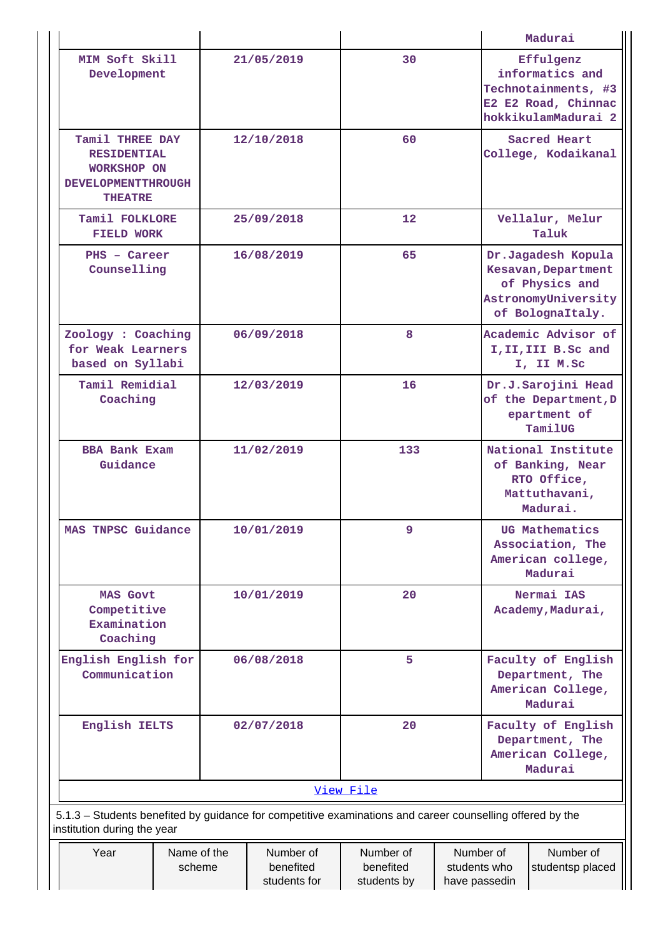|                                                                                                                                          |                  |            |                                        |                                       |                                            | Madurai                                                                                                |                                                                                                   |
|------------------------------------------------------------------------------------------------------------------------------------------|------------------|------------|----------------------------------------|---------------------------------------|--------------------------------------------|--------------------------------------------------------------------------------------------------------|---------------------------------------------------------------------------------------------------|
| MIM Soft Skill<br>Development                                                                                                            |                  |            | 21/05/2019                             | 30                                    |                                            |                                                                                                        | Effulgenz<br>informatics and<br>Technotainments, #3<br>E2 E2 Road, Chinnac<br>hokkikulamMadurai 2 |
| Tamil THREE DAY<br><b>RESIDENTIAL</b><br><b>WORKSHOP ON</b><br><b>DEVELOPMENTTHROUGH</b><br><b>THEATRE</b>                               | 60<br>12/10/2018 |            |                                        |                                       | Sacred Heart<br>College, Kodaikanal        |                                                                                                        |                                                                                                   |
| Tamil FOLKLORE<br><b>FIELD WORK</b>                                                                                                      |                  |            | 25/09/2018                             | $12 \overline{ }$                     |                                            |                                                                                                        | Vellalur, Melur<br>Taluk                                                                          |
| PHS - Career<br>Counselling                                                                                                              |                  |            | 16/08/2019                             | 65                                    |                                            | Dr.Jagadesh Kopula<br>Kesavan, Department<br>of Physics and<br>AstronomyUniversity<br>of BolognaItaly. |                                                                                                   |
| Zoology : Coaching<br>for Weak Learners<br>based on Syllabi                                                                              |                  |            | 06/09/2018                             | 8                                     |                                            |                                                                                                        | Academic Advisor of<br>I, II, III B. Sc and<br>I, II M.Sc                                         |
| Tamil Remidial<br>Coaching                                                                                                               |                  |            | 12/03/2019                             | 16                                    |                                            | Dr.J.Sarojini Head<br>of the Department, D<br>epartment of<br>TamilUG                                  |                                                                                                   |
| <b>BBA Bank Exam</b><br>Guidance                                                                                                         |                  | 11/02/2019 |                                        | 133                                   |                                            |                                                                                                        | National Institute<br>of Banking, Near<br>RTO Office,<br>Mattuthavani,<br>Madurai.                |
| MAS TNPSC Guidance                                                                                                                       |                  | 10/01/2019 |                                        | 9                                     |                                            |                                                                                                        | UG Mathematics<br>Association, The<br>American college,<br>Madurai                                |
| <b>MAS Govt</b><br>Competitive<br>Examination<br>Coaching                                                                                |                  | 10/01/2019 |                                        | 20                                    |                                            | Nermai IAS<br>Academy, Madurai,                                                                        |                                                                                                   |
| English English for<br>Communication                                                                                                     |                  | 06/08/2018 |                                        | 5                                     |                                            | Faculty of English<br>Department, The<br>American College,<br>Madurai                                  |                                                                                                   |
| English IELTS                                                                                                                            |                  | 02/07/2018 |                                        | 20                                    |                                            | Faculty of English<br>Department, The<br>American College,<br>Madurai                                  |                                                                                                   |
|                                                                                                                                          |                  |            |                                        | View File                             |                                            |                                                                                                        |                                                                                                   |
| 5.1.3 - Students benefited by guidance for competitive examinations and career counselling offered by the<br>institution during the year |                  |            |                                        |                                       |                                            |                                                                                                        |                                                                                                   |
| Name of the<br>Year<br>scheme                                                                                                            |                  |            | Number of<br>benefited<br>students for | Number of<br>benefited<br>students by | Number of<br>students who<br>have passedin |                                                                                                        | Number of<br>studentsp placed                                                                     |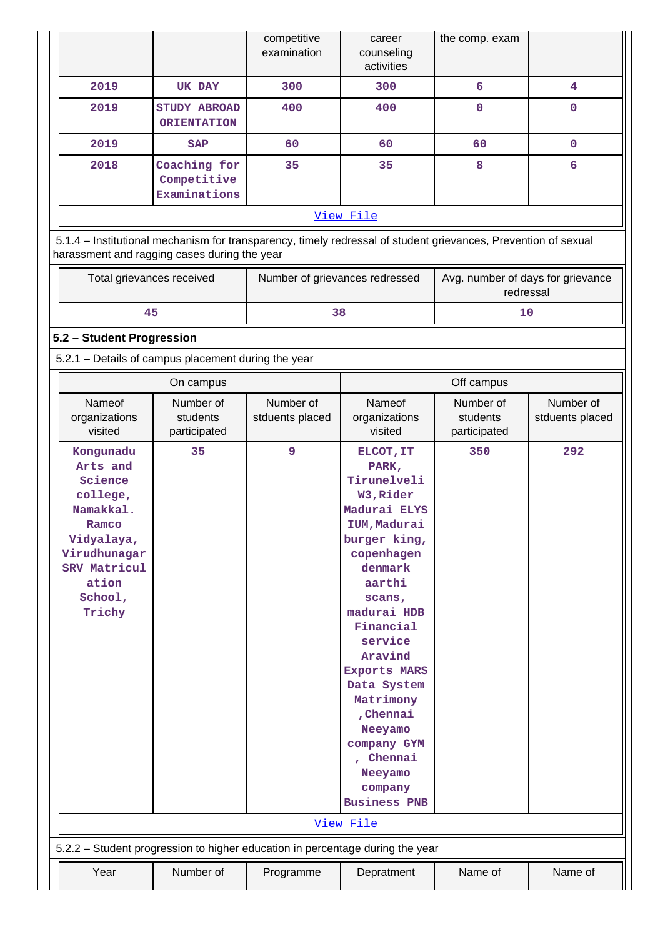|                                                                                                                                                |                                                                                                                                                                | competitive<br>examination     | career<br>counseling<br>activities                                                                                                                                                                                                                                                                                                                             | the comp. exam                                 |                              |
|------------------------------------------------------------------------------------------------------------------------------------------------|----------------------------------------------------------------------------------------------------------------------------------------------------------------|--------------------------------|----------------------------------------------------------------------------------------------------------------------------------------------------------------------------------------------------------------------------------------------------------------------------------------------------------------------------------------------------------------|------------------------------------------------|------------------------------|
| 2019                                                                                                                                           | <b>UK DAY</b>                                                                                                                                                  | 300                            | 300                                                                                                                                                                                                                                                                                                                                                            | $6\overline{6}$                                | $\overline{\mathbf{4}}$      |
| 2019                                                                                                                                           | <b>STUDY ABROAD</b><br><b>ORIENTATION</b>                                                                                                                      | 400                            | 400                                                                                                                                                                                                                                                                                                                                                            | $\mathbf{0}$                                   | $\mathbf{0}$                 |
| 2019                                                                                                                                           | <b>SAP</b>                                                                                                                                                     | 60                             | 60                                                                                                                                                                                                                                                                                                                                                             | 60                                             | $\mathbf 0$                  |
| 2018                                                                                                                                           | Coaching for<br>Competitive<br>Examinations                                                                                                                    | 35                             | 35                                                                                                                                                                                                                                                                                                                                                             | 8                                              | 6                            |
|                                                                                                                                                |                                                                                                                                                                |                                | View File                                                                                                                                                                                                                                                                                                                                                      |                                                |                              |
|                                                                                                                                                | 5.1.4 - Institutional mechanism for transparency, timely redressal of student grievances, Prevention of sexual<br>harassment and ragging cases during the year |                                |                                                                                                                                                                                                                                                                                                                                                                |                                                |                              |
| Total grievances received                                                                                                                      |                                                                                                                                                                | Number of grievances redressed |                                                                                                                                                                                                                                                                                                                                                                | Avg. number of days for grievance<br>redressal |                              |
| 45                                                                                                                                             |                                                                                                                                                                | 38                             |                                                                                                                                                                                                                                                                                                                                                                | 10                                             |                              |
| 5.2 - Student Progression                                                                                                                      |                                                                                                                                                                |                                |                                                                                                                                                                                                                                                                                                                                                                |                                                |                              |
|                                                                                                                                                | 5.2.1 - Details of campus placement during the year                                                                                                            |                                |                                                                                                                                                                                                                                                                                                                                                                |                                                |                              |
|                                                                                                                                                | On campus                                                                                                                                                      |                                |                                                                                                                                                                                                                                                                                                                                                                | Off campus                                     |                              |
| Nameof<br>organizations<br>visited                                                                                                             | Number of<br>students<br>participated                                                                                                                          | Number of<br>stduents placed   | Nameof<br>organizations<br>visited                                                                                                                                                                                                                                                                                                                             | Number of<br>students<br>participated          | Number of<br>stduents placed |
| Kongunadu<br>Arts and<br>Science<br>college,<br>Namakkal.<br>Ramco<br>Vidyalaya,<br>Virudhunagar<br>SRV Matricul<br>ation<br>School,<br>Trichy | 35                                                                                                                                                             | 9                              | ELCOT, IT<br>PARK,<br>Tirunelveli<br>W3, Rider<br>Madurai ELYS<br>IUM, Madurai<br>burger king,<br>copenhagen<br>denmark<br>aarthi<br>scans,<br>madurai HDB<br>Financial<br>service<br>Aravind<br><b>Exports MARS</b><br>Data System<br>Matrimony<br>, Chennai<br>Neeyamo<br>company GYM<br>, Chennai<br>Neeyamo<br>company<br><b>Business PNB</b><br>View File | 350                                            | 292                          |
|                                                                                                                                                | 5.2.2 - Student progression to higher education in percentage during the year                                                                                  |                                |                                                                                                                                                                                                                                                                                                                                                                |                                                |                              |
|                                                                                                                                                |                                                                                                                                                                |                                |                                                                                                                                                                                                                                                                                                                                                                |                                                |                              |
| Year                                                                                                                                           | Number of                                                                                                                                                      | Programme                      | Depratment                                                                                                                                                                                                                                                                                                                                                     | Name of                                        | Name of                      |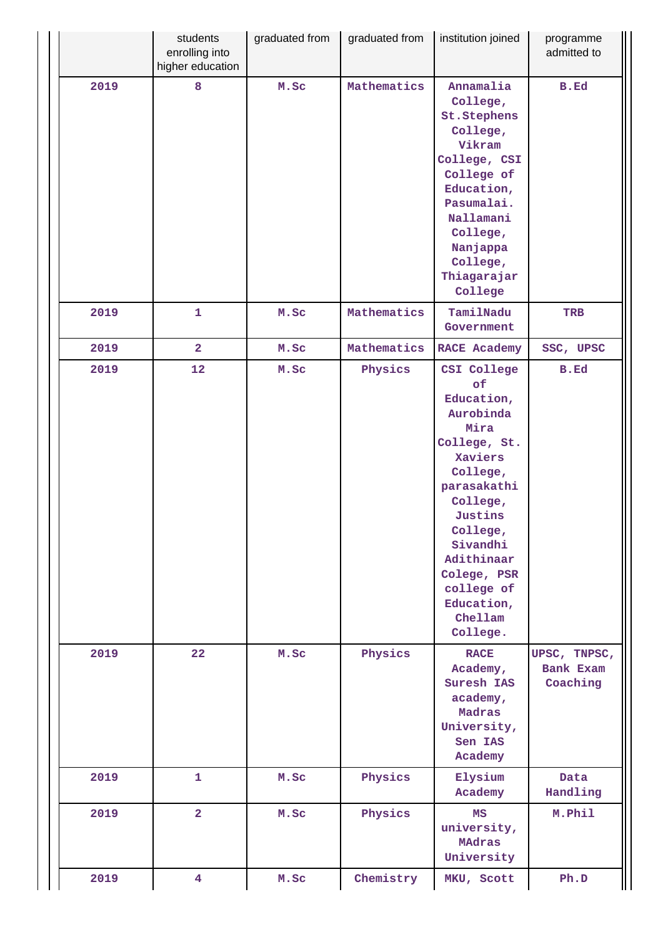|      | students<br>enrolling into<br>higher education | graduated from | graduated from | institution joined                                                                                                                                                                                                                        | programme<br>admitted to              |
|------|------------------------------------------------|----------------|----------------|-------------------------------------------------------------------------------------------------------------------------------------------------------------------------------------------------------------------------------------------|---------------------------------------|
| 2019 | 8                                              | M.Sc           | Mathematics    | Annamalia<br>College,<br>St.Stephens<br>College,<br>Vikram<br>College, CSI<br>College of<br>Education,<br>Pasumalai.<br>Nallamani<br>College,<br>Nanjappa<br>College,<br>Thiagarajar<br>College                                           | B.Ed                                  |
| 2019 | $\mathbf{1}$                                   | M.Sc           | Mathematics    | TamilNadu<br>Government                                                                                                                                                                                                                   | <b>TRB</b>                            |
| 2019 | $\overline{a}$                                 | M.Sc           | Mathematics    | <b>RACE Academy</b>                                                                                                                                                                                                                       | SSC, UPSC                             |
| 2019 | 12                                             | M.Sc           | Physics        | CSI College<br>of<br>Education,<br>Aurobinda<br>Mira<br>College, St.<br>Xaviers<br>College,<br>parasakathi<br>College,<br>Justins<br>College,<br>Sivandhi<br>Adithinaar<br>Colege, PSR<br>college of<br>Education,<br>Chellam<br>College. | <b>B.Ed</b>                           |
| 2019 | 22                                             | M.Sc           | Physics        | <b>RACE</b><br>Academy,<br>Suresh IAS<br>academy,<br>Madras<br>University,<br>Sen IAS<br>Academy                                                                                                                                          | UPSC, TNPSC,<br>Bank Exam<br>Coaching |
| 2019 | $\mathbf{1}$                                   | M.Sc           | Physics        | Elysium<br>Academy                                                                                                                                                                                                                        | Data<br>Handling                      |
| 2019 | $\overline{2}$                                 | M.Sc           | Physics        | MS<br>university,<br>MAdras<br>University                                                                                                                                                                                                 | M.Phil                                |
| 2019 | $\overline{\mathbf{4}}$                        | M.Sc           | Chemistry      | MKU, Scott                                                                                                                                                                                                                                | Ph.D                                  |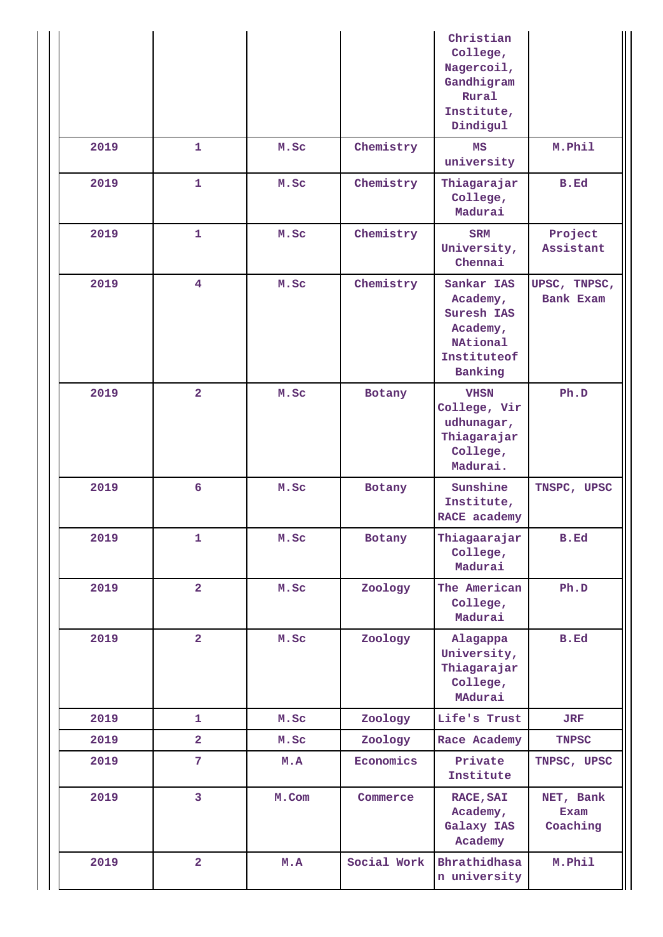|      |                         |       |             | Christian<br>College,<br>Nagercoil,<br>Gandhigram<br>Rural<br>Institute,<br>Dindigul          |                               |
|------|-------------------------|-------|-------------|-----------------------------------------------------------------------------------------------|-------------------------------|
| 2019 | $\mathbf{1}$            | M.Sc  | Chemistry   | MS<br>university                                                                              | M.Phil                        |
| 2019 | $\mathbf{1}$            | M.Sc  | Chemistry   | Thiagarajar<br>College,<br>Madurai                                                            | B.Ed                          |
| 2019 | $\mathbf{1}$            | M.Sc  | Chemistry   | <b>SRM</b><br>University,<br>Chennai                                                          | Project<br>Assistant          |
| 2019 | $\overline{4}$          | M.Sc  | Chemistry   | Sankar IAS<br>Academy,<br>Suresh IAS<br>Academy,<br><b>NAtional</b><br>Instituteof<br>Banking | UPSC, TNPSC,<br>Bank Exam     |
| 2019 | $\overline{2}$          | M.Sc  | Botany      | <b>VHSN</b><br>College, Vir<br>udhunagar,<br>Thiagarajar<br>College,<br>Madurai.              | Ph.D                          |
| 2019 | 6                       | M.Sc  | Botany      | Sunshine<br>Institute,<br>RACE academy                                                        | TNSPC, UPSC                   |
| 2019 | $\mathbf{1}$            | M.Sc  | Botany      | Thiagaarajar<br>College,<br>Madurai                                                           | <b>B.Ed</b>                   |
| 2019 | $\overline{2}$          | M.Sc  | Zoology     | The American<br>College,<br>Madurai                                                           | Ph.D                          |
| 2019 | $\overline{2}$          | M.Sc  | Zoology     | Alagappa<br>University,<br>Thiagarajar<br>College,<br>MAdurai                                 | <b>B.Ed</b>                   |
| 2019 | 1                       | M.Sc  | Zoology     | Life's Trust                                                                                  | <b>JRF</b>                    |
| 2019 | $\overline{\mathbf{2}}$ | M.Sc  | Zoology     | Race Academy                                                                                  | <b>TNPSC</b>                  |
| 2019 | 7                       | M.A   | Economics   | Private<br>Institute                                                                          | TNPSC, UPSC                   |
| 2019 | 3                       | M.Com | Commerce    | <b>RACE, SAI</b><br>Academy,<br>Galaxy IAS<br>Academy                                         | NET, Bank<br>Exam<br>Coaching |
| 2019 | $\overline{\mathbf{2}}$ | M.A   | Social Work | Bhrathidhasa<br>n university                                                                  | M.Phil                        |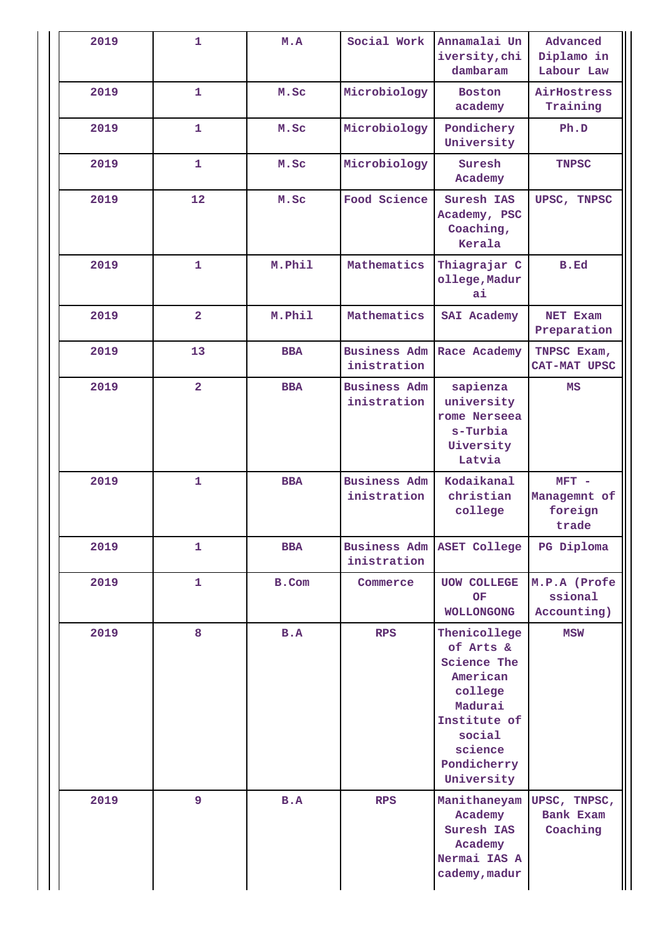| 2019 | $\mathbf{1}$   | M.A        | Social Work                        | Annamalai Un<br>iversity, chi<br>dambaram                                                                                                           | Advanced<br>Diplamo in<br>Labour Law         |
|------|----------------|------------|------------------------------------|-----------------------------------------------------------------------------------------------------------------------------------------------------|----------------------------------------------|
| 2019 | $\mathbf{1}$   | M.Sc       | Microbiology                       | <b>Boston</b><br>academy                                                                                                                            | AirHostress<br>Training                      |
| 2019 | $\mathbf{1}$   | M.Sc       | Microbiology                       | Pondichery<br>University                                                                                                                            | Ph.D                                         |
| 2019 | $\mathbf{1}$   | M.Sc       | Microbiology                       | Suresh<br>Academy                                                                                                                                   | <b>TNPSC</b>                                 |
| 2019 | 12             | M.Sc       | Food Science                       | Suresh IAS<br>Academy, PSC<br>Coaching,<br>Kerala                                                                                                   | UPSC, TNPSC                                  |
| 2019 | $\mathbf{1}$   | M.Phil     | Mathematics                        | Thiagrajar C<br>ollege, Madur<br>ai                                                                                                                 | B.Ed                                         |
| 2019 | $\overline{a}$ | M.Phil     | Mathematics                        | SAI Academy                                                                                                                                         | NET Exam<br>Preparation                      |
| 2019 | 13             | <b>BBA</b> | <b>Business Adm</b><br>inistration | Race Academy                                                                                                                                        | TNPSC Exam,<br>CAT-MAT UPSC                  |
| 2019 | $\overline{2}$ | <b>BBA</b> | <b>Business Adm</b><br>inistration | sapienza<br>university<br>rome Nerseea<br>$s$ -Turbia<br>Uiversity<br>Latvia                                                                        | MS                                           |
| 2019 | $\mathbf{1}$   | <b>BBA</b> | <b>Business Adm</b><br>inistration | Kodaikanal<br>christian<br>college                                                                                                                  | $MFT -$<br>Managemnt of<br>foreign<br>trade  |
| 2019 | $\mathbf{1}$   | <b>BBA</b> | inistration                        | Business Adm ASET College                                                                                                                           | PG Diploma                                   |
| 2019 | 1              | B.Com      | Commerce                           | <b>UOW COLLEGE</b><br>OF<br><b>WOLLONGONG</b>                                                                                                       | M.P.A (Profe<br>ssional<br>Accounting)       |
| 2019 | 8              | B.A        | <b>RPS</b>                         | Thenicollege<br>of Arts &<br><b>Science The</b><br>American<br>college<br>Madurai<br>Institute of<br>social<br>science<br>Pondicherry<br>University | <b>MSW</b>                                   |
| 2019 | $\overline{9}$ | B.A        | <b>RPS</b>                         | Manithaneyam<br>Academy<br>Suresh IAS<br>Academy<br>Nermai IAS A<br>cademy, madur                                                                   | UPSC, TNPSC,<br><b>Bank Exam</b><br>Coaching |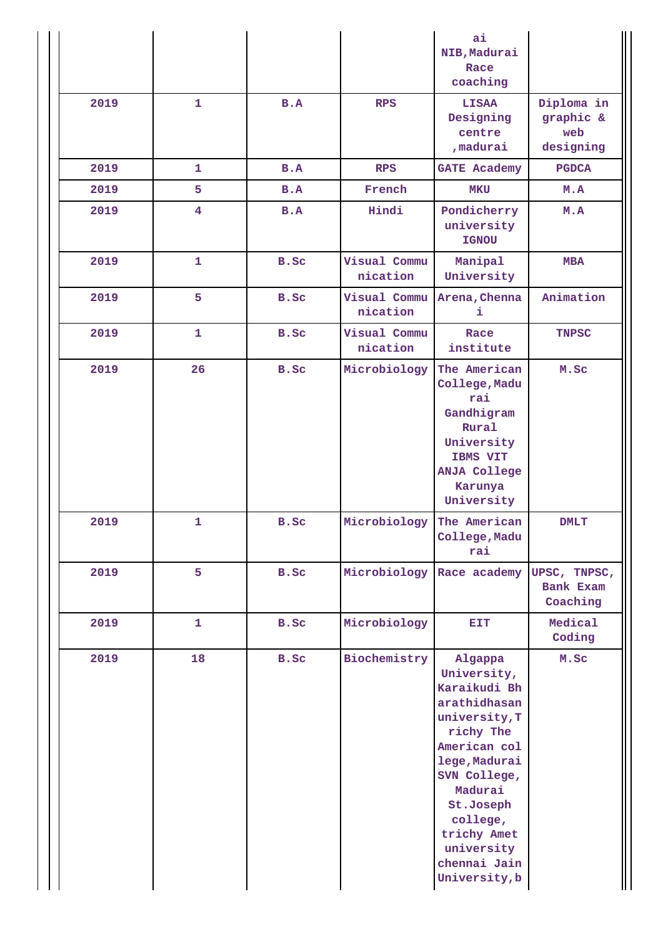|      |                         |      |                           | ai<br>NIB, Madurai<br>Race<br>coaching                                                                                                                                                                                                  |                                             |
|------|-------------------------|------|---------------------------|-----------------------------------------------------------------------------------------------------------------------------------------------------------------------------------------------------------------------------------------|---------------------------------------------|
| 2019 | $\mathbf{1}$            | B.A  | <b>RPS</b>                | <b>LISAA</b><br>Designing<br>centre<br>, madurai                                                                                                                                                                                        | Diploma in<br>graphic &<br>web<br>designing |
| 2019 | 1                       | B.A  | <b>RPS</b>                | <b>GATE Academy</b>                                                                                                                                                                                                                     | <b>PGDCA</b>                                |
| 2019 | 5                       | B.A  | French                    | <b>MKU</b>                                                                                                                                                                                                                              | M.A                                         |
| 2019 | $\overline{\mathbf{4}}$ | B.A  | Hindi                     | Pondicherry<br>university<br><b>IGNOU</b>                                                                                                                                                                                               | M.A                                         |
| 2019 | $\mathbf{1}$            | B.Sc | Visual Commu<br>nication  | Manipal<br>University                                                                                                                                                                                                                   | <b>MBA</b>                                  |
| 2019 | 5                       | B.Sc | Visual Commu<br>nication  | Arena, Chenna<br>i                                                                                                                                                                                                                      | Animation                                   |
| 2019 | $\mathbf{1}$            | B.Sc | Visual Commu<br>nication  | Race<br>institute                                                                                                                                                                                                                       | <b>TNPSC</b>                                |
| 2019 | 26                      | B.Sc | Microbiology              | The American<br>College, Madu<br>rai<br>Gandhigram<br>Rural<br>University<br>IBMS VIT<br><b>ANJA College</b><br>Karunya<br>University                                                                                                   | M.Sc                                        |
| 2019 | $\mathbf{1}$            | B.Sc | Microbiology              | The American<br>College, Madu<br>rai                                                                                                                                                                                                    | <b>DMLT</b>                                 |
| 2019 | 5                       | B.Sc | Microbiology Race academy |                                                                                                                                                                                                                                         | UPSC, TNPSC,<br>Bank Exam<br>Coaching       |
| 2019 | 1                       | B.Sc | Microbiology              | EIT                                                                                                                                                                                                                                     | Medical<br>Coding                           |
| 2019 | 18                      | B.Sc | Biochemistry              | Algappa<br>University,<br>Karaikudi Bh<br>arathidhasan<br>university, T<br>richy The<br>American col<br>lege, Madurai<br>SVN College,<br>Madurai<br>St.Joseph<br>college,<br>trichy Amet<br>university<br>chennai Jain<br>University, b | M.Sc                                        |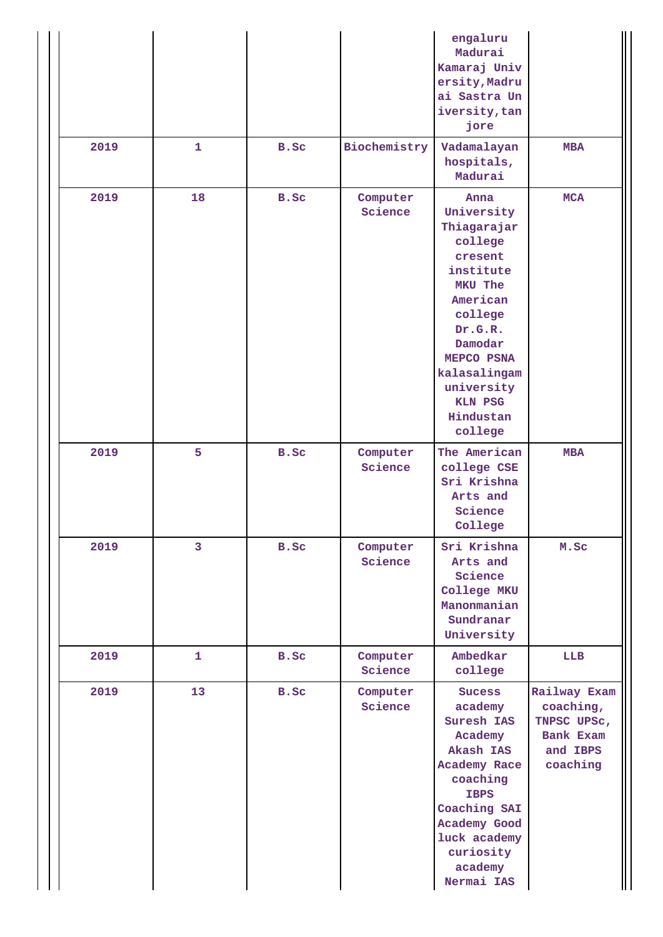|      |              |      |                     | engaluru<br>Madurai<br>Kamaraj Univ<br>ersity, Madru<br>ai Sastra Un<br>iversity, tan<br>jore                                                                                                                      |                                                                               |
|------|--------------|------|---------------------|--------------------------------------------------------------------------------------------------------------------------------------------------------------------------------------------------------------------|-------------------------------------------------------------------------------|
| 2019 | $\mathbf{1}$ | B.Sc | Biochemistry        | Vadamalayan<br>hospitals,<br>Madurai                                                                                                                                                                               | <b>MBA</b>                                                                    |
| 2019 | 18           | B.Sc | Computer<br>Science | Anna<br>University<br>Thiagarajar<br>college<br>cresent<br>institute<br>MKU The<br>American<br>college<br>Dr.G.R.<br>Damodar<br>MEPCO PSNA<br>kalasalingam<br>university<br><b>KLN PSG</b><br>Hindustan<br>college | <b>MCA</b>                                                                    |
| 2019 | 5            | B.Sc | Computer<br>Science | The American<br>college CSE<br>Sri Krishna<br>Arts and<br>Science<br>College                                                                                                                                       | <b>MBA</b>                                                                    |
| 2019 | 3            | B.Sc | Computer<br>Science | Sri Krishna<br>Arts and<br>Science<br>College MKU<br>Manonmanian<br>Sundranar<br>University                                                                                                                        | M.Sc                                                                          |
| 2019 | $\mathbf{1}$ | B.Sc | Computer<br>Science | Ambedkar<br>college                                                                                                                                                                                                | LLB                                                                           |
| 2019 | 13           | B.Sc | Computer<br>Science | <b>Sucess</b><br>academy<br>Suresh IAS<br>Academy<br>Akash IAS<br>Academy Race<br>coaching<br><b>IBPS</b><br>Coaching SAI<br>Academy Good<br>luck academy<br>curiosity<br>academy<br>Nermai IAS                    | Railway Exam<br>coaching,<br>TNPSC UPSC,<br>Bank Exam<br>and IBPS<br>coaching |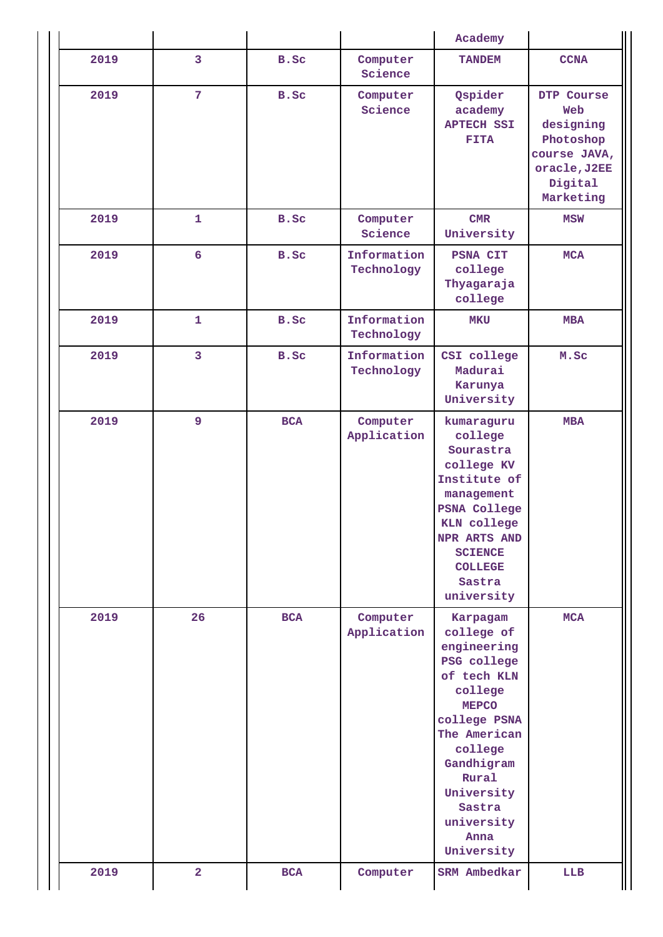|      |                 |            |                           | Academy                                                                                                                                                                                                                      |                                                                                                     |
|------|-----------------|------------|---------------------------|------------------------------------------------------------------------------------------------------------------------------------------------------------------------------------------------------------------------------|-----------------------------------------------------------------------------------------------------|
| 2019 | 3               | B.Sc       | Computer<br>Science       | <b>TANDEM</b>                                                                                                                                                                                                                | <b>CCNA</b>                                                                                         |
| 2019 | $\overline{7}$  | B.Sc       | Computer<br>Science       | Qspider<br>academy<br><b>APTECH SSI</b><br><b>FITA</b>                                                                                                                                                                       | DTP Course<br>Web<br>designing<br>Photoshop<br>course JAVA,<br>oracle, J2EE<br>Digital<br>Marketing |
| 2019 | $\mathbf{1}$    | B.Sc       | Computer<br>Science       | CMR<br>University                                                                                                                                                                                                            | <b>MSW</b>                                                                                          |
| 2019 | $6\overline{6}$ | B.Sc       | Information<br>Technology | <b>PSNA CIT</b><br>college<br>Thyagaraja<br>college                                                                                                                                                                          | <b>MCA</b>                                                                                          |
| 2019 | $\mathbf{1}$    | B.Sc       | Information<br>Technology | <b>MKU</b>                                                                                                                                                                                                                   | <b>MBA</b>                                                                                          |
| 2019 | 3               | B.Sc       | Information<br>Technology | CSI college<br>Madurai<br>Karunya<br>University                                                                                                                                                                              | M.Sc                                                                                                |
| 2019 | 9               | <b>BCA</b> | Computer<br>Application   | kumaraguru<br>college<br>Sourastra<br>college KV<br>Institute of<br>management<br><b>PSNA College</b><br><b>KLN</b> college<br>NPR ARTS AND<br><b>SCIENCE</b><br><b>COLLEGE</b><br>Sastra<br>university                      | <b>MBA</b>                                                                                          |
| 2019 | 26              | <b>BCA</b> | Computer<br>Application   | Karpagam<br>college of<br>engineering<br>PSG college<br>of tech KLN<br>college<br><b>MEPCO</b><br>college PSNA<br>The American<br>college<br>Gandhigram<br>Rural<br>University<br>Sastra<br>university<br>Anna<br>University | <b>MCA</b>                                                                                          |
| 2019 | $\overline{2}$  | <b>BCA</b> | Computer                  | SRM Ambedkar                                                                                                                                                                                                                 | <b>LLB</b>                                                                                          |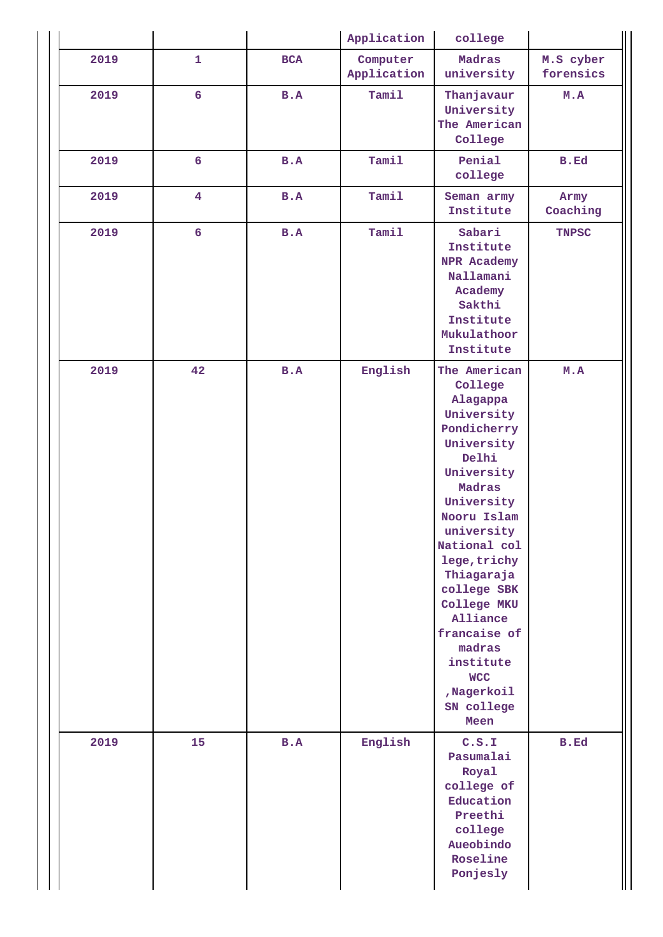|      |                         |            | Application             | college                                                                                                                                                                                                                                                                                                                                     |                        |
|------|-------------------------|------------|-------------------------|---------------------------------------------------------------------------------------------------------------------------------------------------------------------------------------------------------------------------------------------------------------------------------------------------------------------------------------------|------------------------|
| 2019 | $\mathbf{1}$            | <b>BCA</b> | Computer<br>Application | Madras<br>university                                                                                                                                                                                                                                                                                                                        | M.S cyber<br>forensics |
| 2019 | $6\overline{6}$         | B.A        | Tamil                   | Thanjavaur<br>University<br>The American<br>College                                                                                                                                                                                                                                                                                         | M.A                    |
| 2019 | $6\overline{6}$         | B.A        | Tamil                   | Penial<br>college                                                                                                                                                                                                                                                                                                                           | <b>B.Ed</b>            |
| 2019 | $\overline{\mathbf{4}}$ | B.A        | Tamil                   | Seman army<br>Institute                                                                                                                                                                                                                                                                                                                     | Army<br>Coaching       |
| 2019 | $6\overline{6}$         | B.A        | Tamil                   | Sabari<br>Institute<br>NPR Academy<br>Nallamani<br>Academy<br>Sakthi<br>Institute<br>Mukulathoor<br>Institute                                                                                                                                                                                                                               | <b>TNPSC</b>           |
| 2019 | 42                      | B.A        | English                 | The American<br>College<br>Alagappa<br>University<br>Pondicherry<br>University<br>Delhi<br>University<br>Madras<br>University<br>Nooru Islam<br>university<br>National col<br>lege, trichy<br>Thiagaraja<br>college SBK<br>College MKU<br>Alliance<br>francaise of<br>madras<br>institute<br><b>WCC</b><br>,Nagerkoil<br>SN college<br>Meen | M.A                    |
| 2019 | 15                      | B.A        | English                 | C.S.I<br>Pasumalai<br>Royal<br>college of<br>Education<br>Preethi<br>college<br>Aueobindo<br>Roseline<br>Ponjesly                                                                                                                                                                                                                           | B.Ed                   |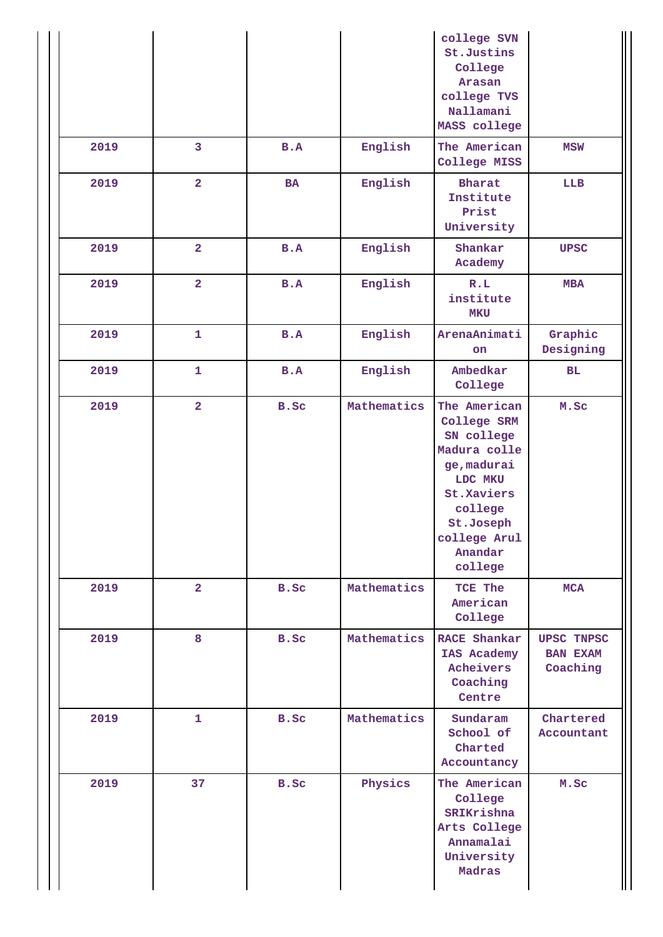|      |                         |           |             | college SVN<br>St.Justins<br>College<br>Arasan<br>college TVS<br>Nallamani<br>MASS college                                                                      |                                                  |
|------|-------------------------|-----------|-------------|-----------------------------------------------------------------------------------------------------------------------------------------------------------------|--------------------------------------------------|
| 2019 | $\overline{3}$          | B.A       | English     | The American<br>College MISS                                                                                                                                    | <b>MSW</b>                                       |
| 2019 | $\overline{\mathbf{2}}$ | <b>BA</b> | English     | <b>Bharat</b><br>Institute<br>Prist<br>University                                                                                                               | LLB                                              |
| 2019 | $\overline{\mathbf{2}}$ | B.A       | English     | Shankar<br>Academy                                                                                                                                              | <b>UPSC</b>                                      |
| 2019 | $\overline{a}$          | B.A       | English     | R.L<br>institute<br><b>MKU</b>                                                                                                                                  | <b>MBA</b>                                       |
| 2019 | $\mathbf{1}$            | B.A       | English     | ArenaAnimati<br>on                                                                                                                                              | Graphic<br>Designing                             |
| 2019 | $\mathbf{1}$            | B.A       | English     | Ambedkar<br>College                                                                                                                                             | BL                                               |
| 2019 | $\overline{\mathbf{2}}$ | B.Sc      | Mathematics | The American<br>College SRM<br>SN college<br>Madura colle<br>ge, madurai<br>LDC MKU<br>St.Xaviers<br>college<br>St.Joseph<br>college Arul<br>Anandar<br>college | M.Sc                                             |
| 2019 | $\overline{a}$          | B.Sc      | Mathematics | TCE The<br>American<br>College                                                                                                                                  | <b>MCA</b>                                       |
| 2019 | 8                       | B.Sc      | Mathematics | RACE Shankar<br>IAS Academy<br>Acheivers<br>Coaching<br>Centre                                                                                                  | <b>UPSC TNPSC</b><br><b>BAN EXAM</b><br>Coaching |
| 2019 | $\mathbf{1}$            | B.Sc      | Mathematics | Sundaram<br>School of<br>Charted<br>Accountancy                                                                                                                 | Chartered<br>Accountant                          |
| 2019 | 37                      | B.Sc      | Physics     | The American<br>College<br>SRIKrishna<br>Arts College<br>Annamalai<br>University<br>Madras                                                                      | M.Sc                                             |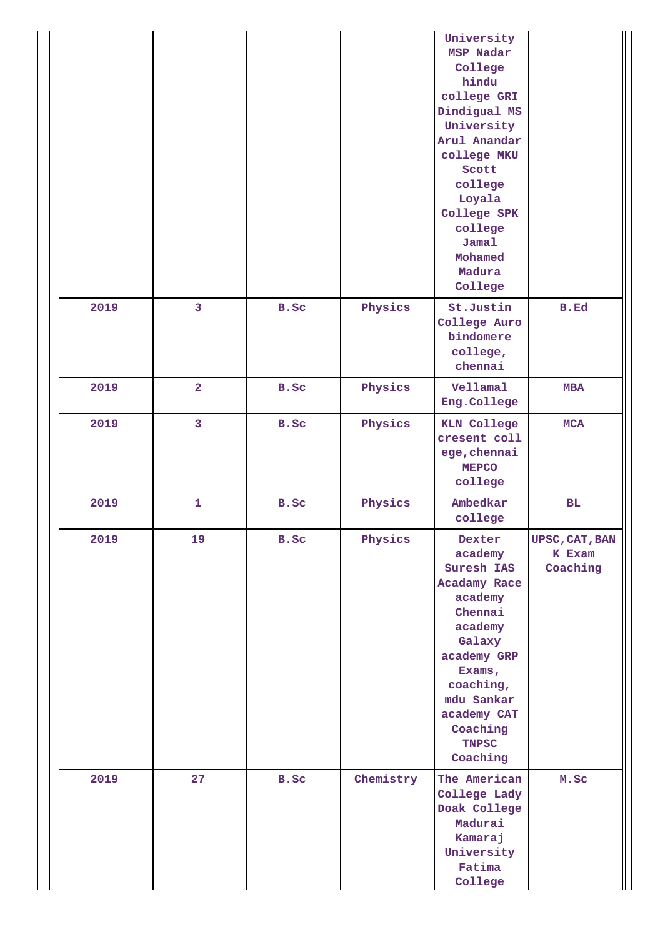|      |                         |      |           | University<br>MSP Nadar<br>College<br>hindu<br>college GRI<br>Dindigual MS<br>University<br>Arul Anandar<br>college MKU<br>Scott<br>college<br>Loyala<br>College SPK<br>college<br>Jamal<br>Mohamed<br>Madura<br>College |                                      |
|------|-------------------------|------|-----------|--------------------------------------------------------------------------------------------------------------------------------------------------------------------------------------------------------------------------|--------------------------------------|
| 2019 | $\overline{\mathbf{3}}$ | B.Sc | Physics   | St.Justin<br>College Auro<br>bindomere<br>college,<br>chennai                                                                                                                                                            | <b>B.Ed</b>                          |
| 2019 | $\overline{\mathbf{2}}$ | B.Sc | Physics   | Vellamal<br>Eng.College                                                                                                                                                                                                  | <b>MBA</b>                           |
| 2019 | 3                       | B.Sc | Physics   | <b>KLN College</b><br>cresent coll<br>ege, chennai<br><b>MEPCO</b><br>college                                                                                                                                            | <b>MCA</b>                           |
| 2019 | 1                       | B.Sc | Physics   | Ambedkar<br>college                                                                                                                                                                                                      | BL                                   |
| 2019 | 19                      | B.Sc | Physics   | Dexter<br>academy<br>Suresh IAS<br>Acadamy Race<br>academy<br>Chennai<br>academy<br>Galaxy<br>academy GRP<br>Exams,<br>coaching,<br>mdu Sankar<br>academy CAT<br>Coaching<br><b>TNPSC</b><br>Coaching                    | UPSC, CAT, BAN<br>K Exam<br>Coaching |
| 2019 | 27                      | B.Sc | Chemistry | The American<br>College Lady<br>Doak College<br>Madurai<br>Kamaraj<br>University<br>Fatima<br>College                                                                                                                    | M.Sc                                 |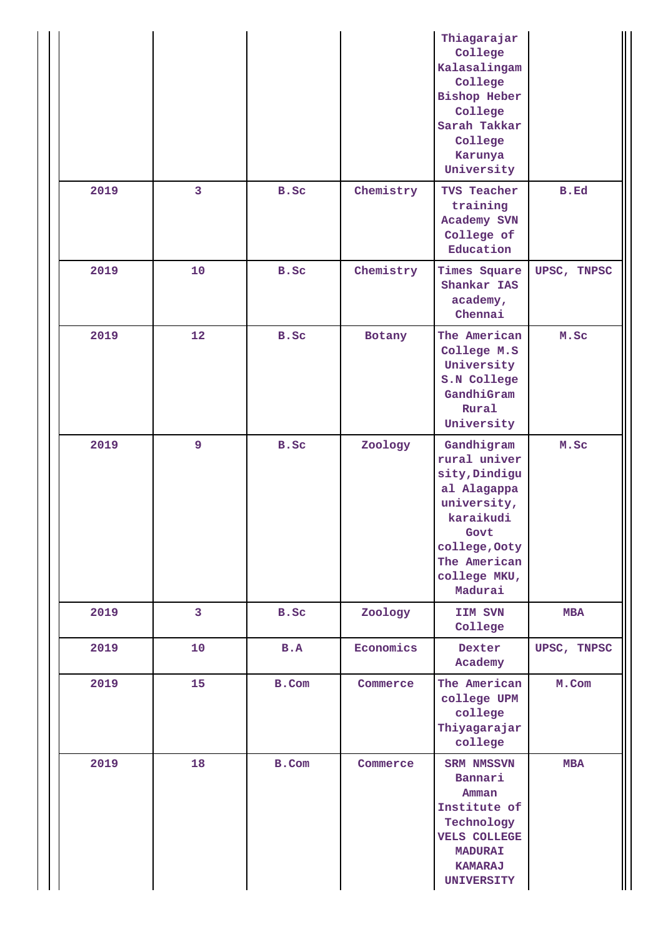|      |                |       |           | Thiagarajar<br>College<br>Kalasalingam<br>College<br><b>Bishop Heber</b><br>College<br>Sarah Takkar<br>College<br>Karunya<br>University                    |             |
|------|----------------|-------|-----------|------------------------------------------------------------------------------------------------------------------------------------------------------------|-------------|
| 2019 | $\overline{3}$ | B.Sc  | Chemistry | TVS Teacher<br>training<br>Academy SVN<br>College of<br>Education                                                                                          | <b>B.Ed</b> |
| 2019 | 10             | B.Sc  | Chemistry | Times Square<br>Shankar IAS<br>academy,<br>Chennai                                                                                                         | UPSC, TNPSC |
| 2019 | 12             | B.Sc  | Botany    | The American<br>College M.S<br>University<br>S.N College<br>GandhiGram<br>Rural<br>University                                                              | M.Sc        |
| 2019 | 9              | B.Sc  | Zoology   | Gandhigram<br>rural univer<br>sity, Dindigu<br>al Alagappa<br>university,<br>karaikudi<br>Govt<br>college, Ooty<br>The American<br>college MKU,<br>Madurai | M.Sc        |
| 2019 | $\mathbf{3}$   | B.Sc  | Zoology   | IIM SVN<br>College                                                                                                                                         | <b>MBA</b>  |
| 2019 | 10             | B.A   | Economics | Dexter<br>Academy                                                                                                                                          | UPSC, TNPSC |
| 2019 | 15             | B.Com | Commerce  | The American<br>college UPM<br>college<br>Thiyagarajar<br>college                                                                                          | M.Com       |
| 2019 | 18             | B.Com | Commerce  | SRM NMSSVN<br>Bannari<br>Amman<br>Institute of<br>Technology<br><b>VELS COLLEGE</b><br><b>MADURAI</b><br><b>KAMARAJ</b><br><b>UNIVERSITY</b>               | <b>MBA</b>  |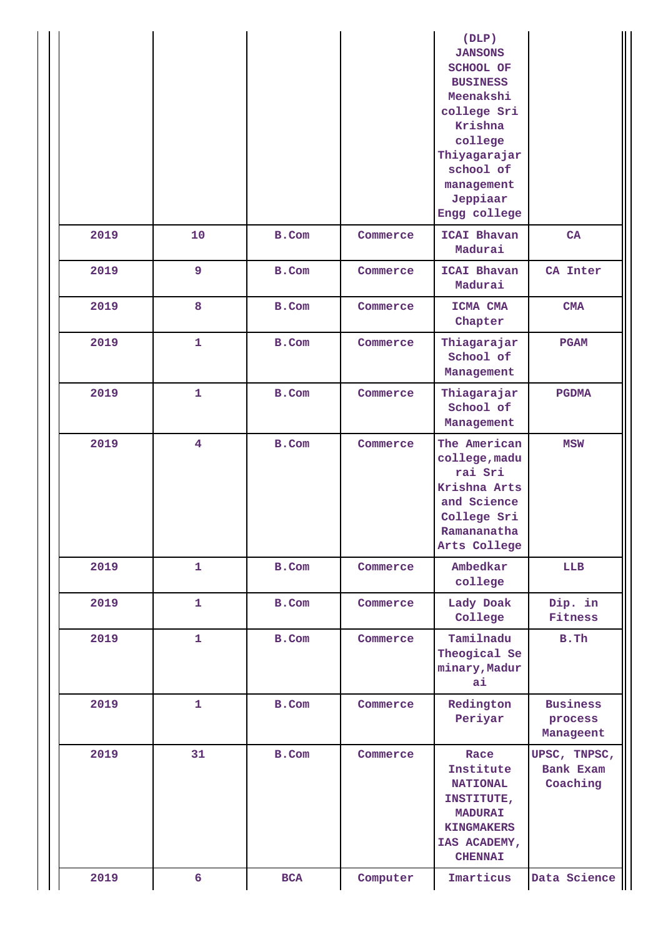|      |                         |            |          | (DLP)<br><b>JANSONS</b><br>SCHOOL OF<br><b>BUSINESS</b><br>Meenakshi<br>college Sri<br>Krishna<br>college<br>Thiyagarajar<br>school of<br>management<br>Jeppiaar<br>Engg college |                                         |
|------|-------------------------|------------|----------|----------------------------------------------------------------------------------------------------------------------------------------------------------------------------------|-----------------------------------------|
| 2019 | 10                      | B.Com      | Commerce | <b>ICAI Bhavan</b><br>Madurai                                                                                                                                                    | CA                                      |
| 2019 | 9                       | B.Com      | Commerce | <b>ICAI Bhavan</b><br>Madurai                                                                                                                                                    | CA Inter                                |
| 2019 | 8                       | B.Com      | Commerce | ICMA CMA<br>Chapter                                                                                                                                                              | CMA                                     |
| 2019 | $\mathbf{1}$            | B.Com      | Commerce | Thiagarajar<br>School of<br>Management                                                                                                                                           | <b>PGAM</b>                             |
| 2019 | $\mathbf{1}$            | B.Com      | Commerce | Thiagarajar<br>School of<br>Management                                                                                                                                           | <b>PGDMA</b>                            |
| 2019 | $\overline{\mathbf{4}}$ | B.Com      | Commerce | The American<br>college, madu<br>rai Sri<br>Krishna Arts<br>and Science<br>College Sri<br>Ramananatha<br>Arts College                                                            | <b>MSW</b>                              |
| 2019 | $\mathbf{1}$            | B.Com      | Commerce | Ambedkar<br>college                                                                                                                                                              | <b>LLB</b>                              |
| 2019 | $\mathbf{1}$            | B.Com      | Commerce | Lady Doak<br>College                                                                                                                                                             | Dip. in<br>Fitness                      |
| 2019 | $\mathbf{1}$            | B.Com      | Commerce | Tamilnadu<br>Theogical Se<br>minary, Madur<br>ai                                                                                                                                 | B.Th                                    |
| 2019 | $\mathbf{1}$            | B.Com      | Commerce | Redington<br>Periyar                                                                                                                                                             | <b>Business</b><br>process<br>Manageent |
| 2019 | 31                      | B.Com      | Commerce | Race<br>Institute<br><b>NATIONAL</b><br>INSTITUTE,<br><b>MADURAI</b><br><b>KINGMAKERS</b><br>IAS ACADEMY,<br><b>CHENNAI</b>                                                      | UPSC, TNPSC,<br>Bank Exam<br>Coaching   |
| 2019 | 6                       | <b>BCA</b> | Computer | Imarticus                                                                                                                                                                        | Data Science                            |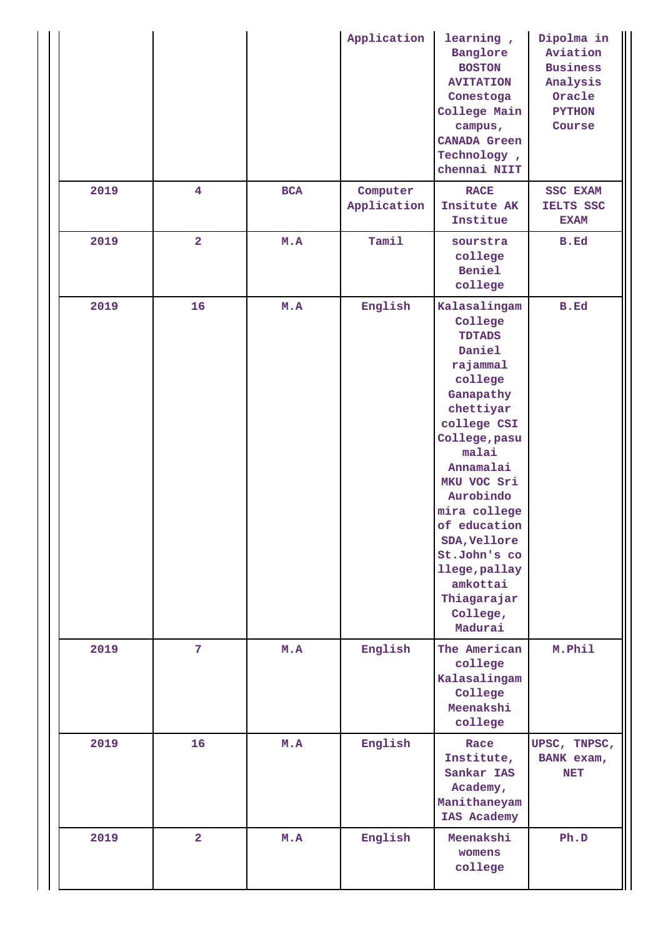|      |                 |     | Application             | learning,<br>Banglore<br><b>BOSTON</b><br><b>AVITATION</b><br>Conestoga<br>College Main<br>campus,<br><b>CANADA Green</b><br>Technology,<br>chennai NIIT                                                                                                                                                                 | Dipolma in<br>Aviation<br><b>Business</b><br>Analysis<br>Oracle<br><b>PYTHON</b><br>Course |
|------|-----------------|-----|-------------------------|--------------------------------------------------------------------------------------------------------------------------------------------------------------------------------------------------------------------------------------------------------------------------------------------------------------------------|--------------------------------------------------------------------------------------------|
| 2019 | $\overline{4}$  | BCA | Computer<br>Application | <b>RACE</b><br>Insitute AK<br>Institue                                                                                                                                                                                                                                                                                   | SSC EXAM<br>IELTS SSC<br><b>EXAM</b>                                                       |
| 2019 | $\overline{a}$  | M.A | Tamil                   | sourstra<br>college<br>Beniel<br>college                                                                                                                                                                                                                                                                                 | B.Ed                                                                                       |
| 2019 | 16              | M.A | English                 | Kalasalingam<br>College<br><b>TDTADS</b><br>Daniel<br>rajammal<br>college<br>Ganapathy<br>chettiyar<br>college CSI<br>College, pasu<br>malai<br>Annamalai<br>MKU VOC Sri<br>Aurobindo<br>mira college<br>of education<br>SDA, Vellore<br>St.John's co<br>llege, pallay<br>amkottai<br>Thiagarajar<br>College,<br>Madurai | <b>B.Ed</b>                                                                                |
| 2019 | $7\phantom{.0}$ | M.A | English                 | The American<br>college<br>Kalasalingam<br>College<br>Meenakshi<br>college                                                                                                                                                                                                                                               | M.Phil                                                                                     |
| 2019 | 16              | M.A | English                 | Race<br>Institute,<br>Sankar IAS<br>Academy,<br>Manithaneyam<br>IAS Academy                                                                                                                                                                                                                                              | UPSC, TNPSC,<br>BANK exam,<br><b>NET</b>                                                   |
| 2019 | $\overline{2}$  | M.A | English                 | Meenakshi<br>womens<br>college                                                                                                                                                                                                                                                                                           | Ph.D                                                                                       |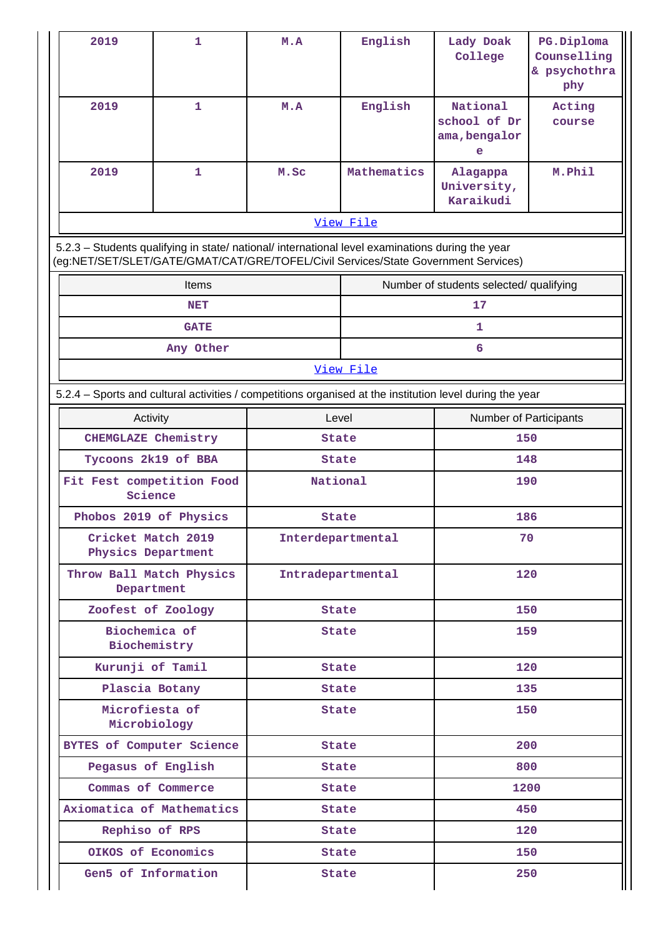| 2019                                                                                                                                                                                   | $\mathbf{1}$                  | M.A               | English      | Lady Doak<br>College                           | PG.Diploma<br>Counselling<br>& psychothra<br>phy |
|----------------------------------------------------------------------------------------------------------------------------------------------------------------------------------------|-------------------------------|-------------------|--------------|------------------------------------------------|--------------------------------------------------|
| 2019                                                                                                                                                                                   | $\mathbf{1}$                  | M.A               | English      | National<br>school of Dr<br>ama, bengalor<br>e | Acting<br>course                                 |
| 2019                                                                                                                                                                                   | 1                             | M.Sc              | Mathematics  | Alagappa<br>University,<br>Karaikudi           | M.Phil                                           |
|                                                                                                                                                                                        |                               |                   | View File    |                                                |                                                  |
| 5.2.3 - Students qualifying in state/ national/ international level examinations during the year<br>(eg:NET/SET/SLET/GATE/GMAT/CAT/GRE/TOFEL/Civil Services/State Government Services) |                               |                   |              |                                                |                                                  |
|                                                                                                                                                                                        | Items                         |                   |              | Number of students selected/ qualifying        |                                                  |
|                                                                                                                                                                                        | <b>NET</b>                    |                   |              | 17                                             |                                                  |
|                                                                                                                                                                                        | <b>GATE</b>                   |                   |              | 1                                              |                                                  |
|                                                                                                                                                                                        | Any Other                     |                   |              | 6                                              |                                                  |
|                                                                                                                                                                                        |                               |                   | View File    |                                                |                                                  |
| 5.2.4 - Sports and cultural activities / competitions organised at the institution level during the year                                                                               |                               |                   |              |                                                |                                                  |
| Activity                                                                                                                                                                               |                               |                   | Level        |                                                | Number of Participants                           |
| CHEMGLAZE Chemistry                                                                                                                                                                    |                               | <b>State</b>      |              | 150                                            |                                                  |
|                                                                                                                                                                                        | Tycoons 2k19 of BBA           | <b>State</b>      |              | 148                                            |                                                  |
| Science                                                                                                                                                                                | Fit Fest competition Food     | National          |              | 190                                            |                                                  |
| Phobos 2019 of Physics                                                                                                                                                                 |                               | <b>State</b>      |              | 186                                            |                                                  |
| Cricket Match 2019<br>Physics Department                                                                                                                                               |                               | Interdepartmental |              | 70                                             |                                                  |
| Department                                                                                                                                                                             | Throw Ball Match Physics      | Intradepartmental |              | 120                                            |                                                  |
|                                                                                                                                                                                        | Zoofest of Zoology            | State             |              | 150                                            |                                                  |
|                                                                                                                                                                                        | Biochemica of<br>Biochemistry | State             |              | 159                                            |                                                  |
| Kurunji of Tamil                                                                                                                                                                       |                               | State             |              | 120                                            |                                                  |
|                                                                                                                                                                                        | Plascia Botany                |                   | <b>State</b> | 135                                            |                                                  |
| Microfiesta of                                                                                                                                                                         | Microbiology                  | State             |              | 150                                            |                                                  |
|                                                                                                                                                                                        | BYTES of Computer Science     |                   | State        |                                                | 200                                              |
|                                                                                                                                                                                        | Pegasus of English            |                   | <b>State</b> |                                                | 800                                              |
|                                                                                                                                                                                        | Commas of Commerce            |                   | <b>State</b> |                                                | 1200                                             |
|                                                                                                                                                                                        | Axiomatica of Mathematics     |                   | State        |                                                | 450                                              |
| Rephiso of RPS                                                                                                                                                                         |                               |                   | <b>State</b> |                                                | 120                                              |
|                                                                                                                                                                                        | OIKOS of Economics            |                   | State        |                                                | 150                                              |
|                                                                                                                                                                                        | Gen5 of Information           |                   | State        |                                                | 250                                              |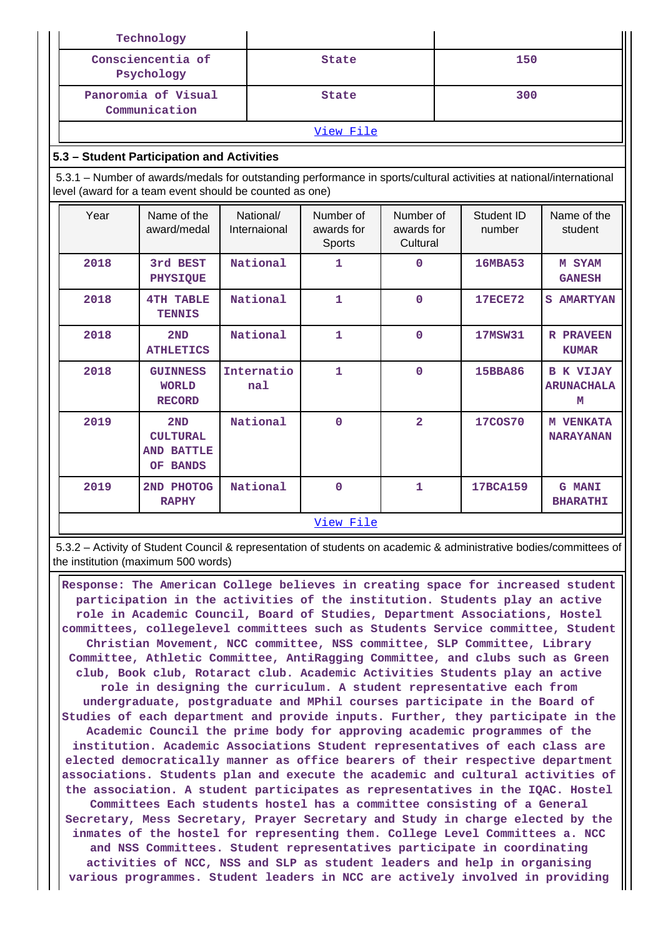|      | Technology                                                                                                                                                                     |                           |                                   |                                     |  |                      |                                            |
|------|--------------------------------------------------------------------------------------------------------------------------------------------------------------------------------|---------------------------|-----------------------------------|-------------------------------------|--|----------------------|--------------------------------------------|
|      | Consciencentia of<br>Psychology                                                                                                                                                |                           | <b>State</b>                      |                                     |  | 150                  |                                            |
|      | Panoromia of Visual<br>Communication                                                                                                                                           |                           | <b>State</b>                      |                                     |  | 300                  |                                            |
|      |                                                                                                                                                                                |                           | View File                         |                                     |  |                      |                                            |
|      | 5.3 - Student Participation and Activities                                                                                                                                     |                           |                                   |                                     |  |                      |                                            |
|      | 5.3.1 – Number of awards/medals for outstanding performance in sports/cultural activities at national/international<br>level (award for a team event should be counted as one) |                           |                                   |                                     |  |                      |                                            |
| Year | Name of the<br>award/medal                                                                                                                                                     | National/<br>Internaional | Number of<br>awards for<br>Sports | Number of<br>awards for<br>Cultural |  | Student ID<br>number | Name of the<br>student                     |
| 2018 | 3rd BEST<br>PHYSIQUE                                                                                                                                                           | National                  | $\mathbf{1}$                      | $\mathbf 0$                         |  | <b>16MBA53</b>       | M SYAM<br><b>GANESH</b>                    |
| 2018 | <b>4TH TABLE</b><br><b>TENNIS</b>                                                                                                                                              | National                  | $\mathbf{1}$                      | $\Omega$                            |  | <b>17ECE72</b>       | <b>S AMARTYAN</b>                          |
| 2018 | 2ND<br><b>ATHLETICS</b>                                                                                                                                                        | National                  | $\mathbf{1}$                      | $\mathbf 0$                         |  | <b>17MSW31</b>       | <b>R PRAVEEN</b><br><b>KUMAR</b>           |
| 2018 | <b>GUINNESS</b><br><b>WORLD</b><br><b>RECORD</b>                                                                                                                               | Internatio<br>nal         | $\mathbf{1}$                      | $\mathbf 0$                         |  | <b>15BBA86</b>       | <b>B K VIJAY</b><br><b>ARUNACHALA</b><br>м |
| 2019 | 2ND<br><b>CULTURAL</b><br><b>AND BATTLE</b><br>OF BANDS                                                                                                                        | National                  | $\mathbf{O}$                      | $\overline{\mathbf{2}}$             |  | <b>17COS70</b>       | <b>M VENKATA</b><br><b>NARAYANAN</b>       |
| 2019 | 2ND PHOTOG<br><b>RAPHY</b>                                                                                                                                                     | National                  | $\Omega$                          | $\mathbf{1}$                        |  | 17BCA159             | <b>G MANI</b><br><b>BHARATHI</b>           |
|      |                                                                                                                                                                                |                           | View File                         |                                     |  |                      |                                            |

 5.3.2 – Activity of Student Council & representation of students on academic & administrative bodies/committees of the institution (maximum 500 words)

 **Response: The American College believes in creating space for increased student participation in the activities of the institution. Students play an active role in Academic Council, Board of Studies, Department Associations, Hostel committees, collegelevel committees such as Students Service committee, Student Christian Movement, NCC committee, NSS committee, SLP Committee, Library Committee, Athletic Committee, AntiRagging Committee, and clubs such as Green club, Book club, Rotaract club. Academic Activities Students play an active role in designing the curriculum. A student representative each from undergraduate, postgraduate and MPhil courses participate in the Board of Studies of each department and provide inputs. Further, they participate in the Academic Council the prime body for approving academic programmes of the institution. Academic Associations Student representatives of each class are elected democratically manner as office bearers of their respective department associations. Students plan and execute the academic and cultural activities of the association. A student participates as representatives in the IQAC. Hostel Committees Each students hostel has a committee consisting of a General Secretary, Mess Secretary, Prayer Secretary and Study in charge elected by the inmates of the hostel for representing them. College Level Committees a. NCC and NSS Committees. Student representatives participate in coordinating activities of NCC, NSS and SLP as student leaders and help in organising various programmes. Student leaders in NCC are actively involved in providing**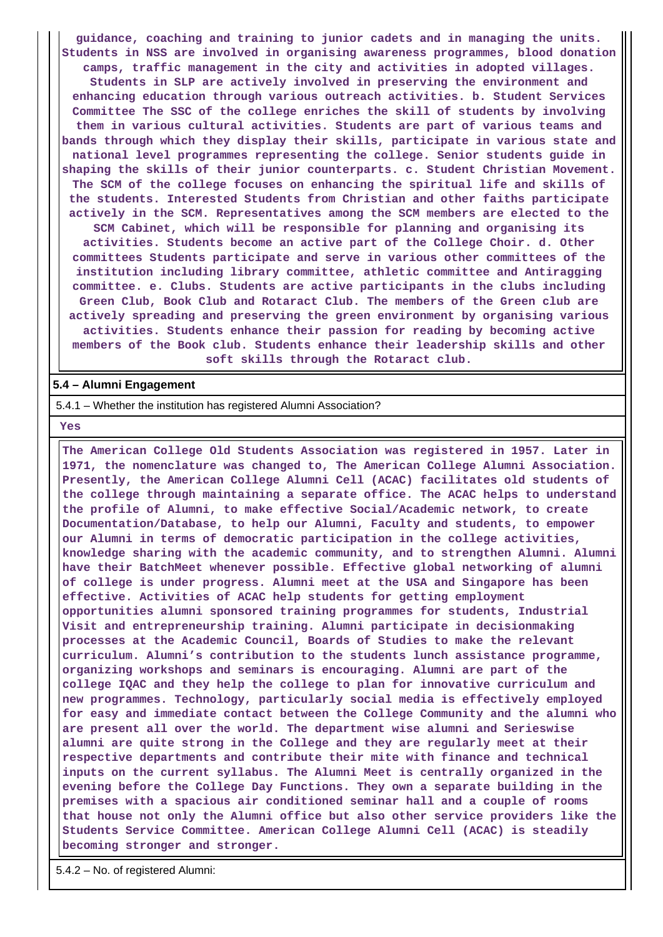**guidance, coaching and training to junior cadets and in managing the units. Students in NSS are involved in organising awareness programmes, blood donation camps, traffic management in the city and activities in adopted villages. Students in SLP are actively involved in preserving the environment and enhancing education through various outreach activities. b. Student Services Committee The SSC of the college enriches the skill of students by involving them in various cultural activities. Students are part of various teams and bands through which they display their skills, participate in various state and national level programmes representing the college. Senior students guide in shaping the skills of their junior counterparts. c. Student Christian Movement. The SCM of the college focuses on enhancing the spiritual life and skills of the students. Interested Students from Christian and other faiths participate actively in the SCM. Representatives among the SCM members are elected to the SCM Cabinet, which will be responsible for planning and organising its activities. Students become an active part of the College Choir. d. Other committees Students participate and serve in various other committees of the institution including library committee, athletic committee and Antiragging committee. e. Clubs. Students are active participants in the clubs including Green Club, Book Club and Rotaract Club. The members of the Green club are actively spreading and preserving the green environment by organising various activities. Students enhance their passion for reading by becoming active members of the Book club. Students enhance their leadership skills and other soft skills through the Rotaract club.**

### **5.4 – Alumni Engagement**

5.4.1 – Whether the institution has registered Alumni Association?

 **Yes**

 **The American College Old Students Association was registered in 1957. Later in 1971, the nomenclature was changed to, The American College Alumni Association. Presently, the American College Alumni Cell (ACAC) facilitates old students of the college through maintaining a separate office. The ACAC helps to understand the profile of Alumni, to make effective Social/Academic network, to create Documentation/Database, to help our Alumni, Faculty and students, to empower our Alumni in terms of democratic participation in the college activities, knowledge sharing with the academic community, and to strengthen Alumni. Alumni have their BatchMeet whenever possible. Effective global networking of alumni of college is under progress. Alumni meet at the USA and Singapore has been effective. Activities of ACAC help students for getting employment opportunities alumni sponsored training programmes for students, Industrial Visit and entrepreneurship training. Alumni participate in decisionmaking processes at the Academic Council, Boards of Studies to make the relevant curriculum. Alumni's contribution to the students lunch assistance programme, organizing workshops and seminars is encouraging. Alumni are part of the college IQAC and they help the college to plan for innovative curriculum and new programmes. Technology, particularly social media is effectively employed for easy and immediate contact between the College Community and the alumni who are present all over the world. The department wise alumni and Serieswise alumni are quite strong in the College and they are regularly meet at their respective departments and contribute their mite with finance and technical inputs on the current syllabus. The Alumni Meet is centrally organized in the evening before the College Day Functions. They own a separate building in the premises with a spacious air conditioned seminar hall and a couple of rooms that house not only the Alumni office but also other service providers like the Students Service Committee. American College Alumni Cell (ACAC) is steadily becoming stronger and stronger.**

5.4.2 – No. of registered Alumni: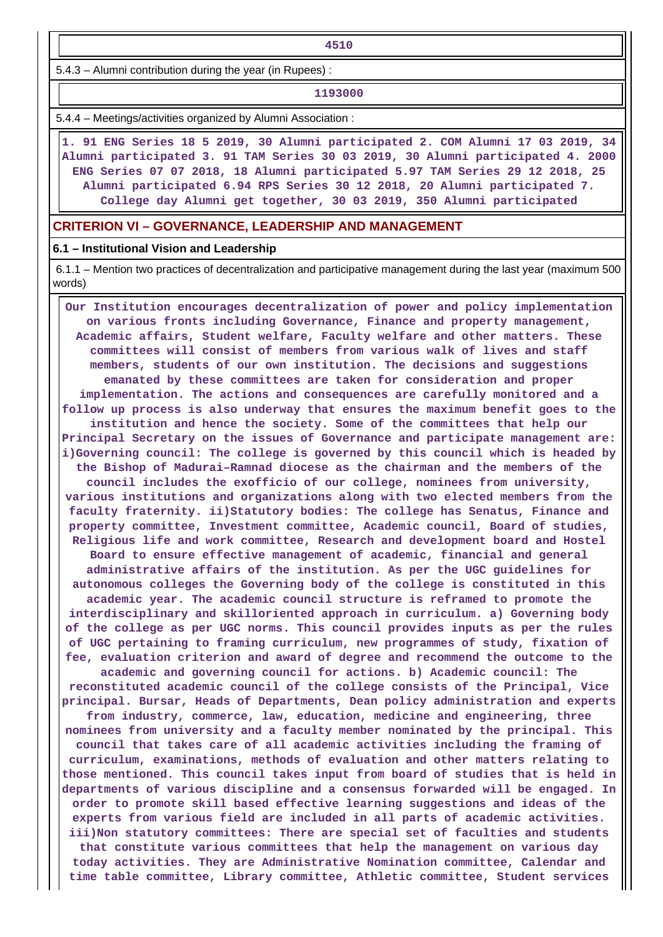5.4.3 – Alumni contribution during the year (in Rupees) :

#### **1193000**

5.4.4 – Meetings/activities organized by Alumni Association :

 **1. 91 ENG Series 18 5 2019, 30 Alumni participated 2. COM Alumni 17 03 2019, 34 Alumni participated 3. 91 TAM Series 30 03 2019, 30 Alumni participated 4. 2000 ENG Series 07 07 2018, 18 Alumni participated 5.97 TAM Series 29 12 2018, 25 Alumni participated 6.94 RPS Series 30 12 2018, 20 Alumni participated 7. College day Alumni get together, 30 03 2019, 350 Alumni participated**

### **CRITERION VI – GOVERNANCE, LEADERSHIP AND MANAGEMENT**

#### **6.1 – Institutional Vision and Leadership**

 6.1.1 – Mention two practices of decentralization and participative management during the last year (maximum 500 words)

 **Our Institution encourages decentralization of power and policy implementation on various fronts including Governance, Finance and property management, Academic affairs, Student welfare, Faculty welfare and other matters. These committees will consist of members from various walk of lives and staff members, students of our own institution. The decisions and suggestions emanated by these committees are taken for consideration and proper implementation. The actions and consequences are carefully monitored and a follow up process is also underway that ensures the maximum benefit goes to the institution and hence the society. Some of the committees that help our Principal Secretary on the issues of Governance and participate management are: i)Governing council: The college is governed by this council which is headed by the Bishop of Madurai–Ramnad diocese as the chairman and the members of the council includes the exofficio of our college, nominees from university, various institutions and organizations along with two elected members from the faculty fraternity. ii)Statutory bodies: The college has Senatus, Finance and property committee, Investment committee, Academic council, Board of studies, Religious life and work committee, Research and development board and Hostel Board to ensure effective management of academic, financial and general administrative affairs of the institution. As per the UGC guidelines for autonomous colleges the Governing body of the college is constituted in this academic year. The academic council structure is reframed to promote the interdisciplinary and skilloriented approach in curriculum. a) Governing body of the college as per UGC norms. This council provides inputs as per the rules of UGC pertaining to framing curriculum, new programmes of study, fixation of fee, evaluation criterion and award of degree and recommend the outcome to the academic and governing council for actions. b) Academic council: The reconstituted academic council of the college consists of the Principal, Vice principal. Bursar, Heads of Departments, Dean policy administration and experts from industry, commerce, law, education, medicine and engineering, three nominees from university and a faculty member nominated by the principal. This council that takes care of all academic activities including the framing of curriculum, examinations, methods of evaluation and other matters relating to those mentioned. This council takes input from board of studies that is held in departments of various discipline and a consensus forwarded will be engaged. In order to promote skill based effective learning suggestions and ideas of the experts from various field are included in all parts of academic activities. iii)Non statutory committees: There are special set of faculties and students that constitute various committees that help the management on various day today activities. They are Administrative Nomination committee, Calendar and time table committee, Library committee, Athletic committee, Student services**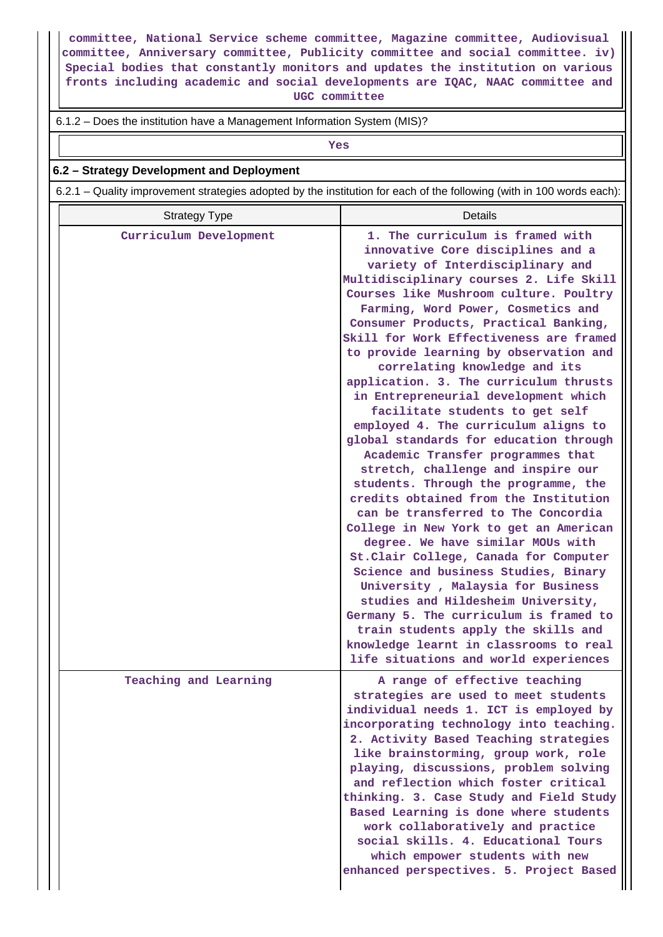**committee, National Service scheme committee, Magazine committee, Audiovisual committee, Anniversary committee, Publicity committee and social committee. iv) Special bodies that constantly monitors and updates the institution on various fronts including academic and social developments are IQAC, NAAC committee and UGC committee**

### 6.1.2 – Does the institution have a Management Information System (MIS)?

*Yes* 

## **6.2 – Strategy Development and Deployment**

6.2.1 – Quality improvement strategies adopted by the institution for each of the following (with in 100 words each):

| <b>Strategy Type</b>   | Details                                                                                                                                                                                                                                                                                                                                                                                                                                                                                                                                                                                                                                                                                                                                                                                                                                                                                                                                                                                                                                                                                                                                                                                                                      |
|------------------------|------------------------------------------------------------------------------------------------------------------------------------------------------------------------------------------------------------------------------------------------------------------------------------------------------------------------------------------------------------------------------------------------------------------------------------------------------------------------------------------------------------------------------------------------------------------------------------------------------------------------------------------------------------------------------------------------------------------------------------------------------------------------------------------------------------------------------------------------------------------------------------------------------------------------------------------------------------------------------------------------------------------------------------------------------------------------------------------------------------------------------------------------------------------------------------------------------------------------------|
| Curriculum Development | 1. The curriculum is framed with<br>innovative Core disciplines and a<br>variety of Interdisciplinary and<br>Multidisciplinary courses 2. Life Skill<br>Courses like Mushroom culture. Poultry<br>Farming, Word Power, Cosmetics and<br>Consumer Products, Practical Banking,<br>Skill for Work Effectiveness are framed<br>to provide learning by observation and<br>correlating knowledge and its<br>application. 3. The curriculum thrusts<br>in Entrepreneurial development which<br>facilitate students to get self<br>employed 4. The curriculum aligns to<br>global standards for education through<br>Academic Transfer programmes that<br>stretch, challenge and inspire our<br>students. Through the programme, the<br>credits obtained from the Institution<br>can be transferred to The Concordia<br>College in New York to get an American<br>degree. We have similar MOUs with<br>St.Clair College, Canada for Computer<br>Science and business Studies, Binary<br>University, Malaysia for Business<br>studies and Hildesheim University,<br>Germany 5. The curriculum is framed to<br>train students apply the skills and<br>knowledge learnt in classrooms to real<br>life situations and world experiences |
| Teaching and Learning  | A range of effective teaching<br>strategies are used to meet students<br>individual needs 1. ICT is employed by<br>incorporating technology into teaching.<br>2. Activity Based Teaching strategies<br>like brainstorming, group work, role<br>playing, discussions, problem solving<br>and reflection which foster critical<br>thinking. 3. Case Study and Field Study<br>Based Learning is done where students<br>work collaboratively and practice<br>social skills. 4. Educational Tours<br>which empower students with new<br>enhanced perspectives. 5. Project Based                                                                                                                                                                                                                                                                                                                                                                                                                                                                                                                                                                                                                                                   |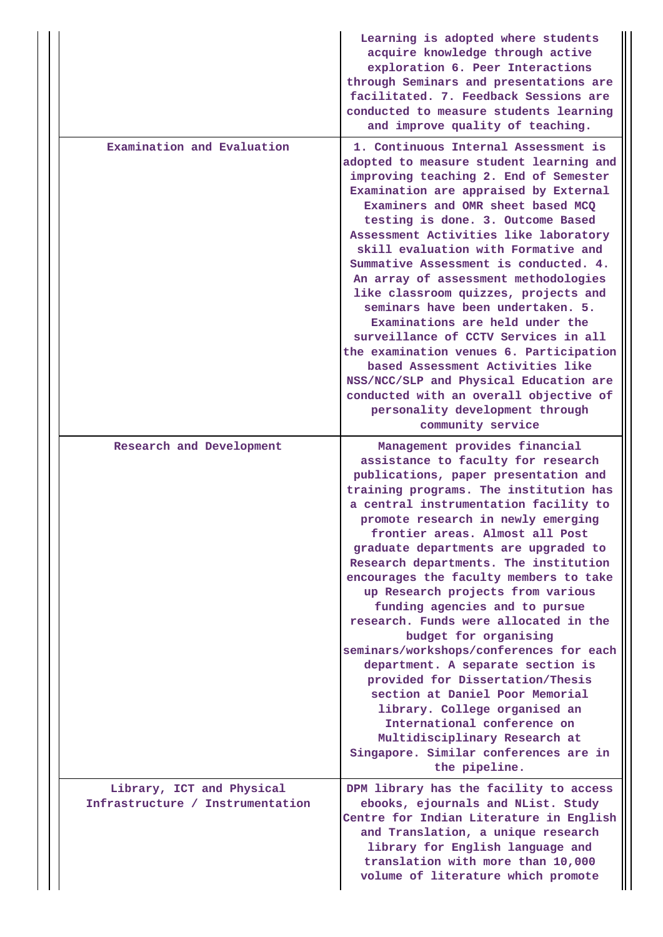|                                                               | Learning is adopted where students<br>acquire knowledge through active<br>exploration 6. Peer Interactions<br>through Seminars and presentations are<br>facilitated. 7. Feedback Sessions are<br>conducted to measure students learning<br>and improve quality of teaching.                                                                                                                                                                                                                                                                                                                                                                                                                                                                                                                                                                                   |
|---------------------------------------------------------------|---------------------------------------------------------------------------------------------------------------------------------------------------------------------------------------------------------------------------------------------------------------------------------------------------------------------------------------------------------------------------------------------------------------------------------------------------------------------------------------------------------------------------------------------------------------------------------------------------------------------------------------------------------------------------------------------------------------------------------------------------------------------------------------------------------------------------------------------------------------|
| Examination and Evaluation                                    | 1. Continuous Internal Assessment is<br>adopted to measure student learning and<br>improving teaching 2. End of Semester<br>Examination are appraised by External<br>Examiners and OMR sheet based MCQ<br>testing is done. 3. Outcome Based<br>Assessment Activities like laboratory<br>skill evaluation with Formative and<br>Summative Assessment is conducted. 4.<br>An array of assessment methodologies<br>like classroom quizzes, projects and<br>seminars have been undertaken. 5.<br>Examinations are held under the<br>surveillance of CCTV Services in all<br>the examination venues 6. Participation<br>based Assessment Activities like<br>NSS/NCC/SLP and Physical Education are<br>conducted with an overall objective of<br>personality development through<br>community service                                                               |
| Research and Development                                      | Management provides financial<br>assistance to faculty for research<br>publications, paper presentation and<br>training programs. The institution has<br>a central instrumentation facility to<br>promote research in newly emerging<br>frontier areas. Almost all Post<br>graduate departments are upgraded to<br>Research departments. The institution<br>encourages the faculty members to take<br>up Research projects from various<br>funding agencies and to pursue<br>research. Funds were allocated in the<br>budget for organising<br>seminars/workshops/conferences for each<br>department. A separate section is<br>provided for Dissertation/Thesis<br>section at Daniel Poor Memorial<br>library. College organised an<br>International conference on<br>Multidisciplinary Research at<br>Singapore. Similar conferences are in<br>the pipeline. |
| Library, ICT and Physical<br>Infrastructure / Instrumentation | DPM library has the facility to access<br>ebooks, ejournals and NList. Study<br>Centre for Indian Literature in English<br>and Translation, a unique research<br>library for English language and<br>translation with more than 10,000<br>volume of literature which promote                                                                                                                                                                                                                                                                                                                                                                                                                                                                                                                                                                                  |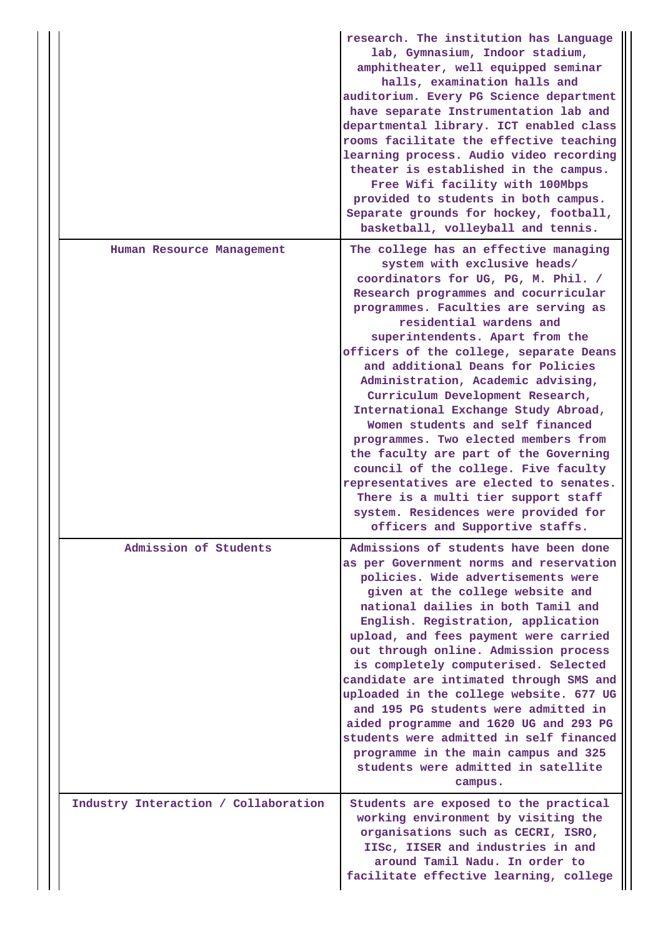|                                      | research. The institution has Language<br>lab, Gymnasium, Indoor stadium,<br>amphitheater, well equipped seminar<br>halls, examination halls and<br>auditorium. Every PG Science department<br>have separate Instrumentation lab and<br>departmental library. ICT enabled class<br>rooms facilitate the effective teaching<br>learning process. Audio video recording<br>theater is established in the campus.<br>Free Wifi facility with 100Mbps<br>provided to students in both campus.<br>Separate grounds for hockey, football,<br>basketball, volleyball and tennis.                                                                                                                                                                                                              |
|--------------------------------------|----------------------------------------------------------------------------------------------------------------------------------------------------------------------------------------------------------------------------------------------------------------------------------------------------------------------------------------------------------------------------------------------------------------------------------------------------------------------------------------------------------------------------------------------------------------------------------------------------------------------------------------------------------------------------------------------------------------------------------------------------------------------------------------|
| Human Resource Management            | The college has an effective managing<br>system with exclusive heads/<br>coordinators for UG, PG, M. Phil. /<br>Research programmes and cocurricular<br>programmes. Faculties are serving as<br>residential wardens and<br>superintendents. Apart from the<br>officers of the college, separate Deans<br>and additional Deans for Policies<br>Administration, Academic advising,<br>Curriculum Development Research,<br>International Exchange Study Abroad,<br>Women students and self financed<br>programmes. Two elected members from<br>the faculty are part of the Governing<br>council of the college. Five faculty<br>representatives are elected to senates.<br>There is a multi tier support staff<br>system. Residences were provided for<br>officers and Supportive staffs. |
| Admission of Students                | Admissions of students have been done<br>as per Government norms and reservation<br>policies. Wide advertisements were<br>given at the college website and<br>national dailies in both Tamil and<br>English. Registration, application<br>upload, and fees payment were carried<br>out through online. Admission process<br>is completely computerised. Selected<br>candidate are intimated through SMS and<br>uploaded in the college website. 677 UG<br>and 195 PG students were admitted in<br>aided programme and 1620 UG and 293 PG<br>students were admitted in self financed<br>programme in the main campus and 325<br>students were admitted in satellite<br>campus.                                                                                                          |
| Industry Interaction / Collaboration | Students are exposed to the practical<br>working environment by visiting the<br>organisations such as CECRI, ISRO,<br>IISC, IISER and industries in and<br>around Tamil Nadu. In order to<br>facilitate effective learning, college                                                                                                                                                                                                                                                                                                                                                                                                                                                                                                                                                    |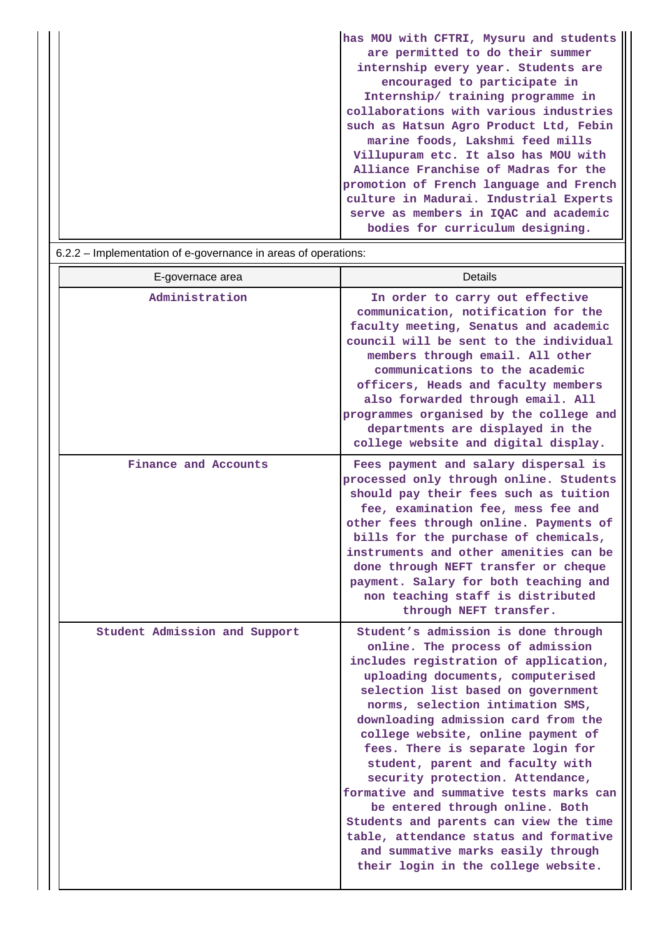| has MOU with CFTRI, Mysuru and students |
|-----------------------------------------|
| are permitted to do their summer        |
| internship every year. Students are     |
| encouraged to participate in            |
| Internship/ training programme in       |
| collaborations with various industries  |
| such as Hatsun Agro Product Ltd, Febin  |
| marine foods, Lakshmi feed mills        |
| Villupuram etc. It also has MOU with    |
| Alliance Franchise of Madras for the    |
| promotion of French language and French |
| culture in Madurai. Industrial Experts  |
| serve as members in IQAC and academic   |
| bodies for curriculum designing.        |

| 6.2.2 – Implementation of e-governance in areas of operations: |                                                                                                                                                                                                                                                                                                                                                                                                                                                                                                                                                                                                                                                                          |  |  |  |  |
|----------------------------------------------------------------|--------------------------------------------------------------------------------------------------------------------------------------------------------------------------------------------------------------------------------------------------------------------------------------------------------------------------------------------------------------------------------------------------------------------------------------------------------------------------------------------------------------------------------------------------------------------------------------------------------------------------------------------------------------------------|--|--|--|--|
| E-governace area                                               | Details                                                                                                                                                                                                                                                                                                                                                                                                                                                                                                                                                                                                                                                                  |  |  |  |  |
| Administration                                                 | In order to carry out effective<br>communication, notification for the<br>faculty meeting, Senatus and academic<br>council will be sent to the individual<br>members through email. All other<br>communications to the academic<br>officers, Heads and faculty members<br>also forwarded through email. All<br>programmes organised by the college and<br>departments are displayed in the<br>college website and digital display.                                                                                                                                                                                                                                       |  |  |  |  |
| Finance and Accounts                                           | Fees payment and salary dispersal is<br>processed only through online. Students<br>should pay their fees such as tuition<br>fee, examination fee, mess fee and<br>other fees through online. Payments of<br>bills for the purchase of chemicals,<br>instruments and other amenities can be<br>done through NEFT transfer or cheque<br>payment. Salary for both teaching and<br>non teaching staff is distributed<br>through NEFT transfer.                                                                                                                                                                                                                               |  |  |  |  |
| Student Admission and Support                                  | Student's admission is done through<br>online. The process of admission<br>includes registration of application,<br>uploading documents, computerised<br>selection list based on government<br>norms, selection intimation SMS,<br>downloading admission card from the<br>college website, online payment of<br>fees. There is separate login for<br>student, parent and faculty with<br>security protection. Attendance,<br>formative and summative tests marks can<br>be entered through online. Both<br>Students and parents can view the time<br>table, attendance status and formative<br>and summative marks easily through<br>their login in the college website. |  |  |  |  |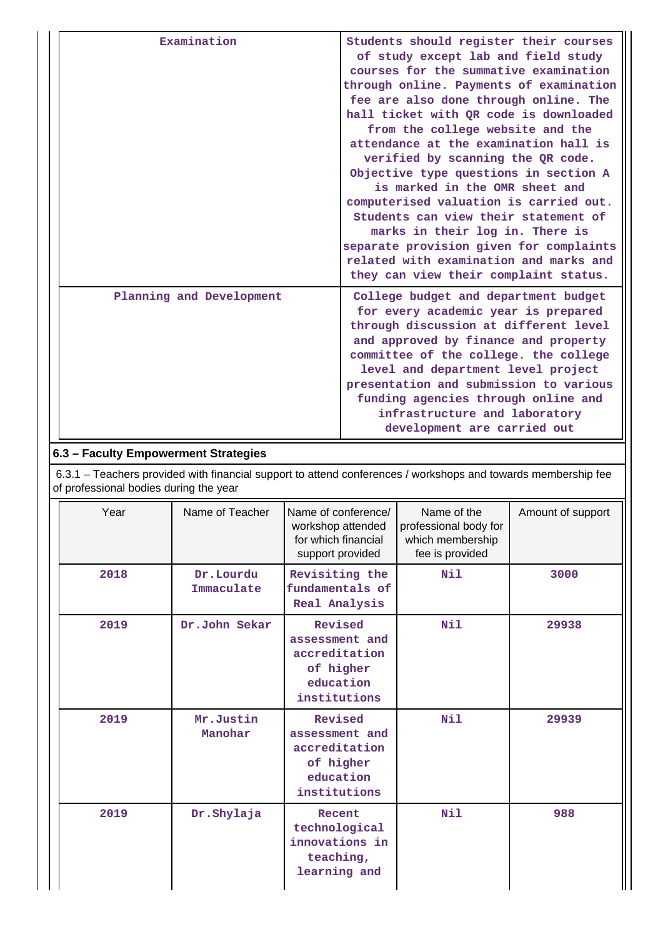| Examination              | Students should register their courses<br>of study except lab and field study<br>courses for the summative examination<br>through online. Payments of examination<br>fee are also done through online. The<br>hall ticket with QR code is downloaded<br>from the college website and the<br>attendance at the examination hall is<br>verified by scanning the QR code.<br>Objective type questions in section A<br>is marked in the OMR sheet and<br>computerised valuation is carried out.<br>Students can view their statement of<br>marks in their log in. There is<br>separate provision given for complaints<br>related with examination and marks and<br>they can view their complaint status. |
|--------------------------|------------------------------------------------------------------------------------------------------------------------------------------------------------------------------------------------------------------------------------------------------------------------------------------------------------------------------------------------------------------------------------------------------------------------------------------------------------------------------------------------------------------------------------------------------------------------------------------------------------------------------------------------------------------------------------------------------|
| Planning and Development | College budget and department budget<br>for every academic year is prepared<br>through discussion at different level<br>and approved by finance and property<br>committee of the college. the college<br>level and department level project<br>presentation and submission to various<br>funding agencies through online and<br>infrastructure and laboratory<br>development are carried out                                                                                                                                                                                                                                                                                                         |

# **6.3 – Faculty Empowerment Strategies**

 6.3.1 – Teachers provided with financial support to attend conferences / workshops and towards membership fee of professional bodies during the year

| Year | Name of Teacher         | Name of conference/<br>workshop attended<br>for which financial<br>support provided  | Name of the<br>professional body for<br>which membership<br>fee is provided | Amount of support |
|------|-------------------------|--------------------------------------------------------------------------------------|-----------------------------------------------------------------------------|-------------------|
| 2018 | Dr.Lourdu<br>Immaculate | Revisiting the<br>fundamentals of<br>Real Analysis                                   | Nil                                                                         | 3000              |
| 2019 | Dr.John Sekar           | Revised<br>assessment and<br>accreditation<br>of higher<br>education<br>institutions | Nil                                                                         | 29938             |
| 2019 | Mr.Justin<br>Manohar    | Revised<br>assessment and<br>accreditation<br>of higher<br>education<br>institutions | <b>Nil</b>                                                                  | 29939             |
| 2019 | Dr. Shylaja             | Recent<br>technological<br>innovations in<br>teaching,<br>learning and               | Nil                                                                         | 988               |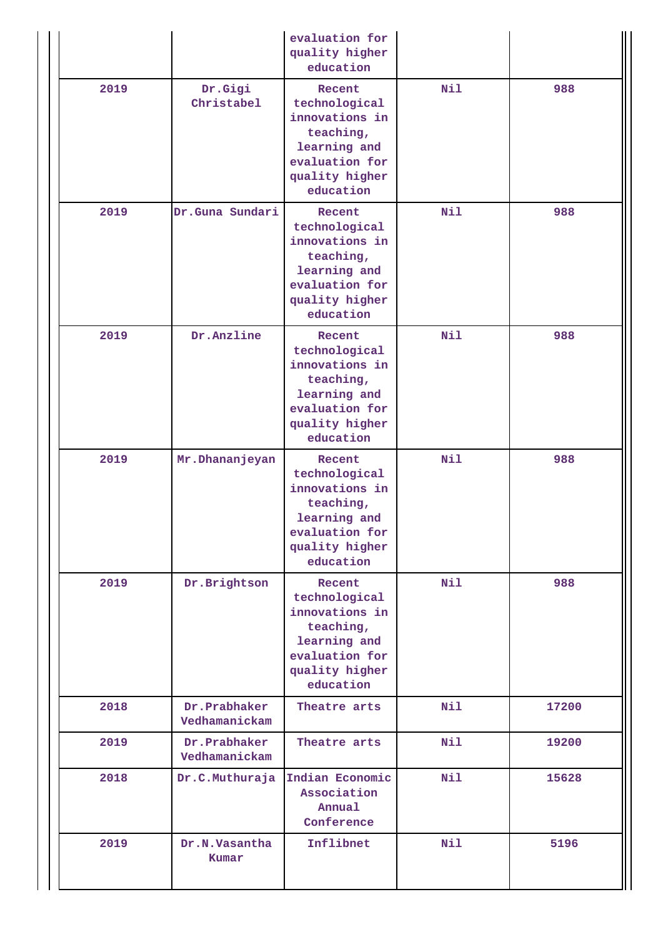|      |                               | evaluation for<br>quality higher<br>education                                                                           |     |       |
|------|-------------------------------|-------------------------------------------------------------------------------------------------------------------------|-----|-------|
| 2019 | Dr.Gigi<br>Christabel         | Recent<br>technological<br>innovations in<br>teaching,<br>learning and<br>evaluation for<br>quality higher<br>education | Nil | 988   |
| 2019 | Dr.Guna Sundari               | Recent<br>technological<br>innovations in<br>teaching,<br>learning and<br>evaluation for<br>quality higher<br>education | Nil | 988   |
| 2019 | Dr.Anzline                    | Recent<br>technological<br>innovations in<br>teaching,<br>learning and<br>evaluation for<br>quality higher<br>education | Nil | 988   |
| 2019 | Mr. Dhananjeyan               | Recent<br>technological<br>innovations in<br>teaching,<br>learning and<br>evaluation for<br>quality higher<br>education | Nil | 988   |
| 2019 | Dr.Brightson                  | Recent<br>technological<br>innovations in<br>teaching,<br>learning and<br>evaluation for<br>quality higher<br>education | Nil | 988   |
| 2018 | Dr.Prabhaker<br>Vedhamanickam | Theatre arts                                                                                                            | Nil | 17200 |
| 2019 | Dr.Prabhaker<br>Vedhamanickam | Theatre arts                                                                                                            | Nil | 19200 |
| 2018 | Dr.C.Muthuraja                | Indian Economic<br>Association<br>Annual<br>Conference                                                                  | Nil | 15628 |
| 2019 | Dr.N.Vasantha<br>Kumar        | Inflibnet                                                                                                               | Nil | 5196  |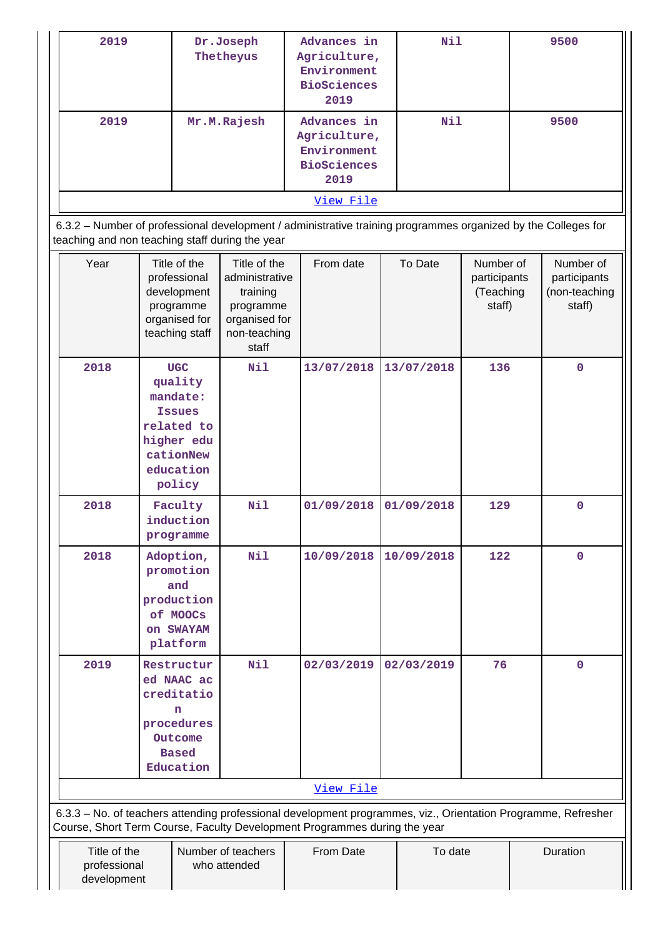| 2019 | Dr.Joseph<br>Thetheyus | Advances in<br>Agriculture,<br>Environment<br><b>BioSciences</b><br>2019 | Nil | 9500 |
|------|------------------------|--------------------------------------------------------------------------|-----|------|
| 2019 | Mr.M.Rajesh            | Advances in<br>Agriculture,<br>Environment<br><b>BioSciences</b><br>2019 | Nil | 9500 |
|      |                        | View File                                                                |     |      |

 6.3.2 – Number of professional development / administrative training programmes organized by the Colleges for teaching and non teaching staff during the year

| Year                                                                      | Title of the<br>professional<br>development<br>programme<br>organised for<br>teaching staff                        | Title of the<br>administrative<br>training<br>programme<br>organised for<br>non-teaching<br>staff | From date  | To Date    | Number of<br>participants<br>(Teaching<br>staff) | Number of<br>participants<br>(non-teaching<br>staff)                                                          |
|---------------------------------------------------------------------------|--------------------------------------------------------------------------------------------------------------------|---------------------------------------------------------------------------------------------------|------------|------------|--------------------------------------------------|---------------------------------------------------------------------------------------------------------------|
| 2018                                                                      | <b>UGC</b><br>quality<br>mandate:<br><b>Issues</b><br>related to<br>higher edu<br>cationNew<br>education<br>policy | Nil                                                                                               | 13/07/2018 | 13/07/2018 | 136                                              | $\mathbf 0$                                                                                                   |
| 2018                                                                      | Faculty<br>induction<br>programme                                                                                  | Nil                                                                                               | 01/09/2018 | 01/09/2018 | 129                                              | $\mathbf 0$                                                                                                   |
| 2018                                                                      | Adoption,<br>promotion<br>and<br>production<br>of MOOCs<br>on SWAYAM<br>platform                                   | Nil                                                                                               | 10/09/2018 | 10/09/2018 | 122                                              | 0                                                                                                             |
| 2019                                                                      | Restructur<br>ed NAAC ac<br>creditatio<br>n<br>procedures<br>Outcome<br><b>Based</b><br>Education                  | Nil                                                                                               | 02/03/2019 | 02/03/2019 | 76                                               | 0                                                                                                             |
|                                                                           |                                                                                                                    |                                                                                                   | View File  |            |                                                  |                                                                                                               |
| Course, Short Term Course, Faculty Development Programmes during the year |                                                                                                                    |                                                                                                   |            |            |                                                  | 6.3.3 - No. of teachers attending professional development programmes, viz., Orientation Programme, Refresher |
| Title of the<br>professional<br>development                               |                                                                                                                    | Number of teachers<br>who attended                                                                | From Date  | To date    |                                                  | Duration                                                                                                      |

 $\perp$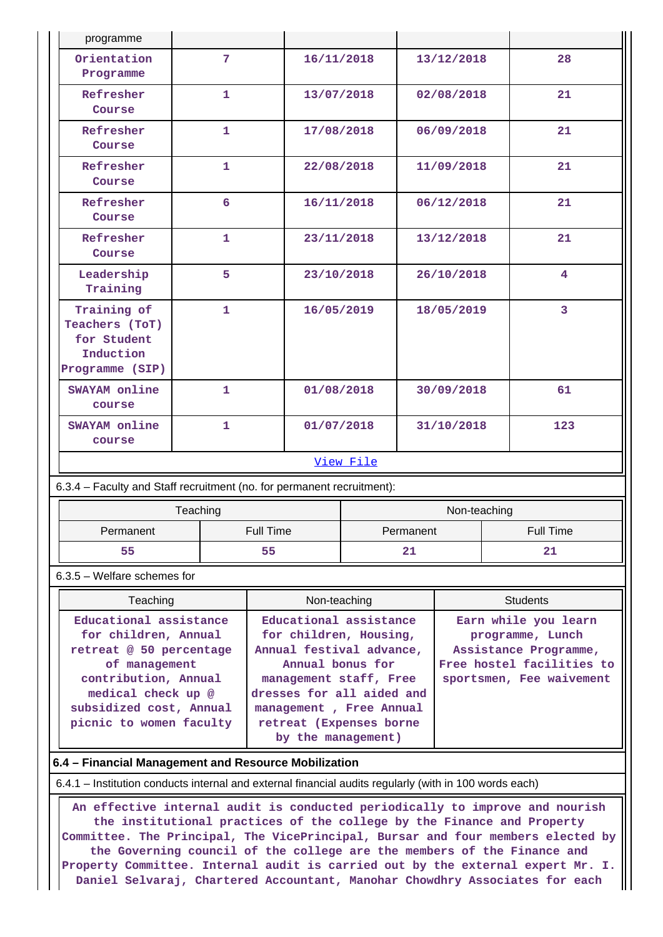| programme                                                                    |                |                                                  |           |            |              |                                          |
|------------------------------------------------------------------------------|----------------|--------------------------------------------------|-----------|------------|--------------|------------------------------------------|
| Orientation<br>Programme                                                     | $\overline{7}$ | 16/11/2018                                       |           |            | 13/12/2018   | 28                                       |
| Refresher<br>Course                                                          | 1              | 13/07/2018                                       |           |            | 02/08/2018   | 21                                       |
| Refresher<br>Course                                                          | $\mathbf{1}$   | 17/08/2018                                       |           |            | 06/09/2018   | 21                                       |
| Refresher<br>Course                                                          | $\mathbf{1}$   | 22/08/2018                                       |           |            | 11/09/2018   | 21                                       |
| Refresher<br>Course                                                          | 6              | 16/11/2018                                       |           |            | 06/12/2018   | 21                                       |
| Refresher<br>Course                                                          | $\mathbf{1}$   | 23/11/2018                                       |           |            | 13/12/2018   | 21                                       |
| Leadership<br>Training                                                       | 5              | 23/10/2018                                       |           | 26/10/2018 |              | $\overline{\mathbf{4}}$                  |
| Training of<br>Teachers (ToT)<br>for Student<br>Induction<br>Programme (SIP) | $\mathbf{1}$   | 16/05/2019                                       |           |            | 18/05/2019   | 3                                        |
| <b>SWAYAM</b> online<br>course                                               | $\mathbf{1}$   | 01/08/2018                                       |           |            | 30/09/2018   | 61                                       |
| <b>SWAYAM</b> online<br>course                                               | $\mathbf{1}$   | 01/07/2018                                       |           |            | 31/10/2018   | 123                                      |
|                                                                              |                |                                                  | View File |            |              |                                          |
| 6.3.4 - Faculty and Staff recruitment (no. for permanent recruitment):       |                |                                                  |           |            |              |                                          |
|                                                                              | Teaching       |                                                  |           |            | Non-teaching |                                          |
| Permanent                                                                    |                | Full Time                                        |           | Permanent  |              | Full Time                                |
| 55                                                                           |                | 55                                               |           | 21         |              | 21                                       |
| 6.3.5 - Welfare schemes for                                                  |                |                                                  |           |            |              |                                          |
| Teaching                                                                     |                | Non-teaching                                     |           |            |              | <b>Students</b>                          |
| Educational assistance<br>for children, Annual                               |                | Educational assistance<br>for children, Housing, |           |            |              | Earn while you learn<br>programme, Lunch |

**retreat @ 50 percentage of management contribution, Annual medical check up @ subsidized cost, Annual picnic to women faculty Annual festival advance, Annual bonus for management staff, Free dresses for all aided and management , Free Annual retreat (Expenses borne by the management)**

## **6.4 – Financial Management and Resource Mobilization**

6.4.1 – Institution conducts internal and external financial audits regularly (with in 100 words each)

 **An effective internal audit is conducted periodically to improve and nourish the institutional practices of the college by the Finance and Property Committee. The Principal, The VicePrincipal, Bursar and four members elected by the Governing council of the college are the members of the Finance and Property Committee. Internal audit is carried out by the external expert Mr. I. Daniel Selvaraj, Chartered Accountant, Manohar Chowdhry Associates for each**

**Assistance Programme, Free hostel facilities to sportsmen, Fee waivement**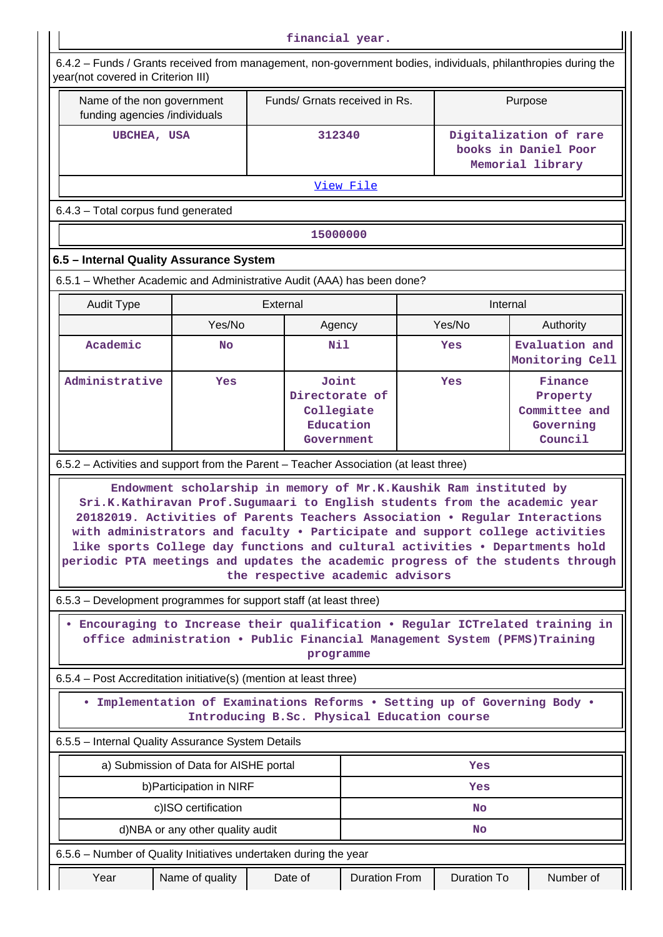| financial year.                                                                                                                                                                                                                                                                                                                                                                                              |                                                                   |          |                                                                  |                      |  |                    |         |                                                                    |
|--------------------------------------------------------------------------------------------------------------------------------------------------------------------------------------------------------------------------------------------------------------------------------------------------------------------------------------------------------------------------------------------------------------|-------------------------------------------------------------------|----------|------------------------------------------------------------------|----------------------|--|--------------------|---------|--------------------------------------------------------------------|
| 6.4.2 - Funds / Grants received from management, non-government bodies, individuals, philanthropies during the<br>year(not covered in Criterion III)                                                                                                                                                                                                                                                         |                                                                   |          |                                                                  |                      |  |                    |         |                                                                    |
| Name of the non government<br>funding agencies /individuals                                                                                                                                                                                                                                                                                                                                                  |                                                                   |          | Funds/ Grnats received in Rs.                                    |                      |  |                    | Purpose |                                                                    |
|                                                                                                                                                                                                                                                                                                                                                                                                              | <b>UBCHEA, USA</b>                                                |          |                                                                  | 312340               |  |                    |         | Digitalization of rare<br>books in Daniel Poor<br>Memorial library |
|                                                                                                                                                                                                                                                                                                                                                                                                              |                                                                   |          | View File                                                        |                      |  |                    |         |                                                                    |
| 6.4.3 - Total corpus fund generated                                                                                                                                                                                                                                                                                                                                                                          |                                                                   |          |                                                                  |                      |  |                    |         |                                                                    |
|                                                                                                                                                                                                                                                                                                                                                                                                              |                                                                   |          | 15000000                                                         |                      |  |                    |         |                                                                    |
| 6.5 - Internal Quality Assurance System                                                                                                                                                                                                                                                                                                                                                                      |                                                                   |          |                                                                  |                      |  |                    |         |                                                                    |
| 6.5.1 - Whether Academic and Administrative Audit (AAA) has been done?                                                                                                                                                                                                                                                                                                                                       |                                                                   |          |                                                                  |                      |  |                    |         |                                                                    |
| <b>Audit Type</b>                                                                                                                                                                                                                                                                                                                                                                                            |                                                                   | External |                                                                  |                      |  | Internal           |         |                                                                    |
|                                                                                                                                                                                                                                                                                                                                                                                                              | Yes/No                                                            |          | Agency                                                           |                      |  | Yes/No             |         | Authority                                                          |
| Academic                                                                                                                                                                                                                                                                                                                                                                                                     | <b>No</b>                                                         |          | Nil                                                              |                      |  | Yes                |         | Evaluation and<br>Monitoring Cell                                  |
| Administrative                                                                                                                                                                                                                                                                                                                                                                                               | Yes                                                               |          | Joint<br>Directorate of<br>Collegiate<br>Education<br>Government |                      |  | Yes                |         | Finance<br>Property<br>Committee and<br>Governing<br>Council       |
| 6.5.2 - Activities and support from the Parent - Teacher Association (at least three)                                                                                                                                                                                                                                                                                                                        |                                                                   |          |                                                                  |                      |  |                    |         |                                                                    |
| Sri.K.Kathiravan Prof.Sugumaari to English students from the academic year<br>20182019. Activities of Parents Teachers Association . Regular Interactions<br>with administrators and faculty . Participate and support college activities<br>like sports College day functions and cultural activities . Departments hold<br>periodic PTA meetings and updates the academic progress of the students through | Endowment scholarship in memory of Mr.K.Kaushik Ram instituted by |          | the respective academic advisors                                 |                      |  |                    |         |                                                                    |
| 6.5.3 – Development programmes for support staff (at least three)                                                                                                                                                                                                                                                                                                                                            |                                                                   |          |                                                                  |                      |  |                    |         |                                                                    |
| Encouraging to Increase their qualification . Regular ICTrelated training in<br>office administration . Public Financial Management System (PFMS)Training                                                                                                                                                                                                                                                    |                                                                   |          | programme                                                        |                      |  |                    |         |                                                                    |
| 6.5.4 – Post Accreditation initiative(s) (mention at least three)                                                                                                                                                                                                                                                                                                                                            |                                                                   |          |                                                                  |                      |  |                    |         |                                                                    |
| • Implementation of Examinations Reforms . Setting up of Governing Body .                                                                                                                                                                                                                                                                                                                                    | Introducing B.Sc. Physical Education course                       |          |                                                                  |                      |  |                    |         |                                                                    |
| 6.5.5 - Internal Quality Assurance System Details                                                                                                                                                                                                                                                                                                                                                            |                                                                   |          |                                                                  |                      |  |                    |         |                                                                    |
|                                                                                                                                                                                                                                                                                                                                                                                                              | a) Submission of Data for AISHE portal                            |          |                                                                  |                      |  | Yes                |         |                                                                    |
|                                                                                                                                                                                                                                                                                                                                                                                                              | b) Participation in NIRF                                          |          |                                                                  |                      |  | Yes                |         |                                                                    |
| c)ISO certification<br><b>No</b>                                                                                                                                                                                                                                                                                                                                                                             |                                                                   |          |                                                                  |                      |  |                    |         |                                                                    |
|                                                                                                                                                                                                                                                                                                                                                                                                              | d)NBA or any other quality audit                                  |          |                                                                  |                      |  | No                 |         |                                                                    |
| 6.5.6 – Number of Quality Initiatives undertaken during the year                                                                                                                                                                                                                                                                                                                                             |                                                                   |          |                                                                  |                      |  |                    |         |                                                                    |
| Year                                                                                                                                                                                                                                                                                                                                                                                                         | Name of quality                                                   |          | Date of                                                          | <b>Duration From</b> |  | <b>Duration To</b> |         | Number of                                                          |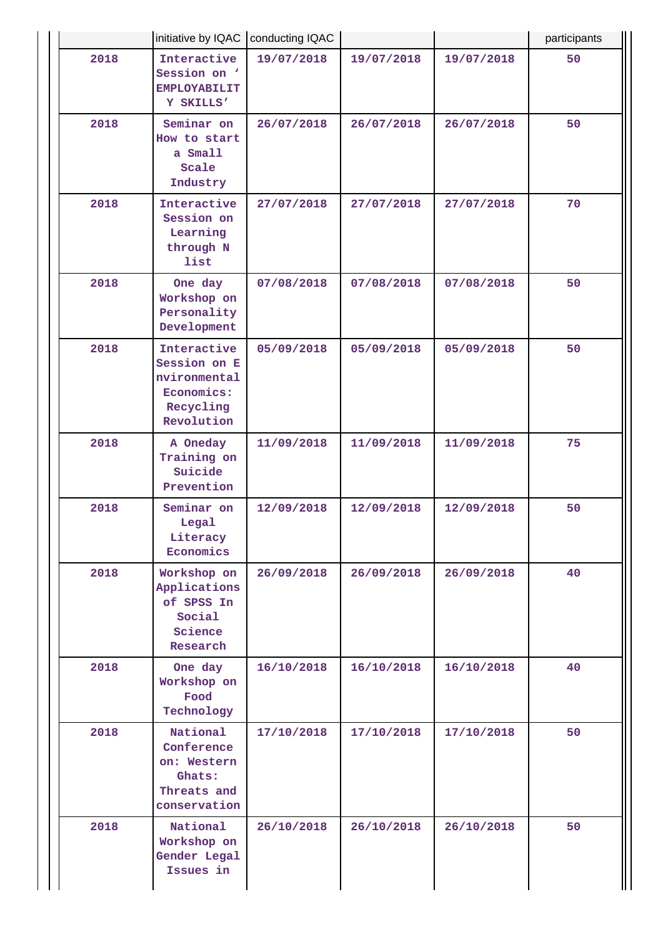|      | initiative by IQAC   conducting IQAC                                                 |            |            | participants |    |
|------|--------------------------------------------------------------------------------------|------------|------------|--------------|----|
| 2018 | Interactive<br>Session on '<br><b>EMPLOYABILIT</b><br>Y SKILLS'                      | 19/07/2018 | 19/07/2018 | 19/07/2018   | 50 |
| 2018 | Seminar on<br>How to start<br>a Small<br>Scale<br>Industry                           | 26/07/2018 | 26/07/2018 | 26/07/2018   | 50 |
| 2018 | Interactive<br>Session on<br>Learning<br>through N<br>list                           | 27/07/2018 | 27/07/2018 | 27/07/2018   | 70 |
| 2018 | One day<br>Workshop on<br>Personality<br>Development                                 | 07/08/2018 | 07/08/2018 | 07/08/2018   | 50 |
| 2018 | Interactive<br>Session on E<br>nvironmental<br>Economics:<br>Recycling<br>Revolution | 05/09/2018 | 05/09/2018 | 05/09/2018   | 50 |
| 2018 | A Oneday<br>Training on<br>Suicide<br>Prevention                                     | 11/09/2018 | 11/09/2018 | 11/09/2018   | 75 |
| 2018 | Seminar on<br>Legal<br>Literacy<br>Economics                                         | 12/09/2018 | 12/09/2018 | 12/09/2018   | 50 |
| 2018 | Workshop on<br>Applications<br>of SPSS In<br>Social<br>Science<br>Research           | 26/09/2018 | 26/09/2018 | 26/09/2018   | 40 |
| 2018 | One day<br>Workshop on<br>Food<br>Technology                                         | 16/10/2018 | 16/10/2018 | 16/10/2018   | 40 |
| 2018 | National<br>Conference<br>on: Western<br>Ghats:<br>Threats and<br>conservation       | 17/10/2018 | 17/10/2018 | 17/10/2018   | 50 |
| 2018 | National<br>Workshop on<br>Gender Legal<br>Issues in                                 | 26/10/2018 | 26/10/2018 | 26/10/2018   | 50 |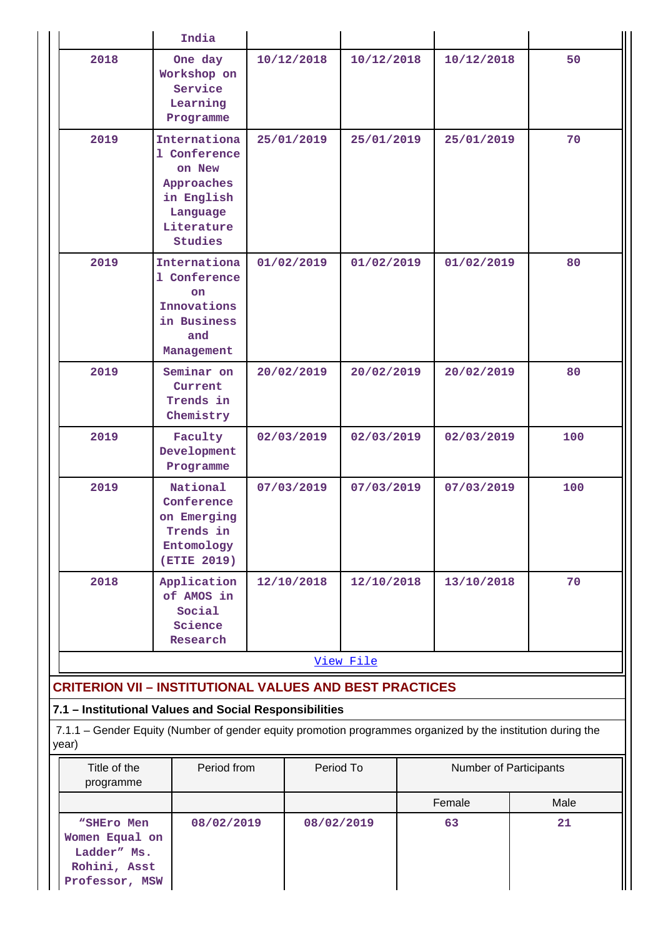|      | India                                                                                                       |            |            |            |     |
|------|-------------------------------------------------------------------------------------------------------------|------------|------------|------------|-----|
| 2018 | One day<br>Workshop on<br>Service<br>Learning<br>Programme                                                  | 10/12/2018 | 10/12/2018 | 10/12/2018 | 50  |
| 2019 | Internationa<br>1 Conference<br>on New<br>Approaches<br>in English<br>Language<br>Literature<br>Studies     | 25/01/2019 | 25/01/2019 | 25/01/2019 | 70  |
| 2019 | Internationa<br>1 Conference<br><b>on</b><br>Innovations<br>in Business<br>and<br>Management                | 01/02/2019 | 01/02/2019 | 01/02/2019 | 80  |
| 2019 | Seminar on<br>Current<br>Trends in<br>Chemistry                                                             | 20/02/2019 | 20/02/2019 | 20/02/2019 | 80  |
| 2019 | Faculty<br>Development<br>Programme                                                                         | 02/03/2019 | 02/03/2019 | 02/03/2019 | 100 |
| 2019 | National<br>Conference<br>on Emerging<br>Trends in<br>Entomology<br>(ETIE 2019)                             | 07/03/2019 | 07/03/2019 | 07/03/2019 | 100 |
| 2018 | Application<br>of AMOS in<br>Social<br>Science<br>Research                                                  | 12/10/2018 | 12/10/2018 | 13/10/2018 | 70  |
|      |                                                                                                             |            | View File  |            |     |
|      | <b>CRITERION VII - INSTITUTIONAL VALUES AND BEST PRACTICES</b>                                              |            |            |            |     |
|      | 7.1 - Institutional Values and Social Responsibilities                                                      |            |            |            |     |
|      | 7.1.1 - Gender Equity (Number of gender equity promotion programmes organized by the institution during the |            |            |            |     |

| year)                     |             |           |                               |                  |
|---------------------------|-------------|-----------|-------------------------------|------------------|
| Title of the<br>programme | Period from | Period To | <b>Number of Participants</b> |                  |
|                           |             |           | E                             | Mol <sub>2</sub> |

| programme                                                                     |            |            |        |      |
|-------------------------------------------------------------------------------|------------|------------|--------|------|
|                                                                               |            |            | Female | Male |
| "SHEro Men<br>Women Equal on<br>Ladder" Ms.<br>Rohini, Asst<br>Professor, MSW | 08/02/2019 | 08/02/2019 | 63     | 21   |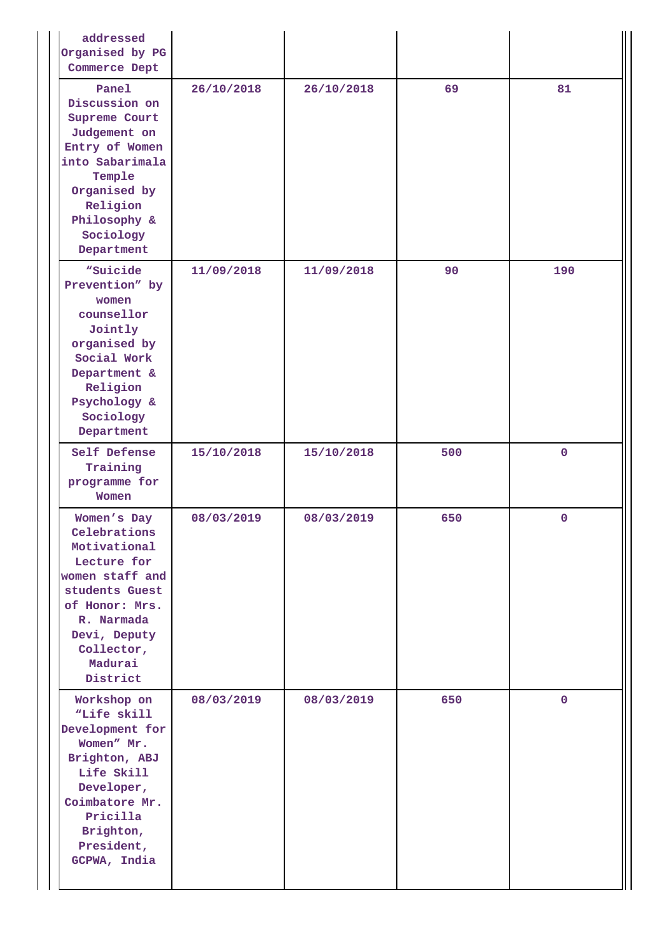| addressed<br>Organised by PG<br>Commerce Dept                                                                                                                                        |            |            |     |             |
|--------------------------------------------------------------------------------------------------------------------------------------------------------------------------------------|------------|------------|-----|-------------|
| Panel<br>Discussion on<br>Supreme Court<br>Judgement on<br>Entry of Women<br>into Sabarimala<br>Temple<br>Organised by<br>Religion<br>Philosophy &<br>Sociology<br>Department        | 26/10/2018 | 26/10/2018 | 69  | 81          |
| "Suicide<br>Prevention" by<br>women<br>counsellor<br>Jointly<br>organised by<br>Social Work<br>Department &<br>Religion<br>Psychology &<br>Sociology<br>Department                   | 11/09/2018 | 11/09/2018 | 90  | 190         |
| Self Defense<br>Training<br>programme for<br>Women                                                                                                                                   | 15/10/2018 | 15/10/2018 | 500 | $\pmb{0}$   |
| Women's Day<br>Celebrations<br>Motivational<br>Lecture for<br>women staff and<br>students Guest<br>of Honor: Mrs.<br>R. Narmada<br>Devi, Deputy<br>Collector,<br>Madurai<br>District | 08/03/2019 | 08/03/2019 | 650 | 0           |
| Workshop on<br>"Life skill<br>Development for<br>Women" Mr.<br>Brighton, ABJ<br>Life Skill<br>Developer,<br>Coimbatore Mr.<br>Pricilla<br>Brighton,<br>President,<br>GCPWA, India    | 08/03/2019 | 08/03/2019 | 650 | $\mathbf 0$ |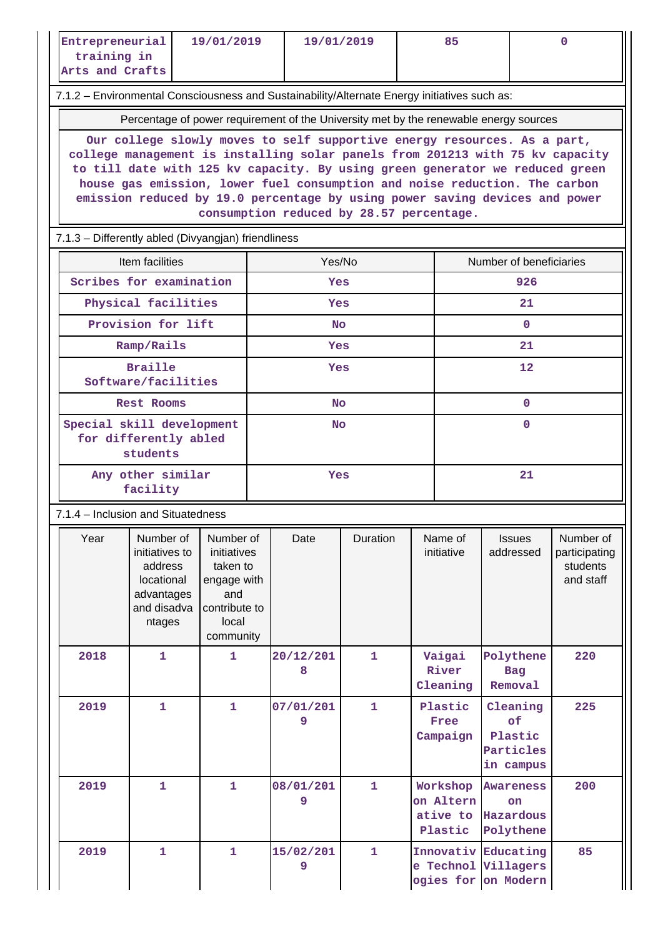| Entrepreneurial<br>training in<br>Arts and Crafts   |                                                                                                                                                                                                                                                                                                                                                                                                                                                                                                                                             | 19/01/2019                                                                           |  | 19/01/2019     |              |  | 85                                           |                                                                   | 0                                                   |  |  |
|-----------------------------------------------------|---------------------------------------------------------------------------------------------------------------------------------------------------------------------------------------------------------------------------------------------------------------------------------------------------------------------------------------------------------------------------------------------------------------------------------------------------------------------------------------------------------------------------------------------|--------------------------------------------------------------------------------------|--|----------------|--------------|--|----------------------------------------------|-------------------------------------------------------------------|-----------------------------------------------------|--|--|
|                                                     | 7.1.2 - Environmental Consciousness and Sustainability/Alternate Energy initiatives such as:                                                                                                                                                                                                                                                                                                                                                                                                                                                |                                                                                      |  |                |              |  |                                              |                                                                   |                                                     |  |  |
|                                                     |                                                                                                                                                                                                                                                                                                                                                                                                                                                                                                                                             |                                                                                      |  |                |              |  |                                              |                                                                   |                                                     |  |  |
|                                                     | Percentage of power requirement of the University met by the renewable energy sources<br>Our college slowly moves to self supportive energy resources. As a part,<br>college management is installing solar panels from 201213 with 75 kv capacity<br>to till date with 125 kv capacity. By using green generator we reduced green<br>house gas emission, lower fuel consumption and noise reduction. The carbon<br>emission reduced by 19.0 percentage by using power saving devices and power<br>consumption reduced by 28.57 percentage. |                                                                                      |  |                |              |  |                                              |                                                                   |                                                     |  |  |
| 7.1.3 - Differently abled (Divyangjan) friendliness |                                                                                                                                                                                                                                                                                                                                                                                                                                                                                                                                             |                                                                                      |  |                |              |  |                                              |                                                                   |                                                     |  |  |
|                                                     | Item facilities                                                                                                                                                                                                                                                                                                                                                                                                                                                                                                                             |                                                                                      |  | Yes/No         |              |  |                                              | Number of beneficiaries                                           |                                                     |  |  |
|                                                     | Scribes for examination                                                                                                                                                                                                                                                                                                                                                                                                                                                                                                                     |                                                                                      |  | Yes            |              |  |                                              | 926                                                               |                                                     |  |  |
|                                                     | Physical facilities                                                                                                                                                                                                                                                                                                                                                                                                                                                                                                                         |                                                                                      |  | Yes            |              |  |                                              | 21                                                                |                                                     |  |  |
|                                                     | Provision for lift                                                                                                                                                                                                                                                                                                                                                                                                                                                                                                                          |                                                                                      |  | <b>No</b>      |              |  |                                              | $\mathbf{0}$                                                      |                                                     |  |  |
|                                                     | Ramp/Rails                                                                                                                                                                                                                                                                                                                                                                                                                                                                                                                                  |                                                                                      |  | <b>Yes</b>     |              |  |                                              | 21                                                                |                                                     |  |  |
|                                                     | <b>Braille</b><br>Software/facilities                                                                                                                                                                                                                                                                                                                                                                                                                                                                                                       |                                                                                      |  | Yes            |              |  |                                              | 12                                                                |                                                     |  |  |
|                                                     | Rest Rooms                                                                                                                                                                                                                                                                                                                                                                                                                                                                                                                                  |                                                                                      |  | <b>No</b>      |              |  |                                              | $\mathbf 0$                                                       |                                                     |  |  |
|                                                     | Special skill development<br>for differently abled<br>students                                                                                                                                                                                                                                                                                                                                                                                                                                                                              |                                                                                      |  |                | <b>No</b>    |  |                                              | $\mathbf{0}$                                                      |                                                     |  |  |
|                                                     | Any other similar<br>facility                                                                                                                                                                                                                                                                                                                                                                                                                                                                                                               |                                                                                      |  | Yes            |              |  |                                              | 21                                                                |                                                     |  |  |
| 7.1.4 - Inclusion and Situatedness                  |                                                                                                                                                                                                                                                                                                                                                                                                                                                                                                                                             |                                                                                      |  |                |              |  |                                              |                                                                   |                                                     |  |  |
| Year                                                | Number of Number of<br>initiatives to<br>address<br>locational<br>advantages<br>and disadva<br>ntages                                                                                                                                                                                                                                                                                                                                                                                                                                       | initiatives<br>taken to<br>engage with<br>and<br>contribute to<br>local<br>community |  | Date           | Duration     |  | Name of<br>initiative                        | <b>Issues</b><br>addressed                                        | Number of<br>participating<br>students<br>and staff |  |  |
| 2018                                                | $\mathbf{1}$                                                                                                                                                                                                                                                                                                                                                                                                                                                                                                                                | $\mathbf{1}$                                                                         |  | 20/12/201<br>8 | 1            |  | Vaigai<br>River<br>Cleaning                  | Polythene<br>Bag<br>Removal                                       | 220                                                 |  |  |
| 2019                                                | $\mathbf{1}$                                                                                                                                                                                                                                                                                                                                                                                                                                                                                                                                | $\mathbf{1}$                                                                         |  | 07/01/201<br>9 | $\mathbf{1}$ |  | Plastic<br>Free<br>Campaign                  | Cleaning<br>of<br>Plastic<br>Particles<br>in campus               | 225                                                 |  |  |
| 2019                                                | $\mathbf{1}$                                                                                                                                                                                                                                                                                                                                                                                                                                                                                                                                | $\mathbf{1}$                                                                         |  | 08/01/201<br>9 | $\mathbf{1}$ |  | Workshop<br>on Altern<br>ative to<br>Plastic | <b>Awareness</b><br><b>on</b><br>Hazardous<br>Polythene           | 200                                                 |  |  |
| 2019                                                | $\mathbf{1}$                                                                                                                                                                                                                                                                                                                                                                                                                                                                                                                                | $\mathbf{1}$                                                                         |  | 15/02/201<br>9 | $\mathbf{1}$ |  |                                              | Innovativ Educating<br>e Technol Villagers<br>ogies for on Modern | 85                                                  |  |  |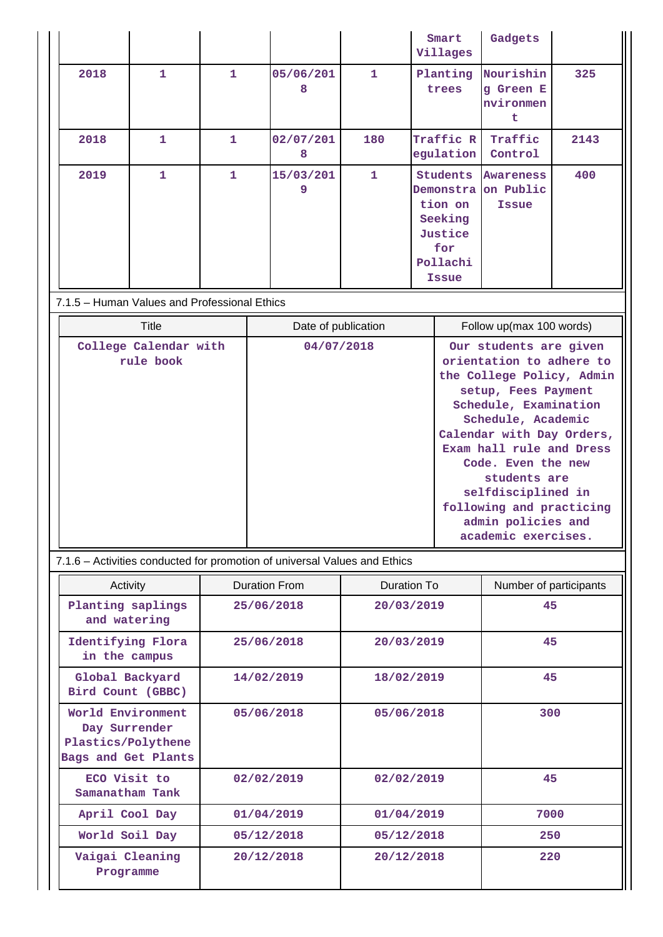|      |              |              |                |     | Smart<br>Villages                                                                            | Gadgets                                  |      |
|------|--------------|--------------|----------------|-----|----------------------------------------------------------------------------------------------|------------------------------------------|------|
| 2018 | $\mathbf{1}$ | 1            | 05/06/201<br>8 | 1   | Planting<br>trees                                                                            | Nourishin<br>g Green E<br>nvironmen<br>t | 325  |
| 2018 | 1            | $\mathbf{1}$ | 02/07/201<br>8 | 180 | Traffic R<br>egulation                                                                       | Traffic<br>Control                       | 2143 |
| 2019 | 1            | 1            | 15/03/201<br>9 | 1   | Students<br>Demonstra on Public<br>tion on<br>Seeking<br>Justice<br>for<br>Pollachi<br>Issue | <b>Awareness</b><br><b>Issue</b>         | 400  |

# 7.1.5 – Human Values and Professional Ethics

| Title                              | Date of publication | Follow up(max 100 words)                                                                                                                                                                                                                                                                                                                            |
|------------------------------------|---------------------|-----------------------------------------------------------------------------------------------------------------------------------------------------------------------------------------------------------------------------------------------------------------------------------------------------------------------------------------------------|
| College Calendar with<br>rule book | 04/07/2018          | Our students are given<br>orientation to adhere to<br>the College Policy, Admin<br>setup, Fees Payment<br>Schedule, Examination<br>Schedule, Academic<br>Calendar with Day Orders,<br>Exam hall rule and Dress<br>Code. Even the new<br>students are<br>selfdisciplined in<br>following and practicing<br>admin policies and<br>academic exercises. |

7.1.6 – Activities conducted for promotion of universal Values and Ethics

| Activity                                                                        | <b>Duration From</b> | Duration To | Number of participants |
|---------------------------------------------------------------------------------|----------------------|-------------|------------------------|
| Planting saplings<br>and watering                                               | 25/06/2018           | 20/03/2019  | 45                     |
| Identifying Flora<br>in the campus                                              | 25/06/2018           | 20/03/2019  | 45                     |
| Global Backyard<br>Bird Count (GBBC)                                            | 14/02/2019           | 18/02/2019  | 45                     |
| World Environment<br>Day Surrender<br>Plastics/Polythene<br>Bags and Get Plants | 05/06/2018           | 05/06/2018  | 300                    |
| ECO Visit to<br>Samanatham Tank                                                 | 02/02/2019           | 02/02/2019  | 45                     |
| April Cool Day                                                                  | 01/04/2019           | 01/04/2019  | 7000                   |
| World Soil Day                                                                  | 05/12/2018           | 05/12/2018  | 250                    |
| Vaigai Cleaning<br>Programme                                                    | 20/12/2018           | 20/12/2018  | 220                    |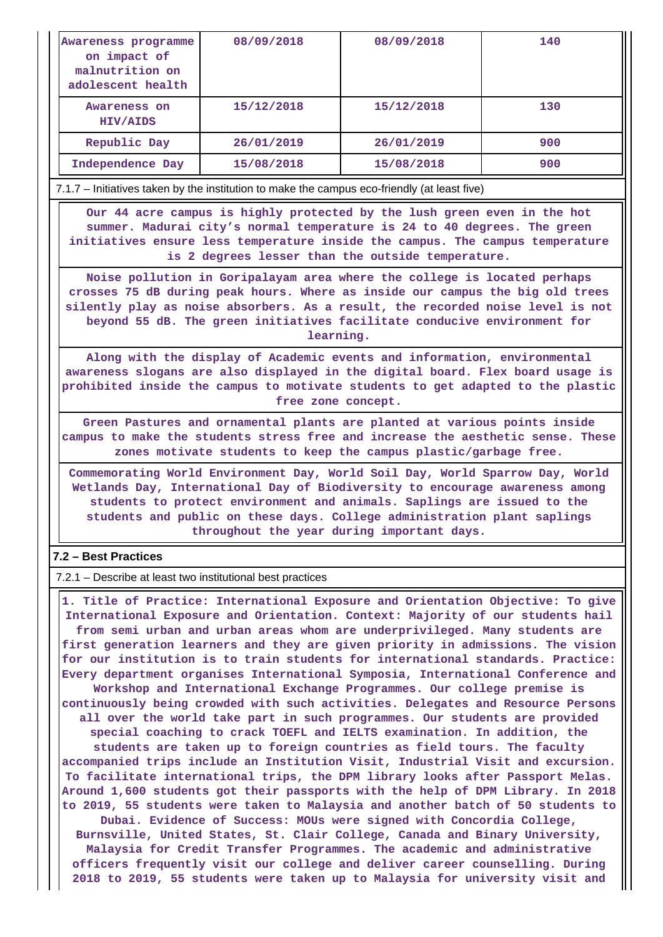| Awareness programme<br>on impact of<br>malnutrition on<br>adolescent health | 08/09/2018 | 08/09/2018 | 140 |
|-----------------------------------------------------------------------------|------------|------------|-----|
| Awareness on<br>HIV/AIDS                                                    | 15/12/2018 | 15/12/2018 | 130 |
| Republic Day                                                                | 26/01/2019 | 26/01/2019 | 900 |
| Independence Day                                                            | 15/08/2018 | 15/08/2018 | 900 |

7.1.7 – Initiatives taken by the institution to make the campus eco-friendly (at least five)

 **Our 44 acre campus is highly protected by the lush green even in the hot summer. Madurai city's normal temperature is 24 to 40 degrees. The green initiatives ensure less temperature inside the campus. The campus temperature is 2 degrees lesser than the outside temperature.**

**Noise pollution in Goripalayam area where the college is located perhaps crosses 75 dB during peak hours. Where as inside our campus the big old trees silently play as noise absorbers. As a result, the recorded noise level is not beyond 55 dB. The green initiatives facilitate conducive environment for learning.**

**Along with the display of Academic events and information, environmental awareness slogans are also displayed in the digital board. Flex board usage is prohibited inside the campus to motivate students to get adapted to the plastic free zone concept.**

**Green Pastures and ornamental plants are planted at various points inside campus to make the students stress free and increase the aesthetic sense. These zones motivate students to keep the campus plastic/garbage free.**

**Commemorating World Environment Day, World Soil Day, World Sparrow Day, World Wetlands Day, International Day of Biodiversity to encourage awareness among students to protect environment and animals. Saplings are issued to the students and public on these days. College administration plant saplings throughout the year during important days.**

## **7.2 – Best Practices**

7.2.1 – Describe at least two institutional best practices

 **1. Title of Practice: International Exposure and Orientation Objective: To give International Exposure and Orientation. Context: Majority of our students hail from semi urban and urban areas whom are underprivileged. Many students are first generation learners and they are given priority in admissions. The vision for our institution is to train students for international standards. Practice: Every department organises International Symposia, International Conference and Workshop and International Exchange Programmes. Our college premise is continuously being crowded with such activities. Delegates and Resource Persons all over the world take part in such programmes. Our students are provided special coaching to crack TOEFL and IELTS examination. In addition, the students are taken up to foreign countries as field tours. The faculty accompanied trips include an Institution Visit, Industrial Visit and excursion. To facilitate international trips, the DPM library looks after Passport Melas. Around 1,600 students got their passports with the help of DPM Library. In 2018 to 2019, 55 students were taken to Malaysia and another batch of 50 students to Dubai. Evidence of Success: MOUs were signed with Concordia College, Burnsville, United States, St. Clair College, Canada and Binary University, Malaysia for Credit Transfer Programmes. The academic and administrative officers frequently visit our college and deliver career counselling. During 2018 to 2019, 55 students were taken up to Malaysia for university visit and**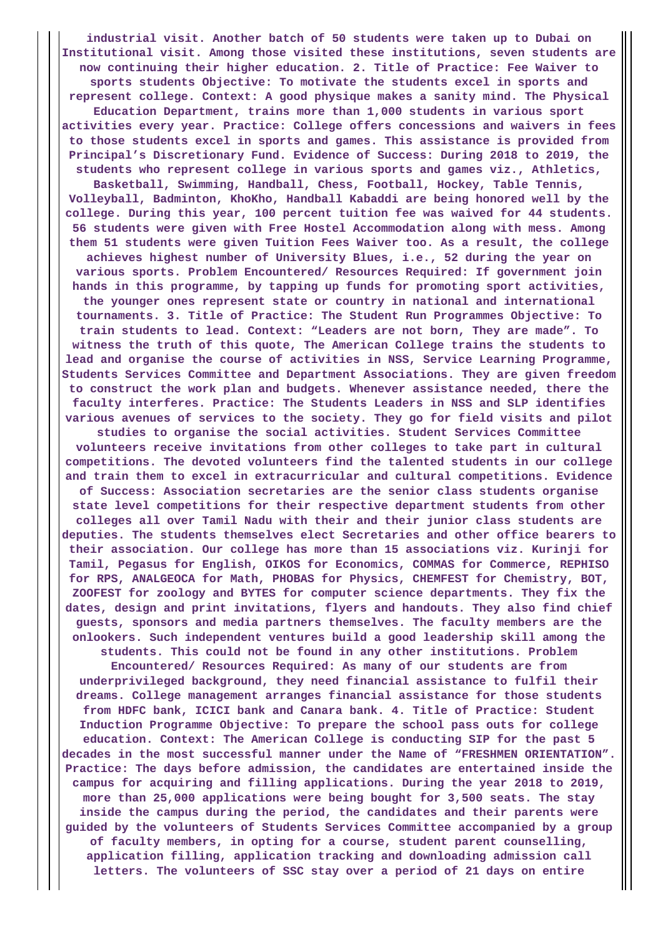**industrial visit. Another batch of 50 students were taken up to Dubai on Institutional visit. Among those visited these institutions, seven students are now continuing their higher education. 2. Title of Practice: Fee Waiver to sports students Objective: To motivate the students excel in sports and represent college. Context: A good physique makes a sanity mind. The Physical Education Department, trains more than 1,000 students in various sport activities every year. Practice: College offers concessions and waivers in fees to those students excel in sports and games. This assistance is provided from Principal's Discretionary Fund. Evidence of Success: During 2018 to 2019, the students who represent college in various sports and games viz., Athletics, Basketball, Swimming, Handball, Chess, Football, Hockey, Table Tennis, Volleyball, Badminton, KhoKho, Handball Kabaddi are being honored well by the college. During this year, 100 percent tuition fee was waived for 44 students. 56 students were given with Free Hostel Accommodation along with mess. Among them 51 students were given Tuition Fees Waiver too. As a result, the college achieves highest number of University Blues, i.e., 52 during the year on various sports. Problem Encountered/ Resources Required: If government join hands in this programme, by tapping up funds for promoting sport activities, the younger ones represent state or country in national and international tournaments. 3. Title of Practice: The Student Run Programmes Objective: To train students to lead. Context: "Leaders are not born, They are made". To witness the truth of this quote, The American College trains the students to lead and organise the course of activities in NSS, Service Learning Programme, Students Services Committee and Department Associations. They are given freedom to construct the work plan and budgets. Whenever assistance needed, there the faculty interferes. Practice: The Students Leaders in NSS and SLP identifies various avenues of services to the society. They go for field visits and pilot studies to organise the social activities. Student Services Committee volunteers receive invitations from other colleges to take part in cultural competitions. The devoted volunteers find the talented students in our college and train them to excel in extracurricular and cultural competitions. Evidence of Success: Association secretaries are the senior class students organise state level competitions for their respective department students from other colleges all over Tamil Nadu with their and their junior class students are deputies. The students themselves elect Secretaries and other office bearers to their association. Our college has more than 15 associations viz. Kurinji for Tamil, Pegasus for English, OIKOS for Economics, COMMAS for Commerce, REPHISO for RPS, ANALGEOCA for Math, PHOBAS for Physics, CHEMFEST for Chemistry, BOT, ZOOFEST for zoology and BYTES for computer science departments. They fix the dates, design and print invitations, flyers and handouts. They also find chief guests, sponsors and media partners themselves. The faculty members are the onlookers. Such independent ventures build a good leadership skill among the students. This could not be found in any other institutions. Problem Encountered/ Resources Required: As many of our students are from underprivileged background, they need financial assistance to fulfil their dreams. College management arranges financial assistance for those students from HDFC bank, ICICI bank and Canara bank. 4. Title of Practice: Student Induction Programme Objective: To prepare the school pass outs for college education. Context: The American College is conducting SIP for the past 5 decades in the most successful manner under the Name of "FRESHMEN ORIENTATION". Practice: The days before admission, the candidates are entertained inside the campus for acquiring and filling applications. During the year 2018 to 2019, more than 25,000 applications were being bought for 3,500 seats. The stay inside the campus during the period, the candidates and their parents were guided by the volunteers of Students Services Committee accompanied by a group of faculty members, in opting for a course, student parent counselling, application filling, application tracking and downloading admission call letters. The volunteers of SSC stay over a period of 21 days on entire**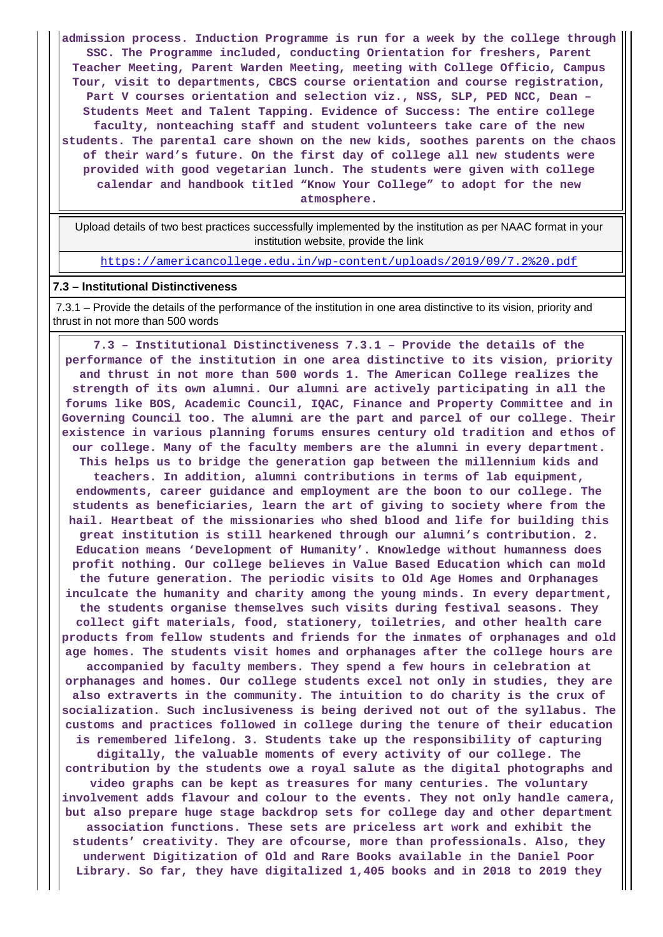**admission process. Induction Programme is run for a week by the college through SSC. The Programme included, conducting Orientation for freshers, Parent Teacher Meeting, Parent Warden Meeting, meeting with College Officio, Campus Tour, visit to departments, CBCS course orientation and course registration, Part V courses orientation and selection viz., NSS, SLP, PED NCC, Dean – Students Meet and Talent Tapping. Evidence of Success: The entire college faculty, nonteaching staff and student volunteers take care of the new students. The parental care shown on the new kids, soothes parents on the chaos of their ward's future. On the first day of college all new students were provided with good vegetarian lunch. The students were given with college calendar and handbook titled "Know Your College" to adopt for the new atmosphere.**

 Upload details of two best practices successfully implemented by the institution as per NAAC format in your institution website, provide the link

<https://americancollege.edu.in/wp-content/uploads/2019/09/7.2%20.pdf>

### **7.3 – Institutional Distinctiveness**

 7.3.1 – Provide the details of the performance of the institution in one area distinctive to its vision, priority and thrust in not more than 500 words

 **7.3 – Institutional Distinctiveness 7.3.1 – Provide the details of the performance of the institution in one area distinctive to its vision, priority and thrust in not more than 500 words 1. The American College realizes the strength of its own alumni. Our alumni are actively participating in all the forums like BOS, Academic Council, IQAC, Finance and Property Committee and in Governing Council too. The alumni are the part and parcel of our college. Their existence in various planning forums ensures century old tradition and ethos of our college. Many of the faculty members are the alumni in every department. This helps us to bridge the generation gap between the millennium kids and teachers. In addition, alumni contributions in terms of lab equipment, endowments, career guidance and employment are the boon to our college. The students as beneficiaries, learn the art of giving to society where from the hail. Heartbeat of the missionaries who shed blood and life for building this great institution is still hearkened through our alumni's contribution. 2. Education means 'Development of Humanity'. Knowledge without humanness does profit nothing. Our college believes in Value Based Education which can mold the future generation. The periodic visits to Old Age Homes and Orphanages inculcate the humanity and charity among the young minds. In every department, the students organise themselves such visits during festival seasons. They collect gift materials, food, stationery, toiletries, and other health care products from fellow students and friends for the inmates of orphanages and old age homes. The students visit homes and orphanages after the college hours are accompanied by faculty members. They spend a few hours in celebration at orphanages and homes. Our college students excel not only in studies, they are also extraverts in the community. The intuition to do charity is the crux of socialization. Such inclusiveness is being derived not out of the syllabus. The customs and practices followed in college during the tenure of their education is remembered lifelong. 3. Students take up the responsibility of capturing digitally, the valuable moments of every activity of our college. The contribution by the students owe a royal salute as the digital photographs and video graphs can be kept as treasures for many centuries. The voluntary involvement adds flavour and colour to the events. They not only handle camera, but also prepare huge stage backdrop sets for college day and other department association functions. These sets are priceless art work and exhibit the students' creativity. They are ofcourse, more than professionals. Also, they underwent Digitization of Old and Rare Books available in the Daniel Poor Library. So far, they have digitalized 1,405 books and in 2018 to 2019 they**